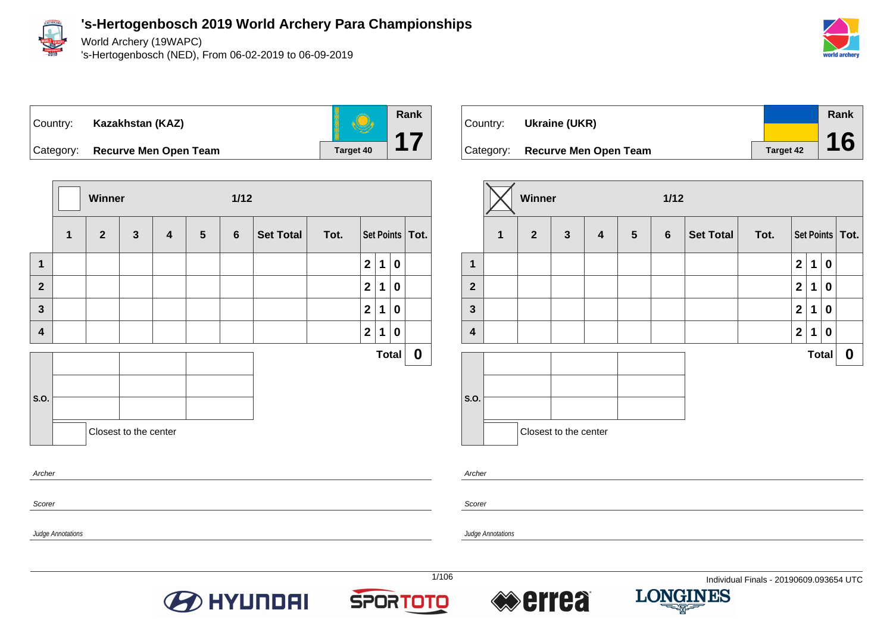

World Archery (19WAPC)

's-Hertogenbosch (NED), From 06-02-2019 to 06-09-2019





Category: **Recurve Men Open Team Target 40** 



| Country: | Ukraine (UKR)                   |           | Rank |
|----------|---------------------------------|-----------|------|
|          |                                 |           | 16   |
|          | Category: Recurve Men Open Team | Target 42 |      |

|                         |              | Winner         |                       |                         |                 | $1/12$         |           |      |                |              |             |                   |
|-------------------------|--------------|----------------|-----------------------|-------------------------|-----------------|----------------|-----------|------|----------------|--------------|-------------|-------------------|
|                         | $\mathbf{1}$ | $\overline{2}$ | $\mathbf{3}$          | $\overline{\mathbf{4}}$ | $5\phantom{.0}$ | $6\phantom{1}$ | Set Total | Tot. |                |              |             | Set Points   Tot. |
| 1                       |              |                |                       |                         |                 |                |           |      | $\overline{2}$ | $\mathbf 1$  | $\mathbf 0$ |                   |
| $\overline{\mathbf{2}}$ |              |                |                       |                         |                 |                |           |      | $\overline{2}$ | 1            | $\mathbf 0$ |                   |
| $\mathbf{3}$            |              |                |                       |                         |                 |                |           |      | $\overline{2}$ | 1            | $\mathbf 0$ |                   |
| $\overline{\mathbf{4}}$ |              |                |                       |                         |                 |                |           |      | $\mathbf{2}$   | 1            | $\mathbf 0$ |                   |
|                         |              |                |                       |                         |                 |                |           |      |                | <b>Total</b> |             | $\mathbf 0$       |
|                         |              |                |                       |                         |                 |                |           |      |                |              |             |                   |
| S.O.                    |              |                |                       |                         |                 |                |           |      |                |              |             |                   |
|                         |              |                | Closest to the center |                         |                 |                |           |      |                |              |             |                   |

Archer

Scorer

Judge Annotations

Judge Annotations







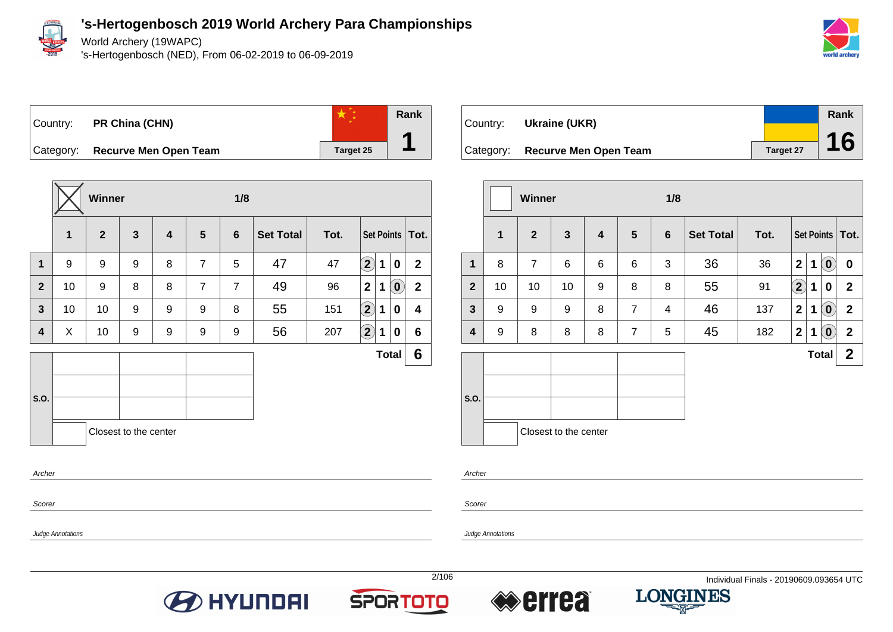

Judge Annotations

World Archery (19WAPC)

's-Hertogenbosch (NED), From 06-02-2019 to 06-09-2019



# Country: **PR China (CHN)**



Category: **Recurve Men Open Team Target 25** 

|                |    | Winner       |                       |                         |                 | 1/8            |                  |      |                            |             |                            |                         |
|----------------|----|--------------|-----------------------|-------------------------|-----------------|----------------|------------------|------|----------------------------|-------------|----------------------------|-------------------------|
|                | 1  | $\mathbf{2}$ | $\mathbf{3}$          | $\overline{\mathbf{4}}$ | $5\phantom{.0}$ | $6\phantom{1}$ | <b>Set Total</b> | Tot. |                            |             |                            | Set Points   Tot.       |
| $\mathbf 1$    | 9  | 9            | 9                     | 8                       | $\overline{7}$  | 5              | 47               | 47   | $\left( \mathbf{2}\right)$ | $\mathbf 1$ | 0                          | $\mathbf{2}$            |
| $\overline{2}$ | 10 | 9            | 8                     | 8                       | $\overline{7}$  | $\overline{7}$ | 49               | 96   | $\mathbf{2}$               | 1           | $\left( \mathbf{0}\right)$ | $\mathbf{2}$            |
| $\mathbf{3}$   | 10 | 10           | 9                     | 9                       | 9               | 8              | 55               | 151  | $\Large 2$                 | 1           | 0                          | $\overline{\mathbf{4}}$ |
| 4              | X  | 10           | 9                     | 9                       | 9               | 9              | 56               | 207  | $\mathbf{2}$               | 1           | 0                          | $6\phantom{1}$          |
|                |    |              |                       |                         |                 |                |                  |      |                            |             | <b>Total</b>               | 6                       |
|                |    |              |                       |                         |                 |                |                  |      |                            |             |                            |                         |
| S.O.           |    |              |                       |                         |                 |                |                  |      |                            |             |                            |                         |
|                |    |              | Closest to the center |                         |                 |                |                  |      |                            |             |                            |                         |
| Archer         |    |              |                       |                         |                 |                |                  |      |                            |             |                            |                         |
|                |    |              |                       |                         |                 |                |                  |      |                            |             |                            |                         |

| Country: | Ukraine (UKR)                   |           | Rank |
|----------|---------------------------------|-----------|------|
|          | Category: Recurve Men Open Team | Target 27 | 16   |

|                |              | <b>Winner</b>  |                       |   |                | 1/8             |                  |      |              |   |                                                     |                   |
|----------------|--------------|----------------|-----------------------|---|----------------|-----------------|------------------|------|--------------|---|-----------------------------------------------------|-------------------|
|                | $\mathbf{1}$ | $\overline{2}$ | $\mathbf{3}$          | 4 | $5\phantom{1}$ | $6\phantom{1}6$ | <b>Set Total</b> | Tot. |              |   |                                                     | Set Points   Tot. |
| 1              | 8            | $\overline{7}$ | 6                     | 6 | 6              | 3               | 36               | 36   | $\mathbf{2}$ | 1 | $\left( \begin{matrix} 0 \\ 0 \end{matrix} \right)$ | $\boldsymbol{0}$  |
| $\overline{2}$ | 10           | 10             | 10                    | 9 | 8              | 8               | 55               | 91   | $\mathbf{2}$ | 1 | $\bf{0}$                                            | $\mathbf{2}$      |
| $\mathbf{3}$   | 9            | 9              | 9                     | 8 | $\overline{7}$ | 4               | 46               | 137  | $\mathbf{2}$ | 1 | $\left( 0 \right)$                                  | $\mathbf{2}$      |
| 4              | 9            | 8              | 8                     | 8 | $\overline{7}$ | 5               | 45               | 182  | $\mathbf{2}$ | 1 | $\left( \mathbf{0}\right)$                          | $\mathbf{2}$      |
|                |              |                |                       |   |                |                 |                  |      |              |   | <b>Total</b>                                        | $\mathbf{2}$      |
| S.O.           |              |                | Closest to the center |   |                |                 |                  |      |              |   |                                                     |                   |

Archer

Scorer

Judge Annotations







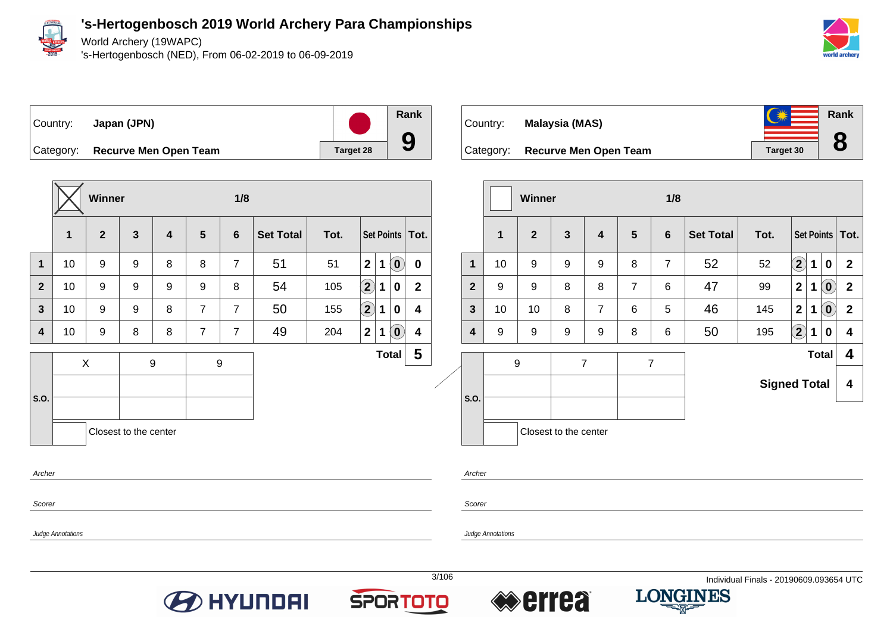

World Archery (19WAPC)

's-Hertogenbosch (NED), From 06-02-2019 to 06-09-2019



Country: **Japan (JPN)**



Category: **Recurve Men Open Team Target 28** 





|                |    | <b>Winner</b>  |                         |                         |                | 1/8            |                                                              |                     |              |   |                            |                         |
|----------------|----|----------------|-------------------------|-------------------------|----------------|----------------|--------------------------------------------------------------|---------------------|--------------|---|----------------------------|-------------------------|
|                | 1  | $\overline{2}$ | $\overline{\mathbf{3}}$ | $\overline{\mathbf{4}}$ | $5\phantom{1}$ | 6              | <b>Set Total</b>                                             | Tot.                |              |   |                            | Set Points   Tot.       |
| $\mathbf 1$    | 10 | 9              | 9                       | 9                       | 8              | $\overline{7}$ | 52                                                           | 52                  | $\mathbf{2}$ | 1 | $\mathbf 0$                | $\overline{2}$          |
| $\overline{2}$ | 9  | 9              | 8                       | 8                       | $\overline{7}$ | 6              | 47                                                           | 99                  | $\mathbf 2$  | 1 | $\left( \mathbf{0}\right)$ | $\mathbf{2}$            |
| 3              | 10 | 10             | 8                       | $\overline{7}$          | 6              | 5              | $\left( \mathbf{0}\right)$<br>46<br>$\mathbf{2}$<br>145<br>1 |                     |              |   |                            | $\mathbf 2$             |
| 4              | 9  | 9              | 9                       | 9                       | 8              | 6              | $\left( \mathbf{2}\right)$<br>50<br>195<br>1<br>0            |                     |              |   |                            | 4                       |
|                | 9  |                |                         | $\overline{7}$          |                | $\overline{7}$ |                                                              |                     |              |   | <b>Total</b>               | 4                       |
|                |    |                |                         |                         |                |                |                                                              | <b>Signed Total</b> |              |   |                            | $\overline{\mathbf{4}}$ |
| S.O.           |    |                |                         |                         |                |                |                                                              |                     |              |   |                            |                         |
|                |    |                | Closest to the center   |                         |                |                |                                                              |                     |              |   |                            |                         |

Archer

Scorer

**Scorer** 

Archer

Judge Annotations









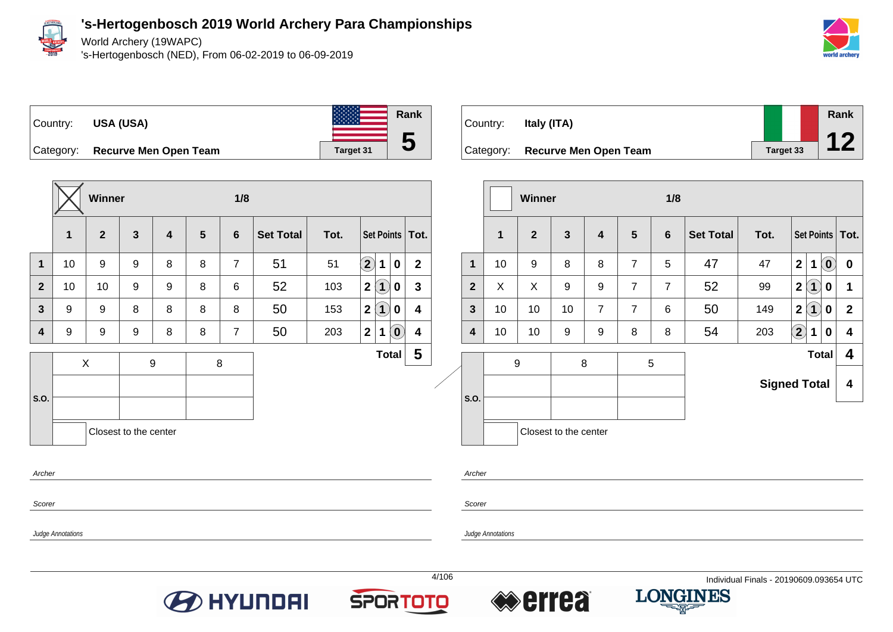

World Archery (19WAPC)

's-Hertogenbosch (NED), From 06-02-2019 to 06-09-2019



Country: **USA (USA)**



Category: **Recurve Men Open Team Target 31** 



|                         |                          | Winner       |                       |   |   | 1/8            |                  |      |                                                                    |                         |       |                |                          | Winner       |                       |                         |                | 1/8            |                  |                                         |                      |                                                               |                         |
|-------------------------|--------------------------|--------------|-----------------------|---|---|----------------|------------------|------|--------------------------------------------------------------------|-------------------------|-------|----------------|--------------------------|--------------|-----------------------|-------------------------|----------------|----------------|------------------|-----------------------------------------|----------------------|---------------------------------------------------------------|-------------------------|
|                         | $\mathbf{1}$             | $\mathbf{2}$ | 3                     | 4 | 5 | $6\phantom{1}$ | <b>Set Total</b> | Tot. | Set Points   Tot.                                                  |                         |       |                | $\mathbf{1}$             | $\mathbf{2}$ | $\mathbf{3}$          | $\overline{\mathbf{4}}$ | $5\phantom{1}$ | $6\phantom{a}$ | <b>Set Total</b> | Tot.                                    |                      | <b>Set Points</b>                                             | Tot.                    |
| $\mathbf{1}$            | 10                       | 9            | 9                     | 8 | 8 | $\overline{7}$ | 51               | 51   | $\boxed{2}$<br>1<br>$\mathbf 0$                                    | $\mathbf{2}$            |       | $\mathbf{1}$   | 10                       | 9            | 8                     | 8                       | $\overline{7}$ | 5              | 47               | 47                                      | 2                    | $\left( \begin{matrix} 0 \end{matrix} \right)$<br>$\mathbf 1$ | $\mathbf 0$             |
| $\mathbf{2}$            | 10                       | 10           | 9                     | 9 | 8 | 6              | 52               | 103  | $\overline{\mathbf{1}}$<br>2 <br>$\mathbf 0$                       | $\mathbf{3}$            |       | $\overline{2}$ | X                        | X            | 9                     | 9                       | $\overline{7}$ | $\overline{7}$ | 52               | 99                                      | 2(1)                 | $\mathbf 0$                                                   | $\blacktriangleleft$    |
| $\mathbf{3}$            | 9                        | 9            | 8                     | 8 | 8 | 8              | 50               | 153  | 2 <br>$\overline{\mathbf{1}}$<br>$\bf{0}$                          | 4                       |       | 3              | 10                       | 10           | 10                    | $\overline{7}$          | $\overline{7}$ | 6              | 50               | 149                                     | 2(1)                 | $\mathbf 0$                                                   | $\overline{2}$          |
| $\overline{\mathbf{4}}$ | 9                        | 9            | 9                     | 8 | 8 | $\overline{7}$ | 50               | 203  | $\left( \begin{matrix} \textbf{0} \end{matrix} \right)$<br>2 <br>1 | 4                       |       | 4              | 10                       | 10           | 9                     | 9                       | 8              | 8              | 54               | 203                                     | $\Large{\textbf{2}}$ | 1<br>$\mathbf 0$                                              | $\overline{\mathbf{4}}$ |
|                         |                          | X            |                       | 9 |   | 8              |                  |      | <b>Total</b>                                                       | $\overline{\mathbf{5}}$ |       |                |                          | 9            |                       | 8                       |                | 5              |                  |                                         |                      | <b>Total</b>                                                  | 4                       |
| S.O.                    |                          |              |                       |   |   |                |                  |      |                                                                    |                         |       | S.O            |                          |              |                       |                         |                |                |                  |                                         | <b>Signed Total</b>  |                                                               | $\overline{\mathbf{4}}$ |
|                         |                          |              | Closest to the center |   |   |                |                  |      |                                                                    |                         |       |                |                          |              | Closest to the center |                         |                |                |                  |                                         |                      |                                                               |                         |
| Archer                  |                          |              |                       |   |   |                |                  |      |                                                                    |                         |       | Archer         |                          |              |                       |                         |                |                |                  |                                         |                      |                                                               |                         |
| Scorer                  |                          |              |                       |   |   |                |                  |      |                                                                    |                         |       | Scorer         |                          |              |                       |                         |                |                |                  |                                         |                      |                                                               |                         |
|                         | <b>Judge Annotations</b> |              |                       |   |   |                |                  |      |                                                                    |                         |       |                | <b>Judge Annotations</b> |              |                       |                         |                |                |                  |                                         |                      |                                                               |                         |
|                         |                          |              |                       |   |   |                |                  |      |                                                                    |                         | 4/106 |                |                          |              |                       |                         |                |                |                  | Individual Finals - 20190609.093654 UTC |                      |                                                               |                         |
|                         |                          |              |                       |   |   |                | <b>O HYUNDAI</b> |      | <b>SPORTOTO</b>                                                    |                         |       |                |                          | <b>Errea</b> |                       |                         |                |                | <b>LONGINES</b>  |                                         |                      |                                                               |                         |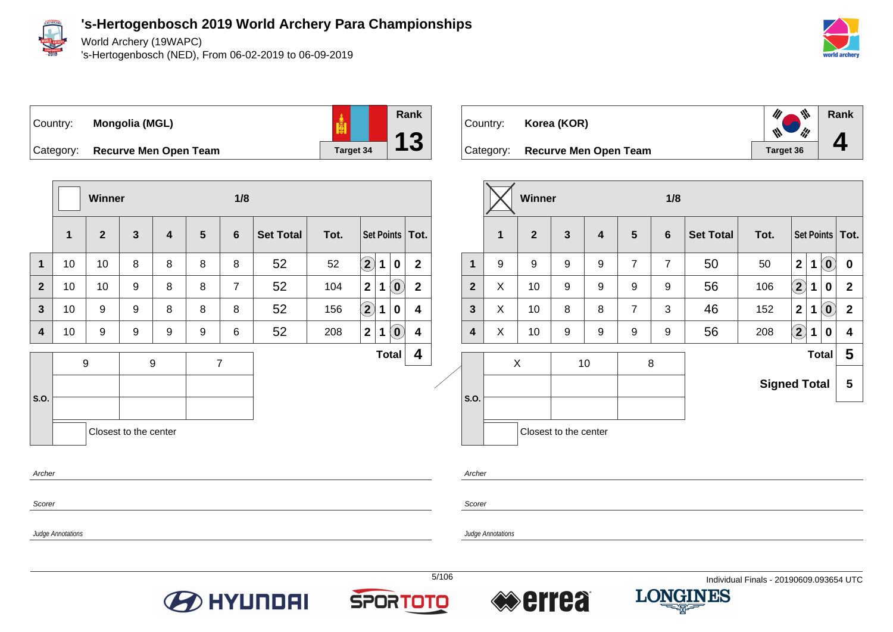

World Archery (19WAPC)

's-Hertogenbosch (NED), From 06-02-2019 to 06-09-2019





Category: **Recurve Men Open Team Target 34** 

|              |                         | <b>Winner</b>    |                       |                  |                | 1/8            |                  |      |                            |   |                                                |                   |
|--------------|-------------------------|------------------|-----------------------|------------------|----------------|----------------|------------------|------|----------------------------|---|------------------------------------------------|-------------------|
|              | $\overline{\mathbf{1}}$ | $\overline{2}$   | $\mathbf{3}$          | 4                | 5              | $6\phantom{1}$ | <b>Set Total</b> | Tot. |                            |   |                                                | Set Points   Tot. |
| $\mathbf{1}$ | 10                      | 10               | 8                     | 8                | 8              | 8              | 52               | 52   | $\left( \mathbf{2}\right)$ | 1 | $\boldsymbol{0}$                               | $\mathbf{2}$      |
| $\mathbf{2}$ | 10                      | 10               | 9                     | 8                | 8              | $\overline{7}$ | 52               | 104  | $\mathbf{2}$               | 1 | $\left( \begin{matrix} 0 \end{matrix} \right)$ | $\mathbf{2}$      |
| 3            | 10                      | 9                | $9$                   | 8                | 8              | 8              | 52               | 156  | $\bf \Omega$               | 1 | 0                                              | 4                 |
| 4            | 10                      | 9                | 9                     | 9                | 9              | 6              | 52               | 208  | $\mathbf 2$                | 1 | $\left[ \begin{matrix} 0 \end{matrix} \right]$ | 4                 |
|              |                         | $\boldsymbol{9}$ |                       | $\boldsymbol{9}$ | $\overline{7}$ |                |                  |      |                            |   | <b>Total</b>                                   | 4                 |
|              |                         |                  |                       |                  |                |                |                  |      |                            |   |                                                |                   |
| S.O.         |                         |                  |                       |                  |                |                |                  |      |                            |   |                                                |                   |
|              |                         |                  | Closest to the center |                  |                |                |                  |      |                            |   |                                                |                   |
| Archer       |                         |                  |                       |                  |                |                |                  |      |                            |   |                                                |                   |

| Country:<br>Category: | Korea (KOR)<br><b>Recurve Men Open Team</b> |                 | ₩<br>th<br>Target 36 | Rank |
|-----------------------|---------------------------------------------|-----------------|----------------------|------|
|                       | 1.4.11                                      | $\overline{AB}$ |                      |      |

|                |   | Winner         |                       |                         |                | 1/8            |                                                             |                     |              |   |                            |                   |
|----------------|---|----------------|-----------------------|-------------------------|----------------|----------------|-------------------------------------------------------------|---------------------|--------------|---|----------------------------|-------------------|
|                | 1 | $\overline{2}$ | 3                     | $\overline{\mathbf{4}}$ | 5              | 6              | <b>Set Total</b>                                            | Tot.                |              |   |                            | Set Points   Tot. |
| $\mathbf 1$    | 9 | 9              | 9                     | 9                       | $\overline{7}$ | $\overline{7}$ | 50                                                          | 50                  | $\mathbf{2}$ | 1 | $\left[ \mathbf{0}\right]$ | $\bf{0}$          |
| $\overline{2}$ | X | 10             | 9                     | 9                       | 9              | 9              | $\bf \Omega$<br>56<br>106<br>1<br>0                         |                     |              |   |                            | $\mathbf{2}$      |
| 3              | X | 10             | 8                     | 8                       | $\overline{7}$ | 3              | $\left( \mathbf{0}\right)$<br>46<br>$\mathbf 2$<br>152<br>1 |                     |              |   |                            | $\mathbf{2}$      |
| 4              | Χ | 10             | 9                     | 9                       | 9              | 9              | $\bf(2)$<br>56<br>208<br>1<br>0                             |                     |              |   |                            | 4                 |
|                |   | X              |                       | 10                      |                | 8              |                                                             |                     |              |   | <b>Total</b>               | 5                 |
|                |   |                |                       |                         |                |                |                                                             | <b>Signed Total</b> |              |   |                            | 5                 |
| S.O.           |   |                |                       |                         |                |                |                                                             |                     |              |   |                            |                   |
|                |   |                | Closest to the center |                         |                |                |                                                             |                     |              |   |                            |                   |

Scorer

Scorer

Archer

Judge Annotations









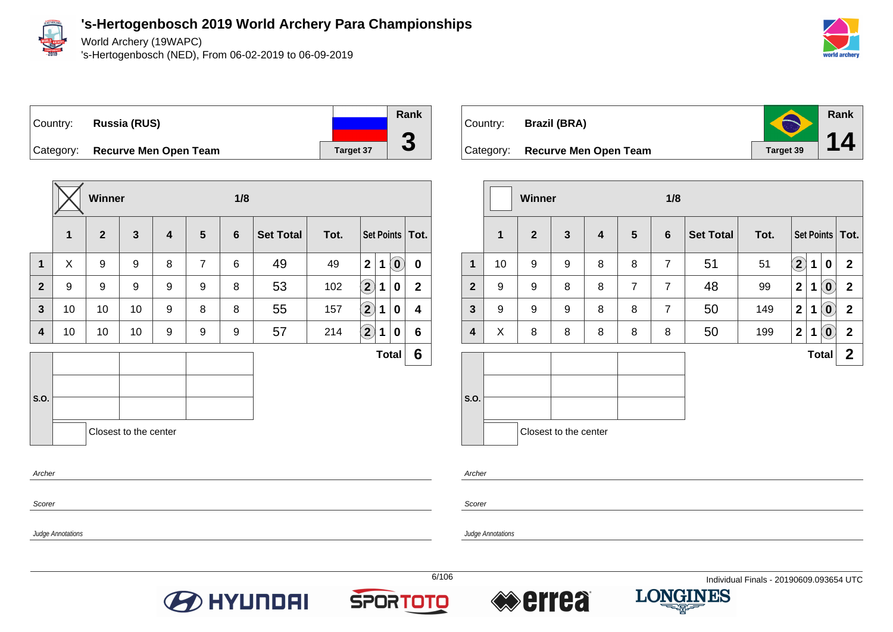

World Archery (19WAPC)

's-Hertogenbosch (NED), From 06-02-2019 to 06-09-2019



# Country: **Russia (RUS)** Category: **Recurve Men Open Team Target 37**



|                |    | Winner       |                       |                         |                | 1/8            |                  |      |                    |             |                            |                   |
|----------------|----|--------------|-----------------------|-------------------------|----------------|----------------|------------------|------|--------------------|-------------|----------------------------|-------------------|
|                | 1  | $\mathbf{2}$ | $\mathbf{3}$          | $\overline{\mathbf{4}}$ | 5              | $6\phantom{1}$ | <b>Set Total</b> | Tot. |                    |             |                            | Set Points   Tot. |
| $\mathbf 1$    | X  | 9            | 9                     | 8                       | $\overline{7}$ | 6              | 49               | 49   | $\overline{2}$     | $\mathbf 1$ | $\left( \mathbf{0}\right)$ | $\mathbf 0$       |
| $\overline{2}$ | 9  | 9            | 9                     | 9                       | 9              | 8              | 53               | 102  | $\boxed{2}$        | $\mathbf 1$ | 0                          | $\mathbf{2}$      |
| $\mathbf{3}$   | 10 | 10           | 10                    | 9                       | 8              | 8              | 55               | 157  | $\bf \overline{2}$ | 1           | 0                          | 4                 |
| 4              | 10 | 10           | 10                    | 9                       | 9              | 9              | 57               | 214  | $\mathbf{2}$       | 1           | 0                          | $6\phantom{1}$    |
|                |    |              |                       |                         |                |                |                  |      |                    |             | <b>Total</b>               | 6                 |
|                |    |              |                       |                         |                |                |                  |      |                    |             |                            |                   |
| S.O.           |    |              |                       |                         |                |                |                  |      |                    |             |                            |                   |
|                |    |              | Closest to the center |                         |                |                |                  |      |                    |             |                            |                   |
| Archer         |    |              |                       |                         |                |                |                  |      |                    |             |                            |                   |

| Country: | Brazil (BRA)                    | $\bigodot$ | Rank |
|----------|---------------------------------|------------|------|
|          | Category: Recurve Men Open Team | Target 39  | 14   |

|              |             | <b>Winner</b>  |                       |   |                | 1/8            |                  |      |                   |              |                                      |                   |
|--------------|-------------|----------------|-----------------------|---|----------------|----------------|------------------|------|-------------------|--------------|--------------------------------------|-------------------|
|              | $\mathbf 1$ | $\overline{2}$ | $\mathbf{3}$          | 4 | 5              | 6              | <b>Set Total</b> | Tot. |                   |              |                                      | Set Points   Tot. |
| 1            | 10          | 9              | 9                     | 8 | 8              | $\overline{7}$ | 51               | 51   | $\left( 2\right)$ | 1            | 0                                    | $\overline{2}$    |
| $\mathbf{2}$ | 9           | 9              | 8                     | 8 | $\overline{7}$ | $\overline{7}$ | 48               | 99   | $\mathbf 2$       | 1            | $\left( \widehat{\mathbf{0}}\right)$ | $\overline{2}$    |
| $\mathbf{3}$ | 9           | 9              | 9                     | 8 | 8              | $\overline{7}$ | 50               | 149  | 2                 | 1            | $\left( \mathbf{0}\right)$           | $\mathbf{2}$      |
| 4            | X           | 8              | 8                     | 8 | 8              | 8              | 50               | 199  | 2 <sup>1</sup>    | 1            | $\left( \mathbf{0}\right)$           | $\mathbf{2}$      |
|              |             |                |                       |   |                |                |                  |      |                   | <b>Total</b> |                                      | $\mathbf{2}$      |
| S.O.         |             |                |                       |   |                |                |                  |      |                   |              |                                      |                   |
|              |             |                | Closest to the center |   |                |                |                  |      |                   |              |                                      |                   |

Archer

Scorer

Scorer

Judge Annotations







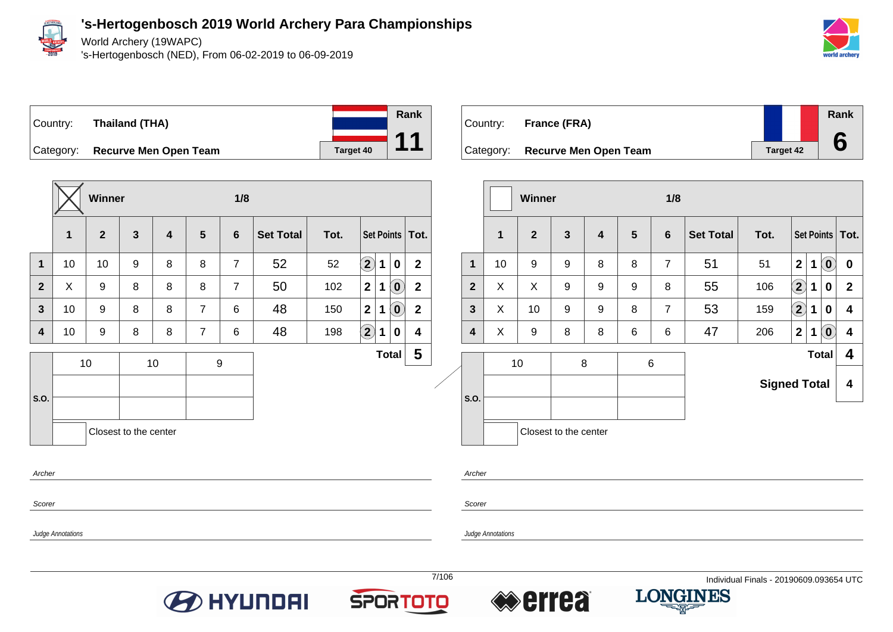

World Archery (19WAPC)

's-Hertogenbosch (NED), From 06-02-2019 to 06-09-2019





**Winner 1/8 1 2 3 4 5 6 Set Total Tot. Set Points Tot. 1** 10 10 9 8 8 7 52 52 **2 1 0 2**  $\bf{2}$   $\bf{1}$   $\bf{X}$   $\bf{3}$   $\bf{8}$   $\bf{8}$   $\bf{8}$   $\bf{8}$   $\bf{7}$   $\bf{7}$   $\bf{50}$   $\bf{1}$   $\bf{102}$   $\bf{2}$   $\bf{11}$   $\bf{00}$   $\bf{2}$ **3** 10 9 8 8 7 6 48 150 **2 1 0 2 4** 10 9 8 8 7 6 48 198 **2 1 0 4 S.O.** 10 | 10 | 9 **Total 5** Closest to the center

| Country: | France (FRA)                    |  |           | Rank |
|----------|---------------------------------|--|-----------|------|
|          | Category: Recurve Men Open Team |  | Target 42 | 6    |
|          |                                 |  |           |      |

|                |    | <b>Winner</b>  |                         |                         |                | 1/8            |                  |                     |                            |   |                            |                         |
|----------------|----|----------------|-------------------------|-------------------------|----------------|----------------|------------------|---------------------|----------------------------|---|----------------------------|-------------------------|
|                | 1  | $\overline{2}$ | $\overline{\mathbf{3}}$ | $\overline{\mathbf{4}}$ | $5\phantom{1}$ | 6              | <b>Set Total</b> | Tot.                |                            |   |                            | Set Points   Tot.       |
| $\mathbf 1$    | 10 | 9              | 9                       | 8                       | 8              | $\overline{7}$ | 51               | 51                  | $\overline{2}$             | 1 | $\left( \mathbf{0}\right)$ | $\bf{0}$                |
| $\overline{2}$ | X  | X              | 9                       | 9                       | 9              | 8              | 55               | 106                 | $\left( \mathbf{2}\right)$ | 1 | 0                          | $\mathbf{2}$            |
| $\mathbf{3}$   | X  | 10             | 9                       | 9                       | 8              | $\overline{7}$ | 53               | 159                 | $\bf(2)$                   | 1 | 0                          | $\overline{\mathbf{4}}$ |
| 4              | X  | 9              | 8                       | 8                       | 6              | 6              | 47               | 206                 | $\mathbf{2}$               | 1 | $\left( \mathbf{0}\right)$ | $\overline{\mathbf{4}}$ |
|                |    | 10             |                         | 8                       | $\,6$          |                |                  |                     |                            |   | <b>Total</b>               | 4                       |
| S.O.           |    |                |                         |                         |                |                |                  | <b>Signed Total</b> |                            |   |                            | 4                       |
|                |    |                | Closest to the center   |                         |                |                |                  |                     |                            |   |                            |                         |

Archer

Scorer

Scorer

Judge Annotations

Archer







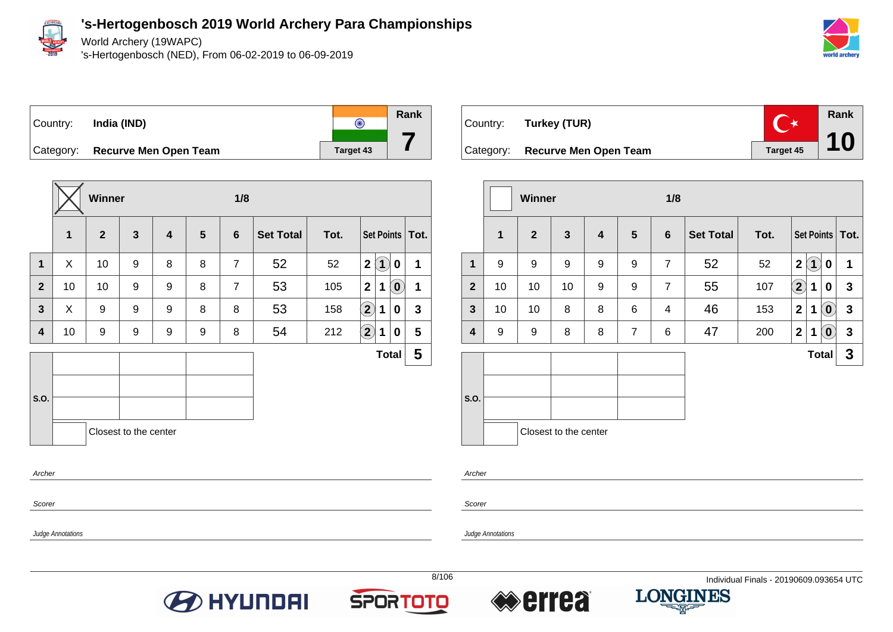

World Archery (19WAPC)

's-Hertogenbosch (NED), From 06-02-2019 to 06-09-2019





|                |    | Winner         |                       |   |                | 1/8            |                  |      |                            |                                           |              |
|----------------|----|----------------|-----------------------|---|----------------|----------------|------------------|------|----------------------------|-------------------------------------------|--------------|
|                | 1  | $\overline{2}$ | $\mathbf{3}$          | 4 | $5\phantom{1}$ | 6              | <b>Set Total</b> | Tot. |                            | Set Points   Tot.                         |              |
| 1              | X  | 10             | 9                     | 8 | 8              | $\overline{7}$ | 52               | 52   | $\mathbf{2}$               | $\left( \mathbf{1}\right)$<br>$\mathbf 0$ | 1            |
| $\overline{2}$ | 10 | 10             | 9                     | 9 | 8              | $\overline{7}$ | 53               | 105  | $\mathbf{2}$               | $\ddot{\mathbf{0}}$<br>1                  | 1            |
| $\mathbf{3}$   | X  | 9              | 9                     | 9 | 8              | 8              | 53               | 158  | $\bf \overline{2}$         | 1<br>0                                    | $\mathbf{3}$ |
| 4              | 10 | 9              | 9                     | 9 | 9              | 8              | 54               | 212  | $\left( \mathbf{2}\right)$ | 1<br>0                                    | 5            |
|                |    |                |                       |   |                |                |                  |      |                            | <b>Total</b>                              | 5            |
|                |    |                |                       |   |                |                |                  |      |                            |                                           |              |
| S.O.           |    |                |                       |   |                |                |                  |      |                            |                                           |              |
|                |    |                | Closest to the center |   |                |                |                  |      |                            |                                           |              |
| Archer         |    |                |                       |   |                |                |                  |      |                            |                                           |              |
| Scorer         |    |                |                       |   |                |                |                  |      |                            |                                           |              |



|                |              | Winner       |                       |   |                | 1/8            |                  |      |                                                                     |              |
|----------------|--------------|--------------|-----------------------|---|----------------|----------------|------------------|------|---------------------------------------------------------------------|--------------|
|                | $\mathbf{1}$ | $\mathbf{2}$ | 3                     | 4 | 5              | 6              | <b>Set Total</b> | Tot. | Set Points   Tot.                                                   |              |
| 1              | 9            | 9            | 9                     | 9 | 9              | $\overline{7}$ | 52               | 52   | (1)<br>$\mathbf{2}$<br>0                                            | 1            |
| $\overline{2}$ | 10           | 10           | 10                    | 9 | 9              | $\overline{7}$ | 55               | 107  | $\mathbf{2}$<br>1<br>0                                              | $\mathbf{3}$ |
| $\mathbf{3}$   | 10           | 10           | 8                     | 8 | 6              | 4              | 46               | 153  | $\mathbf{Q}$<br>$\overline{2}$<br>1                                 | $\mathbf{3}$ |
| 4              | 9            | 9            | 8                     | 8 | $\overline{7}$ | 6              | 47               | 200  | 2 <br>$\mathbf 1$<br>$\left( \begin{matrix} 0 \end{matrix} \right)$ | $\mathbf{3}$ |
|                |              |              |                       |   |                |                |                  |      | <b>Total</b>                                                        | $\mathbf{3}$ |
| S.O.           |              |              | Closest to the center |   |                |                |                  |      |                                                                     |              |

Archer

Judge Annotations

Scorer

Judge Annotations





**7**



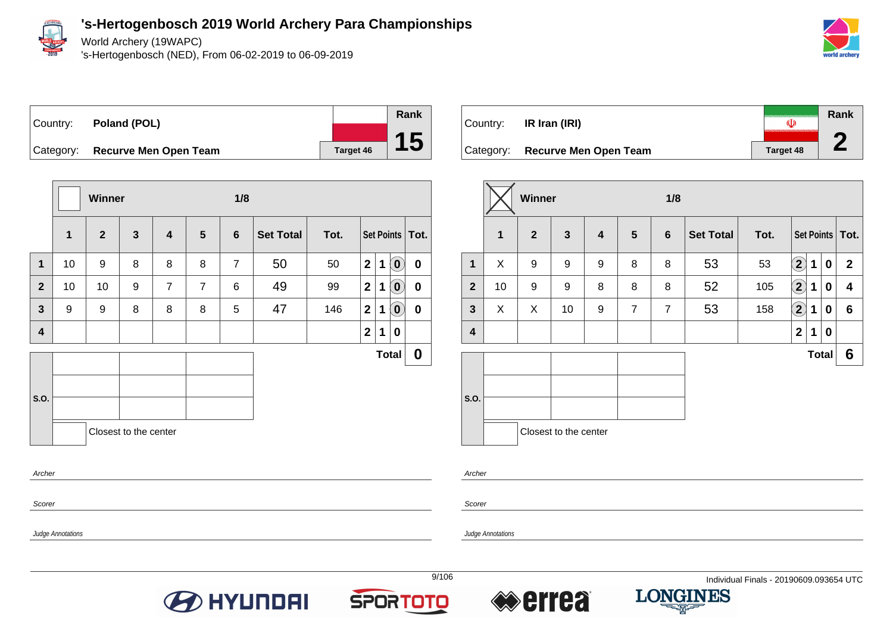

Judge Annotations

**'s-Hertogenbosch 2019 World Archery Para Championships**

World Archery (19WAPC)

's-Hertogenbosch (NED), From 06-02-2019 to 06-09-2019



Country: **Poland (POL)** Category: **Recurve Men Open Team Target 46** 

|                         |    | <b>Winner</b> |                       |                         |                |                |                  |      |                |             |                                   |                   |
|-------------------------|----|---------------|-----------------------|-------------------------|----------------|----------------|------------------|------|----------------|-------------|-----------------------------------|-------------------|
|                         | 1  | $\mathbf{2}$  | $\mathbf{3}$          | $\overline{\mathbf{4}}$ | 5              | $6\phantom{1}$ | <b>Set Total</b> | Tot. |                |             |                                   | Set Points   Tot. |
| $\mathbf 1$             | 10 | 9             | 8                     | 8                       | 8              | $\overline{7}$ | 50               | 50   | 2 <sup>1</sup> | $\mathbf 1$ | $\left( \mathbf{0}\right)$        | $\mathbf 0$       |
| $\overline{2}$          | 10 | 10            | 9                     | $\overline{7}$          | $\overline{7}$ | 6              | 49               | 99   | $\overline{2}$ | 1           | $\left  \mathbf{0} \right\rangle$ | $\mathbf 0$       |
| $\mathbf{3}$            | 9  | 9             | 8                     | 8                       | 8              | 5              | 47               | 146  | $\mathbf{2}$   | 1           | $\left( \mathbf{0}\right)$        | $\mathbf 0$       |
| $\overline{\mathbf{4}}$ |    |               |                       |                         |                |                |                  |      | $\overline{2}$ | 1           | 0                                 |                   |
|                         |    |               |                       |                         |                |                |                  |      |                |             | <b>Total</b>                      | $\boldsymbol{0}$  |
| S.O.                    |    |               |                       |                         |                |                |                  |      |                |             |                                   |                   |
|                         |    |               | Closest to the center |                         |                |                |                  |      |                |             |                                   |                   |
| Archer                  |    |               |                       |                         |                |                |                  |      |                |             |                                   |                   |

| Country: | IR Iran (IRI)                   |                  | Rank<br>€ |
|----------|---------------------------------|------------------|-----------|
|          | Category: Recurve Men Open Team | <b>Target 48</b> |           |

|                         |              | Winner         |                       |   |                 | 1/8            |                  |      |                            |              |   |                   |
|-------------------------|--------------|----------------|-----------------------|---|-----------------|----------------|------------------|------|----------------------------|--------------|---|-------------------|
|                         | $\mathbf{1}$ | $\overline{2}$ | $\mathbf{3}$          | 4 | $5\phantom{.0}$ | 6              | <b>Set Total</b> | Tot. |                            |              |   | Set Points   Tot. |
| 1                       | X            | 9              | 9                     | 9 | 8               | 8              | 53               | 53   | $\left( 2\right)$          | 1            | 0 | $\mathbf{2}$      |
| $\overline{2}$          | 10           | 9              | 9                     | 8 | 8               | 8              | 52               | 105  | $\left( \mathbf{2}\right)$ | 1            | 0 | 4                 |
| $\mathbf{3}$            | X            | X              | 10                    | 9 | $\overline{7}$  | $\overline{7}$ | 53               | 158  | $\left( 2\right)$          | 1            | 0 | $6\phantom{1}$    |
| $\overline{\mathbf{4}}$ |              |                |                       |   |                 |                |                  |      | $\mathbf 2$                | 1            | 0 |                   |
|                         |              |                |                       |   |                 |                |                  |      |                            | <b>Total</b> |   | $6\phantom{1}6$   |
| S.O.                    |              |                | Closest to the center |   |                 |                |                  |      |                            |              |   |                   |

Archer

Judge Annotations

Scorer





**Rank**

**15**



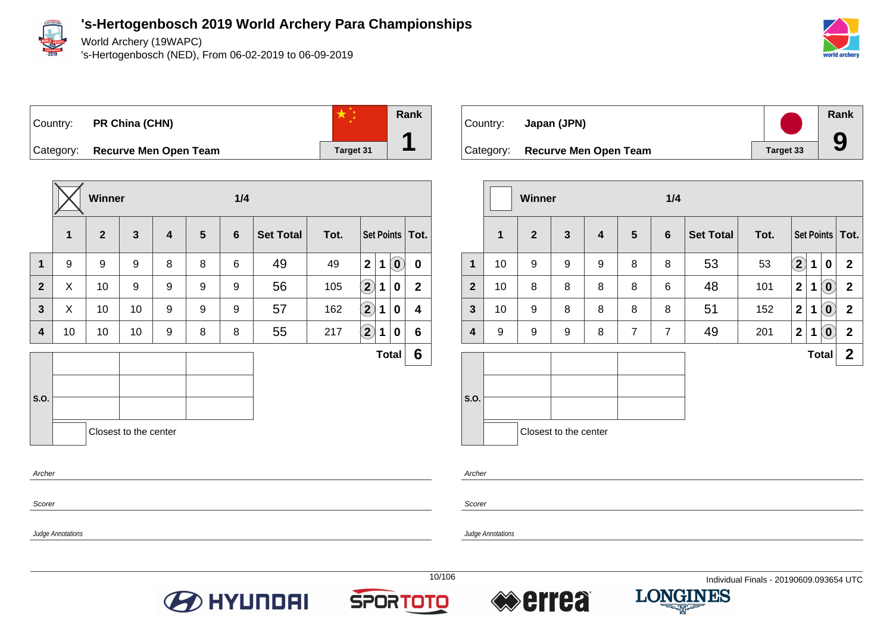

Judge Annotations

### **'s-Hertogenbosch 2019 World Archery Para Championships**

World Archery (19WAPC)

's-Hertogenbosch (NED), From 06-02-2019 to 06-09-2019







Category: **Recurve Men Open Team Target 31** 

|              |             | <b>Winner</b> |                       |                         |                | 1/4            |                  |      |                      |             |                             |                   |
|--------------|-------------|---------------|-----------------------|-------------------------|----------------|----------------|------------------|------|----------------------|-------------|-----------------------------|-------------------|
|              | $\mathbf 1$ | $\mathbf{2}$  | $\mathbf{3}$          | $\overline{\mathbf{4}}$ | $5\phantom{1}$ | $6\phantom{1}$ | <b>Set Total</b> | Tot. |                      |             |                             | Set Points   Tot. |
| $\mathbf 1$  | 9           | 9             | 9                     | 8                       | 8              | 6              | 49               | 49   | $\overline{2}$       | $\mathbf 1$ | $\left( \textbf{0} \right)$ | $\pmb{0}$         |
| $\mathbf{2}$ | X           | 10            | 9                     | 9                       | 9              | 9              | 56               | 105  | $\left( 2\right)$    | 1           | 0                           | $\mathbf{2}$      |
| $\mathbf{3}$ | X           | 10            | 10                    | 9                       | 9              | 9              | 57               | 162  | $\Large{\textbf{2}}$ | 1           | 0                           | 4                 |
| 4            | 10          | 10            | 10                    | 9                       | 8              | 8              | 55               | 217  | $\left( 2\right)$    | 1           | 0                           | 6                 |
|              |             |               |                       |                         |                |                |                  |      |                      |             | <b>Total</b>                | 6                 |
|              |             |               |                       |                         |                |                |                  |      |                      |             |                             |                   |
| S.O.         |             |               |                       |                         |                |                |                  |      |                      |             |                             |                   |
|              |             |               | Closest to the center |                         |                |                |                  |      |                      |             |                             |                   |
| Archer       |             |               |                       |                         |                |                |                  |      |                      |             |                             |                   |

| Country: | Japan (JPN)                     |                  | Rank |
|----------|---------------------------------|------------------|------|
|          | Category: Recurve Men Open Team | <b>Target 33</b> | 9    |

|                         |              | Winner         |                       |                         |                 | 1/4            |                  |      |              |   |                            |                   |
|-------------------------|--------------|----------------|-----------------------|-------------------------|-----------------|----------------|------------------|------|--------------|---|----------------------------|-------------------|
|                         | $\mathbf{1}$ | $\overline{2}$ | $\mathbf{3}$          | $\overline{\mathbf{4}}$ | $5\phantom{.0}$ | $6\phantom{1}$ | <b>Set Total</b> | Tot. |              |   |                            | Set Points   Tot. |
| $\mathbf{1}$            | 10           | 9              | $\boldsymbol{9}$      | 9                       | 8               | 8              | 53               | 53   | $\mathbf{2}$ | 1 | $\mathbf 0$                | $\mathbf{2}$      |
| $\overline{2}$          | 10           | 8              | 8                     | 8                       | 8               | 6              | 48               | 101  | $\mathbf 2$  | 1 | $\left( \mathbf{0}\right)$ | $\mathbf{2}$      |
| $\mathbf{3}$            | 10           | 9              | 8                     | 8                       | 8               | 8              | 51               | 152  | $\mathbf 2$  | 1 | $\left( \mathbf{0}\right)$ | $\mathbf{2}$      |
| $\overline{\mathbf{4}}$ | 9            | 9              | 9                     | 8                       | $\overline{7}$  | $\overline{7}$ | 49               | 201  | $\mathbf 2$  | 1 | $\left( \mathbf{0}\right)$ | $\mathbf{2}$      |
|                         |              |                |                       |                         |                 |                |                  |      |              |   | <b>Total</b>               | $\mathbf{2}$      |
| S.O.                    |              |                | Closest to the center |                         |                 |                |                  |      |              |   |                            |                   |

Archer

Scorer







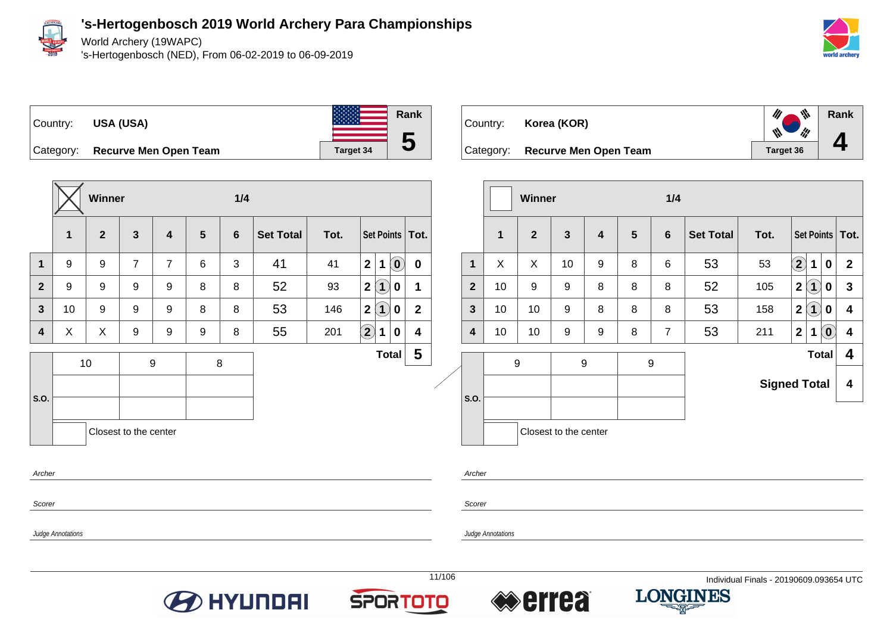

World Archery (19WAPC)

's-Hertogenbosch (NED), From 06-02-2019 to 06-09-2019



**Rank**

 $\psi$ 

li!

 $\mathscr{U}$ 

Ŵ

**4**

**Total 4**



Category: **Recurve Men Open Team Ta** 



| rget 34 |                   | J | Category: |               |   |   | <b>Recurve Men Open Team</b> |     |                  | Target 36 |                   |  |
|---------|-------------------|---|-----------|---------------|---|---|------------------------------|-----|------------------|-----------|-------------------|--|
|         |                   |   |           |               |   |   |                              |     |                  |           |                   |  |
|         |                   |   |           | <b>Winner</b> |   |   |                              | 1/4 |                  |           |                   |  |
|         | Set Points   Tot. |   |           | $\mathbf{2}$  | 3 | 4 | 5                            | 6   | <b>Set Total</b> | Tot.      | Set Points   Tot. |  |

Country: **Korea (KOR)**

**Winner 1/4 1 2 3 4 5 6 Set Total Tot. Set Points Tot. 1** 9 9 7 7 6 3 41 41 **2 1 0 0 2** 9 9 9 9 8 8 52 93 **2 1 0 1 3** 10 9 9 9 8 8 53 146 **2 1 0 2 4** X X 9 9 9 8 55 201 **2 1 0 4 S.O.** 10 9 8 **Total 5** Closest to the center **Archer** Scorer

Judge Annotations

**S.O.** 9 9 9 **Signed Total 4** Closest to the center Archer **Scorer** 

**1** X X 10 9 8 6 53 53 **2 1 0 2**

 $\bf{2}$  | 10 | 9 | 9 | 8 | 8 | 8 | 5 $\bf{2}$  | 105 | $\bf{2}$   $\bf{1})$  |  $\bf{0}$  |  $\bf{3}$ 

**3** 10 10 9 8 8 8 53 158 **2 1 0 4**

**4** 10 10 9 9 8 7 53 211 **2 1 0 4**

Judge Annotations







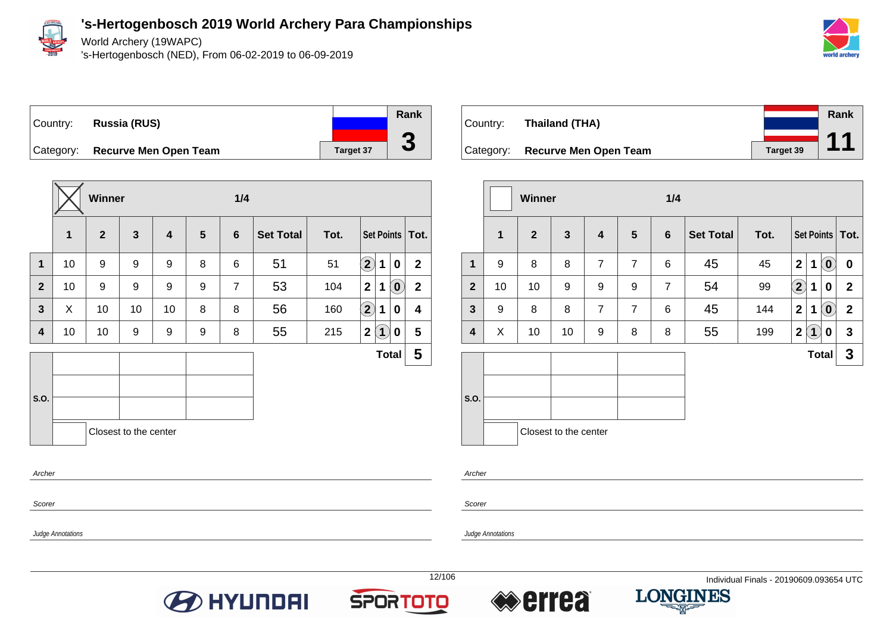

Judge Annotations

### **'s-Hertogenbosch 2019 World Archery Para Championships**

World Archery (19WAPC)

's-Hertogenbosch (NED), From 06-02-2019 to 06-09-2019



# Country: **Russia (RUS)** Category: **Recurve Men Open Team Target 37**

**Winner 1/4 1 2 3 4 5 6 Set Total Tot. Set Points Tot. 1** 10 9 9 9 8 6 51 51 **2 1 0 2 2** 10 9 9 9 9 7 53 104 **2 1 0 2 3** X 10 10 10 8 8 56 160 **2 1 0 4 4** 10 10 9 9 9 8 55 215 **2 1 0 5 S.O. Total 5** Closest to the center Archer



|              |             | Winner         |                       |                |                | 1/4            |                  |      |                  |              |                                                     |                   |
|--------------|-------------|----------------|-----------------------|----------------|----------------|----------------|------------------|------|------------------|--------------|-----------------------------------------------------|-------------------|
|              | $\mathbf 1$ | $\overline{2}$ | $\mathbf{3}$          | 4              | $5\phantom{1}$ | $6\phantom{1}$ | <b>Set Total</b> | Tot. |                  |              |                                                     | Set Points   Tot. |
| 1            | 9           | 8              | 8                     | $\overline{7}$ | $\overline{7}$ | 6              | 45               | 45   | $\mathbf{2}$     | 1            | $\left( \begin{matrix} 0 \end{matrix} \right)$      | 0                 |
| $\mathbf{2}$ | 10          | 10             | 9                     | 9              | 9              | $\overline{7}$ | 54               | 99   | $\bf(2)$         | 1            | 0                                                   | $\mathbf{2}$      |
| $\mathbf{3}$ | 9           | 8              | 8                     | $\overline{7}$ | $\overline{7}$ | 6              | 45               | 144  | $\mathbf{2}$     | 1            | $\left( \begin{matrix} 0 \\ 0 \end{matrix} \right)$ | $\mathbf{2}$      |
| 4            | X           | 10             | 10                    | 9              | 8              | 8              | 55               | 199  | $\boldsymbol{2}$ | $\mathbf{1}$ | 0                                                   | 3                 |
|              |             |                |                       |                |                |                |                  |      |                  | <b>Total</b> |                                                     | 3                 |
| S.O.         |             |                | Closest to the center |                |                |                |                  |      |                  |              |                                                     |                   |

Archer

**Scorer** 

Judge Annotations





**Rank**

**3**



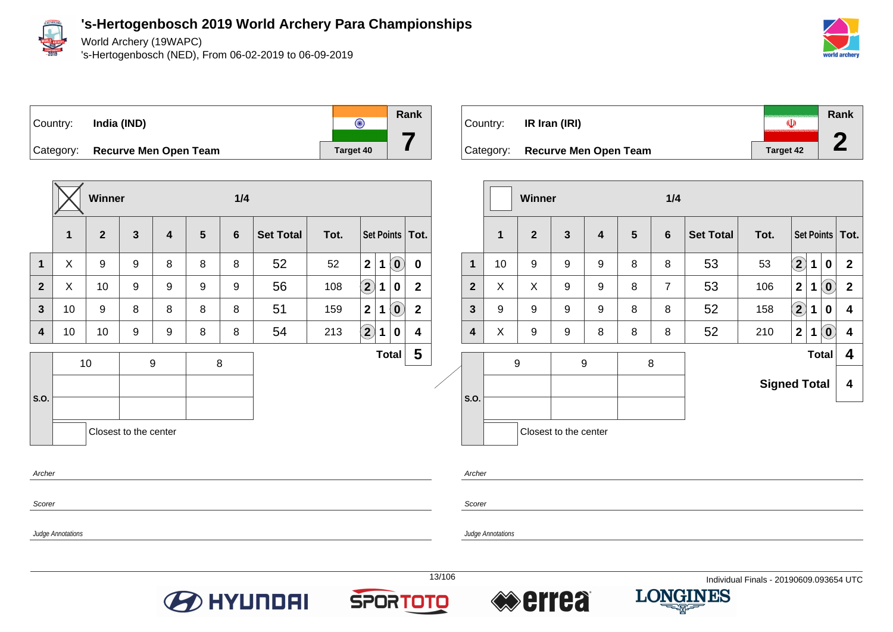

World Archery (19WAPC)

's-Hertogenbosch (NED), From 06-02-2019 to 06-09-2019





**Winner 1/4 1 2 3 4 5 6 Set Total Tot. Set Points Tot. 1** X 9 9 8 8 8 52 52 **2 1 0 0 2** X 10 9 9 9 9 56 108 **2 1 0 2 3** 10 9 8 8 8 8 51 159 **2 1 0 2 4** 10 10 9 9 8 8 54 213 **2 1 0 4 S.O.** 10 9 8 **Total 5** Closest to the center Archer



|                         |             | <b>Winner</b>  |                       |                         |                | 1/4            |                  |                     |              |   |                            |                   |
|-------------------------|-------------|----------------|-----------------------|-------------------------|----------------|----------------|------------------|---------------------|--------------|---|----------------------------|-------------------|
|                         | $\mathbf 1$ | $\overline{2}$ | $\mathbf{3}$          | $\overline{\mathbf{4}}$ | $5\phantom{1}$ | $6\phantom{1}$ | <b>Set Total</b> | Tot.                |              |   |                            | Set Points   Tot. |
| $\mathbf 1$             | 10          | 9              | 9                     | 9                       | 8              | 8              | 53               | 53                  | $\mathbf{2}$ | 1 | 0                          | $\mathbf{2}$      |
| $\overline{2}$          | X           | X              | 9                     | 9                       | 8              | $\overline{7}$ | 53               | 106                 | $\mathbf{2}$ | 1 | $\left( \mathbf{0}\right)$ | $\mathbf{2}$      |
| 3                       | 9           | 9              | 9                     | 9                       | 8              | 8              | 52               | 158                 | $\mathbf{2}$ | 1 | 0                          | 4                 |
| $\overline{\mathbf{4}}$ | X           | 9              | 9                     | 8                       | 8              | 8              | 52               | 210                 | $\mathbf 2$  | 1 | $\left( \mathbf{0}\right)$ | 4                 |
|                         |             | 9              |                       | 9                       |                | 8              |                  |                     |              |   | <b>Total</b>               | 4                 |
|                         |             |                |                       |                         |                |                |                  | <b>Signed Total</b> |              |   |                            | 4                 |
| S.O.                    |             |                |                       |                         |                |                |                  |                     |              |   |                            |                   |
|                         |             |                | Closest to the center |                         |                |                |                  |                     |              |   |                            |                   |

Scorer Judge Annotations Archer **Scorer** Judge Annotations







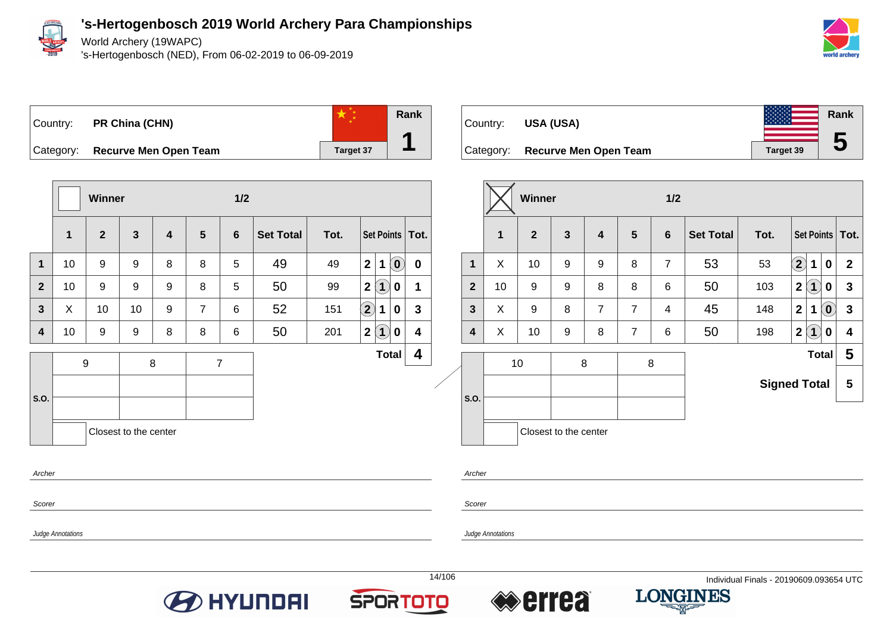

World Archery (19WAPC)

's-Hertogenbosch (NED), From 06-02-2019 to 06-09-2019





**Winner 1/2 1 2 3 4 5 6 Set Total Tot. Set Points Tot. 1** 10 9 9 8 8 5 49 49 **2 1 0 0 2** 10 9 9 9 8 5 50 99 **2 1 0 1 3** X 10 10 9 7 6 52 151 **2 1 0 3 4** 10 9 9 8 8 6 50 201 **2 1 0 4 S.O.** 9 8 7 **Total 4** Closest to the center Archer

| Country:  | USA (USA)                    |     |                  | Rank |
|-----------|------------------------------|-----|------------------|------|
| Category: | <b>Recurve Men Open Team</b> |     | <b>Target 39</b> | 5    |
|           | <b>Winner</b>                | 1/2 |                  |      |

|                         |    | winner       |                       |                |                | 1/2             |                  |                                                                  |              |              |   |                   |
|-------------------------|----|--------------|-----------------------|----------------|----------------|-----------------|------------------|------------------------------------------------------------------|--------------|--------------|---|-------------------|
|                         | 1  | $\mathbf{2}$ | $\mathbf{3}$          | 4              | $5\phantom{1}$ | $6\phantom{1}6$ | <b>Set Total</b> | Tot.                                                             |              |              |   | Set Points   Tot. |
| 1                       | X  | 10           | 9                     | 9              | 8              | $\overline{7}$  | 53               | 53                                                               | $\mathbf{2}$ | 1            | 0 | $\mathbf{2}$      |
| $\overline{2}$          | 10 | 9            | 9                     | 8              | 8              | 6               | 50               | $\mathbf{2}$<br>$\overline{\mathbf{1}}$<br>103<br>0              |              |              |   |                   |
| $\mathbf{3}$            | X  | 9            | 8                     | $\overline{7}$ | $\overline{7}$ | 4               | 45               | $\left( \mathbf{0}\right)$<br>$\mathbf{2}$<br>148<br>$\mathbf 1$ |              |              |   |                   |
| $\overline{\mathbf{4}}$ | X  | 10           | 9                     | 8              | $\overline{7}$ | 6               | 50               | $\mathbf 2$<br>$\overline{\mathbf{1}}$<br>198<br>0               |              |              |   |                   |
|                         |    | 10           |                       | 8              | 8              |                 |                  |                                                                  |              | <b>Total</b> |   | 5                 |
| S.O.                    |    |              |                       |                |                |                 |                  | <b>Signed Total</b>                                              |              |              |   | 5                 |
|                         |    |              |                       |                |                |                 |                  |                                                                  |              |              |   |                   |
|                         |    |              | Closest to the center |                |                |                 |                  |                                                                  |              |              |   |                   |

Scorer Judge Annotations Archer Scorer Judge Annotations







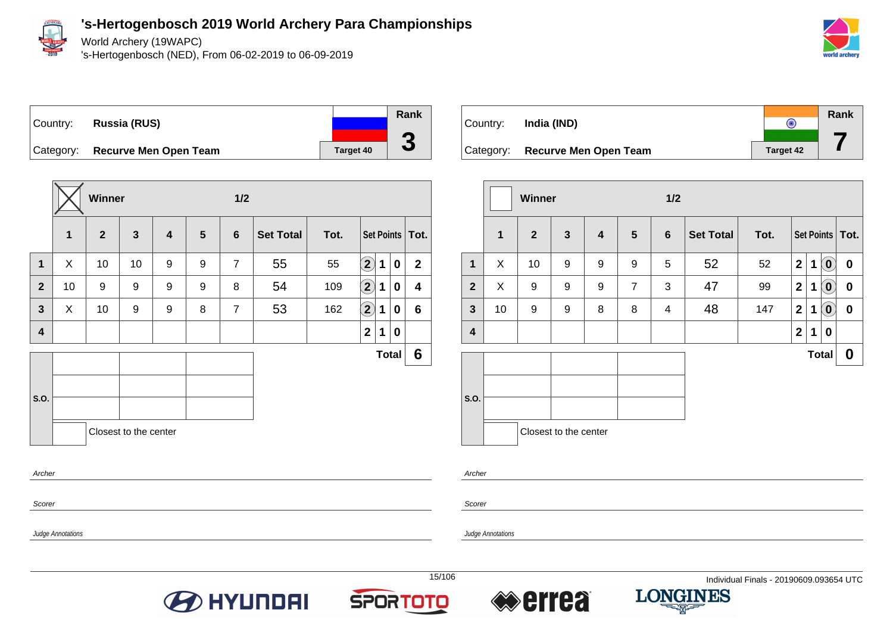

Judge Annotations

### **'s-Hertogenbosch 2019 World Archery Para Championships**

World Archery (19WAPC)

's-Hertogenbosch (NED), From 06-02-2019 to 06-09-2019



# Country: **Russia (RUS)** Category: **Recurve Men Open Team Target 40**

|                |              | Winner       |                       |                         |   | 1/2            |                  |      |                    |   |              |                   |
|----------------|--------------|--------------|-----------------------|-------------------------|---|----------------|------------------|------|--------------------|---|--------------|-------------------|
|                | $\mathbf{1}$ | $\mathbf{2}$ | $\mathbf{3}$          | $\overline{\mathbf{4}}$ | 5 | $6\phantom{1}$ | <b>Set Total</b> | Tot. |                    |   |              | Set Points   Tot. |
| $\mathbf{1}$   | X            | 10           | 10                    | 9                       | 9 | $\overline{7}$ | 55               | 55   | $\mathbf{2}$       | 1 | $\mathbf 0$  | $\mathbf{2}$      |
| $\overline{2}$ | 10           | 9            | 9                     | 9                       | 9 | 8              | 54               | 109  | $\hat{\mathbf{2}}$ | 1 | $\mathbf 0$  | 4                 |
| $\mathbf{3}$   | X            | 10           | 9                     | 9                       | 8 | $\overline{7}$ | 53               | 162  | $\bf (2)$          | 1 | $\bf{0}$     | 6                 |
| 4              |              |              |                       |                         |   |                |                  |      | $\overline{2}$     | 1 | 0            |                   |
|                |              |              |                       |                         |   |                |                  |      |                    |   | <b>Total</b> | $6\phantom{1}$    |
| S.O.           |              |              |                       |                         |   |                |                  |      |                    |   |              |                   |
|                |              |              |                       |                         |   |                |                  |      |                    |   |              |                   |
|                |              |              | Closest to the center |                         |   |                |                  |      |                    |   |              |                   |
| Archer         |              |              |                       |                         |   |                |                  |      |                    |   |              |                   |
| Scorer         |              |              |                       |                         |   |                |                  |      |                    |   |              |                   |

|           |                              |                  | Rank |
|-----------|------------------------------|------------------|------|
| Country:  | India (IND)                  |                  |      |
|           |                              |                  |      |
| Category: | <b>Recurve Men Open Team</b> | <b>Target 42</b> |      |

|                |              | Winner         |                       |                         |                 | 1/2             |                  |      |                |              |                            |                   |
|----------------|--------------|----------------|-----------------------|-------------------------|-----------------|-----------------|------------------|------|----------------|--------------|----------------------------|-------------------|
|                | $\mathbf{1}$ | $\overline{2}$ | $\mathbf{3}$          | $\overline{\mathbf{4}}$ | $5\phantom{.0}$ | $6\phantom{1}6$ | <b>Set Total</b> | Tot. |                |              |                            | Set Points   Tot. |
| 1              | X            | 10             | 9                     | 9                       | 9               | 5               | 52               | 52   | $\overline{2}$ | 1            | $\left( \mathbf{0}\right)$ | $\pmb{0}$         |
| $\overline{2}$ | X            | 9              | 9                     | 9                       | $\overline{7}$  | 3               | 47               | 99   | $\overline{2}$ | 1            | $\left( \mathbf{0}\right)$ | 0                 |
| $\mathbf{3}$   | 10           | 9              | 9                     | 8                       | 8               | 4               | 48               | 147  | $\mathbf{2}$   | 1            | $\mathbf{0}$               | $\boldsymbol{0}$  |
| 4              |              |                |                       |                         |                 |                 |                  |      | $\overline{2}$ | 1            | 0                          |                   |
|                |              |                |                       |                         |                 |                 |                  |      |                | <b>Total</b> |                            | 0                 |
| S.O.           |              |                |                       |                         |                 |                 |                  |      |                |              |                            |                   |
|                |              |                | Closest to the center |                         |                 |                 |                  |      |                |              |                            |                   |

Archer

Scorer

Judge Annotations





**Rank**

**3**



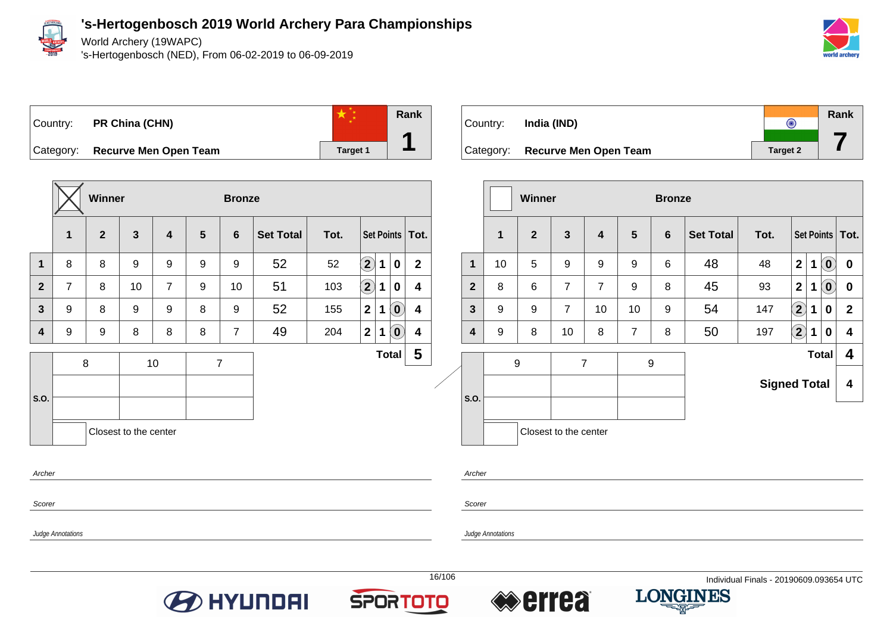

World Archery (19WAPC)

's-Hertogenbosch (NED), From 06-02-2019 to 06-09-2019



Country: **PR China (CHN)**



Category: **Recurve Men Open Team Target 1** Target 1

| $\mathbf{1}$                     |         |                |                       |                         |                |                |                  |      |                            |             |                            |                         |
|----------------------------------|---------|----------------|-----------------------|-------------------------|----------------|----------------|------------------|------|----------------------------|-------------|----------------------------|-------------------------|
|                                  |         | $\overline{2}$ | $\mathbf{3}$          | $\overline{\mathbf{4}}$ | $5\phantom{1}$ | $6\phantom{1}$ | <b>Set Total</b> | Tot. |                            |             |                            | Set Points   Tot.       |
| $\mathbf{1}$<br>8                |         | 8              | 9                     | 9                       | 9              | 9              | 52               | 52   | $\left( 2\right)$          | $\mathbf 1$ | $\mathbf 0$                | $\mathbf 2$             |
| $\overline{2}$<br>$\overline{7}$ |         | 8              | 10                    | $\overline{7}$          | 9              | 10             | 51               | 103  | $\left( \mathbf{2}\right)$ | 1           | $\bf{0}$                   | 4                       |
| 9<br>$\overline{\mathbf{3}}$     |         | 8              | 9                     | 9                       | 8              | 9              | 52               | 155  | 2 <sup>1</sup>             | 1           | $\left( \mathbf{0}\right)$ | $\overline{\mathbf{4}}$ |
| 9<br>4                           |         | 9              | 8                     | 8                       | 8              | $\overline{7}$ | 49               | 204  | 2                          | $\mathbf 1$ | $\left( \mathbf{0}\right)$ | $\overline{\mathbf{4}}$ |
| S.O.                             | $\bf 8$ |                |                       | 10                      |                | $\overline{7}$ |                  |      |                            |             | <b>Total</b>               | 5                       |
|                                  |         |                | Closest to the center |                         |                |                |                  |      |                            |             |                            |                         |



|                |                                                      | <b>Winner</b> |                       |                |                | <b>Bronze</b> |                  |                     |                            |             |                            |                         |
|----------------|------------------------------------------------------|---------------|-----------------------|----------------|----------------|---------------|------------------|---------------------|----------------------------|-------------|----------------------------|-------------------------|
|                | 1                                                    | $\mathbf{2}$  | 3                     | 4              | 5              | 6             | <b>Set Total</b> | Tot.                |                            |             |                            | Set Points   Tot.       |
| $\mathbf 1$    | 10                                                   | 5             | 9                     | 9              | 9              | 6             | 48               | 48                  | $\overline{\mathbf{2}}$    | $\mathbf 1$ | $(\mathbf{0})$             | $\mathbf 0$             |
| $\overline{2}$ | $\overline{7}$<br>8<br>6<br>$\overline{7}$<br>9<br>9 |               |                       | $\overline{7}$ | 9              | 8             | 45               | 93                  | $\mathbf{2}$               | 1           | $\left( \mathbf{0}\right)$ | $\boldsymbol{0}$        |
| $\mathbf{3}$   |                                                      |               |                       | 10             | 10             | 9             | 54               | 147                 | $\left( \mathbf{2}\right)$ | 1           | 0                          | $\mathbf{2}$            |
| 4              | 9                                                    | 8             | 10                    | 8              | $\overline{7}$ | 8             | 50               | 197                 | $\mathbf{2)}$              | 1           | $\mathbf 0$                | $\overline{\mathbf{4}}$ |
|                | 9                                                    |               | $\overline{7}$        |                |                | 9             |                  |                     |                            |             | <b>Total</b>               | 4                       |
|                |                                                      |               |                       |                |                |               |                  | <b>Signed Total</b> |                            |             |                            | 4                       |
| S.O.           |                                                      |               |                       |                |                |               |                  |                     |                            |             |                            |                         |
|                |                                                      |               | Closest to the center |                |                |               |                  |                     |                            |             |                            |                         |

**Archer** 

Scorer

Judge Annotations

Scorer







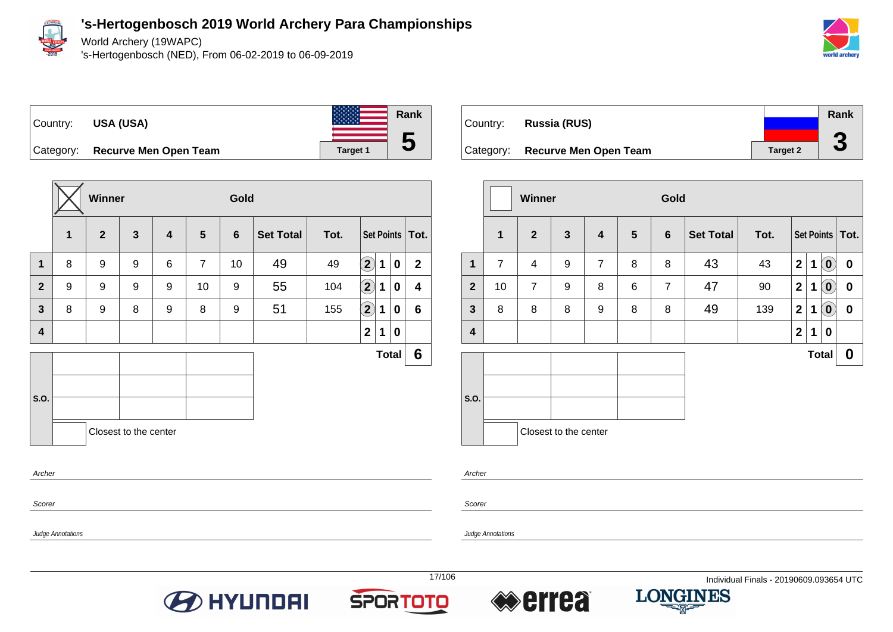

World Archery (19WAPC)

's-Hertogenbosch (NED), From 06-02-2019 to 06-09-2019





**Rank 5**

Category: **Recurve Men Open Team Target 1** Target 1

|              |   | <b>Winner</b>  |                       |   |                | Gold           |                  |      |                            |   |              |                         |
|--------------|---|----------------|-----------------------|---|----------------|----------------|------------------|------|----------------------------|---|--------------|-------------------------|
|              | 1 | $\overline{2}$ | $\mathbf{3}$          | 4 | 5              | $6\phantom{1}$ | <b>Set Total</b> | Tot. |                            |   |              | Set Points Tot.         |
| $\mathbf{1}$ | 8 | 9              | 9                     | 6 | $\overline{7}$ | 10             | 49               | 49   | $\mathbf{2}$               | 1 | $\mathbf 0$  | $\overline{2}$          |
| $\mathbf{2}$ | 9 | 9              | 9                     | 9 | 10             | 9              | 55               | 104  | $\left( \mathbf{2}\right)$ | 1 | $\mathbf 0$  | $\overline{\mathbf{4}}$ |
| $\mathbf{3}$ | 8 | 9              | 8                     | 9 | 8              | 9              | 51               | 155  | $\bf \overline{2}$         | 1 | $\mathbf 0$  | $6\phantom{1}$          |
| 4            |   |                |                       |   |                |                |                  |      | $\overline{\mathbf{2}}$    | 1 | $\mathbf 0$  |                         |
|              |   |                |                       |   |                |                |                  |      |                            |   | <b>Total</b> | 6                       |
|              |   |                |                       |   |                |                |                  |      |                            |   |              |                         |
| S.O.         |   |                |                       |   |                |                |                  |      |                            |   |              |                         |
|              |   |                | Closest to the center |   |                |                |                  |      |                            |   |              |                         |
|              |   |                |                       |   |                |                |                  |      |                            |   |              |                         |
| Archer       |   |                |                       |   |                |                |                  |      |                            |   |              |                         |

|           |                              |                 | Rank |
|-----------|------------------------------|-----------------|------|
| Country:  | Russia (RUS)                 |                 | G    |
| Category: | <b>Recurve Men Open Team</b> | <b>Target 2</b> | J    |

|                         |                | Winner         |                       |                         |                 | Gold           |                  |      |                |             |                                                |                   |
|-------------------------|----------------|----------------|-----------------------|-------------------------|-----------------|----------------|------------------|------|----------------|-------------|------------------------------------------------|-------------------|
|                         | 1              | $\overline{2}$ | $\mathbf{3}$          | $\overline{\mathbf{4}}$ | $5\phantom{.0}$ | $6\phantom{1}$ | <b>Set Total</b> | Tot. |                |             |                                                | Set Points   Tot. |
| $\mathbf{1}$            | $\overline{7}$ | 4              | 9                     | $\overline{7}$          | 8               | 8              | 43               | 43   | $\mathbf 2$    | 1           | $\left( \begin{matrix} 0 \end{matrix} \right)$ | $\bf{0}$          |
| $\overline{2}$          | 10             | $\overline{7}$ | 9                     | 8                       | 6               | $\overline{7}$ | 47               | 90   | $\mathbf 2$    | 1           | $(\mathbf{0})$                                 | $\boldsymbol{0}$  |
| $\mathbf{3}$            | 8              | 8              | 8                     | 9                       | 8               | 8              | 49               | 139  | $\mathbf 2$    | $\mathbf 1$ | $(\mathbf{0})$                                 | $\boldsymbol{0}$  |
| $\overline{\mathbf{4}}$ |                |                |                       |                         |                 |                |                  |      | $\overline{2}$ | 1           | 0                                              |                   |
|                         |                |                |                       |                         |                 |                |                  |      |                |             | <b>Total</b>                                   | 0                 |
|                         |                |                |                       |                         |                 |                |                  |      |                |             |                                                |                   |
| S.O.                    |                |                |                       |                         |                 |                |                  |      |                |             |                                                |                   |
|                         |                |                | Closest to the center |                         |                 |                |                  |      |                |             |                                                |                   |

Scorer

Scorer

Archer

Judge Annotations







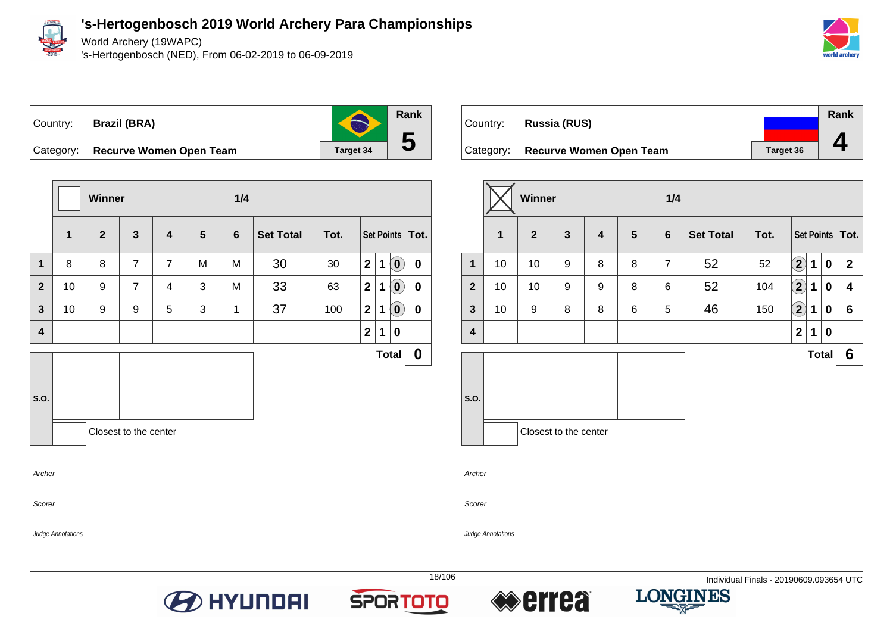

Judge Annotations

**'s-Hertogenbosch 2019 World Archery Para Championships**

World Archery (19WAPC)

's-Hertogenbosch (NED), From 06-02-2019 to 06-09-2019



Country: **Brazil (BRA)**

**Rank**

S

**5**

Category: **Recurve Women Open Team Target 34** 

|                |    | Winner       |                       |                         |                | 1/4            |                  |      |                |             |                             |                   |
|----------------|----|--------------|-----------------------|-------------------------|----------------|----------------|------------------|------|----------------|-------------|-----------------------------|-------------------|
|                | 1  | $\mathbf{2}$ | $\mathbf{3}$          | $\overline{\mathbf{4}}$ | $5\phantom{1}$ | $6\phantom{1}$ | <b>Set Total</b> | Tot. |                |             |                             | Set Points   Tot. |
| 1              | 8  | 8            | $\overline{7}$        | $\overline{7}$          | M              | M              | 30               | 30   | 2 <sup>1</sup> | $\mathbf 1$ | $\left( \textbf{0} \right)$ | $\mathbf 0$       |
| $\overline{2}$ | 10 | 9            | $\overline{7}$        | 4                       | 3              | M              | 33               | 63   | 2              | $\mathbf 1$ | $\left( \textbf{0}\right)$  | $\boldsymbol{0}$  |
| $\mathbf{3}$   | 10 | 9            | 9                     | 5                       | 3              | $\mathbf{1}$   | 37               | 100  | $\mathbf 2$    | $\mathbf 1$ | $\overline{0}$              | 0                 |
| 4              |    |              |                       |                         |                |                |                  |      | $\mathbf 2$    | 1           | 0                           |                   |
|                |    |              |                       |                         |                |                |                  |      |                |             | <b>Total</b>                | $\boldsymbol{0}$  |
|                |    |              |                       |                         |                |                |                  |      |                |             |                             |                   |
| S.O.           |    |              |                       |                         |                |                |                  |      |                |             |                             |                   |
|                |    |              | Closest to the center |                         |                |                |                  |      |                |             |                             |                   |
| Archer         |    |              |                       |                         |                |                |                  |      |                |             |                             |                   |

| Country: | <b>Russia (RUS)</b>               |           | Rank |
|----------|-----------------------------------|-----------|------|
|          | Category: Recurve Women Open Team | Target 36 |      |

|                |              | Winner         |                       |   |                 | 1/4            |                  |      |                   |   |              |                   |  |
|----------------|--------------|----------------|-----------------------|---|-----------------|----------------|------------------|------|-------------------|---|--------------|-------------------|--|
|                | $\mathbf{1}$ | $\overline{2}$ | $\mathbf{3}$          | 4 | $5\phantom{.0}$ | $6\phantom{1}$ | <b>Set Total</b> | Tot. |                   |   |              | Set Points   Tot. |  |
| $\mathbf{1}$   | 10           | 10             | 9                     | 8 | 8               | $\overline{7}$ | 52               | 52   | $\left( 2\right)$ | 1 | 0            | $\mathbf{2}$      |  |
| $\overline{2}$ | 10           | 10             | 9                     | 9 | 8               | 6              | 52               | 104  | $\left( 2\right)$ | 1 | 0            | 4                 |  |
| $\mathbf{3}$   | 10           | 9              | 8                     | 8 | 6               | 5              | 46               | 150  | $\left( 2\right)$ | 1 | 0            | $6\phantom{1}$    |  |
| 4              |              |                |                       |   |                 |                |                  |      | $\mathbf{2}$      | 1 | 0            |                   |  |
|                |              |                |                       |   |                 |                |                  |      |                   |   | <b>Total</b> | 6                 |  |
|                |              |                |                       |   |                 |                |                  |      |                   |   |              |                   |  |
| S.O.           |              |                |                       |   |                 |                |                  |      |                   |   |              |                   |  |
|                |              |                | Closest to the center |   |                 |                |                  |      |                   |   |              |                   |  |

Archer

Scorer







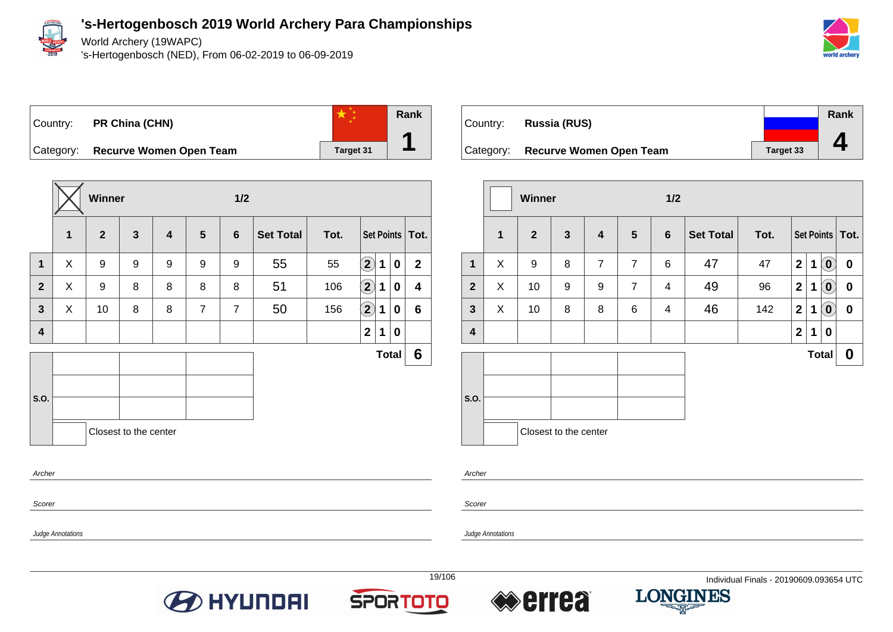

World Archery (19WAPC)

's-Hertogenbosch (NED), From 06-02-2019 to 06-09-2019



Country: **PR China (CHN)**



Category: **Recurve Women Open Team Target 31** 

|                         |   | Winner       |                       |                         |                |                |                  |      |                         |   |              |                   |
|-------------------------|---|--------------|-----------------------|-------------------------|----------------|----------------|------------------|------|-------------------------|---|--------------|-------------------|
|                         | 1 | $\mathbf{2}$ | $\mathbf{3}$          | $\overline{\mathbf{4}}$ | $5\phantom{1}$ | $6\phantom{1}$ | <b>Set Total</b> | Tot. |                         |   |              | Set Points   Tot. |
| 1                       | X | 9            | 9                     | 9                       | 9              | 9              | 55               | 55   | $\mathbf{2}$            | 1 | 0            | $\mathbf{2}$      |
| $\overline{2}$          | X | 9            | 8                     | 8                       | 8              | 8              | 51               | 106  | $\bf (2)$               | 1 | 0            | 4                 |
| $\mathbf{3}$            | X | 10           | 8                     | 8                       | $\overline{7}$ | $\overline{7}$ | 50               | 156  | $\Large{\textbf{2}}$    | 1 | 0            | $6\phantom{1}$    |
| $\overline{\mathbf{4}}$ |   |              |                       |                         |                |                |                  |      | $\overline{\mathbf{2}}$ | 1 | $\mathbf 0$  |                   |
|                         |   |              |                       |                         |                |                |                  |      |                         |   | <b>Total</b> | 6                 |
|                         |   |              |                       |                         |                |                |                  |      |                         |   |              |                   |
| S.O.                    |   |              |                       |                         |                |                |                  |      |                         |   |              |                   |
|                         |   |              | Closest to the center |                         |                |                |                  |      |                         |   |              |                   |
| Archer                  |   |              |                       |                         |                |                |                  |      |                         |   |              |                   |

| Country: | <b>Russia (RUS)</b>               |                  | Rank |
|----------|-----------------------------------|------------------|------|
|          |                                   |                  |      |
|          | Category: Recurve Women Open Team | <b>Target 33</b> |      |

|                         |              | Winner         |                       |                |                | 1/2 |                  |      |                         |              |                                                     |                   |
|-------------------------|--------------|----------------|-----------------------|----------------|----------------|-----|------------------|------|-------------------------|--------------|-----------------------------------------------------|-------------------|
|                         | $\mathbf{1}$ | $\overline{2}$ | $\mathbf{3}$          | 4              | $5\phantom{1}$ | 6   | <b>Set Total</b> | Tot. |                         |              |                                                     | Set Points   Tot. |
| 1                       | X            | 9              | 8                     | $\overline{7}$ | $\overline{7}$ | 6   | 47               | 47   | $\overline{\mathbf{2}}$ | 1            | $\mathbf{O}$                                        | 0                 |
| $\overline{2}$          | X            | 10             | 9                     | 9              | $\overline{7}$ | 4   | 49               | 96   | $\mathbf{2}$            | 1            | $\mathbf{0}$                                        | 0                 |
| $\mathbf{3}$            | X            | 10             | 8                     | 8              | 6              | 4   | 46               | 142  | $\boldsymbol{2}$        | 1            | $\left( \begin{matrix} 0 \\ 0 \end{matrix} \right)$ | $\boldsymbol{0}$  |
| $\overline{\mathbf{4}}$ |              |                |                       |                |                |     |                  |      | $\boldsymbol{2}$        | 1            | 0                                                   |                   |
|                         |              |                |                       |                |                |     |                  |      |                         | <b>Total</b> |                                                     | $\boldsymbol{0}$  |
| S.O.                    |              |                |                       |                |                |     |                  |      |                         |              |                                                     |                   |
|                         |              |                | Closest to the center |                |                |     |                  |      |                         |              |                                                     |                   |

Archer

Judge Annotations

Scorer

Judge Annotations

Scorer

**O HYUNDAI** 





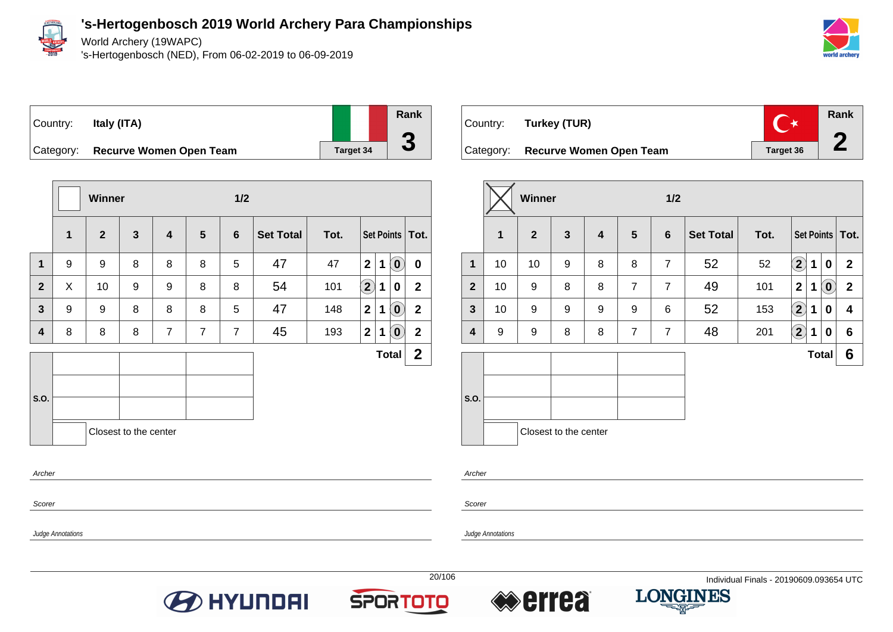

World Archery (19WAPC)

's-Hertogenbosch (NED), From 06-02-2019 to 06-09-2019



# Country: **Italy (ITA)**





|                |   | <b>Winner</b> |                       |                         |                |                |                  |      |                    |             |                            |                   |
|----------------|---|---------------|-----------------------|-------------------------|----------------|----------------|------------------|------|--------------------|-------------|----------------------------|-------------------|
|                | 1 | $\mathbf{2}$  | $\mathbf{3}$          | $\overline{\mathbf{4}}$ | 5              | $6\phantom{1}$ | <b>Set Total</b> | Tot. |                    |             |                            | Set Points   Tot. |
| $\mathbf 1$    | 9 | 9             | 8                     | 8                       | 8              | 5              | 47               | 47   | $\mathbf{2}$       | $\mathbf 1$ | $(\mathbf{0})$             | $\mathbf 0$       |
| $\overline{2}$ | X | 10            | 9                     | 9                       | 8              | 8              | 54               | 101  | $\bf \overline{2}$ | 1           | 0                          | $\mathbf{2}$      |
| $\mathbf{3}$   | 9 | 9             | 8                     | 8                       | 8              | 5              | 47               | 148  | $\mathbf{2}$       | 1           | $\left( \mathbf{0}\right)$ | $\overline{2}$    |
| 4              | 8 | 8             | 8                     | $\overline{7}$          | $\overline{7}$ | $\overline{7}$ | 45               | 193  | 2 <sup>1</sup>     | 1           | $\left( \mathbf{0}\right)$ | $\mathbf{2}$      |
|                |   |               |                       |                         |                |                |                  |      |                    |             | <b>Total</b>               | $\mathbf{2}$      |
|                |   |               |                       |                         |                |                |                  |      |                    |             |                            |                   |
| <b>S.O.</b>    |   |               |                       |                         |                |                |                  |      |                    |             |                            |                   |
|                |   |               | Closest to the center |                         |                |                |                  |      |                    |             |                            |                   |
| Archer         |   |               |                       |                         |                |                |                  |      |                    |             |                            |                   |

| Country:  | Turkey (TUR)                   |           | <b>Rank</b> |
|-----------|--------------------------------|-----------|-------------|
| Category: | <b>Recurve Women Open Team</b> | Target 36 |             |

|                |             | Winner           |                       |                         |                | 1/2            |                  |      |                                                 |              |
|----------------|-------------|------------------|-----------------------|-------------------------|----------------|----------------|------------------|------|-------------------------------------------------|--------------|
|                | $\mathbf 1$ | $\overline{2}$   | $\mathbf{3}$          | $\overline{\mathbf{4}}$ | 5              | 6              | <b>Set Total</b> | Tot. | Set Points   Tot.                               |              |
| $\mathbf 1$    | 10          | 10               | 9                     | 8                       | 8              | $\overline{7}$ | 52               | 52   | $\mathbf{2}$<br>1<br>0                          | $\mathbf{2}$ |
| $\overline{2}$ | 10          | 9                | 8                     | 8                       | $\overline{7}$ | $\overline{7}$ | 49               | 101  | $\mathbf{2}$<br>$\left( \textbf{0}\right)$<br>1 | $\mathbf{2}$ |
| $\mathbf{3}$   | 10          | 9                | 9                     | 9                       | 9              | 6              | 52               | 153  | $\mathbf{2}$<br>1<br>0                          | 4            |
| 4              | 9           | $\boldsymbol{9}$ | 8                     | 8                       | $\overline{7}$ | $\overline{7}$ | 48               | 201  | $\mathbf{2}$<br>1<br>0                          | 6            |
|                |             |                  |                       |                         |                |                |                  |      | <b>Total</b>                                    | 6            |
| S.O.           |             |                  | Closest to the center |                         |                |                |                  |      |                                                 |              |

Archer

Scorer

Judge Annotations

Scorer







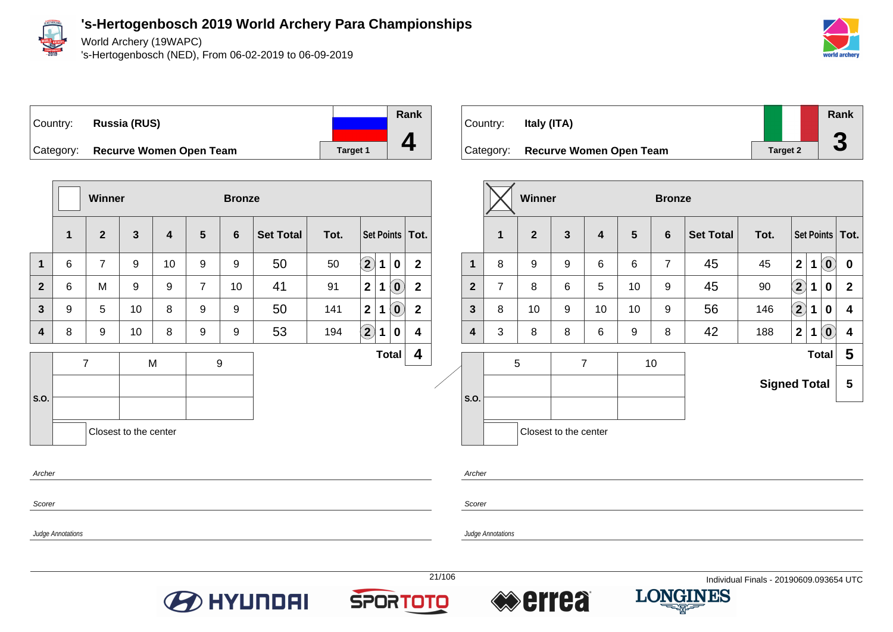

Judge Annotations

### **'s-Hertogenbosch 2019 World Archery Para Championships**

World Archery (19WAPC)

's-Hertogenbosch (NED), From 06-02-2019 to 06-09-2019



Country: **Russia (RUS)** Category: **Recurve Women Open Team Target 1** Target 1 **Rank 4**

|                                 |                | Winner         |              |                         |                | <b>Bronze</b>    |                  |      |                            |   |                            |                |
|---------------------------------|----------------|----------------|--------------|-------------------------|----------------|------------------|------------------|------|----------------------------|---|----------------------------|----------------|
|                                 | $\mathbf{1}$   | $\mathbf{2}$   | $\mathbf{3}$ | $\overline{\mathbf{4}}$ | $5\phantom{1}$ | $6\phantom{1}$   | <b>Set Total</b> | Tot. | Set Points   Tot.          |   |                            |                |
| $\mathbf{1}$                    | 6              | $\overline{7}$ | 9            | 10                      | 9              | 9                | 50               | 50   | $\left( \mathbf{2}\right)$ | 1 | $\mathbf 0$                | $\overline{2}$ |
| $\overline{2}$                  | 6              | M              | 9            | 9                       | $\overline{7}$ | 10               | 41               | 91   | $\overline{2}$             | 1 | $\left( \mathbf{0}\right)$ | $\mathbf{2}$   |
| $\mathbf{3}$                    | 9              | 5              | 10           | 8                       | 9              | 9                | 50               | 141  | $\mathbf{2}$               | 1 | $\left( \mathbf{0}\right)$ | $\overline{2}$ |
| 4                               | 8              | 9              | 10           | 8                       | 9              | 9                | 53               | 194  | $\left( \mathbf{2}\right)$ | 1 | 0                          | 4              |
| S.O.                            | $\overline{7}$ |                | M            |                         |                | $\boldsymbol{9}$ |                  |      |                            |   | <b>Total</b>               | 4              |
| Closest to the center<br>Archer |                |                |              |                         |                |                  |                  |      |                            |   |                            |                |

| Country:  | Italy (ITA)                    |                 | Rank                  |
|-----------|--------------------------------|-----------------|-----------------------|
| Category: | <b>Recurve Women Open Team</b> | <b>Target 2</b> | $\blacktriangleright$ |

|                |                | Winner         |                       |                         |                |                |                  |                     |              |   |                                                     |                   |
|----------------|----------------|----------------|-----------------------|-------------------------|----------------|----------------|------------------|---------------------|--------------|---|-----------------------------------------------------|-------------------|
|                | $\mathbf 1$    | $\overline{2}$ | 3                     | $\overline{\mathbf{4}}$ | $5\phantom{1}$ | $6\phantom{1}$ | <b>Set Total</b> | Tot.                |              |   |                                                     | Set Points   Tot. |
| 1              | 8              | 9              | 9                     | 6                       | 6              | $\overline{7}$ | 45               | 45                  | $\mathbf{2}$ | 1 | $\left( \begin{matrix} 0 \\ 0 \end{matrix} \right)$ | $\boldsymbol{0}$  |
| $\overline{2}$ | $\overline{7}$ | 8              | 6                     | 5                       | 10             | 9              | 45               | 90                  | $\bf(2)$     | 1 | 0                                                   | $\mathbf{2}$      |
| 3              | 8              | 10             | 9                     | 10                      | 10             | 9              | 56               | 146                 | $\bf(2)$     | 1 | 0                                                   | 4                 |
| 4              | 3              | 8              | 8                     | 6                       | 9              | 8              | 42               | 188                 | $\mathbf{2}$ | 1 | $\left  \mathbf{0} \right\rangle$                   | 4                 |
|                |                | 5              |                       | $\overline{7}$          |                | 10             |                  |                     |              |   | <b>Total</b>                                        | 5                 |
|                |                |                |                       |                         |                |                |                  | <b>Signed Total</b> |              |   |                                                     | 5                 |
| S.O.           |                |                |                       |                         |                |                |                  |                     |              |   |                                                     |                   |
|                |                |                | Closest to the center |                         |                |                |                  |                     |              |   |                                                     |                   |

Archer Scorer







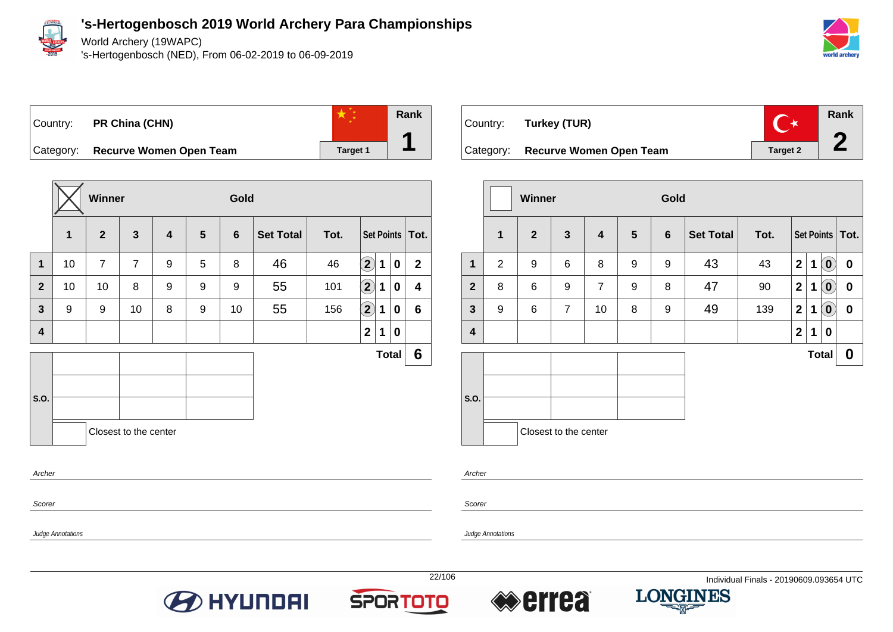

World Archery (19WAPC)

's-Hertogenbosch (NED), From 06-02-2019 to 06-09-2019



# Country: **PR China (CHN)**



Category: **Recurve Women Open Team Target 1** Target 1

|              |              | Winner         |                       |                         |                | Gold           |                  |      |                            |             |              |                   |
|--------------|--------------|----------------|-----------------------|-------------------------|----------------|----------------|------------------|------|----------------------------|-------------|--------------|-------------------|
|              | $\mathbf{1}$ | $\overline{2}$ | $\mathbf{3}$          | $\overline{\mathbf{4}}$ | $5\phantom{1}$ | $6\phantom{1}$ | <b>Set Total</b> | Tot. |                            |             |              | Set Points   Tot. |
| $\mathbf{1}$ | 10           | $\overline{7}$ | $\overline{7}$        | 9                       | 5              | 8              | 46               | 46   | $\left( \mathbf{2}\right)$ | $\mathbf 1$ | $\mathbf 0$  | $\overline{2}$    |
| $\mathbf{2}$ | 10           | 10             | 8                     | 9                       | 9              | 9              | 55               | 101  | $\left( 2\right)$          | 1           | $\mathbf 0$  | 4                 |
| $\mathbf{3}$ | 9            | 9              | 10                    | 8                       | 9              | 10             | 55               | 156  | $\bf \overline{2}$         | 1           | 0            | 6                 |
| 4            |              |                |                       |                         |                |                |                  |      | $\mathbf 2$                | 1           | 0            |                   |
|              |              |                |                       |                         |                |                |                  |      |                            |             | <b>Total</b> | 6                 |
|              |              |                |                       |                         |                |                |                  |      |                            |             |              |                   |
| S.O.         |              |                |                       |                         |                |                |                  |      |                            |             |              |                   |
|              |              |                | Closest to the center |                         |                |                |                  |      |                            |             |              |                   |
| Archer       |              |                |                       |                         |                |                |                  |      |                            |             |              |                   |

| Country: Turkey (TUR)             |          | Rank |
|-----------------------------------|----------|------|
| Category: Recurve Women Open Team | Target 2 |      |

|                         |                | <b>Winner</b>  |                       |                         |                | Gold           |                  |      |                |              |                                                |                   |
|-------------------------|----------------|----------------|-----------------------|-------------------------|----------------|----------------|------------------|------|----------------|--------------|------------------------------------------------|-------------------|
|                         | 1              | $\overline{2}$ | 3                     | $\overline{\mathbf{4}}$ | $5\phantom{1}$ | $6\phantom{1}$ | <b>Set Total</b> | Tot. |                |              |                                                | Set Points   Tot. |
| 1                       | $\overline{2}$ | 9              | 6                     | 8                       | 9              | 9              | 43               | 43   | $\overline{2}$ | 1            | $\left( \begin{matrix} 0 \end{matrix} \right)$ | 0                 |
| $\overline{2}$          | 8              | 6              | 9                     | $\overline{7}$          | 9              | 8              | 47               | 90   | $\mathbf{2}$   | 1            | $\left[ \begin{matrix} 0 \end{matrix} \right]$ | 0                 |
| $\mathbf{3}$            | 9              | 6              | $\overline{7}$        | 10                      | 8              | 9              | 49               | 139  | $\mathbf{2}$   | 1            | $\left( \mathbf{0}\right)$                     | 0                 |
| $\overline{\mathbf{4}}$ |                |                |                       |                         |                |                |                  |      | $\mathbf 2$    | 1            | 0                                              |                   |
|                         |                |                |                       |                         |                |                |                  |      |                | <b>Total</b> |                                                | 0                 |
| S.O.                    |                |                | Closest to the center |                         |                |                |                  |      |                |              |                                                |                   |

Scorer

Scorer

Judge Annotations

Archer







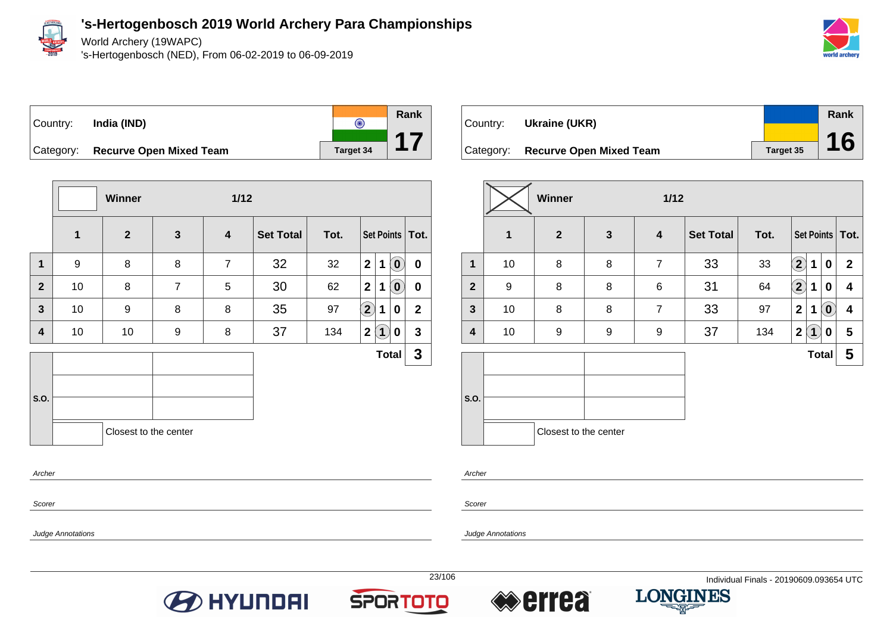

World Archery (19WAPC)

's-Hertogenbosch (NED), From 06-02-2019 to 06-09-2019





**Winner 1/12 1 2 3 4 Set Total Tot. Set Points Tot. 1** 9 8 8 7 32 32 **2 1 0 0 2** 10 8 7 5 30 62 **2 1 0 0 3** 10 9 8 8 35 97 **2 1 0 2 4** 10 10 9 8 37 134 **2 1 0 3 S.O. Total 3** Closest to the center Archer

| Country:  | Ukraine (UKR)                  |           | Rank |
|-----------|--------------------------------|-----------|------|
|           |                                |           |      |
| Category: | <b>Recurve Open Mixed Team</b> | Target 35 | 16   |

|                |              | Winner                |              | 1/12                    |                  |      |                                           |                              |
|----------------|--------------|-----------------------|--------------|-------------------------|------------------|------|-------------------------------------------|------------------------------|
|                | $\mathbf{1}$ | $\boldsymbol{2}$      | $\mathbf{3}$ | $\overline{\mathbf{4}}$ | <b>Set Total</b> | Tot. |                                           | Set Points   Tot.            |
| $\mathbf 1$    | 10           | 8                     | 8            | $\overline{7}$          | 33               | 33   | $\mathbf{2}$<br>1                         | $\mathbf{2}$<br>0            |
| $\overline{2}$ | 9            | 8                     | 8            | 6                       | 31               | 64   | $\bf(2)$<br>1                             | 4<br>0                       |
| $\mathbf{3}$   | 10           | 8                     | 8            | $\overline{7}$          | 33               | 97   | $\mathbf{2}$<br>1                         | $\overline{\mathbf{0}}$<br>4 |
| 4              | 10           | 9                     | 9            | 9                       | 37               | 134  | $\overline{\mathbf{2}}$<br>$\overline{1}$ | 5<br>0                       |
|                |              |                       |              |                         |                  |      | <b>Total</b>                              | 5                            |
| S.O.           |              |                       |              |                         |                  |      |                                           |                              |
|                |              | Closest to the center |              |                         |                  |      |                                           |                              |

Scorer

Judge Annotations

Scorer

Archer







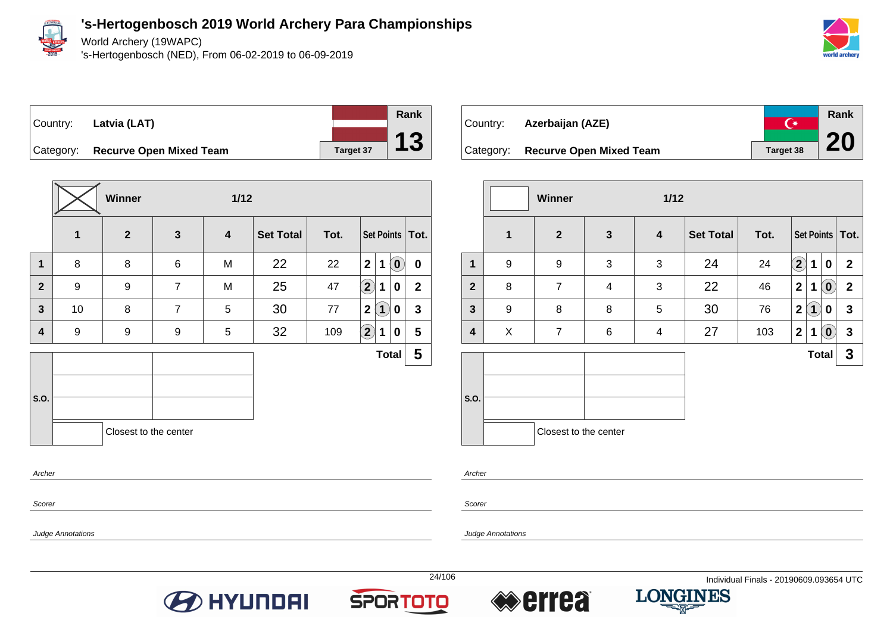

World Archery (19WAPC)

's-Hertogenbosch (NED), From 06-02-2019 to 06-09-2019



Country: **Latvia (LAT)**



Category: **Recurve Open Mixed Team Target 37** 

|                |    | Winner                |                | $1/12$                  |                  |      |                                                 |                         |
|----------------|----|-----------------------|----------------|-------------------------|------------------|------|-------------------------------------------------|-------------------------|
|                | 1  | $\mathbf{2}$          | $\mathbf{3}$   | $\overline{\mathbf{4}}$ | <b>Set Total</b> | Tot. | Set Points   Tot.                               |                         |
| $\mathbf 1$    | 8  | 8                     | 6              | M                       | 22               | 22   | $\overline{2}$<br>$(\mathbf{0})$<br>$\mathbf 1$ | $\mathbf 0$             |
| $\overline{2}$ | 9  | 9                     | $\overline{7}$ | M                       | 25               | 47   | $\Large{\textbf{2}}$<br>1<br>0                  | $\overline{2}$          |
| $\mathbf{3}$   | 10 | 8                     | $\overline{7}$ | 5                       | 30               | 77   | $\mathbf{2}$<br>$\mathbf{1}$<br>0               | $\mathbf{3}$            |
| 4              | 9  | 9                     | 9              | 5                       | 32               | 109  | $\left( \mathbf{2}\right)$<br>1<br>0            | 5                       |
|                |    |                       |                |                         |                  |      | <b>Total</b>                                    | $\overline{\mathbf{5}}$ |
|                |    |                       |                |                         |                  |      |                                                 |                         |
| S.O.           |    |                       |                |                         |                  |      |                                                 |                         |
|                |    | Closest to the center |                |                         |                  |      |                                                 |                         |
|                |    |                       |                |                         |                  |      |                                                 |                         |

| Country:  | Azerbaijan (AZE)               | $\curvearrowleft$ | Rank |
|-----------|--------------------------------|-------------------|------|
| Category: | <b>Recurve Open Mixed Team</b> | Target 38         | 20   |

|                |              | Winner                |              | 1/12                    |                  |      |                            |              |              |                   |
|----------------|--------------|-----------------------|--------------|-------------------------|------------------|------|----------------------------|--------------|--------------|-------------------|
|                | $\mathbf{1}$ | $\boldsymbol{2}$      | $\mathbf{3}$ | $\overline{\mathbf{4}}$ | <b>Set Total</b> | Tot. |                            |              |              | Set Points   Tot. |
| 1              | 9            | 9                     | 3            | 3                       | 24               | 24   | $\left( \mathbf{2}\right)$ | 1            | 0            | $\overline{2}$    |
| $\overline{2}$ | 8            | $\overline{7}$        | 4            | 3                       | 22               | 46   | $\mathbf{2}$               | 1            | $\mathbf{O}$ | $\mathbf{2}$      |
| $\mathbf{3}$   | 9            | 8                     | 8            | 5                       | 30               | 76   | $\mathbf{2}$               | $\mathbf{1}$ | 0            | $\mathbf{3}$      |
| 4              | X            | $\overline{7}$        | 6            | 4                       | 27               | 103  | $\mathbf{2}$               | 1            | $\tilde{0}$  | $\mathbf{3}$      |
|                |              |                       |              |                         |                  |      |                            | <b>Total</b> |              | 3                 |
| S.O.           |              |                       |              |                         |                  |      |                            |              |              |                   |
|                |              | Closest to the center |              |                         |                  |      |                            |              |              |                   |

Archer

Scorer

Scorer

Archer

Judge Annotations







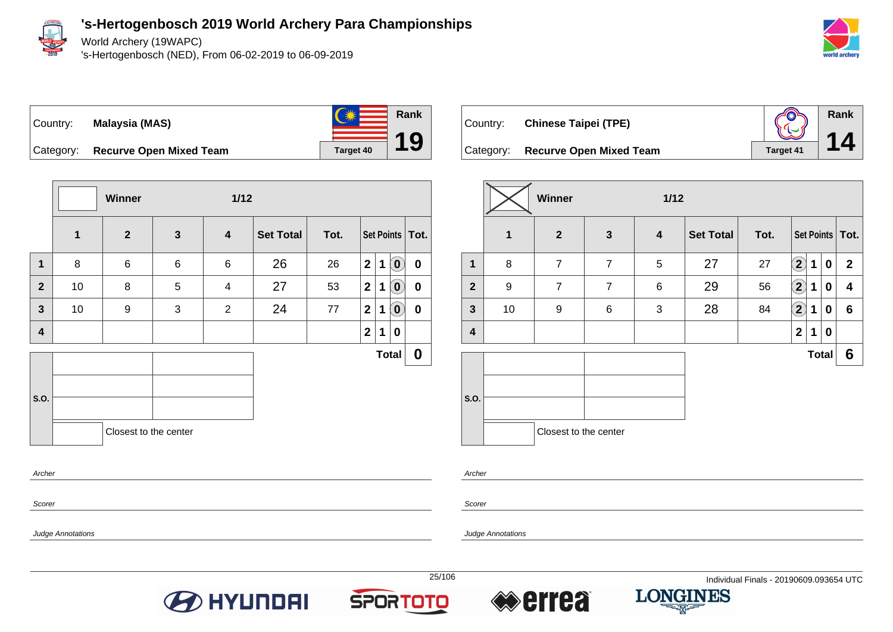

World Archery (19WAPC)

's-Hertogenbosch (NED), From 06-02-2019 to 06-09-2019





Category: **Recurve Open Mixed Team Target 40** 



Judge Annotations

Country: **Chinese Taipei (TPE)**



Category: **Recurve Open Mixed Team Target 41** 

|              |    | Winner                |                | $1/12$           |                  |      |              |              |                  |                   |
|--------------|----|-----------------------|----------------|------------------|------------------|------|--------------|--------------|------------------|-------------------|
|              | 1  | $\overline{2}$        | $\mathbf{3}$   | $\boldsymbol{4}$ | <b>Set Total</b> | Tot. |              |              |                  | Set Points   Tot. |
| 1            | 8  | $\overline{7}$        | $\overline{7}$ | 5                | 27               | 27   | $\bf (2)$    | 1            | 0                | $\mathbf{2}$      |
| $\mathbf{2}$ | 9  | $\overline{7}$        | $\overline{7}$ | 6                | 29               | 56   | $\bf(2)$     | 1            | 0                | 4                 |
| $\mathbf{3}$ | 10 | 9                     | $\,6$          | 3                | 28               | 84   | $\bf(2)$     | 1            | $\bf{0}$         | 6                 |
| 4            |    |                       |                |                  |                  |      | $\mathbf{2}$ | $\mathbf 1$  | $\boldsymbol{0}$ |                   |
|              |    |                       |                |                  |                  |      |              | <b>Total</b> |                  | 6                 |
| S.O.         |    | Closest to the center |                |                  |                  |      |              |              |                  |                   |

Archer

Scorer

Judge Annotations





**Rank**

**19**



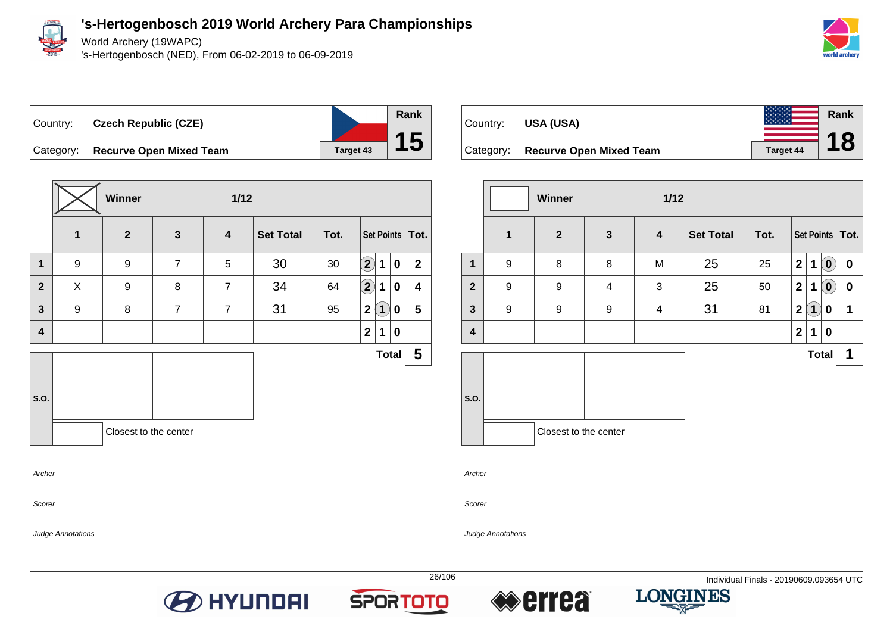

World Archery (19WAPC)

's-Hertogenbosch (NED), From 06-02-2019 to 06-09-2019





**Winner 1/12 1 2 3 4 Set Total Tot. Set Points Tot. 1** | 9 | 9 | 7 | 5 | 30 | 30 **2** | 1 | **0 | 2 2** X 9 8 7 34 64 **2 1 0 4 3** 9 8 7 7 31 95 **2 1 0 5 4 2 1 0 S.O. Total 5** Closest to the center Archer

| Country:  | <b>USA (USA)</b>               |                  | Rank |
|-----------|--------------------------------|------------------|------|
|           |                                |                  | 18   |
| Category: | <b>Recurve Open Mixed Team</b> | <b>Target 44</b> |      |

|              |              | <b>Winner</b>         |              | $1/12$           |                  |      |                  |                    |                            |                   |
|--------------|--------------|-----------------------|--------------|------------------|------------------|------|------------------|--------------------|----------------------------|-------------------|
|              | $\mathbf{1}$ | $\mathbf{2}$          | $\mathbf{3}$ | $\boldsymbol{4}$ | <b>Set Total</b> | Tot. |                  |                    |                            | Set Points   Tot. |
| $\mathbf{1}$ | 9            | 8                     | 8            | M                | 25               | 25   | $\boldsymbol{2}$ | $\mathbf 1$        | $\left( \mathbf{0}\right)$ | $\bf{0}$          |
| $\mathbf{2}$ | 9            | 9                     | 4            | 3                | 25               | 50   | $\boldsymbol{2}$ | 1                  | $\tilde{(\mathbf{0})}$     | $\bf{0}$          |
| $\mathbf{3}$ | 9            | 9                     | 9            | $\overline{4}$   | 31               | 81   | $\overline{2}$   | $\hat{\mathbf{U}}$ | 0                          | 1                 |
| 4            |              |                       |              |                  |                  |      | $\overline{2}$   | 1                  | $\bf{0}$                   |                   |
|              |              |                       |              |                  |                  |      |                  | <b>Total</b>       |                            | 1                 |
| S.O.         |              |                       |              |                  |                  |      |                  |                    |                            |                   |
|              |              | Closest to the center |              |                  |                  |      |                  |                    |                            |                   |

Archer

Scorer

Judge Annotations

Scorer

Judge Annotations







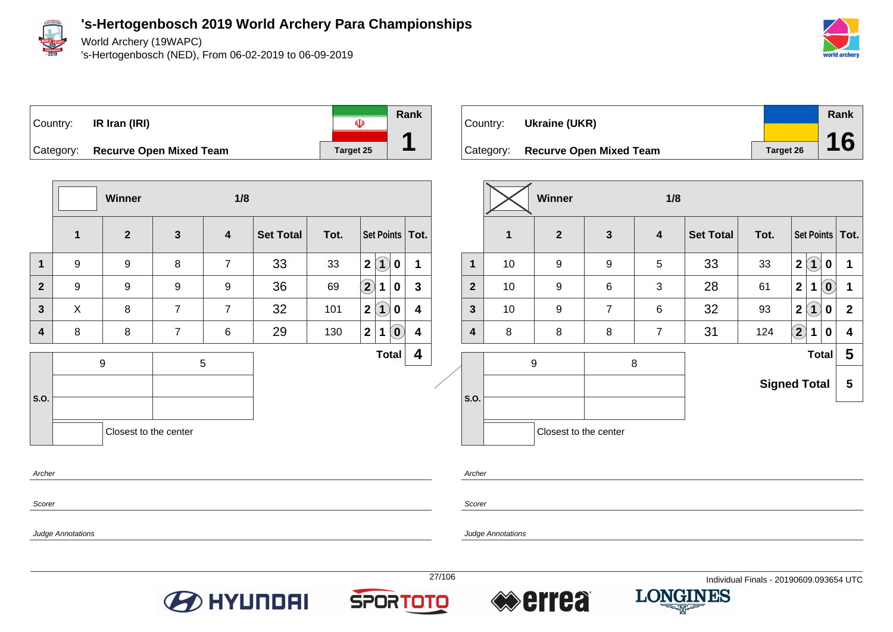

World Archery (19WAPC)

's-Hertogenbosch (NED), From 06-02-2019 to 06-09-2019





**Winner 1/8 1 2 3 4 Set Total Tot. Set Points Tot. 1** | 9 | 9 | 8 | 7 | 33 | 33 |2 |1 | **0** | 1 **2** 9 9 9 9 36 69 **2 1 0 3 3** X 8 7 7 32 101 **2 1 0 4 4** 8 8 7 6 29 130 **2 1 0 4 Total 4** 9 5  $\overline{\phantom{a}}$ **S.O.** Closest to the center Archer

| Country: | Ukraine (UKR)                     |           | Rank |
|----------|-----------------------------------|-----------|------|
|          |                                   |           |      |
|          | Category: Recurve Open Mixed Team | Target 26 | 16   |

|                |    | Winner                |                | 1/8                     |                  |                     |                |                   |                |                   |
|----------------|----|-----------------------|----------------|-------------------------|------------------|---------------------|----------------|-------------------|----------------|-------------------|
|                | 1  | $\overline{2}$        | $\mathbf{3}$   | $\overline{\mathbf{4}}$ | <b>Set Total</b> | Tot.                |                |                   |                | Set Points   Tot. |
| $\mathbf{1}$   | 10 | 9                     | 9              | 5                       | 33               | 33                  | $\mathbf{2}$   | $\left( 1\right)$ | $\mathbf 0$    | 1                 |
| $\overline{2}$ | 10 | 9                     | 6              | 3                       | 28               | 61                  | $\overline{2}$ | 1                 | $(\mathbf{0})$ | $\mathbf 1$       |
| $\mathbf{3}$   | 10 | 9                     | $\overline{7}$ | $6\phantom{1}6$         | 32               | 93                  | $\mathbf{2}$   | $\bf(1)$          | $\mathbf 0$    | $\mathbf{2}$      |
| 4              | 8  | 8                     | 8              | $\overline{7}$          | 31               | 124                 | $\mathbf{2}$   | $\mathbf 1$       | $\mathbf 0$    | 4                 |
|                |    | 9                     |                | 8                       |                  |                     |                |                   | <b>Total</b>   | 5                 |
|                |    |                       |                |                         |                  | <b>Signed Total</b> |                |                   |                | 5                 |
| S.O.           |    |                       |                |                         |                  |                     |                |                   |                |                   |
|                |    | Closest to the center |                |                         |                  |                     |                |                   |                |                   |
|                |    |                       |                |                         |                  |                     |                |                   |                |                   |

Scorer

Scorer

Archer

Judge Annotations







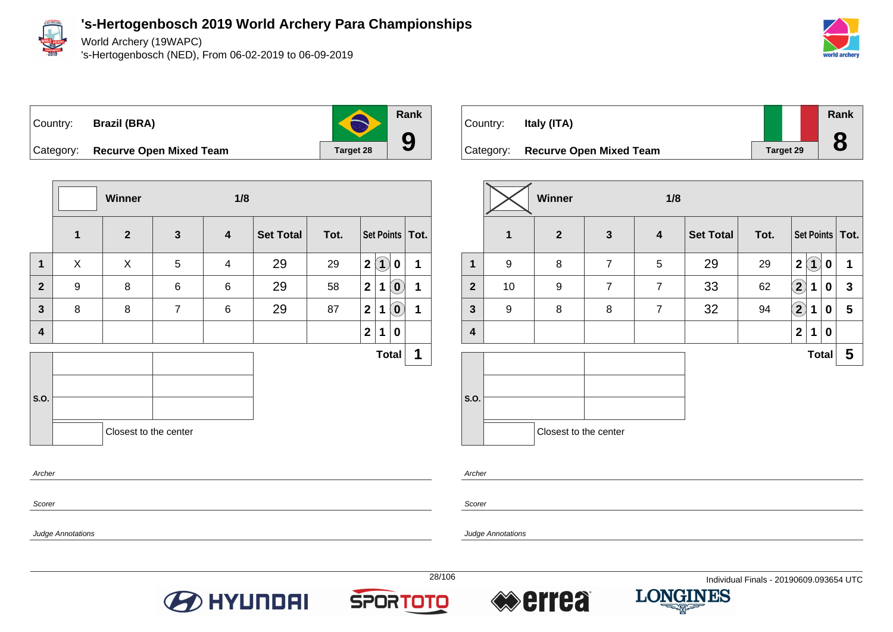

World Archery (19WAPC)

's-Hertogenbosch (NED), From 06-02-2019 to 06-09-2019





**Rank**

**9**

Category: **Recurve Open Mixed Team Target 28** 

|                         |                  | Winner                |                | 1/8                      |                  |      |   |                   |                            |                   |
|-------------------------|------------------|-----------------------|----------------|--------------------------|------------------|------|---|-------------------|----------------------------|-------------------|
|                         | $\mathbf{1}$     | $\mathbf{2}$          | $\mathbf{3}$   | $\boldsymbol{4}$         | <b>Set Total</b> | Tot. |   |                   |                            | Set Points   Tot. |
| $\mathbf{1}$            | X                | X                     | 5              | $\overline{\mathcal{A}}$ | 29               | 29   | 2 | $\left( 1\right)$ | $\mathbf 0$                | 1                 |
| $\mathbf{2}$            | $\boldsymbol{9}$ | 8                     | 6              | 6                        | 29               | 58   | 2 | $\mathbf 1$       | $\left( \mathbf{0}\right)$ | 1                 |
| $\overline{\mathbf{3}}$ | 8                | 8                     | $\overline{7}$ | 6                        | 29               | 87   | 2 | $\mathbf 1$       | $(\mathbf{0})$             | 1                 |
| $\overline{\mathbf{4}}$ |                  |                       |                |                          |                  |      | 2 | 1                 | 0                          |                   |
|                         |                  |                       |                |                          |                  |      |   |                   | <b>Total</b>               | 1                 |
| S.O.                    |                  |                       |                |                          |                  |      |   |                   |                            |                   |
|                         |                  | Closest to the center |                |                          |                  |      |   |                   |                            |                   |
| Archer                  |                  |                       |                |                          |                  |      |   |                   |                            |                   |

| Country: | Italy (ITA)                       |                  | Rank |
|----------|-----------------------------------|------------------|------|
|          | Category: Recurve Open Mixed Team | <b>Target 29</b> | 8    |

|                |              | Winner                |                | 1/8              |                  |      |                   |                         |             |                         |
|----------------|--------------|-----------------------|----------------|------------------|------------------|------|-------------------|-------------------------|-------------|-------------------------|
|                | $\mathbf{1}$ | $\overline{2}$        | $\mathbf{3}$   | $\boldsymbol{4}$ | <b>Set Total</b> | Tot. |                   |                         |             | Set Points   Tot.       |
| $\mathbf 1$    | 9            | 8                     | $\overline{7}$ | 5                | 29               | 29   | $\mathbf 2$       | $\overline{\mathbf{1}}$ | 0           | 1                       |
| $\overline{2}$ | 10           | 9                     | $\overline{7}$ | $\overline{7}$   | 33               | 62   | $\left( 2\right)$ | 1                       | 0           | $\mathbf{3}$            |
| $\mathbf{3}$   | 9            | 8                     | 8              | $\overline{7}$   | 32               | 94   | $\Large 2$        | 1                       | 0           | 5                       |
| 4              |              |                       |                |                  |                  |      | $\mathbf{2}$      | 1                       | $\mathbf 0$ |                         |
|                |              |                       |                |                  |                  |      |                   | <b>Total</b>            |             | $\overline{\mathbf{5}}$ |
|                |              |                       |                |                  |                  |      |                   |                         |             |                         |
| S.O.           |              |                       |                |                  |                  |      |                   |                         |             |                         |
|                |              | Closest to the center |                |                  |                  |      |                   |                         |             |                         |

Archer

Scorer

Judge Annotations

Judge Annotations

Scorer







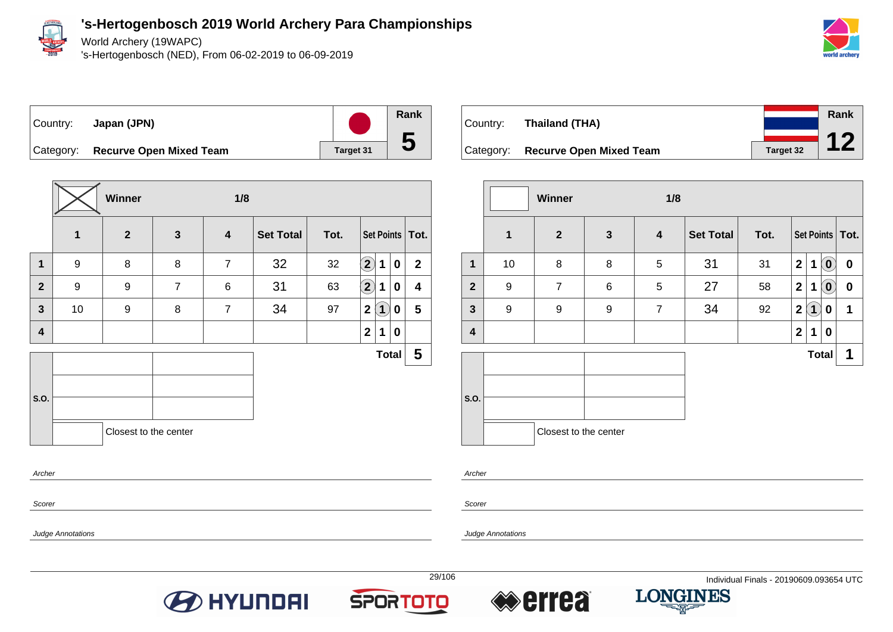

World Archery (19WAPC)

's-Hertogenbosch (NED), From 06-02-2019 to 06-09-2019



## Country: **Japan (JPN)** Category: **Recurve Open Mixed Team Target 31**

**Winner 1/8 1 2 3 4 Set Total Tot. Set Points Tot. 1** 9 8 8 7 32 32 **2 1 0 2 2** 9 9 7 6 31 63 **2 1 0 4 3** 10 9 8 7 34 97 **2 1 0 5 4 2 1 0 S.O. Total 5** Closest to the center Archer

|          |                                   |                  | <b>Rank</b> |
|----------|-----------------------------------|------------------|-------------|
| Country: | Thailand (THA)                    |                  |             |
|          |                                   |                  |             |
|          | Category: Recurve Open Mixed Team | <b>Target 32</b> |             |

|                         |    | <b>Winner</b>         |              | 1/8              |                  |      |                |                   |                                      |                   |
|-------------------------|----|-----------------------|--------------|------------------|------------------|------|----------------|-------------------|--------------------------------------|-------------------|
|                         | 1  | $\boldsymbol{2}$      | $\mathbf{3}$ | $\boldsymbol{4}$ | <b>Set Total</b> | Tot. |                |                   |                                      | Set Points   Tot. |
| $\mathbf{1}$            | 10 | 8                     | 8            | 5                | 31               | 31   | $\overline{2}$ | $\mathbf{1}$      | $\left( \mathbf{0}\right)$           | $\bf{0}$          |
| $\overline{2}$          | 9  | $\overline{7}$        | 6            | 5                | 27               | 58   | $\mathbf 2$    | 1                 | $\left( \widehat{\mathbf{0}}\right)$ | $\boldsymbol{0}$  |
| $\mathbf{3}$            | 9  | 9                     | 9            | $\overline{7}$   | 34               | 92   | $\overline{2}$ | $\left( 1\right)$ | 0                                    | 1                 |
| $\overline{\mathbf{4}}$ |    |                       |              |                  |                  |      | $\overline{2}$ | 1                 | 0                                    |                   |
|                         |    |                       |              |                  |                  |      |                | <b>Total</b>      |                                      | 1                 |
|                         |    |                       |              |                  |                  |      |                |                   |                                      |                   |
| S.O.                    |    |                       |              |                  |                  |      |                |                   |                                      |                   |
|                         |    | Closest to the center |              |                  |                  |      |                |                   |                                      |                   |

Archer

Scorer

Judge Annotations

Scorer

Judge Annotations





**Rank**

**5**



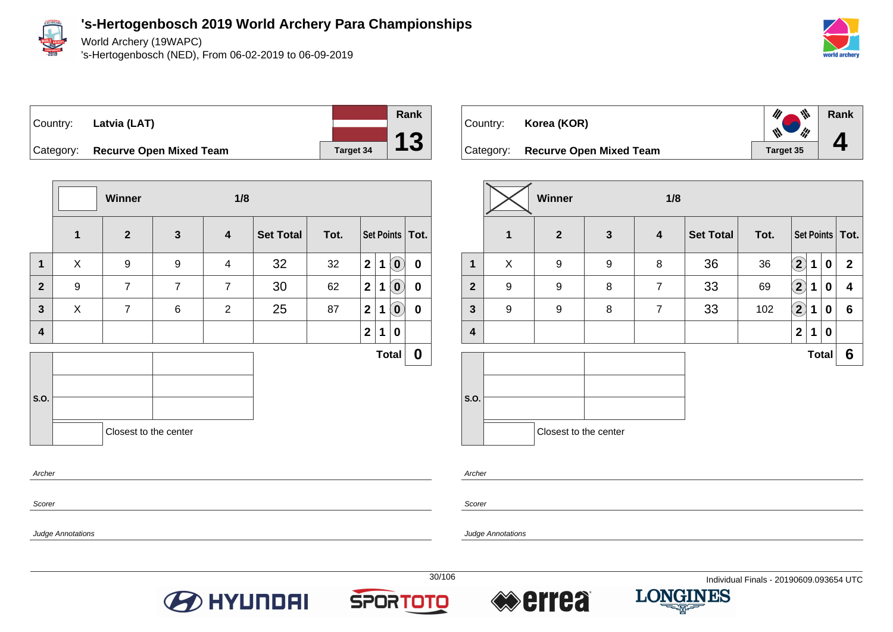

Judge Annotations

**'s-Hertogenbosch 2019 World Archery Para Championships**

World Archery (19WAPC)

's-Hertogenbosch (NED), From 06-02-2019 to 06-09-2019



**Rank**

**4**

Country: **Latvia (LAT)**



Category: **Recurve Open Mixed Team Target 34** 

|                |                  | Winner                |                | 1/8                     |                  |      |                |             |                            |                   |
|----------------|------------------|-----------------------|----------------|-------------------------|------------------|------|----------------|-------------|----------------------------|-------------------|
|                | $\mathbf{1}$     | $\overline{2}$        | $\mathbf{3}$   | $\overline{\mathbf{4}}$ | <b>Set Total</b> | Tot. |                |             |                            | Set Points   Tot. |
| $\mathbf 1$    | X                | $\boldsymbol{9}$      | 9              | $\overline{4}$          | 32               | 32   | 2 <sup>1</sup> | $\mathbf 1$ | $\left( \mathbf{0}\right)$ | $\mathbf 0$       |
| $\overline{2}$ | $\boldsymbol{9}$ | $\overline{7}$        | $\overline{7}$ | $\overline{7}$          | 30               | 62   | 2              | $\mathbf 1$ | $\left( \mathbf{0}\right)$ | $\mathbf 0$       |
| $\mathbf{3}$   | X                | $\overline{7}$        | 6              | $\overline{2}$          | 25               | 87   | 2              | $\mathbf 1$ | $\tilde{0}$                | $\mathbf 0$       |
| 4              |                  |                       |                |                         |                  |      | 2 <sup>1</sup> | 1           | 0                          |                   |
|                |                  |                       |                |                         |                  |      |                |             | <b>Total</b>               | $\boldsymbol{0}$  |
|                |                  |                       |                |                         |                  |      |                |             |                            |                   |
| S.O.           |                  |                       |                |                         |                  |      |                |             |                            |                   |
|                |                  | Closest to the center |                |                         |                  |      |                |             |                            |                   |
| Archer         |                  |                       |                |                         |                  |      |                |             |                            |                   |

| Country: <b>Korea (KOR)</b>       |           |
|-----------------------------------|-----------|
| Category: Recurve Open Mixed Team | Target 35 |

|              |   | <b>Winner</b>         |              | 1/8                     |                  |      |                        |              |             |                   |
|--------------|---|-----------------------|--------------|-------------------------|------------------|------|------------------------|--------------|-------------|-------------------|
|              | 1 | $\overline{2}$        | $\mathbf{3}$ | $\overline{\mathbf{4}}$ | <b>Set Total</b> | Tot. |                        |              |             | Set Points   Tot. |
| 1            | X | 9                     | 9            | 8                       | 36               | 36   | $\mathbf{\widehat{2}}$ | 1            | 0           | $\overline{2}$    |
| $\mathbf{2}$ | 9 | 9                     | 8            | $\overline{7}$          | 33               | 69   | $\left( 2\right)$      | 1            | 0           | 4                 |
| $\mathbf{3}$ | 9 | 9                     | 8            | $\overline{7}$          | 33               | 102  | $\bf \Omega$           | 1            | 0           | $6\phantom{1}$    |
| 4            |   |                       |              |                         |                  |      | $\mathbf{2}$           | 1            | $\mathbf 0$ |                   |
|              |   |                       |              |                         |                  |      |                        | <b>Total</b> |             | 6                 |
| S.O.         |   |                       |              |                         |                  |      |                        |              |             |                   |
|              |   | Closest to the center |              |                         |                  |      |                        |              |             |                   |

Archer

Scorer







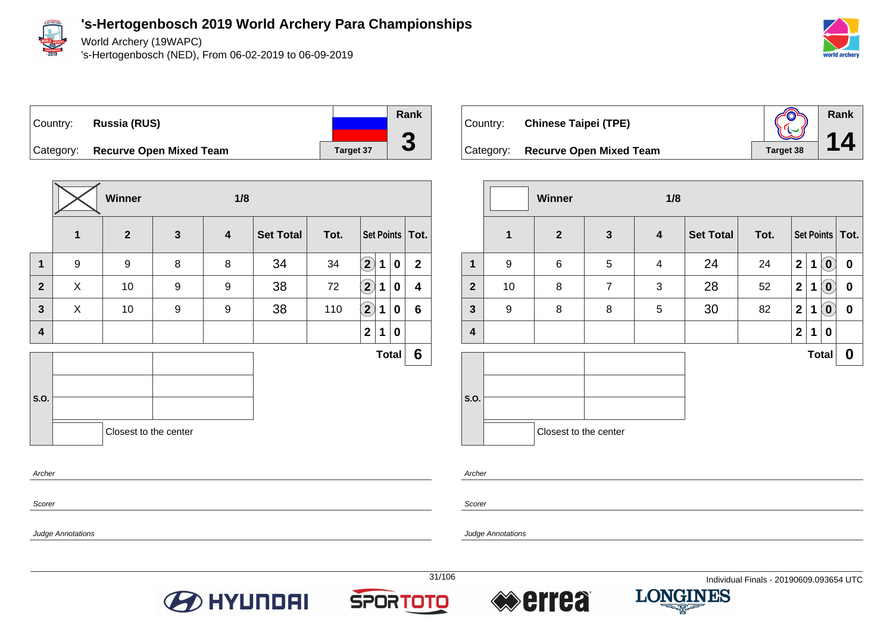

Judge Annotations

### **'s-Hertogenbosch 2019 World Archery Para Championships**

World Archery (19WAPC)

's-Hertogenbosch (NED), From 06-02-2019 to 06-09-2019



**Rank**

**14**

# Country: **Russia (RUS)** Category: **Recurve Open Mixed Team Target 37**

|              |              | Winner                |              | 1/8              |                  |      |                            |   |              |                   |
|--------------|--------------|-----------------------|--------------|------------------|------------------|------|----------------------------|---|--------------|-------------------|
|              | $\mathbf{1}$ | $\overline{2}$        | $\mathbf{3}$ | $\boldsymbol{4}$ | <b>Set Total</b> | Tot. |                            |   |              | Set Points   Tot. |
| $\mathbf{1}$ | 9            | 9                     | 8            | 8                | 34               | 34   | $\mathbf{2}$               | 1 | 0            | $\mathbf{2}$      |
| $\mathbf{2}$ | X            | 10                    | 9            | 9                | 38               | 72   | $\left( \mathbf{2}\right)$ | 1 | 0            | 4                 |
| 3            | X            | 10                    | 9            | 9                | 38               | 110  | $\bigcirc$                 | 1 | 0            | 6                 |
| 4            |              |                       |              |                  |                  |      | $\overline{2}$             | 1 | 0            |                   |
|              |              |                       |              |                  |                  |      |                            |   | <b>Total</b> | $6\phantom{1}$    |
|              |              |                       |              |                  |                  |      |                            |   |              |                   |
| S.O.         |              |                       |              |                  |                  |      |                            |   |              |                   |
|              |              | Closest to the center |              |                  |                  |      |                            |   |              |                   |
| Archer       |              |                       |              |                  |                  |      |                            |   |              |                   |
|              |              |                       |              |                  |                  |      |                            |   |              |                   |

| Country: Chinese Taipei (TPE)     | $\mathbb{Q}$ |
|-----------------------------------|--------------|
| Category: Recurve Open Mixed Team | Target 38    |

|              |              | Winner                |                | 1/8                     |                  |      |                |   |                    |                   |
|--------------|--------------|-----------------------|----------------|-------------------------|------------------|------|----------------|---|--------------------|-------------------|
|              | $\mathbf{1}$ | $\mathbf{2}$          | $\mathbf{3}$   | $\overline{\mathbf{4}}$ | <b>Set Total</b> | Tot. |                |   |                    | Set Points   Tot. |
| $\mathbf{1}$ | 9            | $\,6$                 | 5              | $\overline{4}$          | 24               | 24   | $\overline{2}$ | 1 | $\left( 0 \right)$ | 0                 |
| $\mathbf{2}$ | 10           | 8                     | $\overline{7}$ | 3                       | 28               | 52   | $\mathbf{2}$   | 1 | $\tilde{0}$        | $\boldsymbol{0}$  |
| $\mathbf{3}$ | 9            | 8                     | 8              | 5                       | 30               | 82   | $\overline{2}$ | 1 | $\mathbf{Q}$       | $\pmb{0}$         |
| 4            |              |                       |                |                         |                  |      | $\overline{2}$ | 1 | 0                  |                   |
|              |              |                       |                |                         |                  |      |                |   | <b>Total</b>       | 0                 |
|              |              |                       |                |                         |                  |      |                |   |                    |                   |
| S.O.         |              |                       |                |                         |                  |      |                |   |                    |                   |
|              |              | Closest to the center |                |                         |                  |      |                |   |                    |                   |

Archer

Scorer

Judge Annotations





**Rank**

**3**



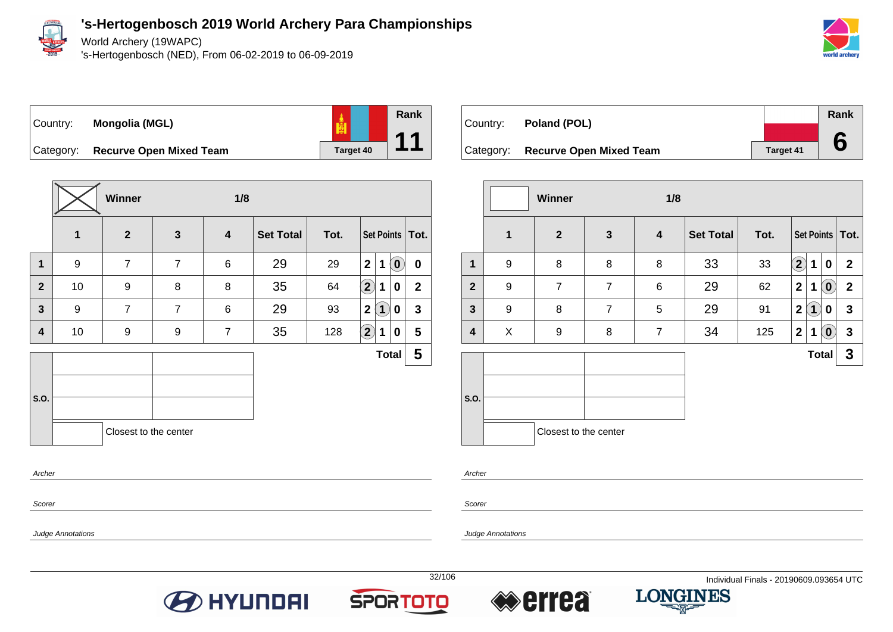

Judge Annotations

**'s-Hertogenbosch 2019 World Archery Para Championships**

World Archery (19WAPC)

's-Hertogenbosch (NED), From 06-02-2019 to 06-09-2019







Category: **Recurve Open Mixed Team Target 40** 

|                |              | Winner                |                | 1/8                     |                  |      |                            |             |                            |                   |
|----------------|--------------|-----------------------|----------------|-------------------------|------------------|------|----------------------------|-------------|----------------------------|-------------------|
|                | $\mathbf{1}$ | $\overline{2}$        | $\mathbf{3}$   | $\overline{\mathbf{4}}$ | <b>Set Total</b> | Tot. |                            |             |                            | Set Points   Tot. |
| $\mathbf 1$    | 9            | $\overline{7}$        | $\overline{7}$ | 6                       | 29               | 29   | $\mathbf{2}$               | $\mathbf 1$ | $\left( \mathbf{0}\right)$ | $\mathbf 0$       |
| $\overline{2}$ | 10           | 9                     | 8              | 8                       | 35               | 64   | $\left( \mathbf{2}\right)$ | 1           | 0                          | $\mathbf{2}$      |
| $\mathbf{3}$   | 9            | $\overline{7}$        | $\overline{7}$ | 6                       | 29               | 93   | 2                          | $\bf(1)$    | 0                          | $\mathbf{3}$      |
| 4              | 10           | 9                     | 9              | $\overline{7}$          | 35               | 128  | $\left( 2\right)$          | 1           | 0                          | 5                 |
|                |              |                       |                |                         |                  |      |                            |             | <b>Total</b>               | 5                 |
|                |              |                       |                |                         |                  |      |                            |             |                            |                   |
| S.O.           |              |                       |                |                         |                  |      |                            |             |                            |                   |
|                |              | Closest to the center |                |                         |                  |      |                            |             |                            |                   |
| Archer         |              |                       |                |                         |                  |      |                            |             |                            |                   |

| Country: | Poland (POL)                      |                  | Rank |
|----------|-----------------------------------|------------------|------|
|          |                                   |                  |      |
|          | Category: Recurve Open Mixed Team | <b>Target 41</b> |      |

|                |   | <b>Winner</b>         |                | 1/8            |                  |      |                                                 |                  |
|----------------|---|-----------------------|----------------|----------------|------------------|------|-------------------------------------------------|------------------|
|                | 1 | $\mathbf{2}$          | $\mathbf{3}$   | 4              | <b>Set Total</b> | Tot. | Set Points   Tot.                               |                  |
| 1              | 9 | 8                     | 8              | 8              | 33               | 33   | $\bf(2)$<br>1<br>$\bf{0}$                       | $\mathbf{2}$     |
| $\overline{2}$ | 9 | $\overline{7}$        | $\overline{7}$ | 6              | 29               | 62   | $\mathbf{2}$<br>$\left( \mathbf{0}\right)$<br>1 | $\boldsymbol{2}$ |
| $\mathbf{3}$   | 9 | 8                     | $\overline{7}$ | 5              | 29               | 91   | $\left( 1\right)$<br>$\mathbf{2}$<br>0          | $\mathbf{3}$     |
| 4              | X | 9                     | 8              | $\overline{7}$ | 34               | 125  | $\left( \mathbf{0}\right)$<br>$\mathbf{2}$<br>1 | $\mathbf{3}$     |
|                |   |                       |                |                |                  |      | <b>Total</b>                                    | 3                |
| S.O.           |   |                       |                |                |                  |      |                                                 |                  |
|                |   | Closest to the center |                |                |                  |      |                                                 |                  |

Archer

Scorer

Judge Annotations







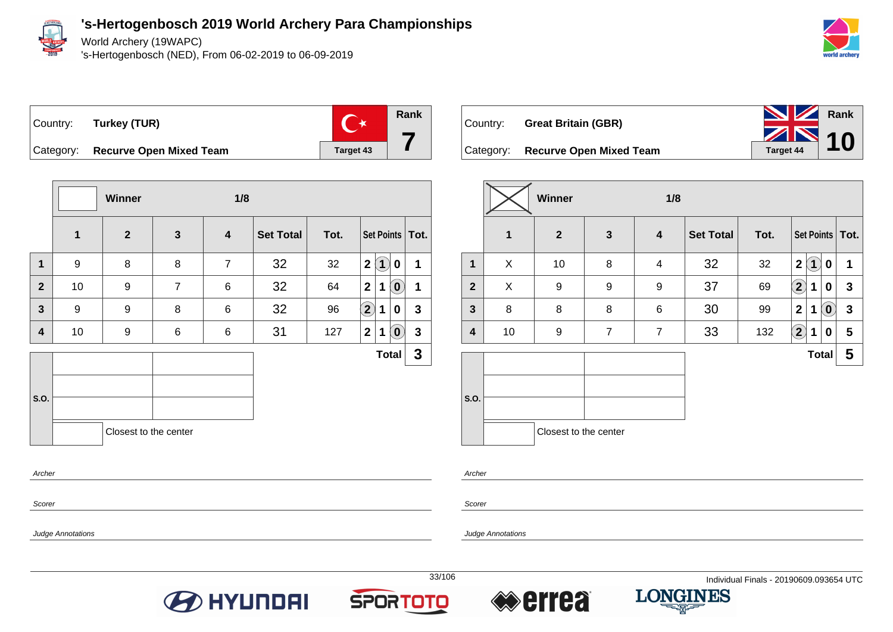

World Archery (19WAPC)

's-Hertogenbosch (NED), From 06-02-2019 to 06-09-2019





**Rank 7**

Category: **Recurve Open Mixed Team Target 43** 

|                         |                  | Winner                |                | 1/8            |                  |      |                      |                                 |              |
|-------------------------|------------------|-----------------------|----------------|----------------|------------------|------|----------------------|---------------------------------|--------------|
|                         | $\mathbf{1}$     | $\mathbf{2}$          | $\mathbf{3}$   | 4              | <b>Set Total</b> | Tot. |                      | Set Points   Tot.               |              |
| 1                       | 9                | 8                     | 8              | $\overline{7}$ | 32               | 32   | $\mathbf 2$          | $\mathbf 1$<br>0                | 1            |
| $\overline{2}$          | 10               | $\boldsymbol{9}$      | $\overline{7}$ | 6              | 32               | 64   | 2 <sup>1</sup>       | $\left[ \mathbf{0}\right]$<br>1 | 1            |
| $\overline{\mathbf{3}}$ | $\boldsymbol{9}$ | $\boldsymbol{9}$      | 8              | 6              | 32               | 96   | $\Large{\textbf{2}}$ | 1<br>0                          | $\mathbf{3}$ |
| $\overline{\mathbf{4}}$ | 10               | $\boldsymbol{9}$      | 6              | 6              | 31               | 127  | 2 <sup>1</sup>       | $\tilde{O}$<br>$\mathbf 1$      | $\mathbf{3}$ |
|                         |                  |                       |                |                |                  |      |                      | <b>Total</b>                    | $\mathbf{3}$ |
|                         |                  |                       |                |                |                  |      |                      |                                 |              |
| S.O.                    |                  |                       |                |                |                  |      |                      |                                 |              |
|                         |                  | Closest to the center |                |                |                  |      |                      |                                 |              |
| Archer                  |                  |                       |                |                |                  |      |                      |                                 |              |

| Country: | <b>Great Britain (GBR)</b>        | <b>NV</b> Rank           |  |
|----------|-----------------------------------|--------------------------|--|
|          | Category: Recurve Open Mixed Team | $T_{\text{target}44}$ 10 |  |

|                |                         | Winner                |                | 1/8             |                  |      |                              |                            |              |
|----------------|-------------------------|-----------------------|----------------|-----------------|------------------|------|------------------------------|----------------------------|--------------|
|                | $\overline{\mathbf{1}}$ | $\mathbf{2}$          | $\mathbf{3}$   | 4               | <b>Set Total</b> | Tot. | Set Points   Tot.            |                            |              |
| 1              | X                       | 10                    | 8              | $\overline{4}$  | 32               | 32   | $\overline{\mathbf{2}}$<br>1 | 0                          | 1            |
| $\overline{2}$ | X                       | 9                     | 9              | 9               | 37               | 69   | $\bf \Omega$<br>1            | 0                          | $\mathbf{3}$ |
| $\mathbf{3}$   | 8                       | 8                     | 8              | $6\phantom{1}6$ | 30               | 99   | $\mathbf{2}$<br>1            | $\left( \mathbf{0}\right)$ | $\mathbf 3$  |
| 4              | 10                      | 9                     | $\overline{7}$ | $\overline{7}$  | 33               | 132  | $\left( 2\right)$<br>1       | 0                          | 5            |
|                |                         |                       |                |                 |                  |      |                              | <b>Total</b>               | 5            |
|                |                         |                       |                |                 |                  |      |                              |                            |              |
| S.O.           |                         |                       |                |                 |                  |      |                              |                            |              |
|                |                         | Closest to the center |                |                 |                  |      |                              |                            |              |

Archer

Scorer

Judge Annotations

Judge Annotations

Scorer

**BO HYUNDAI** 





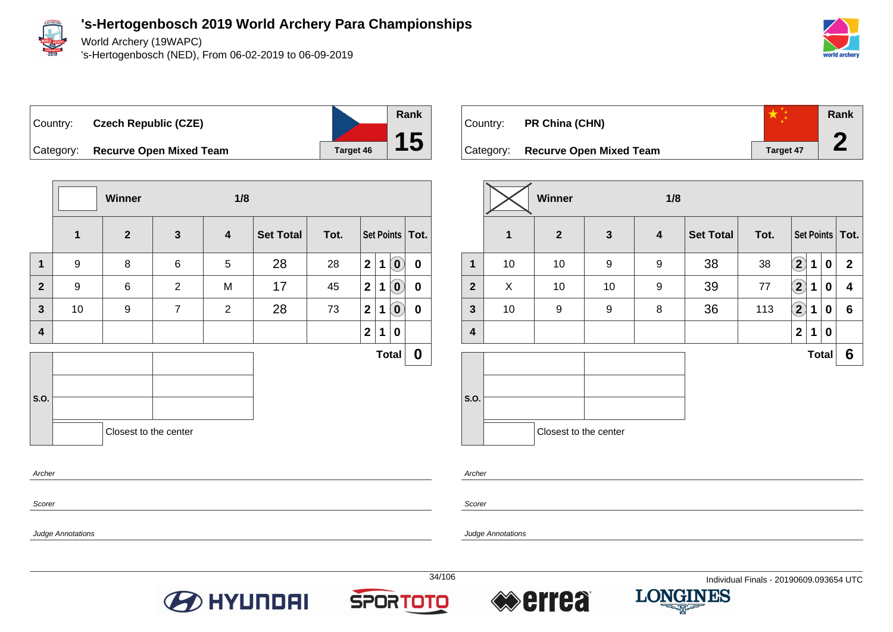

Judge Annotations

**'s-Hertogenbosch 2019 World Archery Para Championships**

World Archery (19WAPC)

's-Hertogenbosch (NED), From 06-02-2019 to 06-09-2019



Country: **Czech Republic (CZE)** Category: **Recurve Open Mixed Team Target 46 Rank 15**

|                         |                  | Winner                |                | 1/8              |                  |      |                |             |                            |                   |
|-------------------------|------------------|-----------------------|----------------|------------------|------------------|------|----------------|-------------|----------------------------|-------------------|
|                         | $\mathbf{1}$     | $\mathbf{2}$          | $\mathbf{3}$   | $\boldsymbol{4}$ | <b>Set Total</b> | Tot. |                |             |                            | Set Points   Tot. |
| $\mathbf 1$             | $\boldsymbol{9}$ | 8                     | 6              | 5                | 28               | 28   | 2 <sup>1</sup> | $\mathbf 1$ | $\left( \mathbf{0}\right)$ | $\mathbf 0$       |
| $\mathbf{2}$            | $\boldsymbol{9}$ | 6                     | $\overline{2}$ | M                | 17               | 45   | 2 <sup>1</sup> | $\mathbf 1$ | $\left( \mathbf{0}\right)$ | $\mathbf 0$       |
| $\mathbf{3}$            | 10               | 9                     | $\overline{7}$ | $\overline{2}$   | 28               | 73   | $\mathbf 2$    | 1           | $\left( \mathbf{0}\right)$ | 0                 |
| $\overline{\mathbf{4}}$ |                  |                       |                |                  |                  |      | $\mathbf{2}$   | 1           | 0                          |                   |
|                         |                  |                       |                |                  |                  |      |                |             | <b>Total</b>               | $\boldsymbol{0}$  |
| S.O.                    |                  |                       |                |                  |                  |      |                |             |                            |                   |
|                         |                  | Closest to the center |                |                  |                  |      |                |             |                            |                   |
| Archer                  |                  |                       |                |                  |                  |      |                |             |                            |                   |

| Country:  | PR China (CHN)                 |           | Rank |  |
|-----------|--------------------------------|-----------|------|--|
| Category: | <b>Recurve Open Mixed Team</b> | Target 47 |      |  |

|                         |    | <b>Winner</b>         |                  | 1/8 |                  |      |                   |              |                  |                   |
|-------------------------|----|-----------------------|------------------|-----|------------------|------|-------------------|--------------|------------------|-------------------|
|                         | 1  | $\overline{2}$        | $\mathbf{3}$     | 4   | <b>Set Total</b> | Tot. |                   |              |                  | Set Points   Tot. |
| 1                       | 10 | 10                    | $\boldsymbol{9}$ | 9   | 38               | 38   | $\left( 2\right)$ | 1            | $\mathbf 0$      | $\mathbf{2}$      |
| $\overline{2}$          | X  | 10                    | 10               | 9   | 39               | 77   | $\boxed{2}$       | 1            | 0                | 4                 |
| $\mathbf{3}$            | 10 | 9                     | 9                | 8   | 36               | 113  | $\left( 2\right)$ | 1            | 0                | $6\phantom{1}$    |
| $\overline{\mathbf{4}}$ |    |                       |                  |     |                  |      | 2 <sup>1</sup>    | 1            | $\boldsymbol{0}$ |                   |
|                         |    |                       |                  |     |                  |      |                   | <b>Total</b> |                  | 6                 |
|                         |    |                       |                  |     |                  |      |                   |              |                  |                   |
| S.O.                    |    |                       |                  |     |                  |      |                   |              |                  |                   |
|                         |    | Closest to the center |                  |     |                  |      |                   |              |                  |                   |

Archer

Scorer







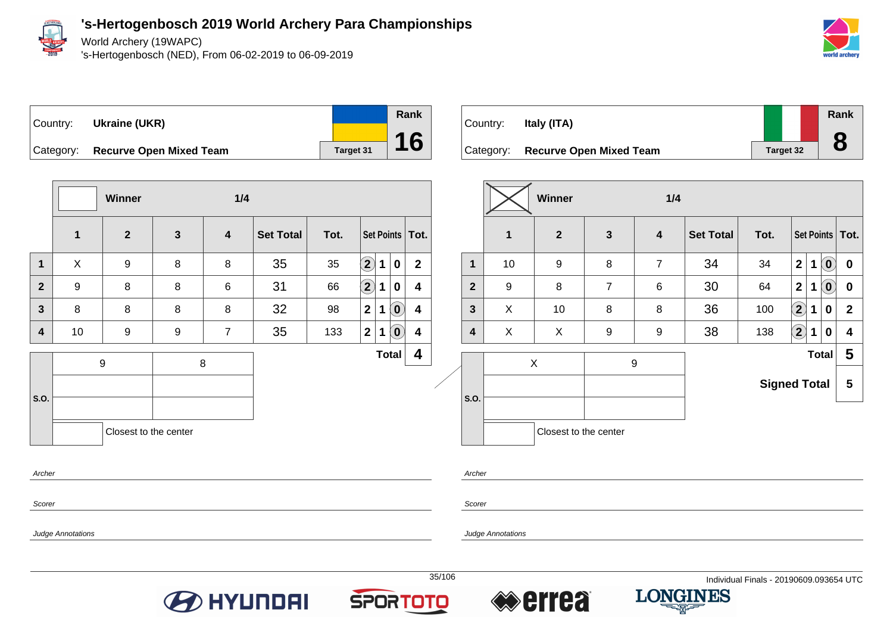

World Archery (19WAPC)

's-Hertogenbosch (NED), From 06-02-2019 to 06-09-2019



**Total 5**





| 4                | $\overline{2}$ | 9 | 8                     |   | 6 | 30 | 64                  | $\mathbf{2}$ |              | $\bf{0}$ | $\bf{0}$       |
|------------------|----------------|---|-----------------------|---|---|----|---------------------|--------------|--------------|----------|----------------|
| 4                | $\mathbf{3}$   | X | 10                    | 8 | 8 | 36 | 100                 | $\mathbf{2}$ | 1            | 0        | $\overline{2}$ |
| 4                | 4              | X | X                     | 9 | 9 | 38 | 138                 | $\mathbf{2}$ | 1            | 0        | 4              |
| $\boldsymbol{4}$ |                |   | Χ                     |   | 9 |    |                     |              | <b>Total</b> |          | 5              |
|                  | S.O.           |   |                       |   |   |    | <b>Signed Total</b> |              |              |          | 5              |
|                  |                |   | Closest to the center |   |   |    |                     |              |              |          |                |

**Archer** 

Scorer

**Scorer** 

Archer

Judge Annotations

Judge Annotations





**Total 4**





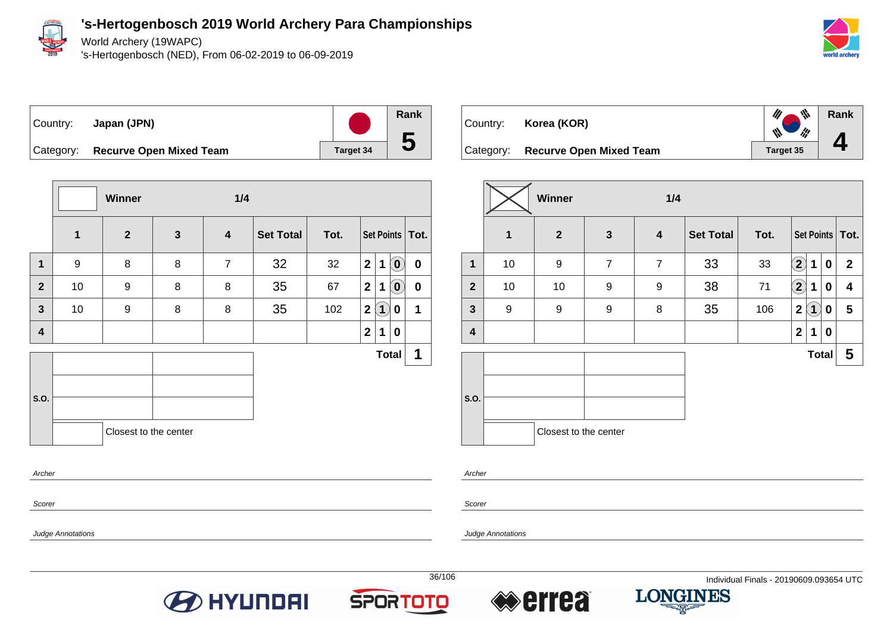

World Archery (19WAPC)

's-Hertogenbosch (NED), From 06-02-2019 to 06-09-2019



| ∣Country: | Japan (JPN)                       |                  |
|-----------|-----------------------------------|------------------|
|           | Category: Recurve Open Mixed Team | <b>Target 34</b> |

**Winner 1/4 1 2 3 4 Set Total Tot. Set Points Tot. 1** 9 8 8 7 32 32 **2 1 0 0 2** 10 9 8 8 35 67 **2 1 0 0 3** 10 9 8 8 35 102 **2 1 0 1 4 2 1 0 S.O. Total 1** Closest to the center Archer

| Country: | Korea (KOR)                       |           | $\mathscr{M}$<br>$\psi$<br><b>Signal</b> | Rank |
|----------|-----------------------------------|-----------|------------------------------------------|------|
|          | Category: Recurve Open Mixed Team | Target 35 |                                          |      |

|                | Winner<br>1/4 |                       |                |                         |                  |      |                   |                |             |              |
|----------------|---------------|-----------------------|----------------|-------------------------|------------------|------|-------------------|----------------|-------------|--------------|
|                | $\mathbf{1}$  | $\mathbf{2}$          | $\mathbf{3}$   | $\overline{\mathbf{4}}$ | <b>Set Total</b> | Tot. | Set Points   Tot. |                |             |              |
| $\mathbf{1}$   | 10            | 9                     | $\overline{7}$ | $\overline{7}$          | 33               | 33   | $\mathbf{2}$      | 1              | $\mathbf 0$ | $\mathbf{2}$ |
| $\overline{2}$ | 10            | 10                    | 9              | $\boldsymbol{9}$        | 38               | 71   | $\bf \Omega$      | 1              | $\mathbf 0$ | 4            |
| $\mathbf{3}$   | 9             | 9                     | 9              | 8                       | 35               | 106  | $\mathbf{2}$      | $\overline{1}$ | 0           | 5            |
| 4              |               |                       |                |                         |                  |      | $\mathbf 2$       | 1              | $\mathbf 0$ |              |
|                |               |                       |                |                         |                  |      |                   | <b>Total</b>   |             | 5            |
| S.O.           |               |                       |                |                         |                  |      |                   |                |             |              |
|                |               |                       |                |                         |                  |      |                   |                |             |              |
|                |               | Closest to the center |                |                         |                  |      |                   |                |             |              |

Archer

Scorer

Judge Annotations

Scorer

Judge Annotations





**Rank**

**5**



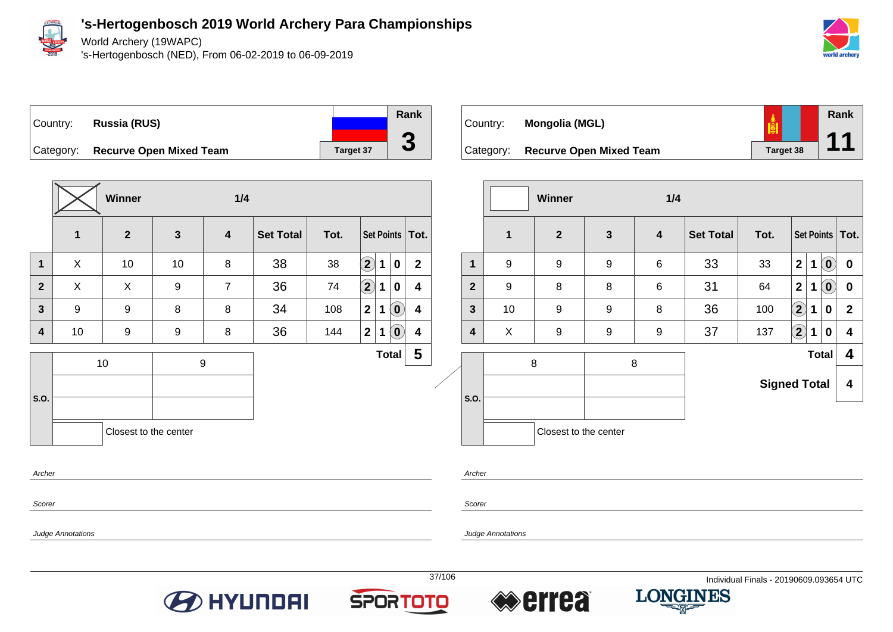

World Archery (19WAPC)

's-Hertogenbosch (NED), From 06-02-2019 to 06-09-2019





**Winner 1/4 1 2 3 4 Set Total Tot. Set Points Tot. 1** X 10 10 8 38 38 **2 1 0 2 2** X X 9 7 36 74 **2 1 0 4 3** 9 9 8 8 34 108 **2 1 0 4 4** 10 9 9 8 36 144 **2 1 0 4 S.O.** 10 9 **Total 5** Closest to the center Archer

| Country:  | Mongolia (MGL)                 |                  | Rank |
|-----------|--------------------------------|------------------|------|
| Category: | <b>Recurve Open Mixed Team</b> | <b>Target 38</b> |      |

|  |                |    | Winner                |              | 1/4                     |                  |                     |                            |   |                            |                   |
|--|----------------|----|-----------------------|--------------|-------------------------|------------------|---------------------|----------------------------|---|----------------------------|-------------------|
|  |                | 1  | $\overline{2}$        | $\mathbf{3}$ | $\overline{\mathbf{4}}$ | <b>Set Total</b> | Tot.                |                            |   |                            | Set Points   Tot. |
|  | 1              | 9  | $\boldsymbol{9}$      | 9            | 6                       | 33               | 33                  | $\overline{2}$             | 1 | $\left( \mathbf{0}\right)$ | $\bf{0}$          |
|  | $\overline{2}$ | 9  | 8                     | 8            | 6                       | 31               | 64                  | $\overline{2}$             | 1 | $\left( \mathbf{0}\right)$ | $\bf{0}$          |
|  | 3              | 10 | $\boldsymbol{9}$      | 9            | 8                       | 36               | 100                 | $\bf \Omega$               | 1 | 0                          | $\mathbf{2}$      |
|  | 4              | X  | 9                     | 9            | 9                       | 37               | 137                 | $\left( \mathbf{2}\right)$ | 1 | 0                          | 4                 |
|  |                |    | 8                     | 8            |                         |                  |                     |                            |   | <b>Total</b>               | 4                 |
|  | S.O.           |    |                       |              |                         |                  | <b>Signed Total</b> |                            |   |                            | 4                 |
|  |                |    | Closest to the center |              |                         |                  |                     |                            |   |                            |                   |

Scorer

Scorer

Archer

Judge Annotations







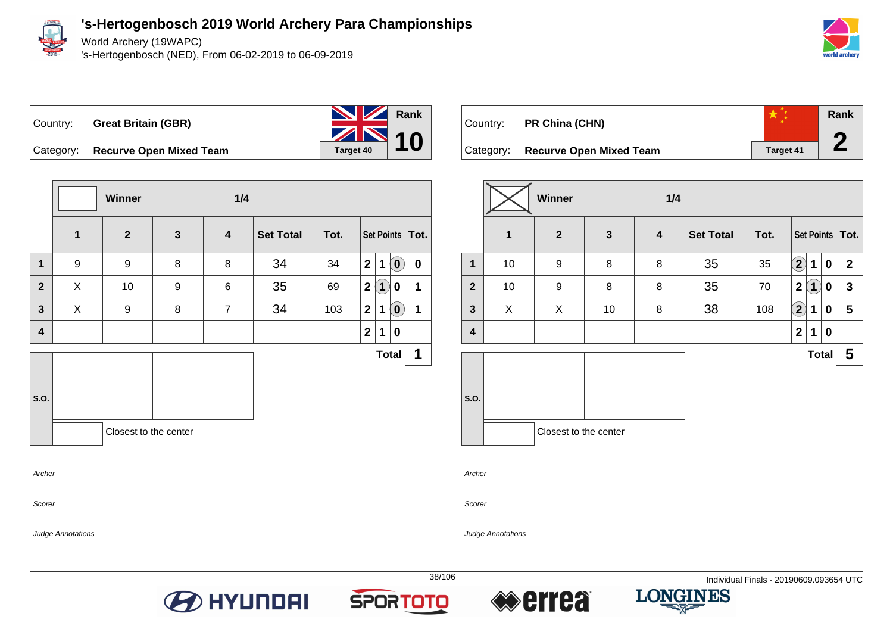

World Archery (19WAPC)

's-Hertogenbosch (NED), From 06-02-2019 to 06-09-2019





Category: **Recurve Open Mixed Team Target 40** 

|                         |             | Winner                |              | 1/4                     |                  |      |                |             |                            |                   |
|-------------------------|-------------|-----------------------|--------------|-------------------------|------------------|------|----------------|-------------|----------------------------|-------------------|
|                         | $\mathbf 1$ | $\mathbf{2}$          | $\mathbf{3}$ | $\overline{\mathbf{4}}$ | <b>Set Total</b> | Tot. |                |             |                            | Set Points   Tot. |
| $\mathbf{1}$            | 9           | $\boldsymbol{9}$      | 8            | 8                       | 34               | 34   | 2              | $\mathbf 1$ | $\left( \mathbf{0}\right)$ | $\mathbf 0$       |
| $\mathbf{2}$            | X           | 10                    | 9            | 6                       | 35               | 69   | $\mathbf{2}$   | (1)         | 0                          | 1                 |
| $\mathbf{3}$            | X           | 9                     | 8            | $\overline{7}$          | 34               | 103  | $\mathbf{2}$   | $\mathbf 1$ | $\left( \mathbf{0}\right)$ | $\mathbf 1$       |
| $\overline{\mathbf{4}}$ |             |                       |              |                         |                  |      | 2 <sup>1</sup> | $\mathbf 1$ | 0                          |                   |
|                         |             |                       |              |                         |                  |      |                |             | <b>Total</b>               | 1                 |
| S.O.                    |             |                       |              |                         |                  |      |                |             |                            |                   |
|                         |             | Closest to the center |              |                         |                  |      |                |             |                            |                   |
| Archer                  |             |                       |              |                         |                  |      |                |             |                            |                   |

| Country:  | PR China (CHN)                 |                  | Rank<br>A |
|-----------|--------------------------------|------------------|-----------|
| Category: | <b>Recurve Open Mixed Team</b> | <b>Target 41</b> |           |

|                         |    | <b>Winner</b><br>1/4  |              |                  |                  |      |                        |                         |             |                   |
|-------------------------|----|-----------------------|--------------|------------------|------------------|------|------------------------|-------------------------|-------------|-------------------|
|                         | 1  | $\mathbf{2}$          | $\mathbf{3}$ | $\boldsymbol{4}$ | <b>Set Total</b> | Tot. |                        |                         |             | Set Points   Tot. |
| 1                       | 10 | 9                     | 8            | 8                | 35               | 35   | $\mathbf{\widehat{2}}$ | 1                       | $\mathbf 0$ | $\mathbf{2}$      |
| $\mathbf{2}$            | 10 | 9                     | 8            | 8                | 35               | 70   | $\mathbf{2}$           | $\overline{\mathbf{1}}$ | 0           | $\mathbf{3}$      |
| $\mathbf{3}$            | X  | X                     | 10           | 8                | 38               | 108  | $\Large{\textbf{2}}$   | 1                       | 0           | 5                 |
| $\overline{\mathbf{4}}$ |    |                       |              |                  |                  |      | $\mathbf{2}$           | 1                       | $\mathbf 0$ |                   |
|                         |    |                       |              |                  |                  |      |                        | <b>Total</b>            |             | 5                 |
| S.O.                    |    |                       |              |                  |                  |      |                        |                         |             |                   |
|                         |    | Closest to the center |              |                  |                  |      |                        |                         |             |                   |

Archer

Scorer

Judge Annotations

Scorer







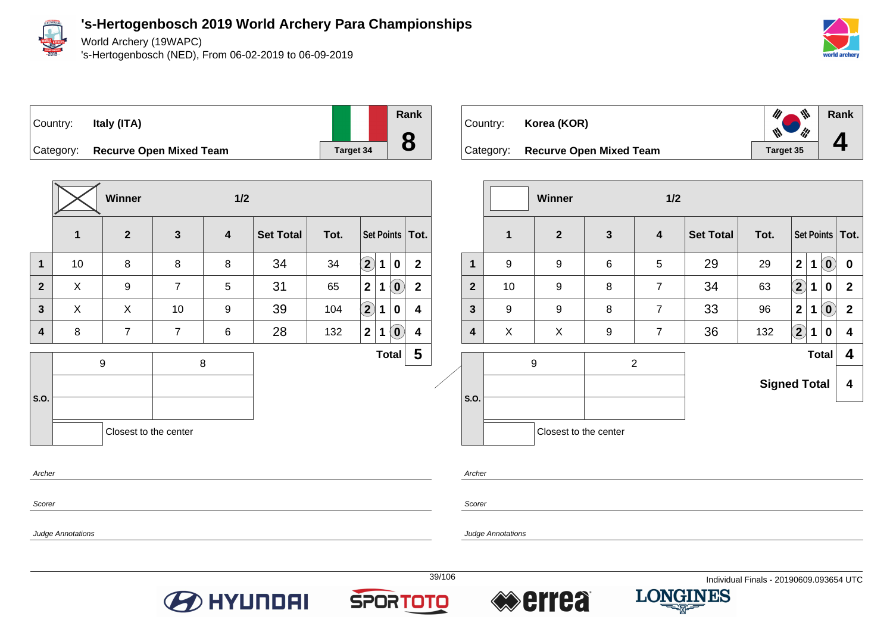

World Archery (19WAPC)

's-Hertogenbosch (NED), From 06-02-2019 to 06-09-2019



**Rank**

 $\frac{d\mu}{dt}$ 

W

**4**





Category: **Recurve Open Mixed Team Target 34** 

|                         |    | <b>Winner</b>         | $1/2$          |                |                  |      |                          |                            |                   |
|-------------------------|----|-----------------------|----------------|----------------|------------------|------|--------------------------|----------------------------|-------------------|
|                         | 1  | $\overline{2}$        | $\mathbf{3}$   | 4              | <b>Set Total</b> | Tot. |                          |                            | Set Points   Tot. |
| $\mathbf 1$             | 10 | 8                     | 8              | 8              | 34               | 34   | $\bf (2)$<br>$\mathbf 1$ | $\mathbf 0$                | $\mathbf{2}$      |
| $\overline{2}$          | X  | $\boldsymbol{9}$      | $\overline{7}$ | 5              | 31               | 65   | $\mathbf{2}$<br>1        | $\left( \mathbf{0}\right)$ | $\overline{2}$    |
| $\mathbf{3}$            | X  | X                     | 10             | 9              | 39               | 104  | $\mathbf{2}$<br>1        | $\mathbf 0$                | 4                 |
| $\overline{\mathbf{4}}$ | 8  | $\overline{7}$        | $\overline{7}$ | $6\phantom{1}$ | 28               | 132  | $\mathbf{2}$<br>1        | $\left( \mathbf{0}\right)$ | 4                 |
|                         |    | 9                     | 8              |                |                  |      |                          | <b>Total</b>               | 5                 |
| S.O.                    |    |                       |                |                |                  |      |                          |                            |                   |
|                         |    | Closest to the center |                |                |                  |      |                          |                            |                   |

 $\mathscr{U}_\ell$ Country: **Korea (KOR)**  $\mathscr{U}$ Category: **Recurve Open Mixed Team Target 35** 

|                |             | <b>Winner</b>         |                 | 1/2            |                  |                     |                   |             |                            |                   |
|----------------|-------------|-----------------------|-----------------|----------------|------------------|---------------------|-------------------|-------------|----------------------------|-------------------|
|                | $\mathbf 1$ | $\overline{2}$        | $\mathbf{3}$    | 4              | <b>Set Total</b> | Tot.                |                   |             |                            | Set Points   Tot. |
| $\mathbf 1$    | 9           | 9                     | $6\phantom{1}6$ | 5              | 29               | 29                  | $\overline{2}$    | 1           | $\left( \mathbf{0}\right)$ | $\mathbf 0$       |
| $\overline{2}$ | 10          | 9                     | 8               | $\overline{7}$ | 34               | 63                  | $\bigcirc \!\! 2$ | $\mathbf 1$ | 0                          | $\mathbf{2}$      |
| 3              | 9           | 9                     | 8               | $\overline{7}$ | 33               | 96                  | $\overline{2}$    | 1           | $\left( \mathbf{0}\right)$ | $\overline{2}$    |
| 4              | X           | X                     | 9               | $\overline{7}$ | 36               | 132                 | $\bf(2)$          | 1           | $\mathbf 0$                | 4                 |
|                |             | 9                     | $\overline{2}$  |                | <b>Total</b>     |                     |                   |             |                            | 4                 |
|                |             |                       |                 |                |                  | <b>Signed Total</b> |                   |             |                            | 4                 |
| S.O.           |             |                       |                 |                |                  |                     |                   |             |                            |                   |
|                |             | Closest to the center |                 |                |                  |                     |                   |             |                            |                   |

Scorer

Archer

Scorer

Archer

Judge Annotations







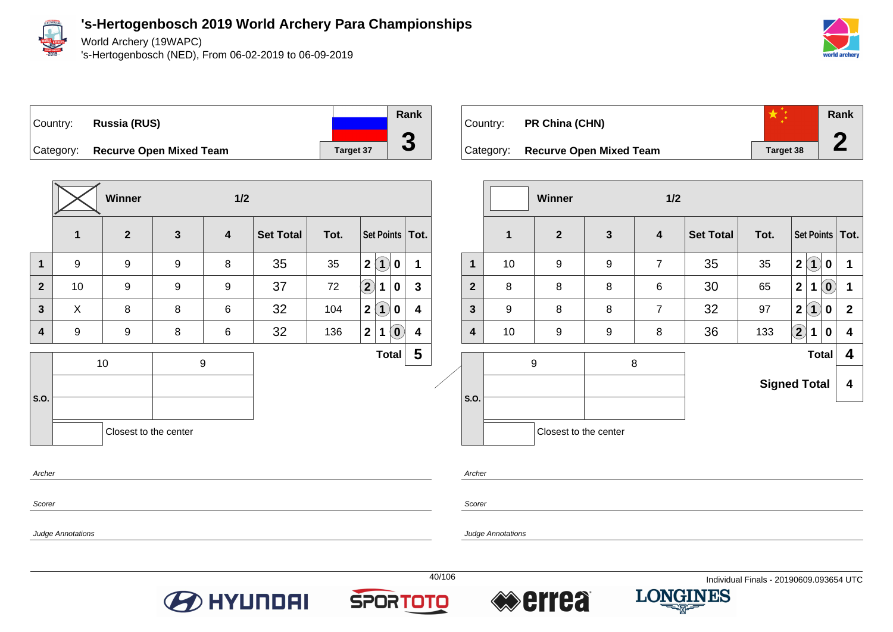

World Archery (19WAPC)

's-Hertogenbosch (NED), From 06-02-2019 to 06-09-2019





**Winner 1/2 1 2 3 4 Set Total Tot. Set Points Tot. 1** 9 9 9 8 35 35 **2 1 0 1 2** 10 9 9 9 37 72 **2 1 0 3 3** X 8 8 6 32 104 **2 1 0 4 4** 9 9 8 6 32 136 **2 1 0 4 S.O.** 10 9 **Total 5** Closest to the center Archer

| Country:  | PR China (CHN)                 |           | Rank |
|-----------|--------------------------------|-----------|------|
| Category: | <b>Recurve Open Mixed Team</b> | Target 38 |      |
|           |                                |           |      |

|                |    | <b>Winner</b>         |              | 1/2                     |                  |                     |                         |                             |                            |                         |
|----------------|----|-----------------------|--------------|-------------------------|------------------|---------------------|-------------------------|-----------------------------|----------------------------|-------------------------|
|                | 1  | $\overline{2}$        | $\mathbf{3}$ | $\overline{\mathbf{4}}$ | <b>Set Total</b> | Tot.                |                         |                             |                            | Set Points   Tot.       |
| $\mathbf 1$    | 10 | 9                     | 9            | $\overline{7}$          | 35               | 35                  | $\overline{\mathbf{2}}$ | $\left( 1\right)$           | 0                          | 1                       |
| $\overline{2}$ | 8  | 8                     | 8            | 6                       | 30               | 65                  | $\overline{\mathbf{2}}$ | 1                           | $\left( \mathbf{0}\right)$ | 1                       |
| 3              | 9  | 8                     | 8            | $\overline{7}$          | 32               | 97                  | $\mathbf{2}$            | $\left  \mathbf{1} \right $ | 0                          | $\mathbf{2}$            |
| 4              | 10 | 9                     | 9            | 8                       | 36               | 133                 | $\left( 2\right)$       | 1                           | 0                          | $\overline{\mathbf{4}}$ |
|                | 9  |                       |              | 8                       |                  |                     |                         | <b>Total</b>                |                            | 4                       |
|                |    |                       |              |                         |                  | <b>Signed Total</b> |                         |                             |                            | 4                       |
| S.O.           |    |                       |              |                         |                  |                     |                         |                             |                            |                         |
|                |    | Closest to the center |              |                         |                  |                     |                         |                             |                            |                         |

Scorer

Scorer

Archer

Judge Annotations







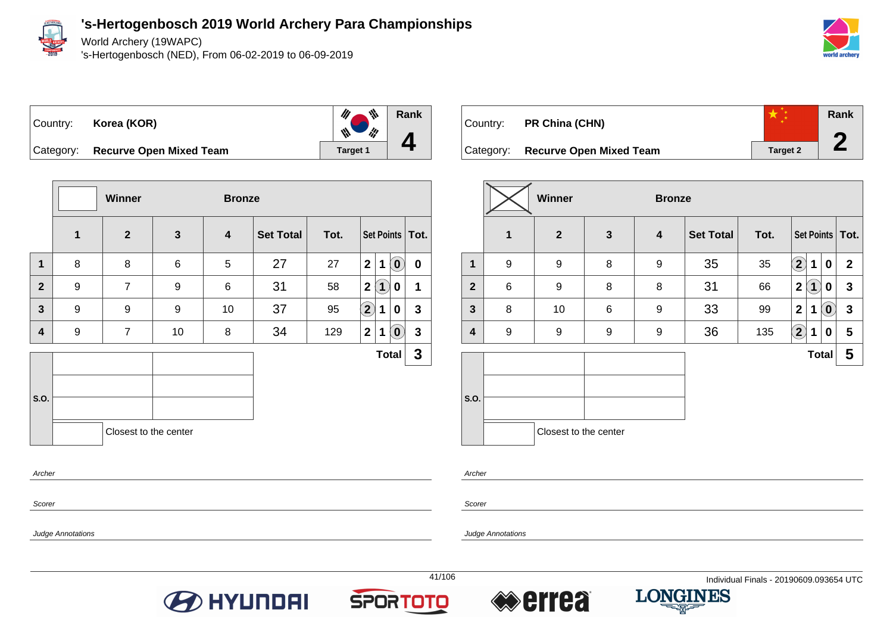

World Archery (19WAPC)

's-Hertogenbosch (NED), From 06-02-2019 to 06-09-2019







Category: **Recurve Open Mixed Team Target 1** Target 1

|                         |                  | Winner                |              | <b>Bronze</b>           |                  |      |                   |              |                            |                   |
|-------------------------|------------------|-----------------------|--------------|-------------------------|------------------|------|-------------------|--------------|----------------------------|-------------------|
|                         | 1                | $\mathbf{2}$          | $\mathbf{3}$ | $\overline{\mathbf{4}}$ | <b>Set Total</b> | Tot. |                   |              |                            | Set Points   Tot. |
| $\mathbf{1}$            | 8                | 8                     | 6            | 5                       | 27               | 27   | 2 <sup>1</sup>    | $\mathbf 1$  | $\left( \mathbf{0}\right)$ | $\mathbf 0$       |
| $\mathbf{2}$            | 9                | $\overline{7}$        | 9            | 6                       | 31               | 58   | 2 <sup>1</sup>    | $\mathbf{1}$ | 0                          | 1                 |
| 3                       | 9                | 9                     | 9            | 10                      | 37               | 95   | $\left( 2\right)$ | 1            | 0                          | $\mathbf{3}$      |
| $\overline{\mathbf{4}}$ | $\boldsymbol{9}$ | $\overline{7}$        | 10           | 8                       | 34               | 129  | 2 <sup>1</sup>    | 1            | $\left( \mathbf{0}\right)$ | $\mathbf{3}$      |
|                         |                  |                       |              |                         |                  |      |                   |              | <b>Total</b>               | $\mathbf{3}$      |
| S.O.                    |                  | Closest to the center |              |                         |                  |      |                   |              |                            |                   |
| Archor                  |                  |                       |              |                         |                  |      |                   |              |                            |                   |

| Country:  | PR China (CHN)                 |                 | Rank |  |
|-----------|--------------------------------|-----------------|------|--|
| Category: | <b>Recurve Open Mixed Team</b> | <b>Target 2</b> |      |  |
|           | <b>Winner</b><br><b>Bronze</b> |                 |      |  |

|                |              | Winner                |              | <b>Bronze</b>    |                  |      |                            |                                 |                   |
|----------------|--------------|-----------------------|--------------|------------------|------------------|------|----------------------------|---------------------------------|-------------------|
|                | $\mathbf{1}$ | $\mathbf{2}$          | $\mathbf{3}$ | 4                | <b>Set Total</b> | Tot. |                            |                                 | Set Points   Tot. |
| 1              | 9            | 9                     | 8            | 9                | 35               | 35   | $\left( \mathbf{2}\right)$ | 0<br>1                          | $\mathbf{2}$      |
| $\overline{2}$ | 6            | 9                     | 8            | 8                | 31               | 66   | $\mathbf{2}$               | $\mathbf 1$<br>0                | $\mathbf{3}$      |
| $\mathbf{3}$   | 8            | 10                    | 6            | 9                | 33               | 99   | $\overline{\mathbf{2}}$    | $\left( \mathbf{0}\right)$<br>1 | $\mathbf{3}$      |
| 4              | 9            | 9                     | 9            | $\boldsymbol{9}$ | 36               | 135  | $\left( \mathbf{2}\right)$ | 1<br>0                          | 5                 |
|                |              |                       |              |                  |                  |      |                            | <b>Total</b>                    | 5                 |
| S.O.           |              |                       |              |                  |                  |      |                            |                                 |                   |
|                |              | Closest to the center |              |                  |                  |      |                            |                                 |                   |

Archer

Scorer

Judge Annotations

Scorer

Archer

Judge Annotations







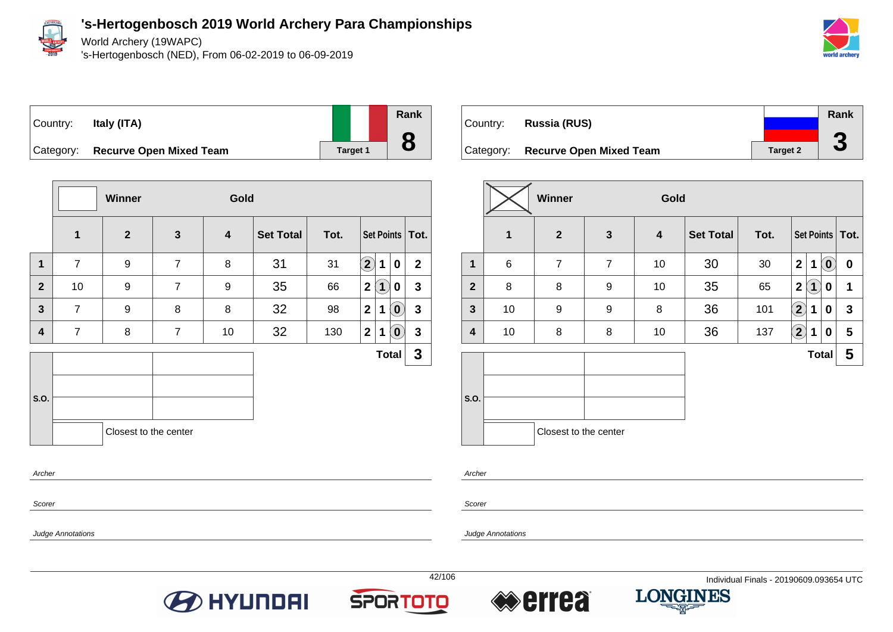

Scorer

Judge Annotations

**'s-Hertogenbosch 2019 World Archery Para Championships**

World Archery (19WAPC)

's-Hertogenbosch (NED), From 06-02-2019 to 06-09-2019



|                    | Country: Italy (ITA)           |
|--------------------|--------------------------------|
| C <sub>other</sub> | <b>Desurve Onen Mived Team</b> |

|       | Rank |
|-------|------|
|       |      |
| get 1 |      |

| Category: Recurve Open Mixed Team | <b>Target 1</b> |
|-----------------------------------|-----------------|
|                                   |                 |

|                |                | Winner                |                | Gold |                  |      |                            |                            |              |  |
|----------------|----------------|-----------------------|----------------|------|------------------|------|----------------------------|----------------------------|--------------|--|
|                | $\mathbf{1}$   | $\mathbf{2}$          | $\mathbf{3}$   | 4    | <b>Set Total</b> | Tot. |                            | Set Points   Tot.          |              |  |
| 1              | $\overline{7}$ | 9                     | $\overline{7}$ | 8    | 31               | 31   | $\mathbf{2}$<br>1          | $\bf{0}$                   | $\mathbf{2}$ |  |
| $\overline{2}$ | 10             | 9                     | $\overline{7}$ | 9    | 35               | 66   | $\bf(1)$<br>$\mathbf 2$    | 0                          | $\mathbf{3}$ |  |
| 3              | $\overline{7}$ | 9                     | 8              | 8    | 32               | 98   | $\mathbf{2}$<br>1          | $\mathbf{O}$               | $\mathbf{3}$ |  |
| 4              | $\overline{7}$ | 8                     | $\overline{7}$ | 10   | 32               | 130  | $\mathbf 2$<br>$\mathbf 1$ | $\left( \mathbf{0}\right)$ | $\mathbf{3}$ |  |
|                |                |                       |                |      |                  |      |                            | <b>Total</b>               | $\mathbf{3}$ |  |
|                |                |                       |                |      |                  |      |                            |                            |              |  |
| S.O.           |                |                       |                |      |                  |      |                            |                            |              |  |
|                |                | Closest to the center |                |      |                  |      |                            |                            |              |  |
| Archer         |                |                       |                |      |                  |      |                            |                            |              |  |

| Country:  | Russia (RUS)                   |                 | Rank   |
|-----------|--------------------------------|-----------------|--------|
| Category: | <b>Recurve Open Mixed Team</b> | <b>Target 2</b> | G<br>J |

|                         |    | <b>Winner</b>         |                | Gold                    |                  |      |                            |                   |                                        |
|-------------------------|----|-----------------------|----------------|-------------------------|------------------|------|----------------------------|-------------------|----------------------------------------|
|                         | 1  | $\mathbf{2}$          | $\mathbf{3}$   | $\overline{\mathbf{4}}$ | <b>Set Total</b> | Tot. |                            |                   | Set Points   Tot.                      |
| 1                       | 6  | $\overline{7}$        | $\overline{7}$ | 10                      | 30               | 30   | $\overline{\mathbf{2}}$    | 1                 | $\left( \mathbf{0}\right)$<br>$\bf{0}$ |
| $\overline{2}$          | 8  | 8                     | 9              | 10                      | 35               | 65   | $\overline{\mathbf{2}}$    | $\left( 1\right)$ | 1<br>0                                 |
| $\mathbf{3}$            | 10 | 9                     | 9              | 8                       | 36               | 101  | $\mathbf{2}$               | 1                 | $\mathbf{3}$<br>0                      |
| $\overline{\mathbf{4}}$ | 10 | 8                     | 8              | 10                      | 36               | 137  | $\left( \mathbf{2}\right)$ | 1                 | 5<br>0                                 |
|                         |    |                       |                |                         |                  |      |                            | <b>Total</b>      | 5                                      |
| S.O.                    |    | Closest to the center |                |                         |                  |      |                            |                   |                                        |

Archer

Scorer

Judge Annotations







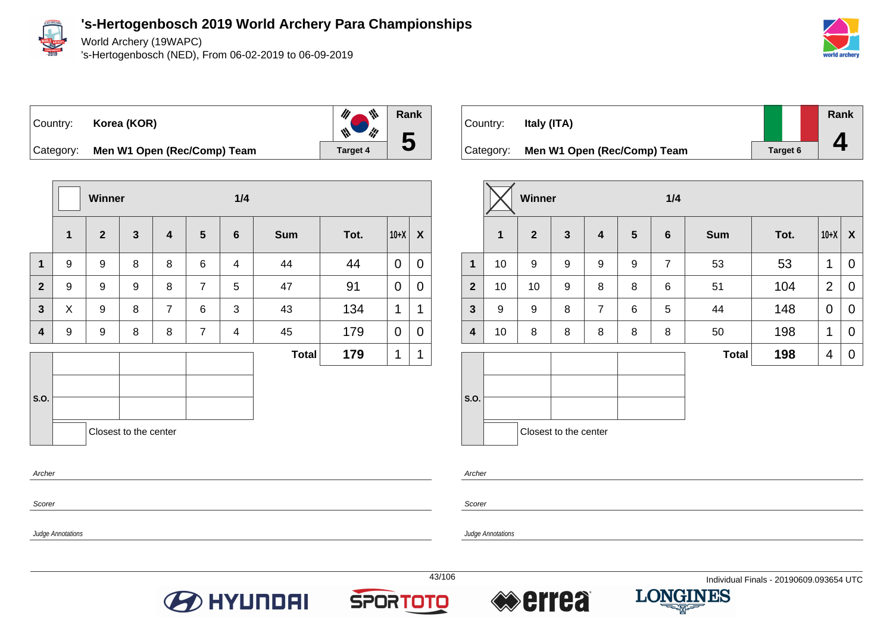

World Archery (19WAPC)

's-Hertogenbosch (NED), From 06-02-2019 to 06-09-2019







Category: **Men W1 Open (Rec/Comp) Team Target 4** 

|                         |             | Winner         |                       |                         |                 | 1/4                      |              |      |             |                    |
|-------------------------|-------------|----------------|-----------------------|-------------------------|-----------------|--------------------------|--------------|------|-------------|--------------------|
|                         | $\mathbf 1$ | $\overline{2}$ | $\mathbf{3}$          | $\overline{\mathbf{4}}$ | $5\phantom{.0}$ | $6\phantom{a}$           | <b>Sum</b>   | Tot. | $10+X$      | $\pmb{\mathsf{X}}$ |
| $\mathbf{1}$            | 9           | 9              | 8                     | 8                       | 6               | 4                        | 44           | 44   | 0           | 0                  |
| $\overline{2}$          | 9           | 9              | 9                     | 8                       | $\overline{7}$  | 5                        | 47           | 91   | $\mathbf 0$ | $\mathbf 0$        |
| $\mathbf{3}$            | X           | 9              | 8                     | $\overline{7}$          | 6               | 3                        | 43           | 134  | 1           | 1                  |
| $\overline{\mathbf{4}}$ | 9           | 9              | 8                     | 8                       | $\overline{7}$  | $\overline{\mathcal{A}}$ | 45           | 179  | 0           | 0                  |
|                         |             |                |                       |                         |                 |                          | <b>Total</b> | 179  | 1           | 1                  |
|                         |             |                |                       |                         |                 |                          |              |      |             |                    |
| S.O.                    |             |                |                       |                         |                 |                          |              |      |             |                    |
|                         |             |                | Closest to the center |                         |                 |                          |              |      |             |                    |
| Archer                  |             |                |                       |                         |                 |                          |              |      |             |                    |
| Scorer                  |             |                |                       |                         |                 |                          |              |      |             |                    |

| Country:  | Italy (ITA)                 |          | <b>Rank</b> |
|-----------|-----------------------------|----------|-------------|
| Category: | Men W1 Open (Rec/Comp) Team | Target 6 |             |

|              |              | Winner         |                       |                         |                | 1/4             |              |      |                |             |
|--------------|--------------|----------------|-----------------------|-------------------------|----------------|-----------------|--------------|------|----------------|-------------|
|              | $\mathbf{1}$ | $\overline{2}$ | $\mathbf{3}$          | $\overline{\mathbf{4}}$ | $5\phantom{1}$ | $6\phantom{1}6$ | <b>Sum</b>   | Tot. | $10+X$         | X           |
| $\mathbf 1$  | 10           | 9              | 9                     | 9                       | 9              | $\overline{7}$  | 53           | 53   | 1              | $\mathbf 0$ |
| $\mathbf{2}$ | 10           | 10             | 9                     | 8                       | 8              | 6               | 51           | 104  | $\overline{2}$ | $\mathbf 0$ |
| $\mathbf{3}$ | 9            | 9              | 8                     | $\overline{7}$          | 6              | 5               | 44           | 148  | 0              | $\mathbf 0$ |
| 4            | 10           | 8              | 8                     | 8                       | 8              | 8               | 50           | 198  | 1              | $\mathbf 0$ |
|              |              |                |                       |                         |                |                 | <b>Total</b> | 198  | 4              | $\mathbf 0$ |
|              |              |                |                       |                         |                |                 |              |      |                |             |
| S.O.         |              |                |                       |                         |                |                 |              |      |                |             |
|              |              |                | Closest to the center |                         |                |                 |              |      |                |             |

Archer

Scorer

Judge Annotations

Judge Annotations

**O** HYUNDAI





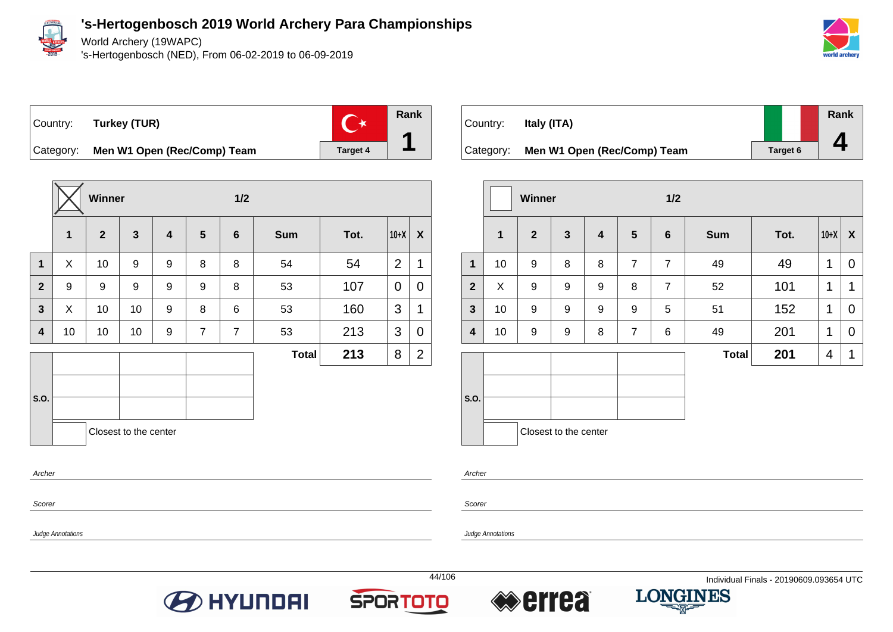

Scorer

Judge Annotations

**'s-Hertogenbosch 2019 World Archery Para Championships**

World Archery (19WAPC)

's-Hertogenbosch (NED), From 06-02-2019 to 06-09-2019



Country: **Turkey (TUR)**



Category: **Men W1 Open (Rec/Comp) Team** Target 4

|                |             | Winner       |                       |                         |                | 1/2            |              |      |                |                           |  |
|----------------|-------------|--------------|-----------------------|-------------------------|----------------|----------------|--------------|------|----------------|---------------------------|--|
|                | $\mathbf 1$ | $\mathbf{2}$ | $\mathbf{3}$          | $\overline{\mathbf{4}}$ | $5\phantom{1}$ | $6\phantom{1}$ | <b>Sum</b>   | Tot. | $10+X$         | $\boldsymbol{\mathsf{X}}$ |  |
| $\mathbf 1$    | X           | 10           | 9                     | 9                       | 8              | $\bf 8$        | 54           | 54   | $\overline{2}$ | $\mathbf 1$               |  |
| $\overline{2}$ | 9           | 9            | 9                     | 9                       | 9              | 8              | 53           | 107  | 0              | $\mathbf 0$               |  |
| 3              | X           | 10           | 10                    | 9                       | 8              | 6              | 53           | 160  | 3              | 1                         |  |
| 4              | 10          | 10           | 10                    | 9                       | $\overline{7}$ | $\overline{7}$ | 53           | 213  | 3              | $\mathbf 0$               |  |
|                |             |              |                       |                         |                |                | <b>Total</b> | 213  | 8              | $\overline{2}$            |  |
|                |             |              |                       |                         |                |                |              |      |                |                           |  |
| S.O.           |             |              |                       |                         |                |                |              |      |                |                           |  |
|                |             |              | Closest to the center |                         |                |                |              |      |                |                           |  |
| Archer         |             |              |                       |                         |                |                |              |      |                |                           |  |

| Country:  | Italy (ITA)                 |          | Rank |
|-----------|-----------------------------|----------|------|
| Category: | Men W1 Open (Rec/Comp) Team | Target 6 |      |

|                |              | <b>Winner</b>    |                       |                         | 1/2              |                 |              |      |                         |                  |
|----------------|--------------|------------------|-----------------------|-------------------------|------------------|-----------------|--------------|------|-------------------------|------------------|
|                | $\mathbf{1}$ | $\overline{2}$   | $\mathbf{3}$          | $\overline{\mathbf{4}}$ | $5\phantom{1}$   | $6\phantom{1}6$ | <b>Sum</b>   | Tot. | $10+X$                  | $\boldsymbol{X}$ |
| $\mathbf{1}$   | 10           | 9                | 8                     | 8                       | $\overline{7}$   | $\overline{7}$  | 49           | 49   | 1                       | $\mathbf 0$      |
| $\overline{2}$ | X            | $\boldsymbol{9}$ | $\boldsymbol{9}$      | 9                       | 8                | $\overline{7}$  | 52           | 101  | 1                       | 1                |
| $\mathbf{3}$   | 10           | $\boldsymbol{9}$ | $\boldsymbol{9}$      | 9                       | $\boldsymbol{9}$ | 5               | 51           | 152  | 1                       | $\overline{0}$   |
| 4              | 10           | 9                | 9                     | 8                       | $\overline{7}$   | 6               | 49           | 201  | 1                       | 0                |
|                |              |                  |                       |                         |                  |                 | <b>Total</b> | 201  | $\overline{\mathbf{4}}$ | 1                |
| S.O.           |              |                  |                       |                         |                  |                 |              |      |                         |                  |
|                |              |                  | Closest to the center |                         |                  |                 |              |      |                         |                  |

Archer

Scorer

Judge Annotations







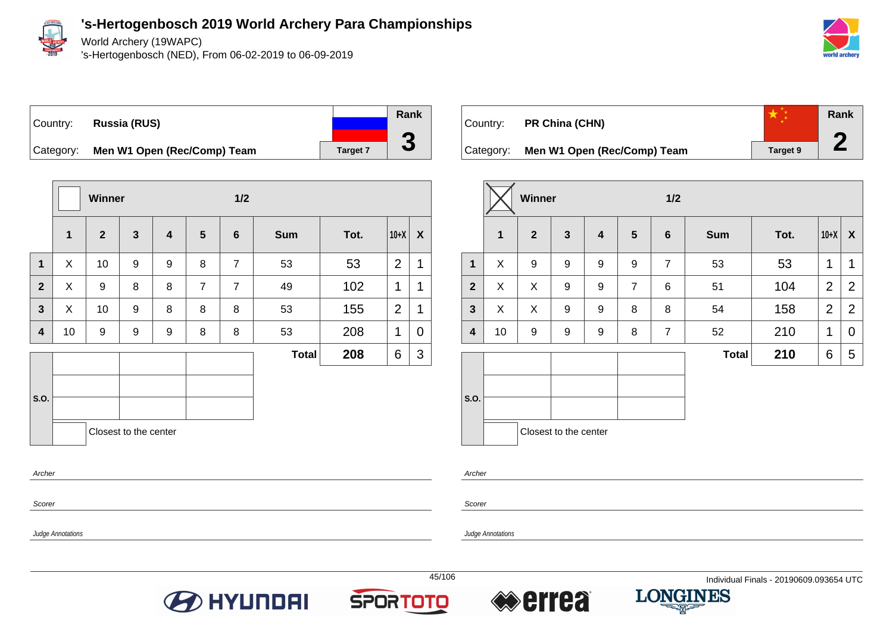

World Archery (19WAPC)

's-Hertogenbosch (NED), From 06-02-2019 to 06-09-2019



### Country: **Russia (RUS)** Category: **Men W1 Open (Rec/Comp) Team** Target 7



|                         |              | Winner         |                       |                         |                | 1/2            |              |      |                |   |
|-------------------------|--------------|----------------|-----------------------|-------------------------|----------------|----------------|--------------|------|----------------|---|
|                         | $\mathbf{1}$ | $\overline{2}$ | $\mathbf{3}$          | $\overline{\mathbf{4}}$ | $5\phantom{1}$ | $\bf 6$        | <b>Sum</b>   | Tot. | $10+X$         | X |
| $\mathbf 1$             | X            | 10             | 9                     | 9                       | 8              | $\overline{7}$ | 53           | 53   | $\overline{2}$ | 1 |
| $\mathbf{2}$            | X            | 9              | 8                     | 8                       | $\overline{7}$ | $\overline{7}$ | 49           | 102  | 1              | 1 |
| $\overline{\mathbf{3}}$ | X            | 10             | 9                     | 8                       | 8              | 8              | 53           | 155  | $\overline{2}$ | 1 |
| 4                       | 10           | 9              | 9                     | 9                       | 8              | 8              | 53           | 208  | 1              | 0 |
|                         |              |                |                       |                         |                |                | <b>Total</b> | 208  | 6              | 3 |
|                         |              |                |                       |                         |                |                |              |      |                |   |
| S.O.                    |              |                |                       |                         |                |                |              |      |                |   |
|                         |              |                | Closest to the center |                         |                |                |              |      |                |   |
| Archer                  |              |                |                       |                         |                |                |              |      |                |   |

| Country:  | PR China (CHN)              |                 | Rank |
|-----------|-----------------------------|-----------------|------|
| Category: | Men W1 Open (Rec/Comp) Team | <b>Target 9</b> |      |

|                  |              | <b>Winner</b>  |                       |                         |                | $1/2$          |              |      |                |                  |
|------------------|--------------|----------------|-----------------------|-------------------------|----------------|----------------|--------------|------|----------------|------------------|
|                  | $\mathbf{1}$ | $\overline{2}$ | $\mathbf{3}$          | $\overline{\mathbf{4}}$ | 5              | $6\phantom{1}$ | <b>Sum</b>   | Tot. | $10+X$         | $\boldsymbol{X}$ |
| 1                | X            | 9              | 9                     | 9                       | 9              | $\overline{7}$ | 53           | 53   | 1              | 1                |
| $\overline{2}$   | X            | X              | 9                     | 9                       | $\overline{7}$ | 6              | 51           | 104  | $\overline{2}$ | $\overline{2}$   |
| $\mathbf{3}$     | X            | X              | 9                     | 9                       | 8              | 8              | 54           | 158  | 2              | $\overline{2}$   |
| $\boldsymbol{4}$ | 10           | 9              | 9                     | 9                       | 8              | $\overline{7}$ | 52           | 210  | 1              | 0                |
|                  |              |                |                       |                         |                |                | <b>Total</b> | 210  | 6              | 5                |
|                  |              |                |                       |                         |                |                |              |      |                |                  |
| S.O.             |              |                |                       |                         |                |                |              |      |                |                  |
|                  |              |                | Closest to the center |                         |                |                |              |      |                |                  |

Archer

Scorer

Judge Annotations

Judge Annotations

Scorer







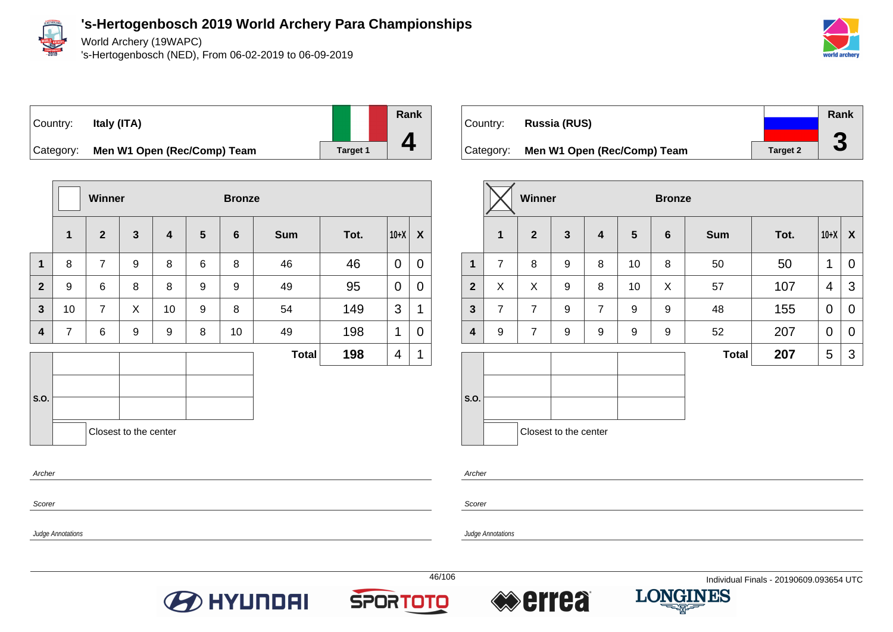

World Archery (19WAPC)

's-Hertogenbosch (NED), From 06-02-2019 to 06-09-2019



## Country: **Italy (ITA)**

**Rank**

**4**

Category: **Men W1 Open (Rec/Comp) Team** Target 1

|                         |                | <b>Winner</b>  |                       |                         |                | <b>Bronze</b>  |              |      |        |             |
|-------------------------|----------------|----------------|-----------------------|-------------------------|----------------|----------------|--------------|------|--------|-------------|
|                         | $\mathbf{1}$   | $\overline{2}$ | $\mathbf{3}$          | $\overline{\mathbf{4}}$ | $5\phantom{1}$ | $6\phantom{1}$ | <b>Sum</b>   | Tot. | $10+X$ | X           |
| $\mathbf{1}$            | 8              | $\overline{7}$ | 9                     | 8                       | 6              | 8              | 46           | 46   | 0      | 0           |
| $\mathbf{2}$            | 9              | 6              | 8                     | 8                       | 9              | 9              | 49           | 95   | 0      | 0           |
| $\mathbf{3}$            | 10             | $\overline{7}$ | X                     | 10                      | 9              | 8              | 54           | 149  | 3      | 1           |
| $\overline{\mathbf{4}}$ | $\overline{7}$ | 6              | 9                     | 9                       | 8              | 10             | 49           | 198  | 1      | 0           |
|                         |                |                |                       |                         |                |                | <b>Total</b> | 198  | 4      | $\mathbf 1$ |
| S.O.                    |                |                | Closest to the center |                         |                |                |              |      |        |             |

|           |                             |                 | Rank                     |
|-----------|-----------------------------|-----------------|--------------------------|
| Country:  | Russia (RUS)                |                 |                          |
| Category: | Men W1 Open (Rec/Comp) Team | <b>Target 2</b> | $\overline{\phantom{a}}$ |

|              |                | Winner         |                         |                |                  | <b>Bronze</b>   |              |      |                |             |
|--------------|----------------|----------------|-------------------------|----------------|------------------|-----------------|--------------|------|----------------|-------------|
|              | $\mathbf 1$    | $\overline{2}$ | $\overline{\mathbf{3}}$ | 4              | $5\phantom{1}$   | $6\phantom{1}6$ | <b>Sum</b>   | Tot. | $10+X$         | X           |
| $\mathbf{1}$ | $\overline{7}$ | 8              | 9                       | 8              | 10               | 8               | 50           | 50   | $\mathbf 1$    | $\mathbf 0$ |
| $\mathbf{2}$ | X              | X              | $\boldsymbol{9}$        | 8              | 10               | X               | 57           | 107  | $\overline{4}$ | 3           |
| $\mathbf{3}$ | $\overline{7}$ | $\overline{7}$ | 9                       | $\overline{7}$ | 9                | 9               | 48           | 155  | $\mathbf 0$    | $\mathbf 0$ |
| 4            | $9$            | $\overline{7}$ | 9                       | 9              | $\boldsymbol{9}$ | 9               | 52           | 207  | $\mathbf 0$    | $\mathbf 0$ |
|              |                |                |                         |                |                  |                 | <b>Total</b> | 207  | 5              | 3           |
| S.O.         |                |                |                         |                |                  |                 |              |      |                |             |
|              |                |                | Closest to the center   |                |                  |                 |              |      |                |             |

Archer

Scorer

Scorer

Archer

Judge Annotations







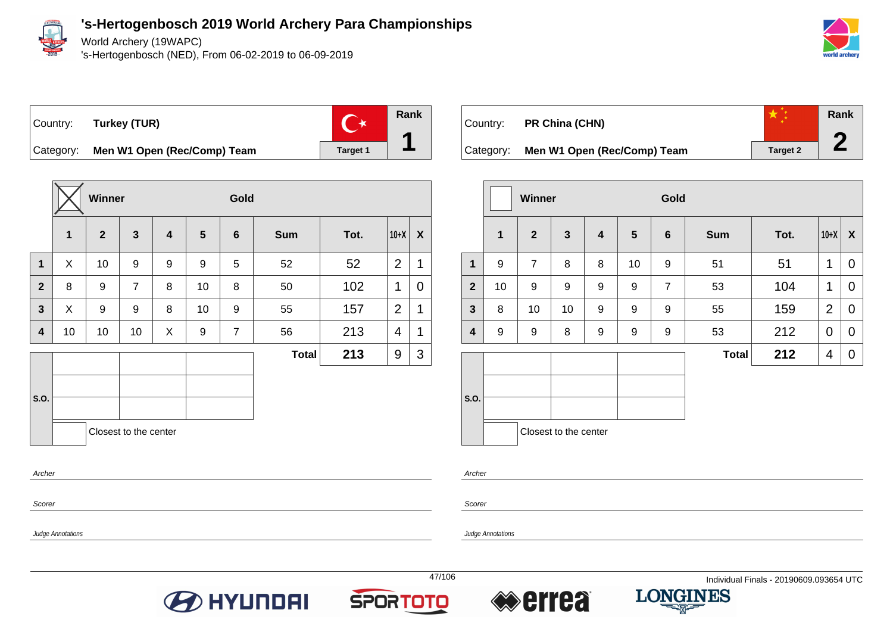

World Archery (19WAPC)

's-Hertogenbosch (NED), From 06-02-2019 to 06-09-2019



Country: **Turkey (TUR)**



Category: **Men W1 Open (Rec/Comp) Team** Target 1

|                  |    | Winner       |                       |                         |                  | Gold           |              |      |                |   |
|------------------|----|--------------|-----------------------|-------------------------|------------------|----------------|--------------|------|----------------|---|
|                  | 1  | $\mathbf{2}$ | $\mathbf{3}$          | $\overline{\mathbf{4}}$ | $5\phantom{.0}$  | $6\phantom{1}$ | <b>Sum</b>   | Tot. | $10+X$         | X |
| $\mathbf{1}$     | X  | 10           | 9                     | 9                       | $\boldsymbol{9}$ | 5              | 52           | 52   | $\overline{2}$ | 1 |
| $\mathbf{2}$     | 8  | 9            | $\overline{7}$        | 8                       | 10               | 8              | 50           | 102  | 1              | 0 |
| $\mathbf{3}$     | X  | 9            | 9                     | 8                       | 10               | 9              | 55           | 157  | $\overline{2}$ | 1 |
| $\boldsymbol{4}$ | 10 | 10           | 10                    | X                       | 9                | $\overline{7}$ | 56           | 213  | $\overline{4}$ | 1 |
|                  |    |              |                       |                         |                  |                | <b>Total</b> | 213  | 9              | 3 |
|                  |    |              |                       |                         |                  |                |              |      |                |   |
| S.O.             |    |              |                       |                         |                  |                |              |      |                |   |
|                  |    |              | Closest to the center |                         |                  |                |              |      |                |   |
| Archer           |    |              |                       |                         |                  |                |              |      |                |   |



|                |             | <b>Winner</b>  |                         |                         |    | Gold           |              |      |                |                  |
|----------------|-------------|----------------|-------------------------|-------------------------|----|----------------|--------------|------|----------------|------------------|
|                | $\mathbf 1$ | $\overline{2}$ | $\overline{\mathbf{3}}$ | $\overline{\mathbf{4}}$ | 5  | 6              | <b>Sum</b>   | Tot. | $10+X$         | $\boldsymbol{X}$ |
| $\mathbf 1$    | 9           | $\overline{7}$ | 8                       | 8                       | 10 | 9              | 51           | 51   | 1              | $\overline{0}$   |
| $\overline{2}$ | 10          | 9              | 9                       | 9                       | 9  | $\overline{7}$ | 53           | 104  | 1              | 0                |
| $\mathbf{3}$   | 8           | 10             | 10                      | 9                       | 9  | 9              | 55           | 159  | $\overline{2}$ | $\mathbf 0$      |
| 4              | 9           | 9              | 8                       | 9                       | 9  | 9              | 53           | 212  | $\mathbf 0$    | $\mathbf 0$      |
|                |             |                |                         |                         |    |                | <b>Total</b> | 212  | 4              | 0                |
| S.O.           |             |                | Closest to the center   |                         |    |                |              |      |                |                  |
|                |             |                |                         |                         |    |                |              |      |                |                  |

Scorer

Judge Annotations

Scorer

Archer

Judge Annotations







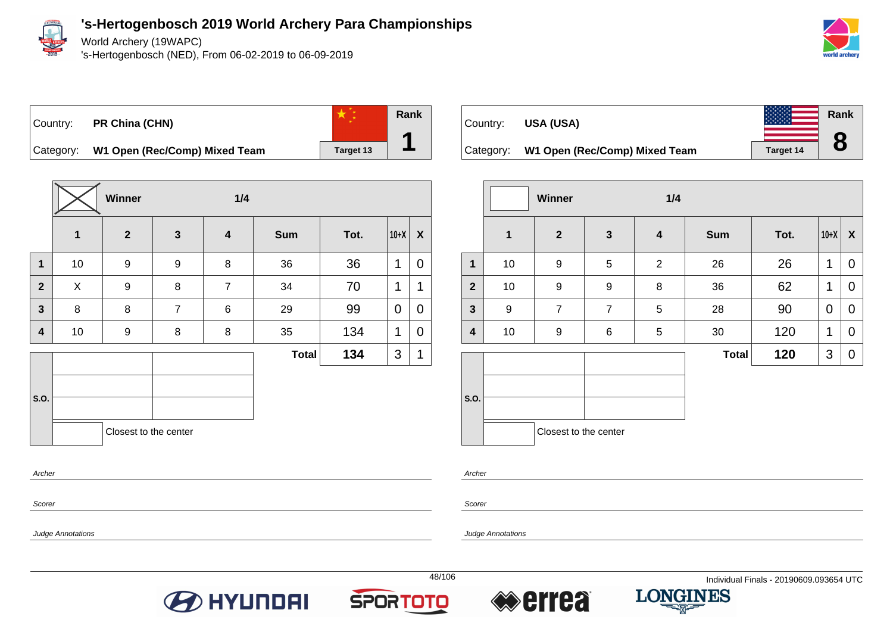

World Archery (19WAPC)

's-Hertogenbosch (NED), From 06-02-2019 to 06-09-2019



**Rank**

**8**

## Country: **PR China (CHN)**

**Rank**

**1**

Category: **W1 Open (Rec/Comp) Mixed Team** Target 13



Category: **W1 Open (Rec/Comp) Mixed Team** Target 14

|                         |                  | Winner                |                  | 1/4                     |              |      |             |             |
|-------------------------|------------------|-----------------------|------------------|-------------------------|--------------|------|-------------|-------------|
|                         | $\mathbf{1}$     | $\overline{2}$        | $\mathbf{3}$     | $\overline{\mathbf{4}}$ | <b>Sum</b>   | Tot. | $10+X$      | X           |
| $\mathbf{1}$            | 10               | 9                     | 5                | $\overline{2}$          | 26           | 26   | 1           | $\mathbf 0$ |
| $\overline{2}$          | 10               | 9                     | $\boldsymbol{9}$ | 8                       | 36           | 62   | 1           | 0           |
| $\mathbf{3}$            | $\boldsymbol{9}$ | $\overline{7}$        | $\overline{7}$   | 5                       | 28           | 90   | 0           | $\mathbf 0$ |
| $\overline{\mathbf{4}}$ | 10               | 9                     | 6                | 5                       | 30           | 120  | $\mathbf 1$ | $\mathbf 0$ |
|                         |                  |                       |                  |                         | <b>Total</b> | 120  | 3           | $\mathbf 0$ |
|                         |                  |                       |                  |                         |              |      |             |             |
| S.O.                    |                  |                       |                  |                         |              |      |             |             |
|                         |                  | Closest to the center |                  |                         |              |      |             |             |

Archer

Scorer

Judge Annotations

Archer

Scorer

Judge Annotations







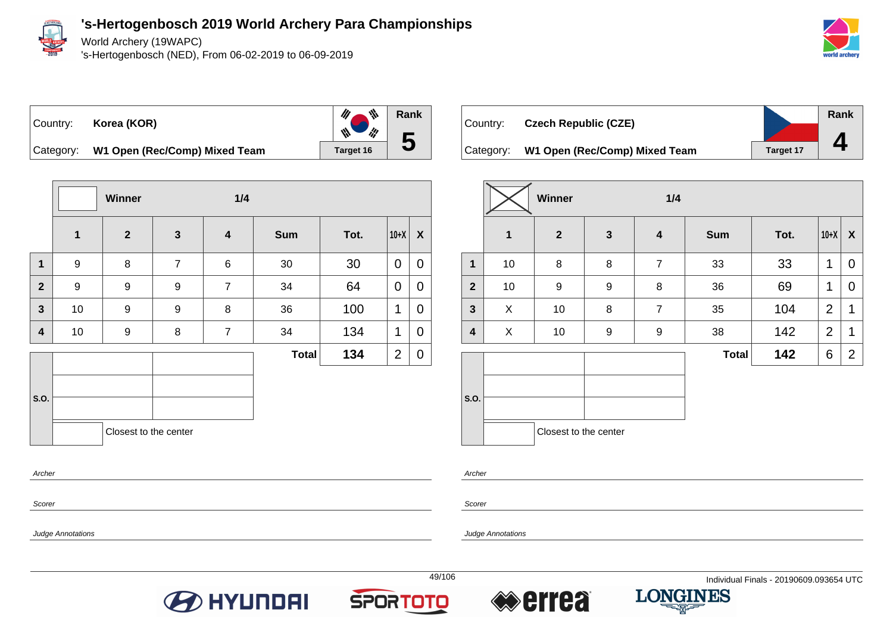

Scorer

Judge Annotations

**'s-Hertogenbosch 2019 World Archery Para Championships**

World Archery (19WAPC)

's-Hertogenbosch (NED), From 06-02-2019 to 06-09-2019



Country: **Korea (KOR)**



Category: **W1 Open (Rec/Comp) Mixed Team** Target 16

|                |              | Winner                |                  | 1/4                     |              |      |                |             |
|----------------|--------------|-----------------------|------------------|-------------------------|--------------|------|----------------|-------------|
|                | $\mathbf{1}$ | $\overline{2}$        | $\mathbf{3}$     | $\overline{\mathbf{4}}$ | <b>Sum</b>   | Tot. | $10+X$         | X           |
| $\mathbf{1}$   | 9            | 8                     | $\overline{7}$   | 6                       | $30\,$       | 30   | $\mathbf 0$    | $\mathbf 0$ |
| $\overline{2}$ | 9            | $\boldsymbol{9}$      | 9                | $\overline{7}$          | 34           | 64   | 0              | 0           |
| $\mathbf{3}$   | 10           | $\boldsymbol{9}$      | $\boldsymbol{9}$ | 8                       | 36           | 100  | 1              | 0           |
| 4              | 10           | $\boldsymbol{9}$      | 8                | $\overline{7}$          | 34           | 134  | 1              | 0           |
|                |              |                       |                  |                         | <b>Total</b> | 134  | $\overline{2}$ | 0           |
| S.O.           |              | Closest to the center |                  |                         |              |      |                |             |
| Archer         |              |                       |                  |                         |              |      |                |             |



|                         |             | Winner                |                  | 1/4              |              |      |                |                  |
|-------------------------|-------------|-----------------------|------------------|------------------|--------------|------|----------------|------------------|
|                         | $\mathbf 1$ | $\mathbf{2}$          | $\mathbf{3}$     | $\boldsymbol{4}$ | <b>Sum</b>   | Tot. | $10+X$         | $\boldsymbol{X}$ |
| $\overline{\mathbf{1}}$ | 10          | 8                     | 8                | $\overline{7}$   | 33           | 33   | 1              | 0                |
| $\mathbf{2}$            | 10          | 9                     | $\boldsymbol{9}$ | 8                | 36           | 69   | 1              | 0                |
| $\mathbf{3}$            | X           | 10                    | 8                | $\overline{7}$   | 35           | 104  | $\overline{2}$ | 1                |
| 4                       | X           | 10                    | $\boldsymbol{9}$ | 9                | 38           | 142  | $\overline{2}$ | 1                |
|                         |             |                       |                  |                  | <b>Total</b> | 142  | 6              | $\overline{2}$   |
| S.O.                    |             |                       |                  |                  |              |      |                |                  |
|                         |             | Closest to the center |                  |                  |              |      |                |                  |

Archer

Scorer

Judge Annotations







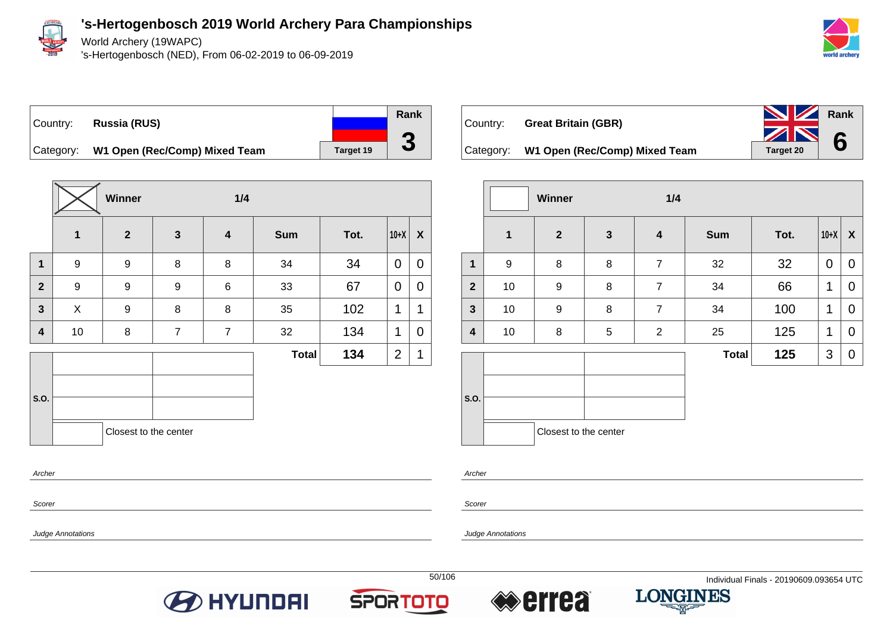

World Archery (19WAPC)

's-Hertogenbosch (NED), From 06-02-2019 to 06-09-2019



Country: **Russia (RUS)**



Category: **W1 Open (Rec/Comp) Mixed Team** Target 19

|              |             | Winner                |                | 1/4              |              |      |                |             |
|--------------|-------------|-----------------------|----------------|------------------|--------------|------|----------------|-------------|
|              | $\mathbf 1$ | $\overline{2}$        | $\mathbf{3}$   | $\boldsymbol{4}$ | <b>Sum</b>   | Tot. | $10+X$         | X           |
| $\mathbf 1$  | 9           | $\boldsymbol{9}$      | 8              | 8                | 34           | 34   | 0              | 0           |
| $\mathbf{2}$ | 9           | $\boldsymbol{9}$      | 9              | 6                | 33           | 67   | 0              | 0           |
| 3            | X           | $\boldsymbol{9}$      | 8              | 8                | 35           | 102  | 1              | $\mathbf 1$ |
| 4            | 10          | 8                     | $\overline{7}$ | $\overline{7}$   | 32           | 134  | 1              | 0           |
|              |             |                       |                |                  | <b>Total</b> | 134  | $\overline{2}$ | 1           |
| S.O.         |             | Closest to the center |                |                  |              |      |                |             |

| Country: | <b>Great Britain (GBR)</b>              | <b>NV</b> Rank |  |
|----------|-----------------------------------------|----------------|--|
|          |                                         | $\sum$ 6       |  |
|          | Category: W1 Open (Rec/Comp) Mixed Team | Target 20      |  |

|              |                  | Winner                |              | 1/4              |              |      |        |   |
|--------------|------------------|-----------------------|--------------|------------------|--------------|------|--------|---|
|              | $\mathbf 1$      | $\mathbf{2}$          | $\mathbf{3}$ | $\boldsymbol{4}$ | <b>Sum</b>   | Tot. | $10+X$ | X |
| $\mathbf{1}$ | $\boldsymbol{9}$ | 8                     | 8            | $\overline{7}$   | 32           | 32   | 0      | 0 |
| $\mathbf{2}$ | 10               | 9                     | 8            | $\boldsymbol{7}$ | 34           | 66   | 1      | 0 |
| $\mathbf{3}$ | 10               | 9                     | 8            | $\overline{7}$   | 34           | 100  | 1      | 0 |
| 4            | 10               | 8                     | 5            | $\overline{2}$   | 25           | 125  | 1      | 0 |
|              |                  |                       |              |                  | <b>Total</b> | 125  | 3      | 0 |
| S.O.         |                  | Closest to the center |              |                  |              |      |        |   |

Archer

Scorer

Scorer

Archer

Judge Annotations







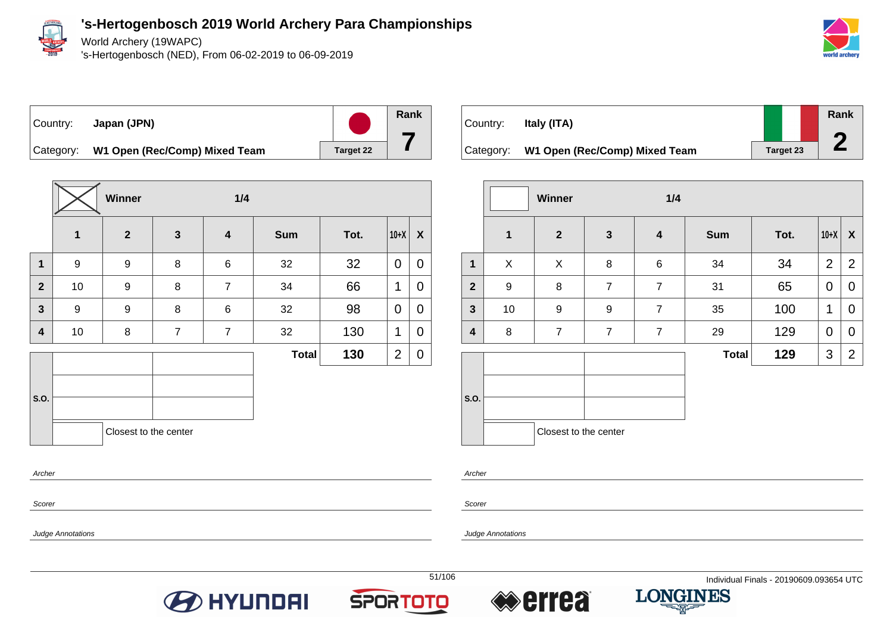

Archer

Scorer

Judge Annotations

**'s-Hertogenbosch 2019 World Archery Para Championships**

World Archery (19WAPC)

's-Hertogenbosch (NED), From 06-02-2019 to 06-09-2019



#### Country: **Japan (JPN)**

**Rank**

**7**

Category: **W1 Open (Rec/Comp) Mixed Team** Target 22

|                         |              | Winner                |                | 1/4                     |              |      |                |             |  |
|-------------------------|--------------|-----------------------|----------------|-------------------------|--------------|------|----------------|-------------|--|
|                         | $\mathbf{1}$ | $\overline{2}$        | $\mathbf{3}$   | $\overline{\mathbf{4}}$ | <b>Sum</b>   | Tot. | $10+X$         | X           |  |
| $\mathbf{1}$            | 9            | 9                     | $\bf 8$        | $\,6$                   | 32           | 32   | $\mathbf 0$    | $\mathbf 0$ |  |
| $\overline{2}$          | 10           | 9                     | 8              | $\overline{7}$          | 34           | 66   | 1              | 0           |  |
| $\overline{\mathbf{3}}$ | 9            | 9                     | $\bf 8$        | 6                       | 32           | 98   | $\mathbf 0$    | 0           |  |
| 4                       | 10           | 8                     | $\overline{7}$ | $\overline{7}$          | 32           | 130  | 1              | 0           |  |
|                         |              |                       |                |                         | <b>Total</b> | 130  | $\overline{2}$ | 0           |  |
| S.O.                    |              | Closest to the center |                |                         |              |      |                |             |  |

| Country:  | Italy (ITA)                   |                  | Rank |
|-----------|-------------------------------|------------------|------|
|           |                               |                  |      |
| Category: | W1 Open (Rec/Comp) Mixed Team | <b>Target 23</b> |      |

|                |                  | Winner                | 1/4            |                  |              |      |                |                  |
|----------------|------------------|-----------------------|----------------|------------------|--------------|------|----------------|------------------|
|                | $\mathbf{1}$     | $\mathbf{2}$          | $\mathbf{3}$   | $\boldsymbol{4}$ | <b>Sum</b>   | Tot. | $10+X$         | $\boldsymbol{X}$ |
| $\mathbf{1}$   | X                | X                     | 8              | 6                | 34           | 34   | $\overline{2}$ | $\overline{2}$   |
| $\overline{2}$ | $\boldsymbol{9}$ | 8                     | $\overline{7}$ | $\overline{7}$   | 31           | 65   | 0              | 0                |
| $\mathbf{3}$   | 10               | $\boldsymbol{9}$      | 9              | $\overline{7}$   | 35           | 100  | 1              | 0                |
| 4              | 8                | $\overline{7}$        | $\overline{7}$ | $\overline{7}$   | 29           | 129  | $\mathbf 0$    | 0                |
|                |                  |                       |                |                  | <b>Total</b> | 129  | 3              | $\overline{2}$   |
| S.O.           |                  | Closest to the center |                |                  |              |      |                |                  |

Archer

Scorer

Judge Annotations







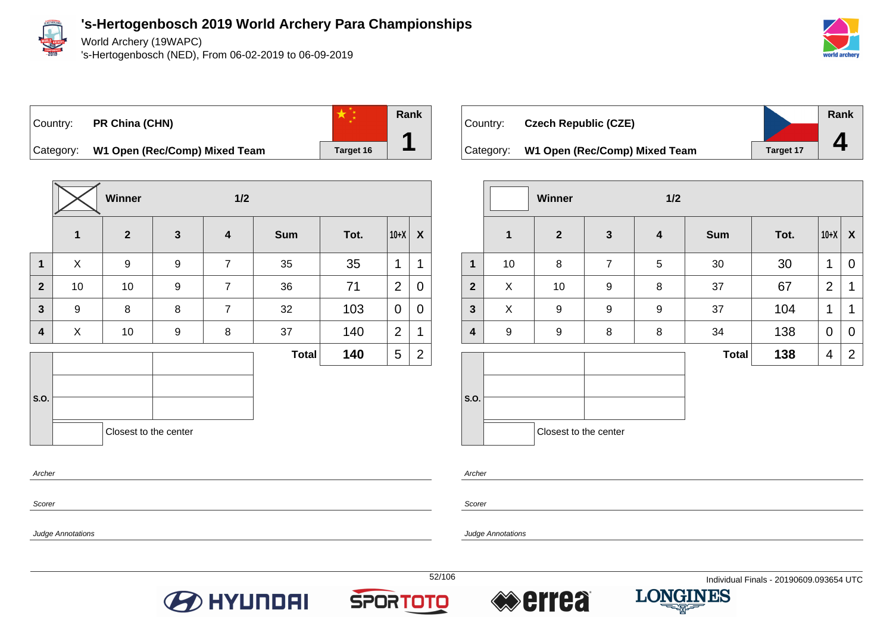

Archer

Scorer

Judge Annotations

#### **'s-Hertogenbosch 2019 World Archery Para Championships**

World Archery (19WAPC)

's-Hertogenbosch (NED), From 06-02-2019 to 06-09-2019





**Rank**

**1**

Category: **W1 Open (Rec/Comp) Mixed Team** Target 16

|                         |              | <b>Winner</b>         | 1/2          |                         |              |      |                |   |
|-------------------------|--------------|-----------------------|--------------|-------------------------|--------------|------|----------------|---|
|                         | $\mathbf{1}$ | $\overline{2}$        | $\mathbf{3}$ | $\overline{\mathbf{4}}$ | <b>Sum</b>   | Tot. | $10+X$         | X |
| $\mathbf 1$             | X            | 9                     | 9            | $\overline{7}$          | 35           | 35   | 1              | 1 |
| $\overline{2}$          | 10           | 10                    | 9            | $\overline{7}$          | 36           | 71   | $\overline{2}$ | 0 |
| $\overline{\mathbf{3}}$ | 9            | 8                     | 8            | $\overline{7}$          | 32           | 103  | 0              | 0 |
| 4                       | X            | 10                    | 9            | 8                       | 37           | 140  | $\overline{2}$ | 1 |
|                         |              |                       |              |                         | <b>Total</b> | 140  | 5              | 2 |
| S.O.                    |              |                       |              |                         |              |      |                |   |
|                         |              | Closest to the center |              |                         |              |      |                |   |
|                         |              |                       |              |                         |              |      |                |   |

| Country: | <b>Czech Republic (CZE)</b>             |                  | Rank |
|----------|-----------------------------------------|------------------|------|
|          | Category: W1 Open (Rec/Comp) Mixed Team | <b>Target 17</b> |      |
|          |                                         |                  |      |

|                         |                  | Winner                |                | 1/2                     |              |      |                |                |
|-------------------------|------------------|-----------------------|----------------|-------------------------|--------------|------|----------------|----------------|
|                         | $\mathbf{1}$     | $\boldsymbol{2}$      | $\mathbf{3}$   | $\overline{\mathbf{4}}$ | <b>Sum</b>   | Tot. | $10+X$         | X              |
| $\mathbf 1$             | 10               | 8                     | $\overline{7}$ | 5                       | 30           | 30   | 1              | 0              |
| $\mathbf{2}$            | X                | 10                    | 9              | 8                       | 37           | 67   | $\overline{2}$ | 1              |
| $\overline{\mathbf{3}}$ | X                | 9                     | 9              | $\boldsymbol{9}$        | 37           | 104  | 1              | 1              |
| $\overline{\mathbf{4}}$ | $\boldsymbol{9}$ | $\boldsymbol{9}$      | 8              | 8                       | 34           | 138  | $\mathbf 0$    | $\mathbf 0$    |
|                         |                  |                       |                |                         | <b>Total</b> | 138  | 4              | $\overline{2}$ |
| S.O.                    |                  | Closest to the center |                |                         |              |      |                |                |

Archer

Scorer

Judge Annotations







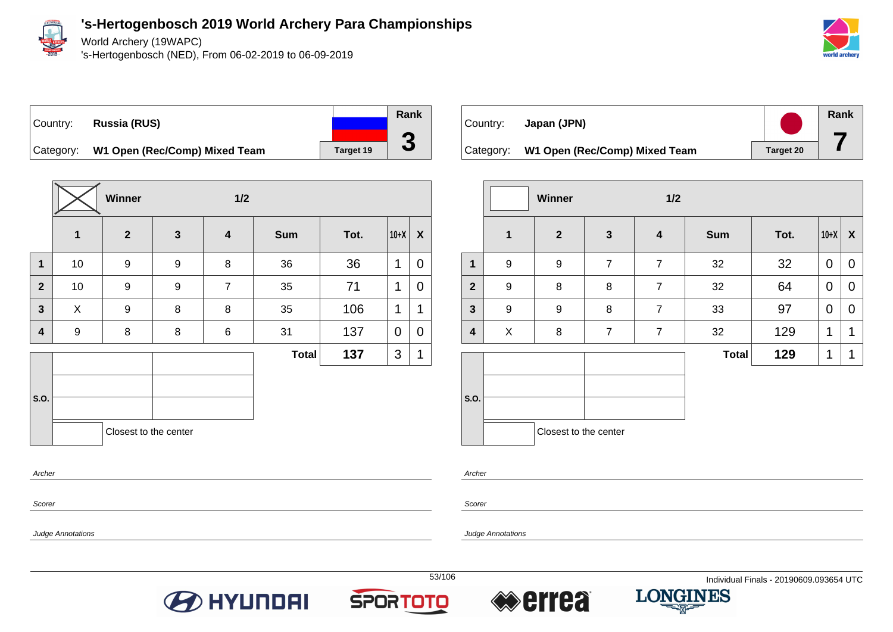

World Archery (19WAPC)

's-Hertogenbosch (NED), From 06-02-2019 to 06-09-2019



## Country: **Russia (RUS)** Category: **W1 Open (Rec/Comp) Mixed Team** Target 19



|                         |              | Winner                |                  | 1/2                     |              |      |             |             |
|-------------------------|--------------|-----------------------|------------------|-------------------------|--------------|------|-------------|-------------|
|                         | $\mathbf{1}$ | $\overline{2}$        | $\mathbf{3}$     | $\overline{\mathbf{4}}$ | <b>Sum</b>   | Tot. | $10+X$      | X           |
| $\mathbf{1}$            | 10           | 9                     | $\boldsymbol{9}$ | 8                       | 36           | 36   | 1           | 0           |
| $\overline{2}$          | 10           | $\boldsymbol{9}$      | $\boldsymbol{9}$ | $\overline{7}$          | 35           | 71   | 1           | 0           |
| $\overline{\mathbf{3}}$ | X            | 9                     | 8                | 8                       | 35           | 106  | 1           | 1           |
| $\overline{\mathbf{4}}$ | 9            | 8                     | 8                | 6                       | 31           | 137  | $\mathbf 0$ | $\mathbf 0$ |
|                         |              |                       |                  |                         | <b>Total</b> | 137  | 3           | 1           |
| S.O.                    |              | Closest to the center |                  |                         |              |      |             |             |
| Archer                  |              |                       |                  |                         |              |      |             |             |

| Country: | Japan (JPN)                             |           | Rank |
|----------|-----------------------------------------|-----------|------|
|          | Category: W1 Open (Rec/Comp) Mixed Team | Target 20 |      |

|                |                  | <b>Winner</b>         |                | 1/2                     |              |      |             |                |
|----------------|------------------|-----------------------|----------------|-------------------------|--------------|------|-------------|----------------|
|                | $\mathbf 1$      | $\overline{2}$        | $\mathbf{3}$   | $\overline{\mathbf{4}}$ | <b>Sum</b>   | Tot. | $10+X$      | X              |
| 1              | 9                | 9                     | $\overline{7}$ | $\overline{7}$          | 32           | 32   | $\mathbf 0$ | $\mathbf 0$    |
| $\overline{2}$ | $\boldsymbol{9}$ | 8                     | 8              | $\overline{7}$          | 32           | 64   | $\mathbf 0$ | 0              |
| 3              | 9                | 9                     | 8              | $\overline{7}$          | 33           | 97   | $\mathbf 0$ | $\overline{0}$ |
| 4              | X                | 8                     | $\overline{7}$ | $\overline{7}$          | 32           | 129  | 1           | 1              |
|                |                  |                       |                |                         | <b>Total</b> | 129  | $\mathbf 1$ | 1              |
| S.O.           |                  |                       |                |                         |              |      |             |                |
|                |                  | Closest to the center |                |                         |              |      |             |                |

Archer

Scorer

Judge Annotations

Scorer

Judge Annotations







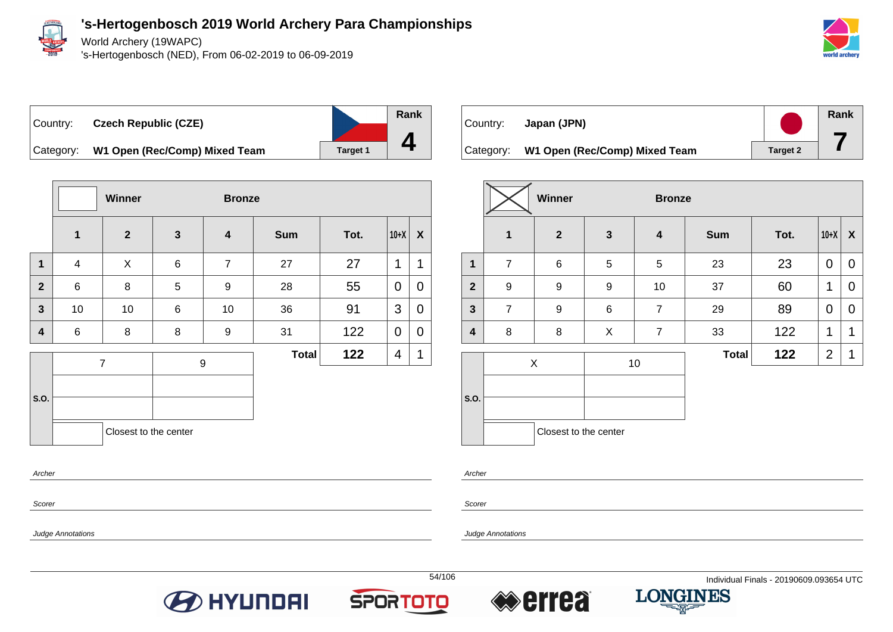

World Archery (19WAPC)

's-Hertogenbosch (NED), From 06-02-2019 to 06-09-2019



Country: **Czech Republic (CZE)**



Category: **W1 Open (Rec/Comp) Mixed Team** Target 1

|                |          | Winner                |              | <b>Bronze</b>           |              |      |             |             |
|----------------|----------|-----------------------|--------------|-------------------------|--------------|------|-------------|-------------|
|                | 1        | $\mathbf{2}$          | $\mathbf{3}$ | $\overline{\mathbf{4}}$ | <b>Sum</b>   | Tot. | $10+X$      | X           |
| $\mathbf{1}$   | 4        | X                     | $\,6\,$      | $\overline{7}$          | 27           | 27   | 1           | 1           |
| $\overline{2}$ | 6        | $\bf 8$               | 5            | 9                       | 28           | 55   | $\mathbf 0$ | 0           |
| $\mathbf{3}$   | 10<br>10 |                       | 6            | 10                      | 36           | 91   | 3           | 0           |
| 4              | 6        | 8                     | 8            | 9                       | 31           | 122  | 0           | 0           |
|                |          | $\overline{7}$        |              | 9                       | <b>Total</b> | 122  | 4           | $\mathbf 1$ |
|                |          |                       |              |                         |              |      |             |             |
| S.O.           |          |                       |              |                         |              |      |             |             |
|                |          | Closest to the center |              |                         |              |      |             |             |
| Archer         |          |                       |              |                         |              |      |             |             |

| Country:  | Japan (JPN)                   |                 | Rank |
|-----------|-------------------------------|-----------------|------|
| Category: | W1 Open (Rec/Comp) Mixed Team | <b>Target 2</b> |      |

|                  |                |              |                       | <b>Bronze</b> |      |                |                  |  |  |  |
|------------------|----------------|--------------|-----------------------|---------------|------|----------------|------------------|--|--|--|
| 1                | $\overline{2}$ | $\mathbf{3}$ | $\boldsymbol{4}$      | <b>Sum</b>    | Tot. | $10+X$         | $\boldsymbol{X}$ |  |  |  |
| $\overline{7}$   | 6              | 5            | 5                     | 23            | 23   | $\overline{0}$ | $\mathbf 0$      |  |  |  |
| $\boldsymbol{9}$ | 9              | 9            | 10                    | 37            | 60   | 1              | 0                |  |  |  |
| $\overline{7}$   | 9              | 6            | $\overline{7}$        | 29            | 89   | 0              | $\overline{0}$   |  |  |  |
| 8                | 8              | X            | $\overline{7}$        | 33            | 122  | 1              | 1                |  |  |  |
|                  |                |              |                       | <b>Total</b>  | 122  | $\overline{2}$ | 1                |  |  |  |
|                  |                |              |                       |               |      |                |                  |  |  |  |
|                  |                | X            | Closest to the center | 10            |      |                |                  |  |  |  |

Archer

Scorer

Judge Annotations

Scorer

Judge Annotations







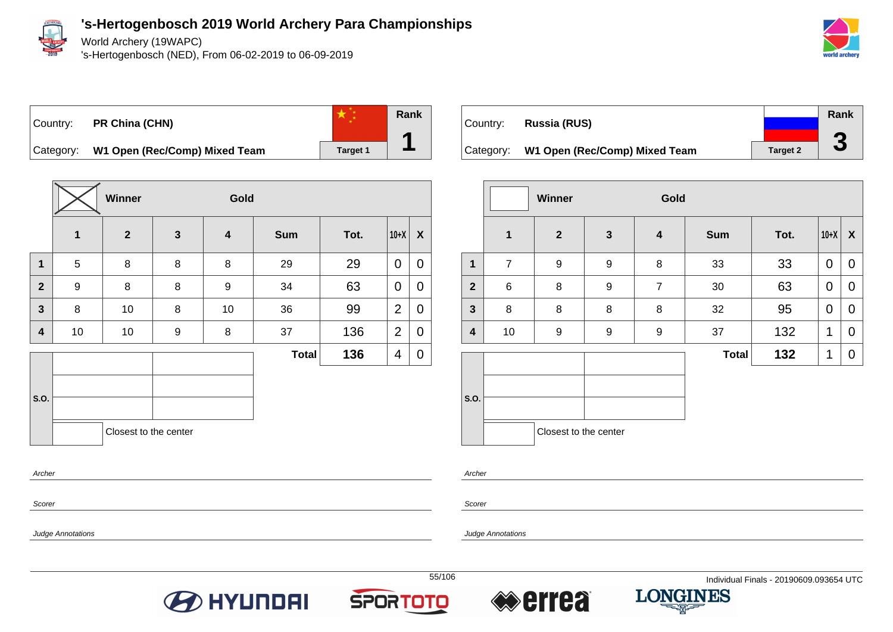

World Archery (19WAPC)

's-Hertogenbosch (NED), From 06-02-2019 to 06-09-2019





**Rank 1**

Category: **W1 Open (Rec/Comp) Mixed Team** | Target 1

|                         |              |                       |              | Gold             |              |      |                |   |
|-------------------------|--------------|-----------------------|--------------|------------------|--------------|------|----------------|---|
|                         | $\mathbf{1}$ | $\overline{2}$        | $\mathbf{3}$ | 4                | <b>Sum</b>   | Tot. | $10+X$         | X |
| $\mathbf{1}$            | 5            | 8                     | 8            | 8                | 29           | 29   | $\mathbf 0$    | 0 |
| $\mathbf{2}$            | 9            | 8                     | 8            | $\boldsymbol{9}$ | 34           | 63   | $\mathbf 0$    | 0 |
| $\overline{\mathbf{3}}$ | 8            | 10                    | 8            | 10               | 36           | 99   | $\overline{2}$ | 0 |
| 4                       | 10           | 10                    | 9            | 8                | 37           | 136  | $\overline{2}$ | 0 |
|                         |              |                       |              |                  | <b>Total</b> | 136  | 4              | 0 |
| S.O.                    |              | Closest to the center |              |                  |              |      |                |   |

|           |                               |                 | Rank                 |
|-----------|-------------------------------|-----------------|----------------------|
| Country:  | Russia (RUS)                  |                 |                      |
|           |                               |                 |                      |
| Category: | W1 Open (Rec/Comp) Mixed Team | <b>Target 2</b> | $\blacktriangledown$ |

|                         |                | <b>Winner</b>         |                  | Gold             |              |      |              |                           |
|-------------------------|----------------|-----------------------|------------------|------------------|--------------|------|--------------|---------------------------|
|                         | $\mathbf{1}$   | $\mathbf{2}$          | $\mathbf{3}$     | 4                | <b>Sum</b>   | Tot. | $10+X$       | $\boldsymbol{\mathsf{X}}$ |
| 1                       | $\overline{7}$ | 9                     | $\boldsymbol{9}$ | 8                | 33           | 33   | 0            | 0                         |
| $\overline{2}$          | $\,6\,$        | 8                     | 9                | $\overline{7}$   | 30           | 63   | $\mathbf 0$  | 0                         |
| $\overline{\mathbf{3}}$ | 8              | 8                     | 8                | 8                | 32           | 95   | $\mathbf 0$  | 0                         |
| 4                       | 10             | 9                     | 9                | $\boldsymbol{9}$ | 37           | 132  | 1            | $\mathbf 0$               |
|                         |                |                       |                  |                  | <b>Total</b> | 132  | $\mathbf{1}$ | 0                         |
| S.O.                    |                |                       |                  |                  |              |      |              |                           |
|                         |                | Closest to the center |                  |                  |              |      |              |                           |

Archer

Scorer

Judge Annotations

Archer

Scorer

Judge Annotations







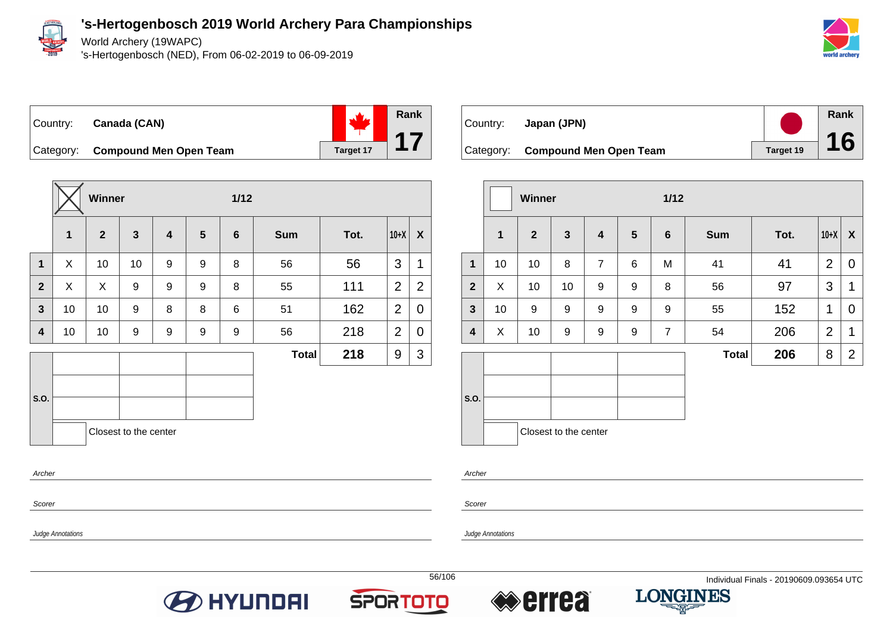

World Archery (19WAPC)

's-Hertogenbosch (NED), From 06-02-2019 to 06-09-2019



### Country: **Canada (CAN)**



Category: **Compound Men Open Team Target 17** 

|                |             | Winner         |                       |                         |                  | $1/12$          |              |      |                |                |
|----------------|-------------|----------------|-----------------------|-------------------------|------------------|-----------------|--------------|------|----------------|----------------|
|                | $\mathbf 1$ | $\overline{2}$ | $\mathbf{3}$          | $\overline{\mathbf{4}}$ | $5\phantom{1}$   | $6\phantom{1}6$ | <b>Sum</b>   | Tot. | $10+X$         | X              |
| $\mathbf{1}$   | X           | 10             | 10                    | 9                       | $\boldsymbol{9}$ | 8               | 56           | 56   | 3              | 1              |
| $\overline{2}$ | X           | X              | 9                     | 9                       | $\boldsymbol{9}$ | 8               | 55           | 111  | 2              | $\overline{2}$ |
| $\mathbf{3}$   | 10          | 10             | 9                     | 8                       | 8                | 6               | 51           | 162  | $\overline{2}$ | 0              |
| 4              | 10          | 10             | 9                     | 9                       | 9                | 9               | 56           | 218  | $\overline{2}$ | 0              |
|                |             |                |                       |                         |                  |                 | <b>Total</b> | 218  | 9              | 3              |
|                |             |                |                       |                         |                  |                 |              |      |                |                |
| S.O.           |             |                |                       |                         |                  |                 |              |      |                |                |
|                |             |                | Closest to the center |                         |                  |                 |              |      |                |                |
| Archer         |             |                |                       |                         |                  |                 |              |      |                |                |



|                         |              | <b>Winner</b>  |                       |                         |                 | $1/12$          |              |      |                |                  |
|-------------------------|--------------|----------------|-----------------------|-------------------------|-----------------|-----------------|--------------|------|----------------|------------------|
|                         | $\mathbf{1}$ | $\overline{2}$ | $\mathbf{3}$          | $\overline{\mathbf{4}}$ | $5\phantom{.0}$ | $6\phantom{1}6$ | <b>Sum</b>   | Tot. | $10+X$         | $\boldsymbol{X}$ |
| $\mathbf{1}$            | 10           | 10             | 8                     | $\overline{7}$          | 6               | M               | 41           | 41   | 2              | 0                |
| $\overline{2}$          | X            | 10             | 10                    | 9                       | 9               | 8               | 56           | 97   | 3              | 1                |
| $\mathbf{3}$            | 10           | 9              | 9                     | 9                       | 9               | 9               | 55           | 152  | 1              | 0                |
| $\overline{\mathbf{4}}$ | X            | 10             | $\boldsymbol{9}$      | $\boldsymbol{9}$        | 9               | $\overline{7}$  | 54           | 206  | $\overline{2}$ | 1                |
|                         |              |                |                       |                         |                 |                 | <b>Total</b> | 206  | 8              | $\overline{2}$   |
| S.O.                    |              |                |                       |                         |                 |                 |              |      |                |                  |
|                         |              |                | Closest to the center |                         |                 |                 |              |      |                |                  |

Archer

Scorer

Judge Annotations

Judge Annotations

Scorer

**O** HYUNDAI





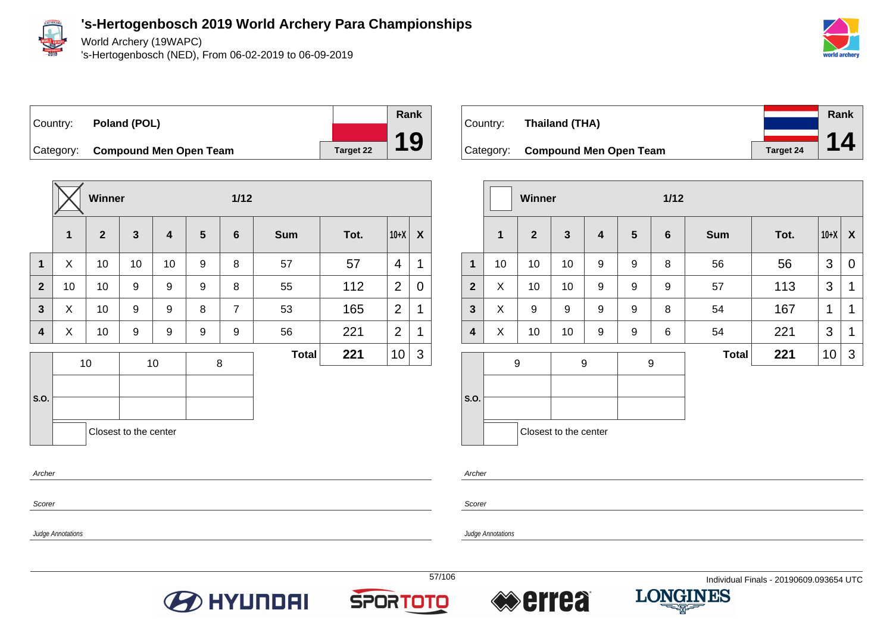

Scorer

Judge Annotations

**'s-Hertogenbosch 2019 World Archery Para Championships**

World Archery (19WAPC)

's-Hertogenbosch (NED), From 06-02-2019 to 06-09-2019



Country: **Poland (POL)** Category: **Compound Men Open Team Target 22** 



| Country: | Thailand (THA)                   |           | Rank |
|----------|----------------------------------|-----------|------|
|          |                                  |           | 14   |
|          | Category: Compound Men Open Team | Target 24 |      |

|                         |    | Winner         |                       |                         |                  | $1/12$         |              |      |        |   |
|-------------------------|----|----------------|-----------------------|-------------------------|------------------|----------------|--------------|------|--------|---|
|                         | 1  | $\overline{2}$ | $\mathbf{3}$          | $\overline{\mathbf{4}}$ | 5                | $6\phantom{1}$ | <b>Sum</b>   | Tot. | $10+X$ | X |
| 1                       | 10 | 10             | 10                    | 9                       | 9                | 8              | 56           | 56   | 3      | 0 |
| $\overline{2}$          | X  | 10             | 10                    | 9                       | 9                | 9              | 57           | 113  | 3      | 1 |
| $\mathbf{3}$            | X  | 9              | 9                     | 9                       | 9                | 8              | 54           | 167  | 1      | 1 |
| $\overline{\mathbf{4}}$ | X  | 10             | 10                    | 9                       | 9                | 6              | 54           | 221  | 3      | 1 |
|                         |    | 9              |                       | 9                       | $\boldsymbol{9}$ |                | <b>Total</b> | 221  | 10     | 3 |
|                         |    |                |                       |                         |                  |                |              |      |        |   |
| S.O.                    |    |                |                       |                         |                  |                |              |      |        |   |
|                         |    |                | Closest to the center |                         |                  |                |              |      |        |   |

Archer

Scorer

Judge Annotations





**Rank**

**19**



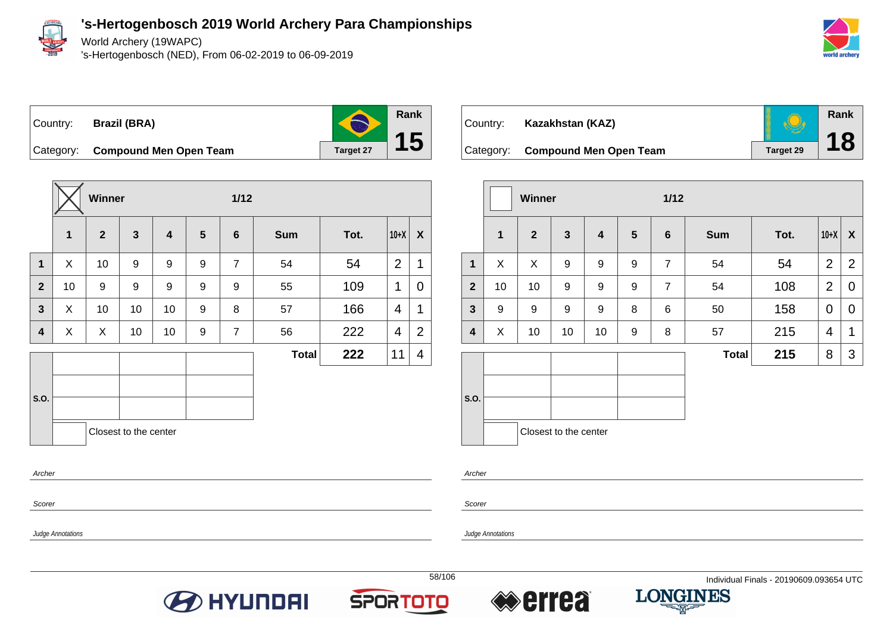

World Archery (19WAPC)

's-Hertogenbosch (NED), From 06-02-2019 to 06-09-2019



**Rank**

**18**

Country: **Brazil (BRA)**



Category: **Compound Men Open Team Target 27** 

|              |              | Winner         |                       |                         |                 | $1/12$         |              |      |                |                |
|--------------|--------------|----------------|-----------------------|-------------------------|-----------------|----------------|--------------|------|----------------|----------------|
|              | $\mathbf{1}$ | $\overline{2}$ | $\mathbf{3}$          | $\overline{\mathbf{4}}$ | $5\phantom{.0}$ | $\bf 6$        | <b>Sum</b>   | Tot. | $10+X$         | X              |
| $\mathbf{1}$ | X            | 10             | 9                     | 9                       | 9               | $\overline{7}$ | 54           | 54   | $\overline{2}$ | 1              |
| $\mathbf{2}$ | 10           | 9              | 9                     | $\boldsymbol{9}$        | 9               | 9              | 55           | 109  | 1              | 0              |
| 3            | X            | 10             | 10                    | 10                      | 9               | 8              | 57           | 166  | 4              | 1              |
| 4            | X            | X              | 10                    | 10                      | 9               | $\overline{7}$ | 56           | 222  | $\overline{4}$ | $\overline{2}$ |
|              |              |                |                       |                         |                 |                | <b>Total</b> | 222  | 11             | 4              |
|              |              |                |                       |                         |                 |                |              |      |                |                |
| S.O.         |              |                |                       |                         |                 |                |              |      |                |                |
|              |              |                | Closest to the center |                         |                 |                |              |      |                |                |
| Archer       |              |                |                       |                         |                 |                |              |      |                |                |
|              |              |                |                       |                         |                 |                |              |      |                |                |



|                         |             | Winner           |                  |                  |                  | $1/12$          |              |      |                |                  |
|-------------------------|-------------|------------------|------------------|------------------|------------------|-----------------|--------------|------|----------------|------------------|
|                         | $\mathbf 1$ | $\overline{2}$   | $\mathbf{3}$     | $\boldsymbol{4}$ | $5\phantom{1}$   | $6\phantom{1}6$ | <b>Sum</b>   | Tot. | $10+X$         | $\boldsymbol{X}$ |
| $\mathbf{1}$            | X           | X                | 9                | 9                | $\boldsymbol{9}$ | $\overline{7}$  | 54           | 54   | $\overline{2}$ | $\overline{2}$   |
| $\overline{2}$          | 10          | 10               | $\boldsymbol{9}$ | 9                | 9                | $\overline{7}$  | 54           | 108  | $\overline{2}$ | $\mathbf 0$      |
| $\mathbf{3}$            | 9           | $\boldsymbol{9}$ | 9                | 9                | 8                | $\,6$           | 50           | 158  | $\mathbf 0$    | $\mathbf 0$      |
| $\overline{\mathbf{4}}$ | X           | 10               | 10               | 10               | 9                | 8               | 57           | 215  | 4              | 1                |
|                         |             |                  |                  |                  |                  |                 | <b>Total</b> | 215  | 8              | 3                |
| S.O.                    |             |                  |                  |                  |                  |                 |              |      |                |                  |
|                         |             |                  |                  |                  |                  |                 |              |      |                |                  |



Archer

Scorer

Judge Annotations

Judge Annotations

Scorer

**O** HYUNDAI







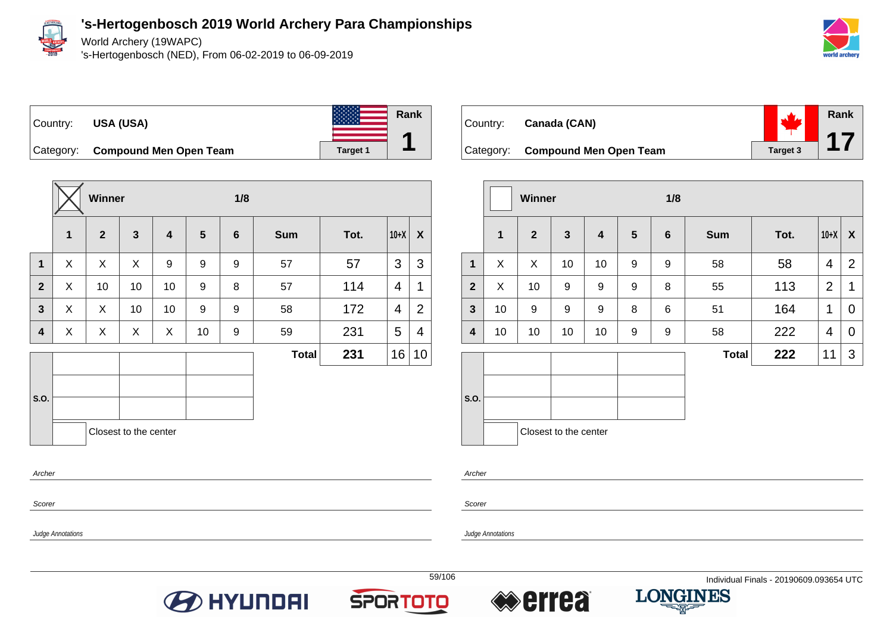

World Archery (19WAPC)

's-Hertogenbosch (NED), From 06-02-2019 to 06-09-2019







Category: **Compound Men Open Team Target 1** Target 1

|              |   | Winner       |                       |                         |                  | 1/8              |              |      |                |    |
|--------------|---|--------------|-----------------------|-------------------------|------------------|------------------|--------------|------|----------------|----|
|              | 1 | $\mathbf{2}$ | $\mathbf{3}$          | $\overline{\mathbf{4}}$ | $5\phantom{.0}$  | $6\phantom{1}6$  | <b>Sum</b>   | Tot. | $10+X$         | X  |
| $\mathbf{1}$ | X | X            | X                     | 9                       | 9                | 9                | 57           | 57   | 3              | 3  |
| $\mathbf{2}$ | X | 10           | 10                    | 10                      | 9                | 8                | 57           | 114  | $\overline{4}$ | 1  |
| 3            | X | X            | 10                    | 10                      | $\boldsymbol{9}$ | $\boldsymbol{9}$ | 58           | 172  | 4              | 2  |
| 4            | X | X            | X                     | X                       | 10               | 9                | 59           | 231  | 5              | 4  |
|              |   |              |                       |                         |                  |                  | <b>Total</b> | 231  | 16             | 10 |
|              |   |              |                       |                         |                  |                  |              |      |                |    |
| S.O.         |   |              |                       |                         |                  |                  |              |      |                |    |
|              |   |              | Closest to the center |                         |                  |                  |              |      |                |    |
| Archer       |   |              |                       |                         |                  |                  |              |      |                |    |

| Country: Canada (CAN)            | $\mathbf{v}^{\prime}$               | Rank |
|----------------------------------|-------------------------------------|------|
| Category: Compound Men Open Team | $\frac{1}{\sqrt{2}}$ 17<br>Target 3 |      |

|              |              | <b>Winner</b> |                       |    | 1/8 |                |              |      |                |                |
|--------------|--------------|---------------|-----------------------|----|-----|----------------|--------------|------|----------------|----------------|
|              | $\mathbf{1}$ | $\mathbf{2}$  | $\mathbf{3}$          | 4  | 5   | $6\phantom{1}$ | <b>Sum</b>   | Tot. | $10+X$         | X              |
| $\mathbf 1$  | X            | X             | 10                    | 10 | 9   | 9              | 58           | 58   | $\overline{4}$ | 2              |
| $\mathbf{2}$ | X            | 10            | 9                     | 9  | 9   | $\, 8$         | 55           | 113  | 2              | 1              |
| $\mathbf{3}$ | 10           | 9             | 9                     | 9  | 8   | 6              | 51           | 164  | 1              | 0              |
| 4            | 10           | 10            | 10                    | 10 | 9   | 9              | 58           | 222  | 4              | $\overline{0}$ |
|              |              |               |                       |    |     |                | <b>Total</b> | 222  | 11             | 3              |
| S.O.         |              |               | Closest to the center |    |     |                |              |      |                |                |

Archer

Scorer

Judge Annotations

Judge Annotations

Scorer







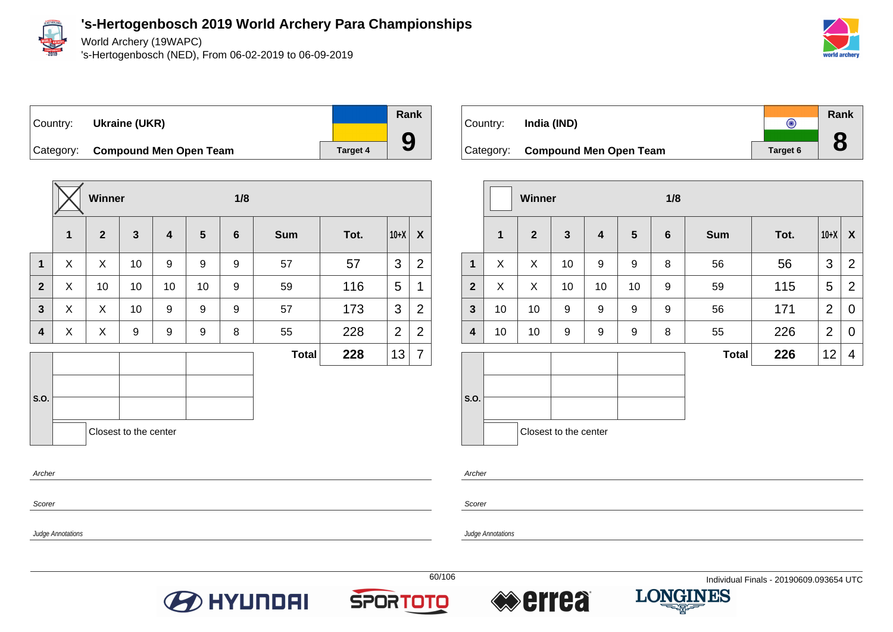

World Archery (19WAPC)

's-Hertogenbosch (NED), From 06-02-2019 to 06-09-2019



## Country: **Ukraine (UKR)** Category: **Compound Men Open Team Target 4** Target 4

**Winner 1/8 1 2 3 4 5 6 Sum Tot. 10+X X 1** X X 10 9 9 9 57 57 3 2 **2**  $\mid$  X  $\mid$  10  $\mid$  10  $\mid$  10  $\mid$  9  $\mid$  59  $\mid$  116  $\mid$  5  $\mid$  1 **3** X X 10 9 9 9 57 173 3 2 **4**  $\mid$  X  $\mid$  X  $\mid$  9  $\mid$  9  $\mid$  8  $\mid$  55  $\mid$  228  $\mid$  2  $\mid$  2 **S.O. Total 228**  $|13|7$ Closest to the center Archer

**Rank** Country: **India (IND)**  $\overline{\odot}$ **8** Category: **Compound Men Open Team Target 6** 

|                         |                         | Winner         |                         |                         |                | 1/8             |              |      |                |                |
|-------------------------|-------------------------|----------------|-------------------------|-------------------------|----------------|-----------------|--------------|------|----------------|----------------|
|                         | $\overline{\mathbf{1}}$ | $\overline{2}$ | $\overline{\mathbf{3}}$ | $\overline{\mathbf{4}}$ | $5\phantom{1}$ | $6\phantom{1}6$ | <b>Sum</b>   | Tot. | $10+X$         | X              |
| $\mathbf{1}$            | X                       | X              | 10                      | $\boldsymbol{9}$        | 9              | 8               | 56           | 56   | 3              | $\overline{2}$ |
| $\overline{2}$          | X                       | X              | 10                      | 10                      | 10             | 9               | 59           | 115  | 5              | $\overline{2}$ |
| $\mathbf{3}$            | 10                      | 10             | 9                       | 9                       | 9              | 9               | 56           | 171  | $\overline{2}$ | $\mathbf 0$    |
| $\overline{\mathbf{4}}$ | 10                      | 10             | 9                       | 9                       | 9              | 8               | 55           | 226  | $\overline{2}$ | $\mathbf 0$    |
|                         |                         |                |                         |                         |                |                 | <b>Total</b> | 226  | 12             | 4              |
| S.O.                    |                         |                | Closest to the center   |                         |                |                 |              |      |                |                |

Archer

**Scorer** 

Judge Annotations

Judge Annotations

Scorer





**Rank**

**9**



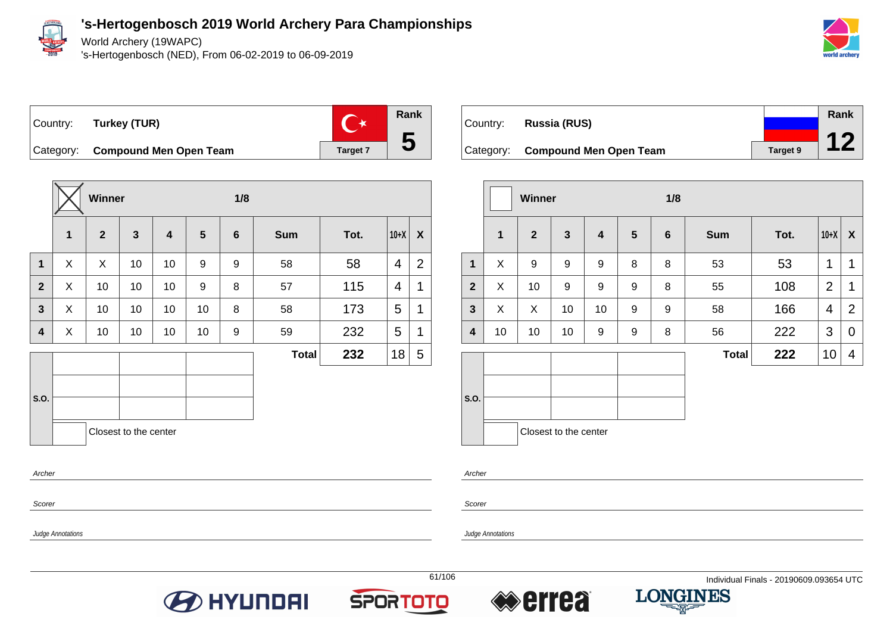

Scorer

Judge Annotations

**'s-Hertogenbosch 2019 World Archery Para Championships**

World Archery (19WAPC)

's-Hertogenbosch (NED), From 06-02-2019 to 06-09-2019



 $\mathbb{C}^*$ Country: **Turkey (TUR)**



Category: **Compound Men Open Team Target 7** Target 7

|                |   | Winner         |                       |                         |    | 1/8             |              |      |                |                |  |  |
|----------------|---|----------------|-----------------------|-------------------------|----|-----------------|--------------|------|----------------|----------------|--|--|
|                | 1 | $\overline{2}$ | $\mathbf{3}$          | $\overline{\mathbf{4}}$ | 5  | $6\phantom{1}6$ | <b>Sum</b>   | Tot. | $10+X$         | X              |  |  |
| $\mathbf{1}$   | X | X              | 10                    | 10                      | 9  | 9               | 58           | 58   | $\overline{4}$ | $\overline{2}$ |  |  |
| $\overline{2}$ | X | 10             | 10                    | 10                      | 9  | 8               | 57           | 115  | 4              | 1              |  |  |
| $\mathbf{3}$   | X | 10             | 10                    | 10                      | 10 | 8               | 58           | 173  | 5              | 1              |  |  |
| 4              | X | 10             | 10                    | 10                      | 10 | 9               | 59           | 232  | 5              | 1              |  |  |
|                |   |                |                       |                         |    |                 | <b>Total</b> | 232  | 18             | 5              |  |  |
|                |   |                |                       |                         |    |                 |              |      |                |                |  |  |
| S.O.           |   |                |                       |                         |    |                 |              |      |                |                |  |  |
|                |   |                | Closest to the center |                         |    |                 |              |      |                |                |  |  |
| Archer         |   |                |                       |                         |    |                 |              |      |                |                |  |  |

| Country: | Russia (RUS)                     |                 | Rank |
|----------|----------------------------------|-----------------|------|
|          | Category: Compound Men Open Team | <b>Target 9</b> |      |

|                  |              | <b>Winner</b>  |                       |                  |                  | 1/8            |              |      |                |                  |
|------------------|--------------|----------------|-----------------------|------------------|------------------|----------------|--------------|------|----------------|------------------|
|                  | $\mathbf{1}$ | $\overline{2}$ | $\mathbf{3}$          | 4                | 5                | $6\phantom{1}$ | <b>Sum</b>   | Tot. | $10+X$         | $\boldsymbol{X}$ |
| $\mathbf 1$      | X            | 9              | $\boldsymbol{9}$      | 9                | 8                | 8              | 53           | 53   | 1              | 1                |
| $\overline{2}$   | X            | 10             | $\boldsymbol{9}$      | $\boldsymbol{9}$ | $\boldsymbol{9}$ | 8              | 55           | 108  | $\overline{2}$ | 1                |
| $\mathbf{3}$     | X            | X              | 10                    | 10               | 9                | 9              | 58           | 166  | 4              | $\overline{2}$   |
| $\boldsymbol{4}$ | 10           | 10             | 10                    | 9                | 9                | 8              | 56           | 222  | 3              | $\mathbf 0$      |
|                  |              |                |                       |                  |                  |                | <b>Total</b> | 222  | 10             | 4                |
| S.O.             |              |                |                       |                  |                  |                |              |      |                |                  |
|                  |              |                | Closest to the center |                  |                  |                |              |      |                |                  |

Archer

Scorer

Judge Annotations







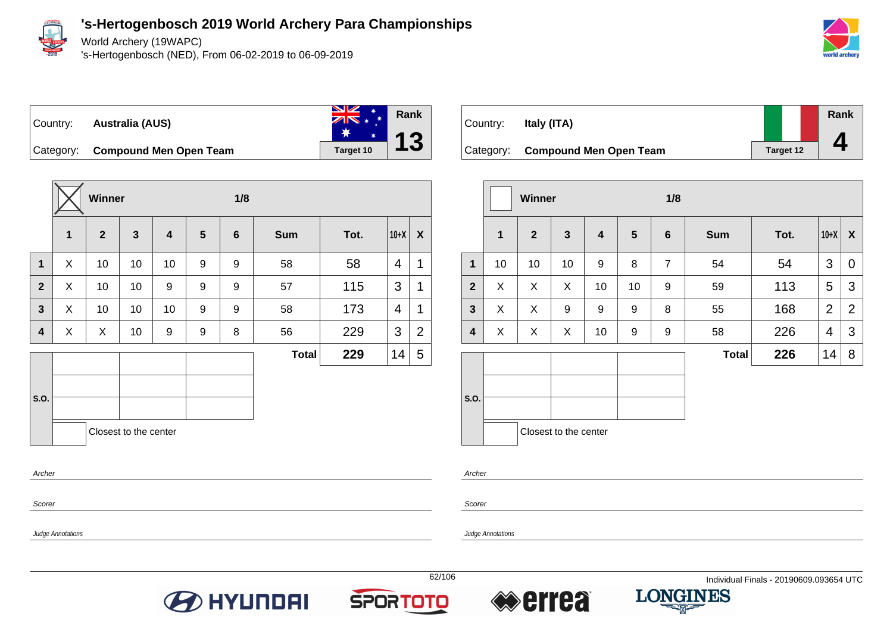

World Archery (19WAPC)

's-Hertogenbosch (NED), From 06-02-2019 to 06-09-2019



**Rank**

**4**



Category: **Compound Men Open Team Target 10** 



Country: **Italy (ITA)** Category: **Compound Men Open Team Target 12** 

|                         |                   | Winner         |                       |                         |                  | 1/8              |              |      |                |                  |                         |                   |    |
|-------------------------|-------------------|----------------|-----------------------|-------------------------|------------------|------------------|--------------|------|----------------|------------------|-------------------------|-------------------|----|
|                         | 1                 | $\overline{2}$ | $\mathbf{3}$          | $\overline{\mathbf{4}}$ | $5\phantom{1}$   | $6\phantom{1}6$  | <b>Sum</b>   | Tot. | $10+X$         | $\boldsymbol{X}$ |                         |                   | 1  |
| $\mathbf{1}$            | X                 | 10             | 10                    | 10                      | 9                | $\boldsymbol{9}$ | 58           | 58   | $\overline{4}$ | $\mathbf{1}$     | $\mathbf{1}$            |                   | 10 |
| $\mathbf{2}$            | X                 | 10             | 10                    | 9                       | 9                | 9                | 57           | 115  | 3              | $\mathbf{1}$     | $\mathbf{2}$            |                   | X  |
| $\overline{\mathbf{3}}$ | X                 | 10             | 10                    | 10                      | $\boldsymbol{9}$ | $\boldsymbol{9}$ | 58           | 173  | 4              | $\mathbf{1}$     | $\overline{\mathbf{3}}$ |                   | X  |
| $\overline{\mathbf{4}}$ | X                 | X              | 10                    | $\boldsymbol{9}$        | $\boldsymbol{9}$ | 8                | 56           | 229  | 3              | $\overline{2}$   | $\overline{\mathbf{4}}$ |                   | X  |
|                         |                   |                |                       |                         |                  |                  | <b>Total</b> | 229  | 14             | 5                |                         |                   |    |
| <b>S.O.</b>             |                   |                |                       |                         |                  |                  |              |      |                |                  | S.O.                    |                   |    |
|                         |                   |                | Closest to the center |                         |                  |                  |              |      |                |                  |                         |                   |    |
| Archer                  |                   |                |                       |                         |                  |                  |              |      |                |                  | Archer                  |                   |    |
| Scorer                  |                   |                |                       |                         |                  |                  |              |      |                |                  | Scorer                  |                   |    |
|                         | Judge Annotations |                |                       |                         |                  |                  |              |      |                |                  |                         | Judge Annotations |    |

|                |             | Winner         |                       |    |                | 1/8             |              |      |                |                |  |  |  |
|----------------|-------------|----------------|-----------------------|----|----------------|-----------------|--------------|------|----------------|----------------|--|--|--|
|                | $\mathbf 1$ | $\overline{2}$ | $\mathbf{3}$          | 4  | $5\phantom{1}$ | $6\phantom{1}6$ | <b>Sum</b>   | Tot. | $10+X$         | X              |  |  |  |
| $\mathbf{1}$   | 10          | 10             | 10                    | 9  | 8              | $\overline{7}$  | 54           | 54   | 3              | 0              |  |  |  |
| $\overline{2}$ | X           | X              | X                     | 10 | 10             | 9               | 59           | 113  | 5              | 3              |  |  |  |
| $\mathbf{3}$   | X           | X              | 9                     | 9  | 9              | 8               | 55           | 168  | $\overline{2}$ | $\overline{2}$ |  |  |  |
| 4              | X           | X              | X                     | 10 | 9              | 9               | 58           | 226  | 4              | 3              |  |  |  |
|                |             |                |                       |    |                |                 | <b>Total</b> | 226  | 14             | 8              |  |  |  |
|                |             |                |                       |    |                |                 |              |      |                |                |  |  |  |
| S.O.           |             |                |                       |    |                |                 |              |      |                |                |  |  |  |
|                |             |                | Closest to the center |    |                |                 |              |      |                |                |  |  |  |







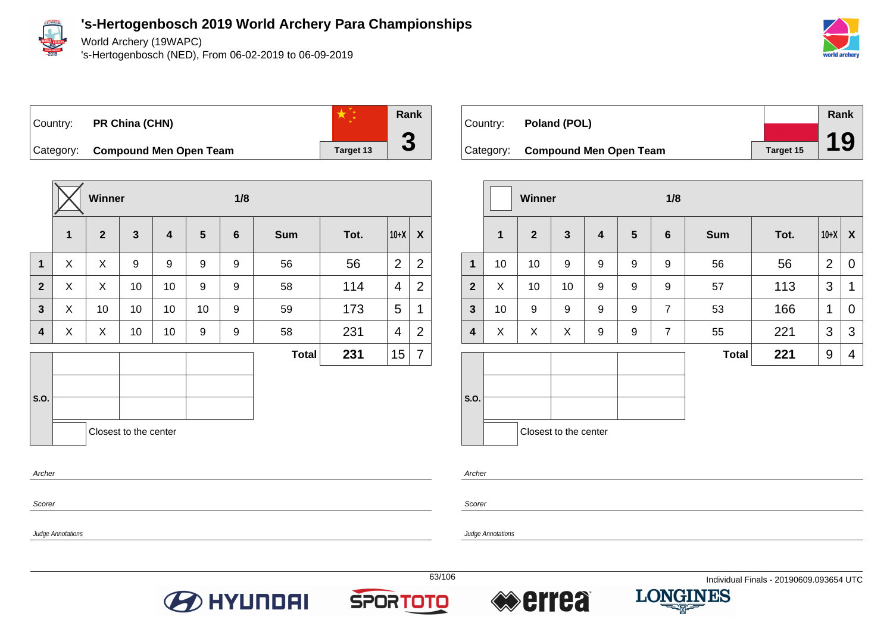

Archer

Scorer

Judge Annotations

#### **'s-Hertogenbosch 2019 World Archery Para Championships**

World Archery (19WAPC)

's-Hertogenbosch (NED), From 06-02-2019 to 06-09-2019



## Country: **PR China (CHN)**



Category: **Compound Men Open Team Target 13** 

|              |             | Winner       |                       |                  |                | 1/8            |              |      |        |                |
|--------------|-------------|--------------|-----------------------|------------------|----------------|----------------|--------------|------|--------|----------------|
|              | $\mathbf 1$ | $\mathbf{2}$ | $\mathbf{3}$          | $\boldsymbol{4}$ | $5\phantom{1}$ | $6\phantom{a}$ | <b>Sum</b>   | Tot. | $10+X$ | X              |
| $\mathbf{1}$ | X           | X            | 9                     | 9                | 9              | 9              | 56           | 56   | 2      | $\overline{2}$ |
| $\mathbf{2}$ | X           | X            | 10                    | 10 <sup>1</sup>  | 9              | 9              | 58           | 114  | 4      | $\overline{2}$ |
| $\mathbf{3}$ | X           | 10           | 10                    | 10               | 10             | 9              | 59           | 173  | 5      | 1              |
| 4            | X           | X            | 10                    | 10               | 9              | 9              | 58           | 231  | 4      | $\overline{2}$ |
|              |             |              |                       |                  |                |                | <b>Total</b> | 231  | 15     | 7              |
| S.O.         |             |              | Closest to the center |                  |                |                |              |      |        |                |

| Country: | Poland (POL)                     |           | Rank |
|----------|----------------------------------|-----------|------|
|          |                                  |           |      |
|          | Category: Compound Men Open Team | Target 15 | 19   |

|                |             | <b>Winner</b> |                       |                         |                | 1/8             |              |      |                |   |
|----------------|-------------|---------------|-----------------------|-------------------------|----------------|-----------------|--------------|------|----------------|---|
|                | $\mathbf 1$ | $\mathbf{2}$  | $\mathbf{3}$          | $\overline{\mathbf{4}}$ | $5\phantom{1}$ | $6\phantom{1}6$ | <b>Sum</b>   | Tot. | $10+X$         | X |
| $\mathbf{1}$   | 10          | 10            | 9                     | 9                       | 9              | 9               | 56           | 56   | $\overline{2}$ | 0 |
| $\overline{2}$ | X           | 10            | 10                    | 9                       | 9              | 9               | 57           | 113  | 3              | 1 |
| $\mathbf{3}$   | 10          | 9             | 9                     | 9                       | 9              | $\overline{7}$  | 53           | 166  | 1              | 0 |
| 4              | X           | X             | X                     | 9                       | 9              | $\overline{7}$  | 55           | 221  | 3              | 3 |
|                |             |               |                       |                         |                |                 | <b>Total</b> | 221  | 9              | 4 |
|                |             |               |                       |                         |                |                 |              |      |                |   |
| S.O.           |             |               |                       |                         |                |                 |              |      |                |   |
|                |             |               | Closest to the center |                         |                |                 |              |      |                |   |

Archer

Scorer

Judge Annotations







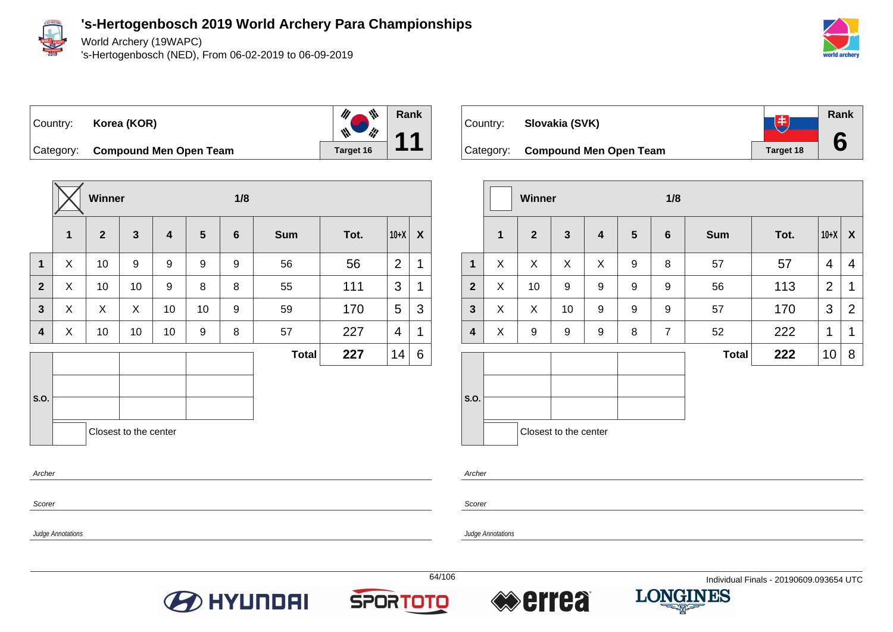

World Archery (19WAPC)

's-Hertogenbosch (NED), From 06-02-2019 to 06-09-2019



Country: **Korea (KOR)**



Category: **Compound Men Open Team Target 16** 

|              |             | Winner       |                       |                         |                | 1/8            |              |      |                |   |
|--------------|-------------|--------------|-----------------------|-------------------------|----------------|----------------|--------------|------|----------------|---|
|              | $\mathbf 1$ | $\mathbf{2}$ | $\mathbf{3}$          | $\overline{\mathbf{4}}$ | $5\phantom{1}$ | $6\phantom{1}$ | <b>Sum</b>   | Tot. | $10+X$         | X |
| $\mathbf{1}$ | X           | 10           | 9                     | 9                       | 9              | 9              | 56           | 56   | $\overline{2}$ | 1 |
| $\mathbf{2}$ | X           | 10           | 10                    | 9                       | 8              | 8              | 55           | 111  | 3              | 1 |
| $\mathbf{3}$ | X           | X            | X                     | 10                      | 10             | 9              | 59           | 170  | 5              | 3 |
| 4            | X           | 10           | 10                    | 10 <sup>1</sup>         | 9              | 8              | 57           | 227  | 4              | 1 |
|              |             |              |                       |                         |                |                | <b>Total</b> | 227  | 14             | 6 |
|              |             |              |                       |                         |                |                |              |      |                |   |
| S.O.         |             |              |                       |                         |                |                |              |      |                |   |
|              |             |              | Closest to the center |                         |                |                |              |      |                |   |
| Archer       |             |              |                       |                         |                |                |              |      |                |   |



|                         |              | Winner         |                       |                         |                | 1/8            |              |      |                |                  |
|-------------------------|--------------|----------------|-----------------------|-------------------------|----------------|----------------|--------------|------|----------------|------------------|
|                         | $\mathbf{1}$ | $\overline{2}$ | $\mathbf{3}$          | $\overline{\mathbf{4}}$ | $5\phantom{1}$ | $6\phantom{1}$ | <b>Sum</b>   | Tot. | $10+X$         | $\boldsymbol{X}$ |
| $\mathbf{1}$            | X            | X              | X                     | X                       | 9              | 8              | 57           | 57   | 4              | $\overline{4}$   |
| $\overline{2}$          | X            | 10             | 9                     | $\boldsymbol{9}$        | 9              | 9              | 56           | 113  | $\overline{2}$ | 1                |
| $\mathbf{3}$            | X            | X              | 10                    | 9                       | 9              | 9              | 57           | 170  | 3              | $\overline{2}$   |
| $\overline{\mathbf{4}}$ | X            | 9              | 9                     | 9                       | 8              | 7              | 52           | 222  | 1              | 1                |
|                         |              |                |                       |                         |                |                | <b>Total</b> | 222  | 10             | 8                |
| S.O.                    |              |                | Closest to the center |                         |                |                |              |      |                |                  |

Archer

Scorer

Judge Annotations

Judge Annotations

Scorer

**O** HYUNDAI





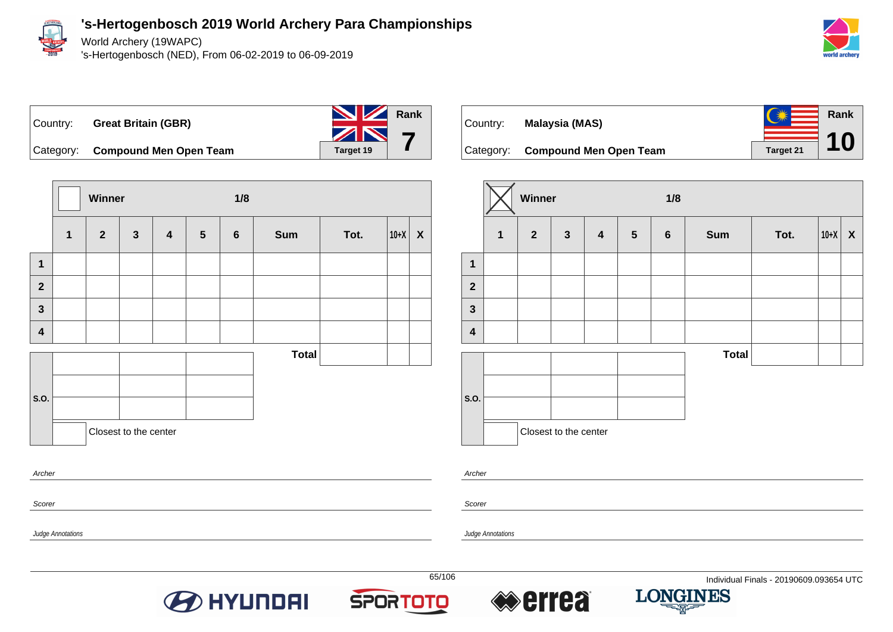

World Archery (19WAPC)

's-Hertogenbosch (NED), From 06-02-2019 to 06-09-2019





**Winner 1/8 1 2 3 4 5 6 Sum Tot. 10+X X 1 2 3 4 S.O. Total** Closest to the center Archer

**O** HYUNDAI



|                         |                | Winner         |                       |                         |                 | 1/8              |              |      |        |                           |  |
|-------------------------|----------------|----------------|-----------------------|-------------------------|-----------------|------------------|--------------|------|--------|---------------------------|--|
|                         | $\overline{1}$ | $\overline{2}$ | $\mathbf{3}$          | $\overline{\mathbf{4}}$ | $5\phantom{.0}$ | $\boldsymbol{6}$ | <b>Sum</b>   | Tot. | $10+X$ | $\boldsymbol{\mathsf{X}}$ |  |
| $\mathbf 1$             |                |                |                       |                         |                 |                  |              |      |        |                           |  |
| $\mathbf{2}$            |                |                |                       |                         |                 |                  |              |      |        |                           |  |
| $\mathbf{3}$            |                |                |                       |                         |                 |                  |              |      |        |                           |  |
| $\overline{\mathbf{4}}$ |                |                |                       |                         |                 |                  |              |      |        |                           |  |
|                         |                |                |                       |                         |                 |                  | <b>Total</b> |      |        |                           |  |
|                         |                |                |                       |                         |                 |                  |              |      |        |                           |  |
| S.O.                    |                |                |                       |                         |                 |                  |              |      |        |                           |  |
|                         |                |                | Closest to the center |                         |                 |                  |              |      |        |                           |  |

Archer

Scorer

Judge Annotations

Judge Annotations

Scorer

**SPORTOTO** 



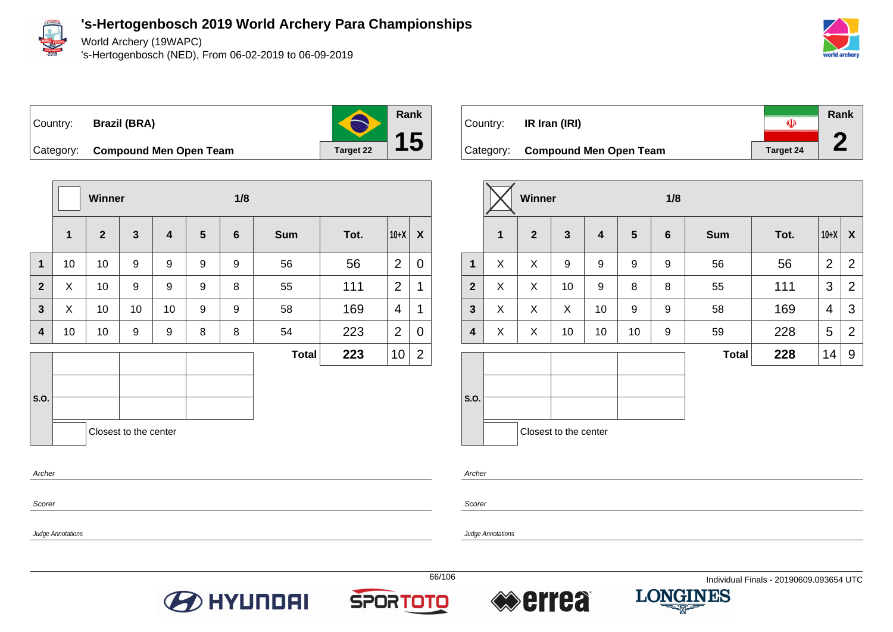

World Archery (19WAPC)

's-Hertogenbosch (NED), From 06-02-2019 to 06-09-2019



Country: **Brazil (BRA)**



Category: **Compound Men Open Team Target 22** 

|                |             | <b>Winner</b>  |                       |                         |                | 1/8            |              |      |                |                |
|----------------|-------------|----------------|-----------------------|-------------------------|----------------|----------------|--------------|------|----------------|----------------|
|                | $\mathbf 1$ | $\overline{2}$ | $\mathbf{3}$          | $\overline{\mathbf{4}}$ | $5\phantom{1}$ | $6\phantom{1}$ | <b>Sum</b>   | Tot. | $10+X$         | X              |
| $\mathbf 1$    | 10          | 10             | 9                     | 9                       | 9              | 9              | 56           | 56   | $\overline{2}$ | $\overline{0}$ |
| $\overline{2}$ | X           | 10             | 9                     | 9                       | 9              | 8              | 55           | 111  | $\overline{2}$ | 1              |
| $\overline{3}$ | X           | 10             | 10                    | 10                      | 9              | 9              | 58           | 169  | 4              | 1              |
| 4              | 10          | 10             | 9                     | 9                       | 8              | 8              | 54           | 223  | $\overline{2}$ | $\overline{0}$ |
|                |             |                |                       |                         |                |                | <b>Total</b> | 223  | 10             | $\overline{2}$ |
|                |             |                |                       |                         |                |                |              |      |                |                |
| S.O.           |             |                |                       |                         |                |                |              |      |                |                |
|                |             |                | Closest to the center |                         |                |                |              |      |                |                |
| Archer         |             |                |                       |                         |                |                |              |      |                |                |

Scorer

Judge Annotations

**Rank** Country: **IR Iran (IRI)**  $\overline{\mathbb{Q}}$ **2** Category: **Compound Men Open Team Target 24** 

|                         |             | <b>Winner</b> |                         |                         |                | 1/8             |              |      |                |                  |  |  |  |
|-------------------------|-------------|---------------|-------------------------|-------------------------|----------------|-----------------|--------------|------|----------------|------------------|--|--|--|
|                         | $\mathbf 1$ | $\mathbf{2}$  | $\overline{\mathbf{3}}$ | $\overline{\mathbf{4}}$ | $5\phantom{1}$ | $6\phantom{1}6$ | <b>Sum</b>   | Tot. | $10+X$         | $\boldsymbol{X}$ |  |  |  |
| $\mathbf{1}$            | X           | X             | 9                       | 9                       | 9              | 9               | 56           | 56   | $\overline{2}$ | $\overline{2}$   |  |  |  |
| $\overline{2}$          | X           | X             | 10                      | 9                       | 8              | 8               | 55           | 111  | 3              | $\overline{2}$   |  |  |  |
| $\mathbf{3}$            | X           | X             | X                       | 10                      | 9              | 9               | 58           | 169  | $\overline{4}$ | 3                |  |  |  |
| $\overline{\mathbf{4}}$ | X           | X             | 10                      | 10                      | 10             | 9               | 59           | 228  | 5              | $\overline{2}$   |  |  |  |
|                         |             |               |                         |                         |                |                 | <b>Total</b> | 228  | 14             | 9                |  |  |  |
| S.O.                    |             |               |                         |                         |                |                 |              |      |                |                  |  |  |  |
|                         |             |               | Closest to the center   |                         |                |                 |              |      |                |                  |  |  |  |

Archer

Scorer







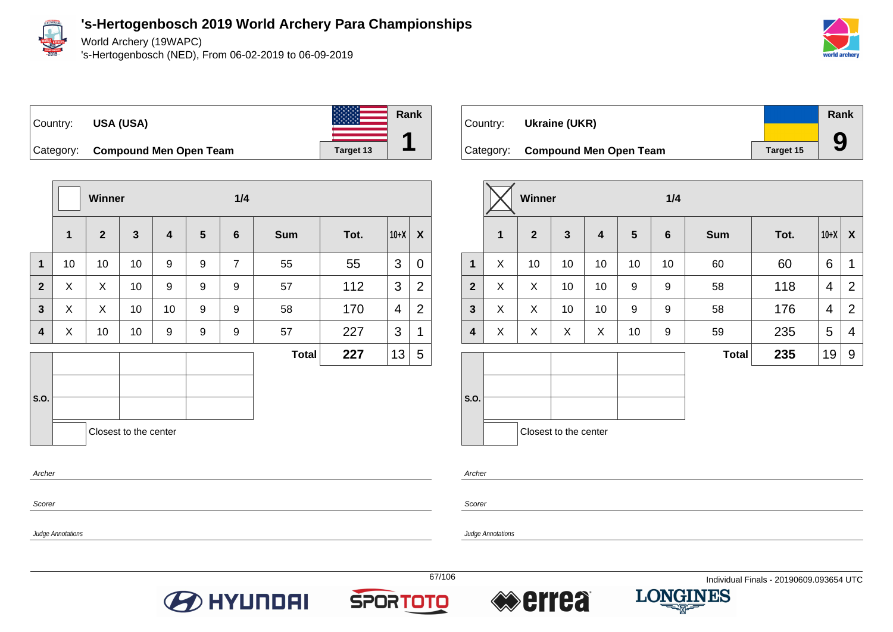

World Archery (19WAPC)

's-Hertogenbosch (NED), From 06-02-2019 to 06-09-2019





|                  |              | Winner         |                       |                         |                 | 1/4              |              |      |        |                |
|------------------|--------------|----------------|-----------------------|-------------------------|-----------------|------------------|--------------|------|--------|----------------|
|                  | $\mathbf{1}$ | $\overline{2}$ | $\mathbf{3}$          | $\overline{\mathbf{4}}$ | $5\phantom{.0}$ | $6\phantom{1}$   | <b>Sum</b>   | Tot. | $10+X$ | X              |
| $\mathbf{1}$     | 10           | 10             | 10                    | 9                       | 9               | $\overline{7}$   | 55           | 55   | 3      | $\mathbf 0$    |
| $\mathbf{2}$     | X            | X              | 10                    | 9                       | 9               | 9                | 57           | 112  | 3      | $\overline{2}$ |
| $\mathbf{3}$     | X            | X              | 10                    | 10                      | 9               | $\boldsymbol{9}$ | 58           | 170  | 4      | $\overline{2}$ |
| $\boldsymbol{4}$ | X            | 10             | 10                    | 9                       | 9               | 9                | 57           | 227  | 3      | 1              |
|                  |              |                |                       |                         |                 |                  | <b>Total</b> | 227  | 13     | 5              |
|                  |              |                |                       |                         |                 |                  |              |      |        |                |
| S.O.             |              |                |                       |                         |                 |                  |              |      |        |                |
|                  |              |                | Closest to the center |                         |                 |                  |              |      |        |                |
| Archer           |              |                |                       |                         |                 |                  |              |      |        |                |

| Country: | Ukraine (UKR)                    |           | Rank |
|----------|----------------------------------|-----------|------|
|          |                                  |           |      |
|          | Category: Compound Men Open Team | Target 15 | 9    |

|              |   | Winner         |                       |    |    | 1/4             |              |      |                |                |
|--------------|---|----------------|-----------------------|----|----|-----------------|--------------|------|----------------|----------------|
|              | 1 | $\overline{2}$ | $\mathbf{3}$          | 4  | 5  | $6\phantom{1}6$ | <b>Sum</b>   | Tot. | $10+X$         | X              |
| 1            | X | 10             | 10                    | 10 | 10 | 10              | 60           | 60   | 6              | $\mathbf 1$    |
| $\mathbf{2}$ | X | X              | 10                    | 10 | 9  | 9               | 58           | 118  | 4              | $\overline{2}$ |
| $\mathbf{3}$ | X | X              | 10                    | 10 | 9  | 9               | 58           | 176  | $\overline{4}$ | $\overline{2}$ |
| 4            | X | X              | X                     | X  | 10 | 9               | 59           | 235  | 5              | 4              |
|              |   |                |                       |    |    |                 | <b>Total</b> | 235  | 19             | 9              |
| S.O.         |   |                |                       |    |    |                 |              |      |                |                |
|              |   |                | Closest to the center |    |    |                 |              |      |                |                |

Archer

Scorer

Judge Annotations

Judge Annotations

Scorer





**Rank**

**1**



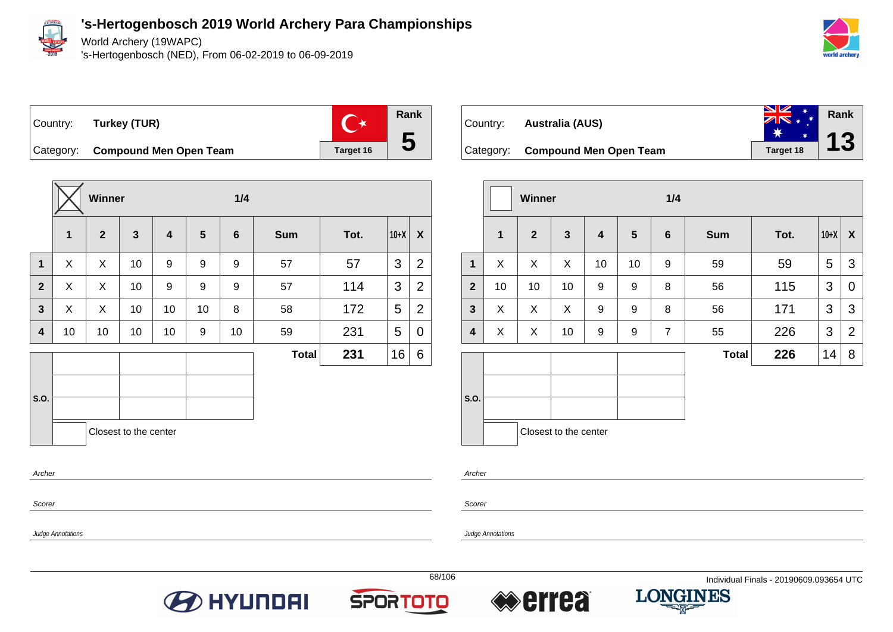

World Archery (19WAPC)

's-Hertogenbosch (NED), From 06-02-2019 to 06-09-2019



 $\mathbb{C}^*$ Country: **Turkey (TUR)**



Category: **Compound Men Open Team Target 16** 

|                |              | Winner       |                       |                         |                | 1/4              |              |      |        |                |
|----------------|--------------|--------------|-----------------------|-------------------------|----------------|------------------|--------------|------|--------|----------------|
|                | $\mathbf{1}$ | $\mathbf{2}$ | $\mathbf{3}$          | $\overline{\mathbf{4}}$ | $5\phantom{1}$ | $6\phantom{1}$   | <b>Sum</b>   | Tot. | $10+X$ | X              |
| $\mathbf{1}$   | X.           | X            | 10                    | 9                       | 9              | 9                | 57           | 57   | 3      | $\overline{2}$ |
| $\overline{2}$ | X            | X            | 10                    | $\boldsymbol{9}$        | 9              | $\boldsymbol{9}$ | 57           | 114  | 3      | $\overline{2}$ |
| $\overline{3}$ | X            | X            | 10                    | 10                      | 10             | 8                | 58           | 172  | 5      | $\overline{2}$ |
| 4              | 10           | 10           | 10                    | 10                      | 9              | 10               | 59           | 231  | 5      | 0              |
|                |              |              |                       |                         |                |                  | <b>Total</b> | 231  | 16     | 6              |
|                |              |              |                       |                         |                |                  |              |      |        |                |
| S.O.           |              |              |                       |                         |                |                  |              |      |        |                |
|                |              |              | Closest to the center |                         |                |                  |              |      |        |                |
| Archer         |              |              |                       |                         |                |                  |              |      |        |                |

| Country: <b>Australia (AUS)</b>  | $rac{\Delta}{\sqrt{2}}$                                                     | Rank |
|----------------------------------|-----------------------------------------------------------------------------|------|
| Category: Compound Men Open Team | $\frac{*}{\frac{1}{2} \cdot \frac{1}{2} \cdot \frac{1}{2}}$ 13<br>Target 18 |      |

|                |              | <b>Winner</b>  |                       |                         | 1/4              |                |              |      |        |                  |
|----------------|--------------|----------------|-----------------------|-------------------------|------------------|----------------|--------------|------|--------|------------------|
|                | $\mathbf{1}$ | $\overline{2}$ | $\mathbf{3}$          | $\overline{\mathbf{4}}$ | 5                | $6\phantom{1}$ | <b>Sum</b>   | Tot. | $10+X$ | $\boldsymbol{X}$ |
| $\mathbf 1$    | X            | X              | X                     | 10                      | 10               | 9              | 59           | 59   | 5      | 3                |
| $\overline{2}$ | 10           | 10             | 10                    | 9                       | $\boldsymbol{9}$ | 8              | 56           | 115  | 3      | $\overline{0}$   |
| $\mathbf{3}$   | X            | X              | X                     | 9                       | 9                | 8              | 56           | 171  | 3      | 3                |
| 4              | X            | X              | 10                    | 9                       | 9                | $\overline{7}$ | 55           | 226  | 3      | $\overline{2}$   |
|                |              |                |                       |                         |                  |                | <b>Total</b> | 226  | 14     | 8                |
| S.O.           |              |                | Closest to the center |                         |                  |                |              |      |        |                  |

Archer

Scorer

Judge Annotations

Judge Annotations

Scorer

**BO HYUNDAI** 





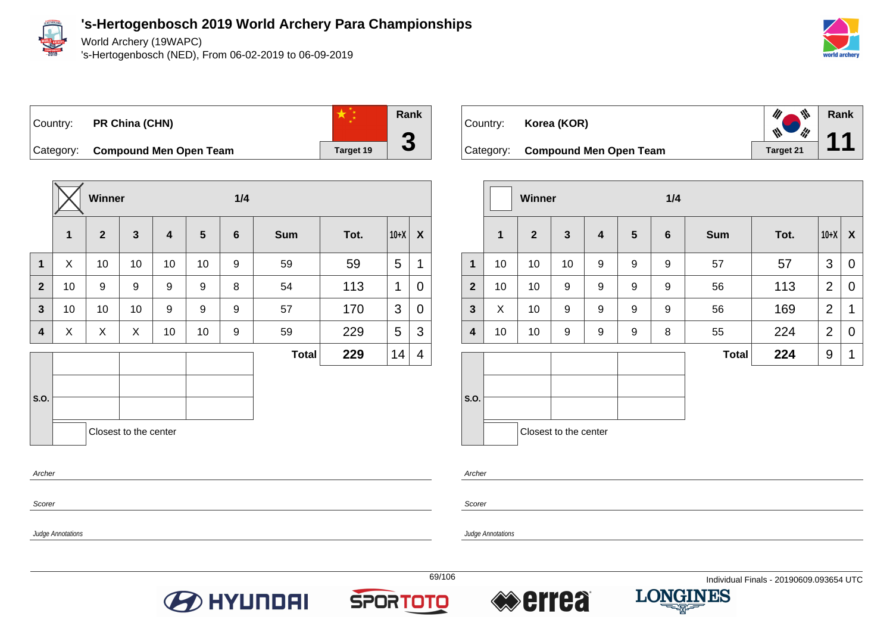

World Archery (19WAPC)

's-Hertogenbosch (NED), From 06-02-2019 to 06-09-2019



**Rank**

**11**

# Country: **PR China (CHN)**



Category: **Compound Men Open Team Target 19** 

|              |             | Winner       |                       |                         |                | 1/4            |              |      |        |                  |
|--------------|-------------|--------------|-----------------------|-------------------------|----------------|----------------|--------------|------|--------|------------------|
|              | $\mathbf 1$ | $\mathbf{2}$ | $\mathbf{3}$          | $\overline{\mathbf{4}}$ | $5\phantom{1}$ | $6\phantom{1}$ | <b>Sum</b>   | Tot. | $10+X$ | $\boldsymbol{X}$ |
| $\mathbf{1}$ | X           | 10           | 10                    | 10                      | 10             | 9              | 59           | 59   | 5      | 1                |
| $\mathbf{2}$ | 10          | 9            | 9                     | 9                       | 9              | 8              | 54           | 113  | 1      | 0                |
| $\mathbf{3}$ | 10          | 10           | 10                    | 9                       | 9              | 9              | 57           | 170  | 3      | 0                |
| 4            | X           | X            | X                     | 10                      | 10             | 9              | 59           | 229  | 5      | 3                |
|              |             |              |                       |                         |                |                | <b>Total</b> | 229  | 14     | 4                |
|              |             |              |                       |                         |                |                |              |      |        |                  |
| S.O.         |             |              |                       |                         |                |                |              |      |        |                  |
|              |             |              | Closest to the center |                         |                |                |              |      |        |                  |
|              |             |              |                       |                         |                |                |              |      |        |                  |

| Country: <b>Korea (KOR)</b>      |           |
|----------------------------------|-----------|
| Category: Compound Men Open Team | Target 21 |

|                         |              | <b>Winner</b>  |                       |                         | 1/4            |                 |              |      |                |             |
|-------------------------|--------------|----------------|-----------------------|-------------------------|----------------|-----------------|--------------|------|----------------|-------------|
|                         | $\mathbf{1}$ | $\overline{2}$ | $\mathbf{3}$          | $\overline{\mathbf{4}}$ | $5\phantom{1}$ | $6\phantom{1}6$ | <b>Sum</b>   | Tot. | $10+X$         | X           |
| $\mathbf{1}$            | 10           | 10             | 10                    | 9                       | 9              | 9               | 57           | 57   | 3              | 0           |
| $\overline{2}$          | 10           | 10             | 9                     | 9                       | 9              | 9               | 56           | 113  | $\overline{2}$ | 0           |
| $\mathbf{3}$            | X            | 10             | $\boldsymbol{9}$      | 9                       | 9              | 9               | 56           | 169  | $\overline{2}$ | $\mathbf 1$ |
| $\overline{\mathbf{4}}$ | 10           | 10             | 9                     | 9                       | 9              | 8               | 55           | 224  | $\overline{2}$ | 0           |
|                         |              |                |                       |                         |                |                 | <b>Total</b> | 224  | 9              | 1           |
| S.O.                    |              |                | Closest to the center |                         |                |                 |              |      |                |             |

Archer

Scorer

Judge Annotations

Judge Annotations

Archer

Scorer









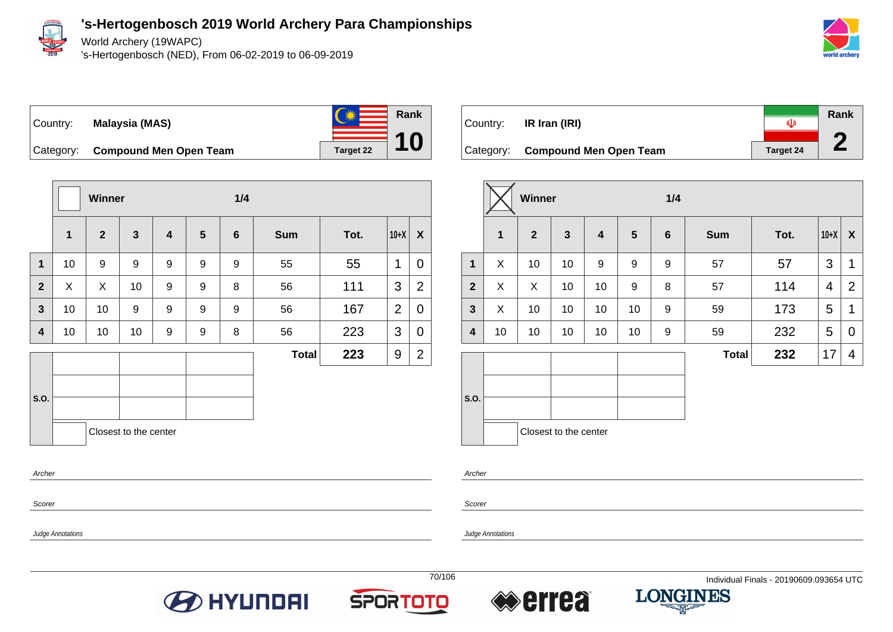

Judge Annotations

**'s-Hertogenbosch 2019 World Archery Para Championships**

World Archery (19WAPC)

's-Hertogenbosch (NED), From 06-02-2019 to 06-09-2019



#### Country: **Malaysia (MAS)**



Category: **Compound Men Open Team Target 22** 

|                  |             | Winner         |                       |                         | 1/4             |   |              |      |                |                |
|------------------|-------------|----------------|-----------------------|-------------------------|-----------------|---|--------------|------|----------------|----------------|
|                  | $\mathbf 1$ | $\overline{2}$ | $\mathbf{3}$          | $\overline{\mathbf{4}}$ | $5\phantom{.0}$ | 6 | <b>Sum</b>   | Tot. | $10+X$         | X              |
| $\mathbf{1}$     | 10          | 9              | 9                     | 9                       | 9               | 9 | 55           | 55   | 1              | 0              |
| $\overline{2}$   | X           | X              | 10                    | 9                       | 9               | 8 | 56           | 111  | 3              | $\overline{2}$ |
| $\mathbf{3}$     | 10          | 10             | $\boldsymbol{9}$      | 9                       | 9               | 9 | 56           | 167  | $\overline{2}$ | 0              |
| $\boldsymbol{4}$ | 10          | 10             | 10                    | 9                       | 9               | 8 | 56           | 223  | 3              | 0              |
|                  |             |                |                       |                         |                 |   | <b>Total</b> | 223  | 9              | $\overline{2}$ |
| S.O.             |             |                |                       |                         |                 |   |              |      |                |                |
| Archer           |             |                | Closest to the center |                         |                 |   |              |      |                |                |
| Scorer           |             |                |                       |                         |                 |   |              |      |                |                |

| Country:  | IR Iran (IRI)                 | (U)              | Rank |
|-----------|-------------------------------|------------------|------|
| Category: | <b>Compound Men Open Team</b> | <b>Target 24</b> |      |

|                |              | <b>Winner</b>  |                       |                  | 1/4 |                |              |      |        |                |
|----------------|--------------|----------------|-----------------------|------------------|-----|----------------|--------------|------|--------|----------------|
|                | $\mathbf{1}$ | $\overline{2}$ | $\mathbf{3}$          | 4                | 5   | $6\phantom{1}$ | <b>Sum</b>   | Tot. | $10+X$ | X              |
| $\mathbf{1}$   | X            | 10             | 10                    | $\boldsymbol{9}$ | 9   | 9              | 57           | 57   | 3      | 1              |
| $\overline{2}$ | X            | X              | 10                    | 10               | 9   | 8              | 57           | 114  | 4      | $\overline{2}$ |
| $\mathbf{3}$   | X            | 10             | 10                    | 10               | 10  | 9              | 59           | 173  | 5      | 1              |
| 4              | 10           | 10             | 10                    | 10               | 10  | 9              | 59           | 232  | 5      | 0              |
|                |              |                |                       |                  |     |                | <b>Total</b> | 232  | 17     | 4              |
| S.O.           |              |                |                       |                  |     |                |              |      |        |                |
|                |              |                | Closest to the center |                  |     |                |              |      |        |                |

Archer

Scorer

Judge Annotations







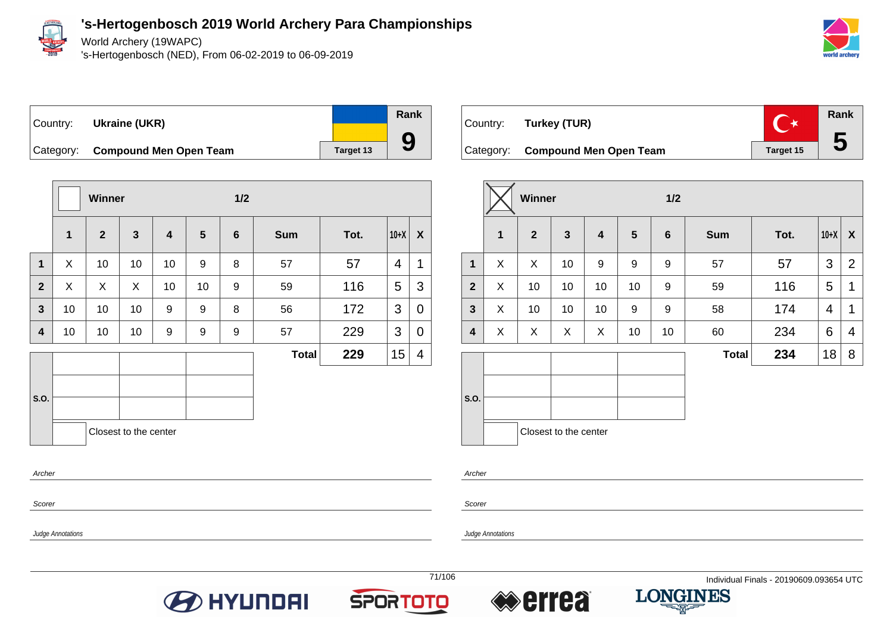

Scorer

Judge Annotations

#### **'s-Hertogenbosch 2019 World Archery Para Championships**

World Archery (19WAPC)

's-Hertogenbosch (NED), From 06-02-2019 to 06-09-2019



**5**

## Country: **Ukraine (UKR)** Category: **Compound Men Open Team Target 13**

**Winner 1/2 1 2 3 4 5 6 Sum Tot. 10+X X 1** X 10 10 10 9 8 57 57 4 1 **2**  $\mid$  X  $\mid$  X  $\mid$  10  $\mid$  10  $\mid$  9  $\mid$  59  $\mid$  116  $\mid$  5  $\mid$  3 **3** | 10 | 10 | 10 | 9 | 9 | 8 | 56 | 172 | 3 | 0 **4** | 10 | 10 | 10 | 9 | 9 | 9 | 57 | 229 | 3 | 0 **S.O. Total 229**  $|15|$  4 Closest to the center Archer



| 1/2  |        |                |  |  |  |  |
|------|--------|----------------|--|--|--|--|
| Tot. | $10+X$ | X              |  |  |  |  |
| 57   | 3      | $\overline{2}$ |  |  |  |  |
| 116  | 5      | 1              |  |  |  |  |
| 174  | 4      | 1              |  |  |  |  |
| 234  | 6      | 4              |  |  |  |  |
| 234  | 18     | 8              |  |  |  |  |
|      |        |                |  |  |  |  |
|      |        |                |  |  |  |  |

Archer

**Scorer** 

Judge Annotations

**Rank**

**9**







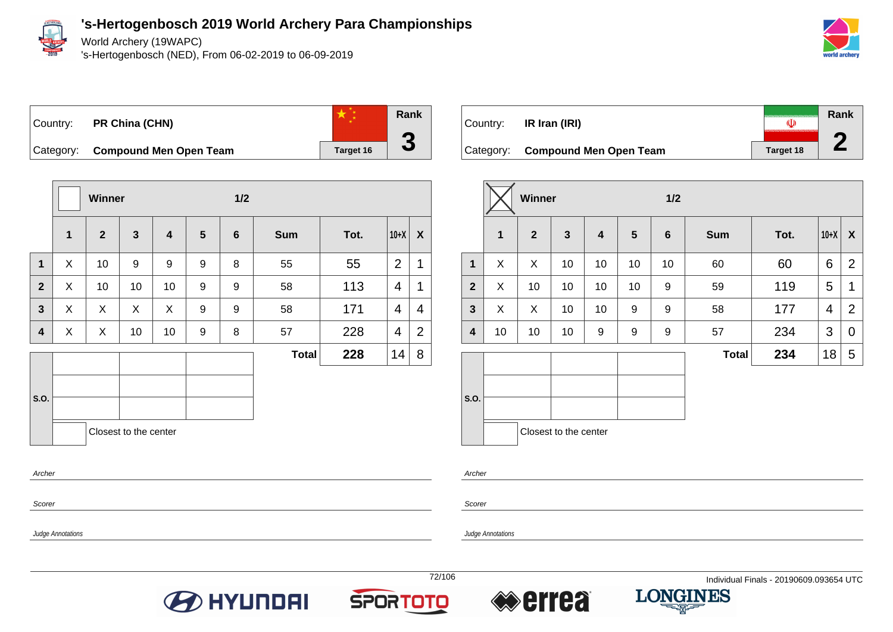

World Archery (19WAPC)

's-Hertogenbosch (NED), From 06-02-2019 to 06-09-2019







Category: **Compound Men Open Team Target 16** 

|                         |             | Winner         |                       |                         |                | 1/2            |              |      |                |                |
|-------------------------|-------------|----------------|-----------------------|-------------------------|----------------|----------------|--------------|------|----------------|----------------|
|                         | $\mathbf 1$ | $\overline{2}$ | $\mathbf{3}$          | $\overline{\mathbf{4}}$ | $5\phantom{1}$ | $6\phantom{1}$ | <b>Sum</b>   | Tot. | $10+X$         | X              |
| $\mathbf 1$             | X           | 10             | 9                     | 9                       | 9              | 8              | 55           | 55   | $\overline{2}$ | 1              |
| $\overline{2}$          | X           | 10             | 10                    | 10                      | 9              | 9              | 58           | 113  | $\overline{4}$ | 1              |
| $\overline{\mathbf{3}}$ | X           | X              | X                     | X                       | 9              | 9              | 58           | 171  | 4              | 4              |
| 4                       | X           | X              | 10                    | 10                      | 9              | 8              | 57           | 228  | 4              | $\overline{2}$ |
|                         |             |                |                       |                         |                |                | <b>Total</b> | 228  | 14             | 8              |
|                         |             |                |                       |                         |                |                |              |      |                |                |
| S.O.                    |             |                |                       |                         |                |                |              |      |                |                |
|                         |             |                | Closest to the center |                         |                |                |              |      |                |                |
| Archer                  |             |                |                       |                         |                |                |              |      |                |                |



|                  |    | <b>Winner</b>  |                       |    |                | 1/2              |              |      |        |                |
|------------------|----|----------------|-----------------------|----|----------------|------------------|--------------|------|--------|----------------|
|                  | 1  | $\overline{2}$ | $\mathbf{3}$          | 4  | $5\phantom{1}$ | $6\phantom{1}6$  | <b>Sum</b>   | Tot. | $10+X$ | X              |
| $\mathbf{1}$     | X  | X              | 10                    | 10 | 10             | 10               | 60           | 60   | 6      | $\overline{2}$ |
| $\overline{2}$   | X  | 10             | 10                    | 10 | 10             | $\boldsymbol{9}$ | 59           | 119  | 5      | 1              |
| $\mathbf{3}$     | X  | X              | 10                    | 10 | 9              | 9                | 58           | 177  | 4      | $\overline{2}$ |
| $\boldsymbol{4}$ | 10 | 10             | 10                    | 9  | 9              | 9                | 57           | 234  | 3      | 0              |
|                  |    |                |                       |    |                |                  | <b>Total</b> | 234  | 18     | 5              |
| S.O.             |    |                |                       |    |                |                  |              |      |        |                |
|                  |    |                | Closest to the center |    |                |                  |              |      |        |                |

Archer

Scorer

Judge Annotations

Judge Annotations

Scorer







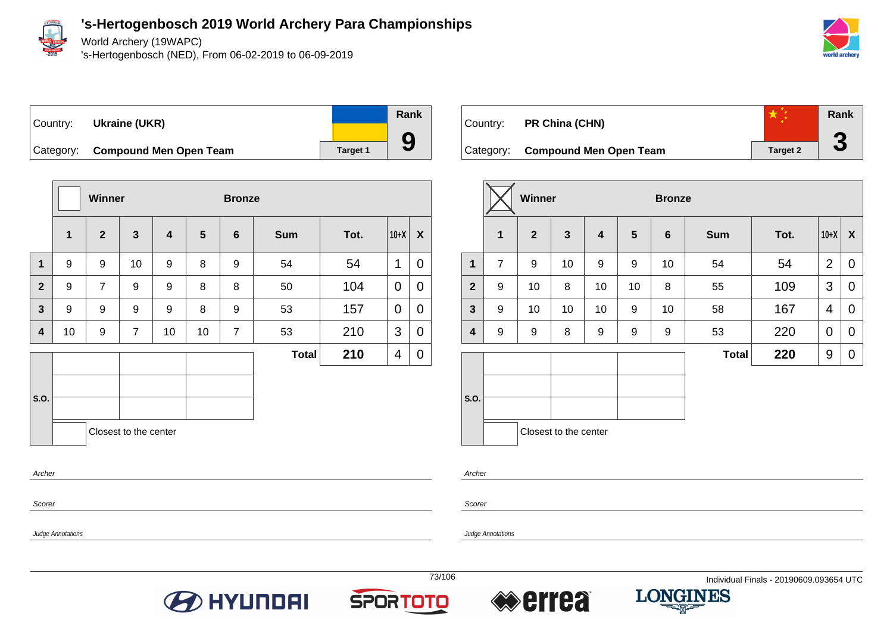

World Archery (19WAPC)

's-Hertogenbosch (NED), From 06-02-2019 to 06-09-2019



### Country: **Ukraine (UKR)** Category: **Compound Men Open Team Target 1** Target 1

|                |              | <b>Winner</b>  |                       |                         |                 | <b>Bronze</b>  |              |      |             |                |
|----------------|--------------|----------------|-----------------------|-------------------------|-----------------|----------------|--------------|------|-------------|----------------|
|                | $\mathbf{1}$ | $\mathbf{2}$   | $\mathbf{3}$          | $\overline{\mathbf{4}}$ | $5\phantom{.0}$ | $6\phantom{1}$ | <b>Sum</b>   | Tot. | $10+X$      | X              |
| $\mathbf{1}$   | 9            | 9              | 10                    | 9                       | 8               | 9              | 54           | 54   | 1           | $\overline{0}$ |
| $\overline{2}$ | 9            | $\overline{7}$ | 9                     | 9                       | 8               | 8              | 50           | 104  | $\mathbf 0$ | 0              |
| 3              | 9            | 9              | 9                     | 9                       | 8               | 9              | 53           | 157  | 0           | $\mathbf 0$    |
| 4              | 10           | 9              | $\overline{7}$        | 10                      | 10              | $\overline{7}$ | 53           | 210  | 3           | $\mathbf 0$    |
|                |              |                |                       |                         |                 |                | <b>Total</b> | 210  | 4           | 0              |
|                |              |                |                       |                         |                 |                |              |      |             |                |
| S.O.           |              |                |                       |                         |                 |                |              |      |             |                |
|                |              |                | Closest to the center |                         |                 |                |              |      |             |                |
| Archer         |              |                |                       |                         |                 |                |              |      |             |                |



|              |                | <b>Winner</b>  |                       |    |    | <b>Bronze</b>   |              |      |                |             |
|--------------|----------------|----------------|-----------------------|----|----|-----------------|--------------|------|----------------|-------------|
|              | 1              | $\overline{2}$ | $\overline{3}$        | 4  | 5  | $6\phantom{1}6$ | <b>Sum</b>   | Tot. | $10+X$         | X           |
| $\mathbf{1}$ | $\overline{7}$ | 9              | 10                    | 9  | 9  | 10              | 54           | 54   | $\overline{2}$ | $\mathbf 0$ |
| $\mathbf{2}$ | 9              | 10             | 8                     | 10 | 10 | 8               | 55           | 109  | 3              | $\mathbf 0$ |
| $\mathbf{3}$ | 9              | 10             | 10                    | 10 | 9  | 10              | 58           | 167  | 4              | 0           |
| 4            | 9              | 9              | 8                     | 9  | 9  | 9               | 53           | 220  | $\mathbf 0$    | 0           |
|              |                |                |                       |    |    |                 | <b>Total</b> | 220  | 9              | 0           |
| S.O.         |                |                | Closest to the center |    |    |                 |              |      |                |             |

Archer

Scorer

Judge Annotations

Judge Annotations

Scorer





**Rank**

**9**



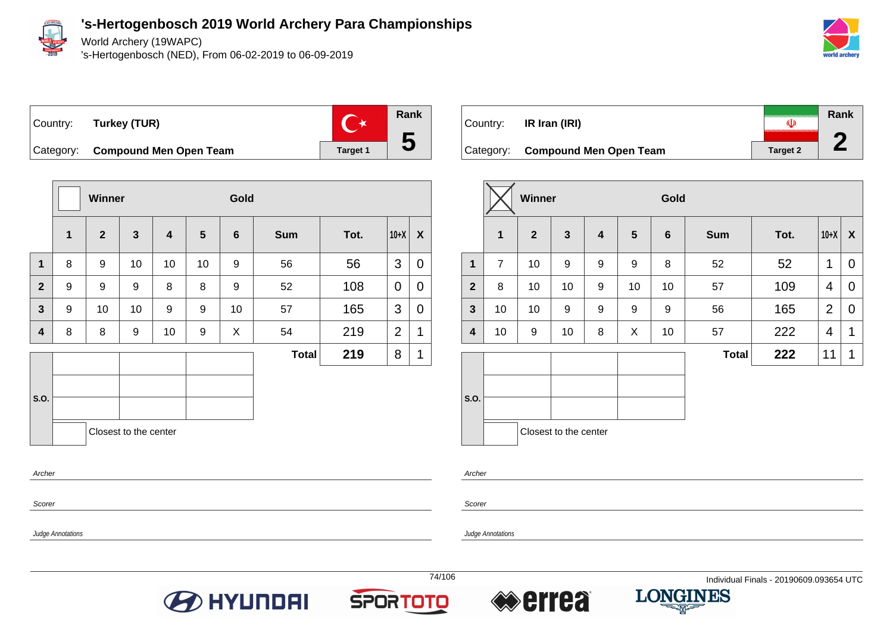

Judge Annotations

**'s-Hertogenbosch 2019 World Archery Para Championships**

World Archery (19WAPC)

's-Hertogenbosch (NED), From 06-02-2019 to 06-09-2019





**Winner Gold 1 2 3 4 5 6 Sum Tot. 10+X X 1** | 8 | 9 | 10 | 10 | 10 | 9 | 56 | 56 | 3 | 0 **2** | 9 | 9 | 9 | 8 | 8 | 9 | 52 | 108 |0 |0 **3** 9 10 10 9 9 10 57 165 3 0 **4** 8 8 9 10 9 X 54 219 2 1 **S.O. Total 219** 8 1 Closest to the center Archer Scorer

| Country:  | IR Iran (IRI)                 | «D              | Rank |
|-----------|-------------------------------|-----------------|------|
| Category: | <b>Compound Men Open Team</b> | <b>Target 2</b> |      |

|              |                | Winner         |                       |                         |    | Gold            |              |      |                |                  |
|--------------|----------------|----------------|-----------------------|-------------------------|----|-----------------|--------------|------|----------------|------------------|
|              | $\mathbf{1}$   | 2 <sup>1</sup> | $\mathbf{3}$          | $\overline{\mathbf{4}}$ | 5  | $6\phantom{1}6$ | <b>Sum</b>   | Tot. | $10+X$         | $\boldsymbol{X}$ |
| $\mathbf{1}$ | $\overline{7}$ | 10             | 9                     | 9                       | 9  | 8               | 52           | 52   | 1              | 0                |
| $\mathbf{2}$ | 8              | 10             | 10                    | 9                       | 10 | 10              | 57           | 109  | 4              | 0                |
| 3            | 10             | 10             | $\boldsymbol{9}$      | 9                       | 9  | 9               | 56           | 165  | $\overline{2}$ | 0                |
| 4            | 10             | 9              | 10                    | 8                       | X  | 10              | 57           | 222  | 4              | 1                |
|              |                |                |                       |                         |    |                 | <b>Total</b> | 222  | 11             | 1                |
|              |                |                |                       |                         |    |                 |              |      |                |                  |
| S.O.         |                |                |                       |                         |    |                 |              |      |                |                  |
|              |                |                |                       |                         |    |                 |              |      |                |                  |
|              |                |                | Closest to the center |                         |    |                 |              |      |                |                  |

Archer

Scorer

Judge Annotations







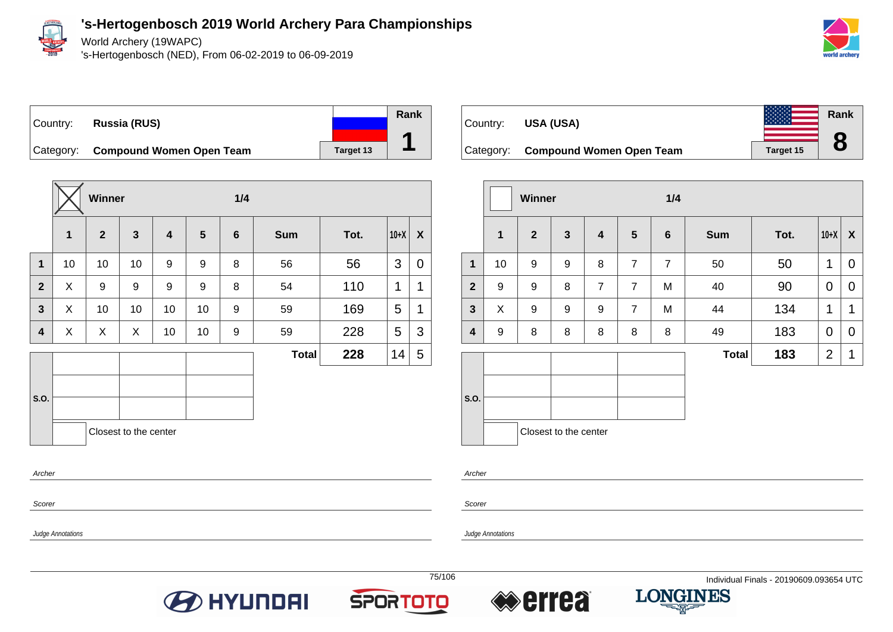

World Archery (19WAPC)

's-Hertogenbosch (NED), From 06-02-2019 to 06-09-2019



### Country: **Russia (RUS)** Category: **Compound Women Open Team** Target 13

**Winner 1/4 1 2 3 4 5 6 Sum Tot. 10+X X 1** | 10 | 10 | 10 | 9 | 9 | 8 | 56 | 56 | 3 | 0 **2** X 9 9 9 9 8 54 110 1 1 **3**  $\mid$  X  $\mid$  10  $\mid$  10  $\mid$  10  $\mid$  9  $\mid$  59  $\mid$  169  $\mid$  5  $\mid$  1 **4**  $\mid$  X  $\mid$  X  $\mid$  X  $\mid$  10  $\mid$  10  $\mid$  9  $\mid$  59  $\mid$  228  $\mid$  5  $\mid$  3 **S.O. Total 228**  $|14|$  5 Closest to the center Archer

**O** HYUNDAI



|                |                  | Winner           |                       |                         |                | 1/4             |              |      |                |              |
|----------------|------------------|------------------|-----------------------|-------------------------|----------------|-----------------|--------------|------|----------------|--------------|
|                | $\mathbf{1}$     | $\overline{2}$   | $\mathbf{3}$          | $\overline{\mathbf{4}}$ | $5\phantom{1}$ | $6\phantom{1}6$ | <b>Sum</b>   | Tot. | $10+X$         | $\mathsf{X}$ |
| $\mathbf{1}$   | 10               | $\boldsymbol{9}$ | 9                     | 8                       | $\overline{7}$ | $\overline{7}$  | 50           | 50   | 1              | $\mathbf 0$  |
| $\overline{2}$ | 9                | 9                | 8                     | $\overline{7}$          | $\overline{7}$ | M               | 40           | 90   | 0              | 0            |
| $\mathbf{3}$   | X                | 9                | 9                     | 9                       | $\overline{7}$ | M               | 44           | 134  | 1              | 1            |
| 4              | $\boldsymbol{9}$ | 8                | 8                     | 8                       | 8              | 8               | 49           | 183  | 0              | 0            |
|                |                  |                  |                       |                         |                |                 | <b>Total</b> | 183  | $\overline{2}$ | 1            |
| S.O.           |                  |                  | Closest to the center |                         |                |                 |              |      |                |              |
|                |                  |                  |                       |                         |                |                 |              |      |                |              |

Archer

**Scorer** 

Judge Annotations

Judge Annotations

Scorer

**Rank**

**1**





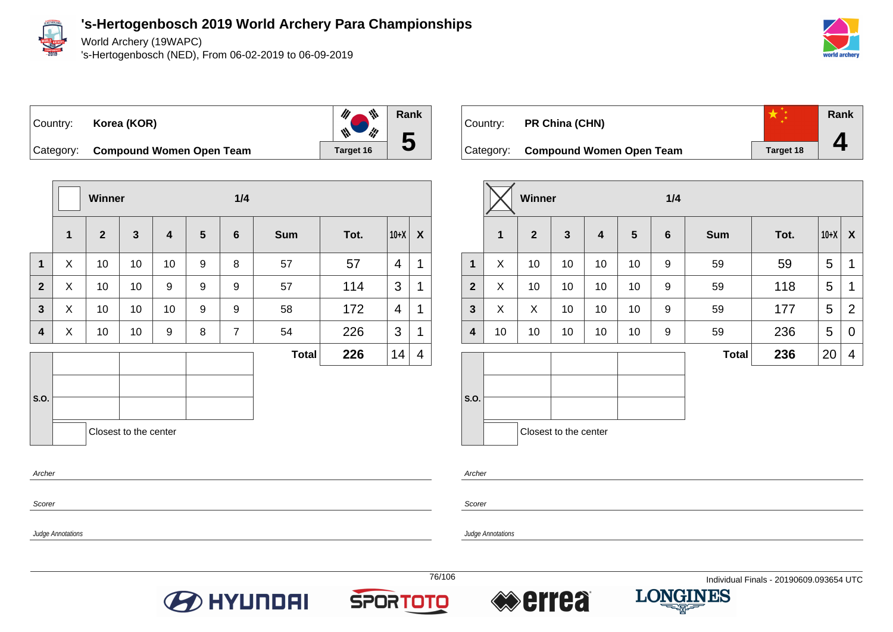

World Archery (19WAPC)

's-Hertogenbosch (NED), From 06-02-2019 to 06-09-2019



Country: **Korea (KOR)**



Category: **Compound Women Open Team** Target 16

|              |             | Winner         |                       |                         |   | 1/4            |              |      |        |              |
|--------------|-------------|----------------|-----------------------|-------------------------|---|----------------|--------------|------|--------|--------------|
|              | $\mathbf 1$ | $\overline{2}$ | $\mathbf{3}$          | $\overline{\mathbf{4}}$ | 5 | $6\phantom{1}$ | <b>Sum</b>   | Tot. | $10+X$ | $\mathsf{X}$ |
| 1            | X           | 10             | 10                    | 10                      | 9 | 8              | 57           | 57   | 4      | 1            |
| $\mathbf{2}$ | X           | 10             | 10                    | 9                       | 9 | 9              | 57           | 114  | 3      | 1            |
| $\mathbf{3}$ | X           | 10             | 10                    | 10                      | 9 | 9              | 58           | 172  | 4      | 1            |
| 4            | X           | 10             | 10                    | 9                       | 8 | $\overline{7}$ | 54           | 226  | 3      | 1            |
|              |             |                |                       |                         |   |                | <b>Total</b> | 226  | 14     | 4            |
|              |             |                |                       |                         |   |                |              |      |        |              |
| S.O.         |             |                |                       |                         |   |                |              |      |        |              |
|              |             |                | Closest to the center |                         |   |                |              |      |        |              |
| Archer       |             |                |                       |                         |   |                |              |      |        |              |
| Scorer       |             |                |                       |                         |   |                |              |      |        |              |

| Country: | PR China (CHN)                     |                  | Rank |
|----------|------------------------------------|------------------|------|
|          | Category: Compound Women Open Team | <b>Target 18</b> |      |

|              |             | <b>Winner</b> |                       |    |    | 1/4            |              |      |        |                |
|--------------|-------------|---------------|-----------------------|----|----|----------------|--------------|------|--------|----------------|
|              | $\mathbf 1$ | $\mathbf{2}$  | $\mathbf{3}$          | 4  | 5  | $6\phantom{1}$ | <b>Sum</b>   | Tot. | $10+X$ | X              |
| $\mathbf 1$  | X           | 10            | 10                    | 10 | 10 | 9              | 59           | 59   | 5      | 1              |
| $\mathbf{2}$ | X           | 10            | 10                    | 10 | 10 | 9              | 59           | 118  | 5      | 1              |
| $\mathbf{3}$ | X           | X             | 10                    | 10 | 10 | 9              | 59           | 177  | 5      | $\overline{2}$ |
| 4            | 10          | 10            | 10                    | 10 | 10 | 9              | 59           | 236  | 5      | 0              |
|              |             |               |                       |    |    |                | <b>Total</b> | 236  | 20     | 4              |
| S.O.         |             |               |                       |    |    |                |              |      |        |                |
|              |             |               | Closest to the center |    |    |                |              |      |        |                |

Archer

Scorer

Judge Annotations







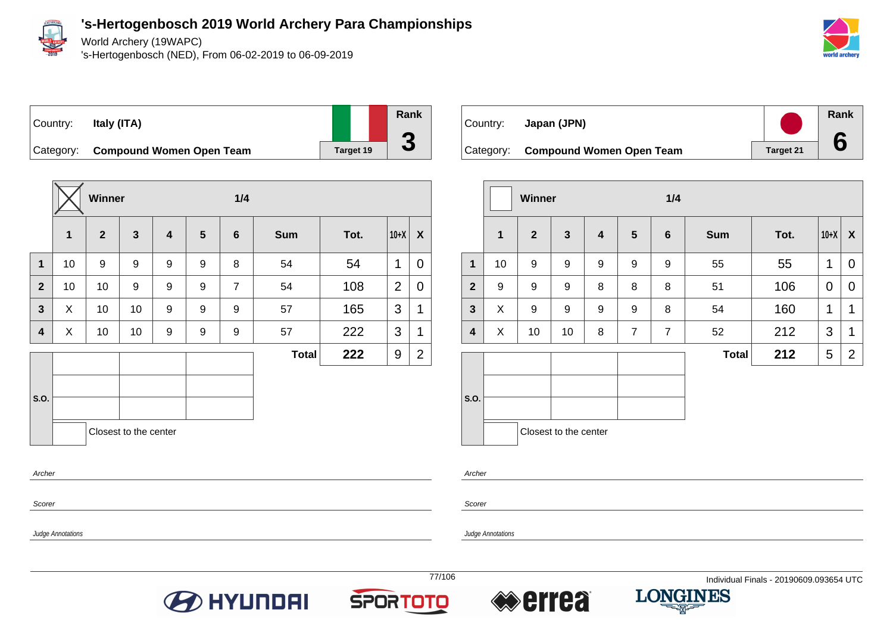

World Archery (19WAPC)

's-Hertogenbosch (NED), From 06-02-2019 to 06-09-2019



Country: **Italy (ITA)**



Category: **Compound Women Open Team** Target 19

|                         |             | Winner       |                       |                         |                | 1/4            |              |      |                |                |
|-------------------------|-------------|--------------|-----------------------|-------------------------|----------------|----------------|--------------|------|----------------|----------------|
|                         | $\mathbf 1$ | $\mathbf{2}$ | $\mathbf{3}$          | $\overline{\mathbf{4}}$ | $5\phantom{1}$ | $6\phantom{1}$ | <b>Sum</b>   | Tot. | $10+X$         | X              |
| $\mathbf{1}$            | 10          | 9            | 9                     | 9                       | 9              | 8              | 54           | 54   | 1              | $\mathbf 0$    |
| $\overline{2}$          | 10          | 10           | 9                     | 9                       | 9              | $\overline{7}$ | 54           | 108  | $\overline{2}$ | 0              |
| $\mathbf{3}$            | X           | 10           | 10                    | 9                       | 9              | 9              | 57           | 165  | 3              | 1              |
| $\overline{\mathbf{4}}$ | X           | 10           | 10                    | 9                       | 9              | 9              | 57           | 222  | 3              | 1              |
|                         |             |              |                       |                         |                |                | <b>Total</b> | 222  | 9              | $\overline{2}$ |
|                         |             |              |                       |                         |                |                |              |      |                |                |
| S.O.                    |             |              |                       |                         |                |                |              |      |                |                |
|                         |             |              | Closest to the center |                         |                |                |              |      |                |                |
| Archer                  |             |              |                       |                         |                |                |              |      |                |                |

Scorer

Judge Annotations

Country: **Japan (JPN)** Category: **Compound Women Open Team** Target 21 **Rank 6**

|                         |              | <b>Winner</b>  |                         |                         |                | 1/4              |              |      |             |                |
|-------------------------|--------------|----------------|-------------------------|-------------------------|----------------|------------------|--------------|------|-------------|----------------|
|                         | $\mathbf{1}$ | $\overline{2}$ | $\overline{\mathbf{3}}$ | $\overline{\mathbf{4}}$ | $5\phantom{1}$ | $\boldsymbol{6}$ | <b>Sum</b>   | Tot. | $10+X$      | X              |
| $\mathbf{1}$            | 10           | 9              | 9                       | 9                       | 9              | 9                | 55           | 55   | 1           | 0              |
| $\overline{2}$          | 9            | 9              | 9                       | 8                       | 8              | $\bf 8$          | 51           | 106  | $\mathbf 0$ | $\mathbf 0$    |
| $\mathbf{3}$            | X            | 9              | 9                       | 9                       | 9              | 8                | 54           | 160  | 1           | 1              |
| $\overline{\mathbf{4}}$ | X            | 10             | 10                      | 8                       | $\overline{7}$ | $\overline{7}$   | 52           | 212  | 3           | 1              |
|                         |              |                |                         |                         |                |                  | <b>Total</b> | 212  | 5           | $\overline{2}$ |
| S.O.                    |              |                | Closest to the center   |                         |                |                  |              |      |             |                |

Archer

Scorer







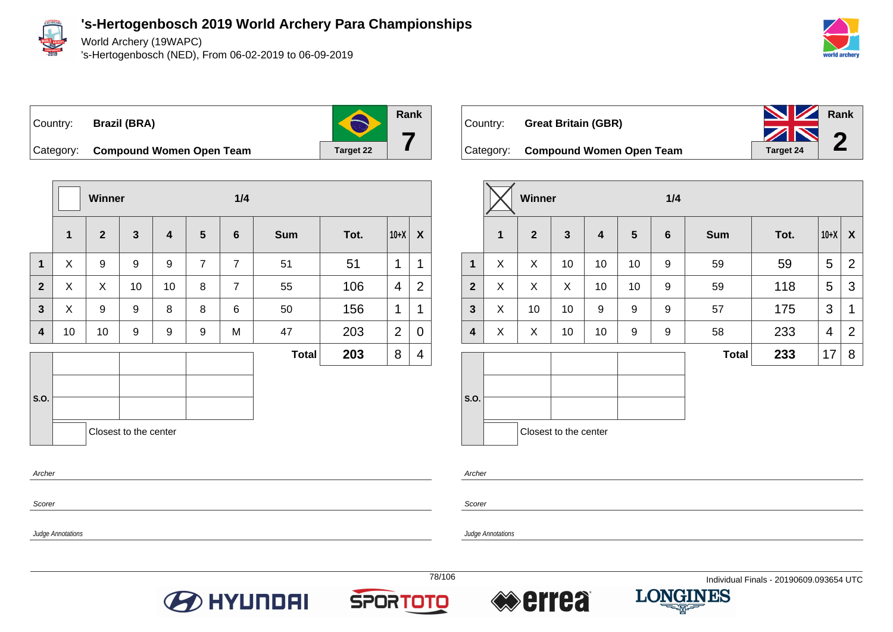

World Archery (19WAPC)

's-Hertogenbosch (NED), From 06-02-2019 to 06-09-2019



Country: **Brazil (BRA)**

**Rank 7**

Category: **Compound Women Open Team** Target 22





|                  | Winner       |              |                       |    |                | 1/4            |              |      |        |                |
|------------------|--------------|--------------|-----------------------|----|----------------|----------------|--------------|------|--------|----------------|
|                  | $\mathbf{1}$ | $\mathbf{2}$ | $\mathbf{3}$          | 4  | $5\phantom{1}$ | $6\phantom{1}$ | <b>Sum</b>   | Tot. | $10+X$ | X              |
| $\mathbf{1}$     | X            | X            | 10                    | 10 | 10             | 9              | 59           | 59   | 5      | $\overline{2}$ |
| $\overline{2}$   | X            | X            | X                     | 10 | 10             | 9              | 59           | 118  | 5      | 3              |
| $\mathbf{3}$     | X            | 10           | 10                    | 9  | 9              | 9              | 57           | 175  | 3      | $\mathbf 1$    |
| $\boldsymbol{4}$ | X            | X            | 10                    | 10 | 9              | 9              | 58           | 233  | 4      | 2              |
|                  |              |              |                       |    |                |                | <b>Total</b> | 233  | 17     | 8              |
| S.O.             |              |              | Closest to the center |    |                |                |              |      |        |                |

Archer

**Scorer** 

Judge Annotations









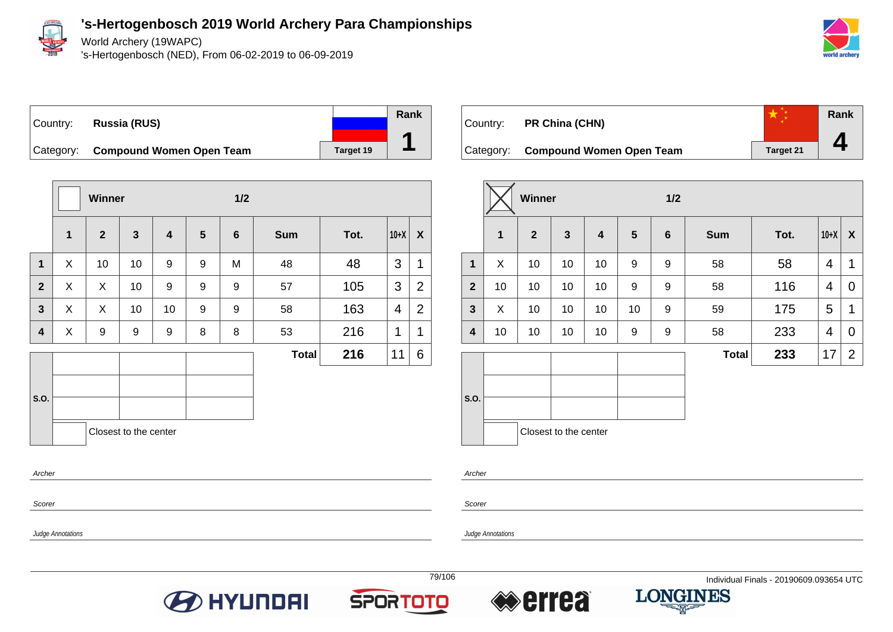

Judge Annotations

### **'s-Hertogenbosch 2019 World Archery Para Championships**

World Archery (19WAPC)

's-Hertogenbosch (NED), From 06-02-2019 to 06-09-2019



### Country: **Russia (RUS)** Category: **Compound Women Open Team** Target 19 **Rank**

|                  |              | Winner         |                       |                         |                 | 1/2            |              |      |        |                |
|------------------|--------------|----------------|-----------------------|-------------------------|-----------------|----------------|--------------|------|--------|----------------|
|                  | $\mathbf{1}$ | $\overline{2}$ | $\mathbf{3}$          | $\overline{\mathbf{4}}$ | $5\phantom{.0}$ | $6\phantom{1}$ | <b>Sum</b>   | Tot. | $10+X$ | X              |
| $\mathbf{1}$     | X            | 10             | 10                    | 9                       | 9               | M              | 48           | 48   | 3      | 1              |
| $\overline{2}$   | X            | X              | 10                    | 9                       | 9               | 9              | 57           | 105  | 3      | $\overline{2}$ |
| 3                | X            | X              | 10                    | 10                      | 9               | 9              | 58           | 163  | 4      | $\overline{2}$ |
| 4                | X            | 9              | 9                     | 9                       | 8               | 8              | 53           | 216  | 1      | 1              |
|                  |              |                |                       |                         |                 |                | <b>Total</b> | 216  | 11     | 6              |
| S.O.             |              |                | Closest to the center |                         |                 |                |              |      |        |                |
| Archer<br>Scorer |              |                |                       |                         |                 |                |              |      |        |                |



|                         |              | <b>Winner</b>  |                       |                         | 1/2            |                  |              |      |        |                |
|-------------------------|--------------|----------------|-----------------------|-------------------------|----------------|------------------|--------------|------|--------|----------------|
|                         | $\mathbf{1}$ | $\overline{2}$ | $\mathbf{3}$          | $\overline{\mathbf{4}}$ | $5\phantom{1}$ | $\boldsymbol{6}$ | <b>Sum</b>   | Tot. | $10+X$ | X              |
| $\mathbf 1$             | X            | 10             | 10                    | 10                      | 9              | 9                | 58           | 58   | 4      | 1              |
| $\overline{2}$          | 10           | 10             | 10                    | 10                      | 9              | 9                | 58           | 116  | 4      | 0              |
| $\mathbf{3}$            | X            | 10             | 10                    | 10                      | 10             | 9                | 59           | 175  | 5      | 1              |
| $\overline{\mathbf{4}}$ | 10           | 10             | 10                    | 10                      | 9              | 9                | 58           | 233  | 4      | 0              |
|                         |              |                |                       |                         |                |                  | <b>Total</b> | 233  | 17     | $\overline{2}$ |
| S.O.                    |              |                | Closest to the center |                         |                |                  |              |      |        |                |

Archer

Scorer

Judge Annotations





**1**



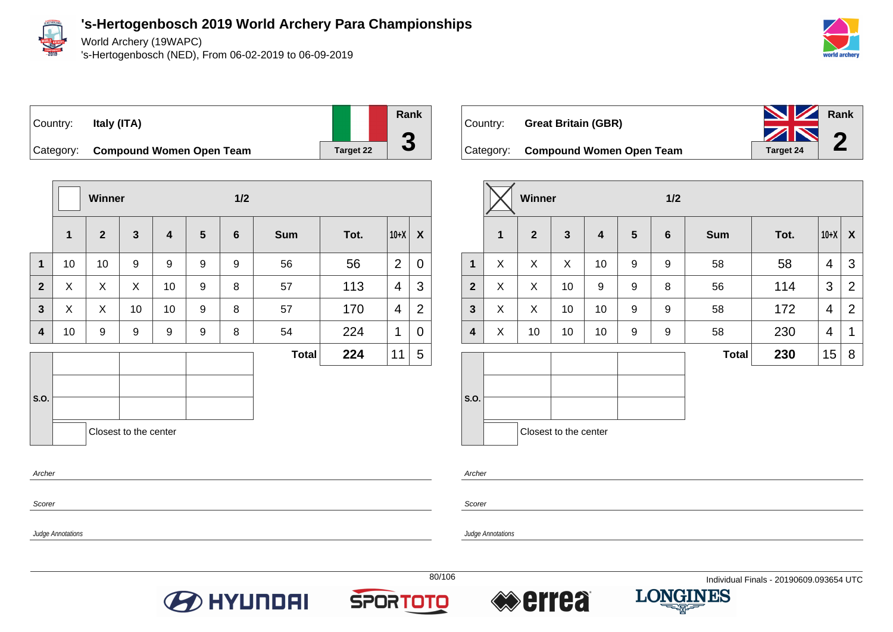

World Archery (19WAPC)

's-Hertogenbosch (NED), From 06-02-2019 to 06-09-2019



### Country: **Italy (ITA)**

**Rank 3**

Category: **Compound Women Open Team** Target 22

|                |             | <b>Winner</b> |                       |                         |                 | 1/2     |              |      |                |                |
|----------------|-------------|---------------|-----------------------|-------------------------|-----------------|---------|--------------|------|----------------|----------------|
|                | $\mathbf 1$ | $\mathbf{2}$  | $\mathbf{3}$          | $\overline{\mathbf{4}}$ | $5\phantom{.0}$ | $\bf 6$ | <b>Sum</b>   | Tot. | $10+X$         | X              |
| $\mathbf{1}$   | 10          | 10            | 9                     | 9                       | 9               | 9       | 56           | 56   | $\overline{2}$ | $\overline{0}$ |
| $\overline{2}$ | X           | X             | X                     | 10                      | 9               | 8       | 57           | 113  | 4              | 3              |
| $\mathbf{3}$   | X           | X             | 10                    | 10 <sup>1</sup>         | 9               | 8       | 57           | 170  | 4              | $\overline{2}$ |
| 4              | 10          | 9             | 9                     | 9                       | 9               | 8       | 54           | 224  | 1              | 0              |
|                |             |               |                       |                         |                 |         | <b>Total</b> | 224  | 11             | 5              |
|                |             |               |                       |                         |                 |         |              |      |                |                |
| S.O.           |             |               |                       |                         |                 |         |              |      |                |                |
|                |             |               | Closest to the center |                         |                 |         |              |      |                |                |
| Archer         |             |               |                       |                         |                 |         |              |      |                |                |

| Country: _ | <b>Great Britain (GBR)</b>         | <b>No. 2 Rank</b> |  |
|------------|------------------------------------|-------------------|--|
|            |                                    | ZN 2              |  |
|            | Category: Compound Women Open Team | Target 24         |  |

|                         |   | Winner         |                         |                  | 1/2            |   |              |      |                |                |
|-------------------------|---|----------------|-------------------------|------------------|----------------|---|--------------|------|----------------|----------------|
|                         | 1 | $\overline{2}$ | $\overline{\mathbf{3}}$ | $\boldsymbol{4}$ | $5\phantom{1}$ | 6 | <b>Sum</b>   | Tot. | $10+X$         | X              |
| $\mathbf{1}$            | X | X              | X                       | 10               | 9              | 9 | 58           | 58   | $\overline{4}$ | 3              |
| $\overline{2}$          | X | X              | 10                      | 9                | 9              | 8 | 56           | 114  | 3              | $\overline{2}$ |
| $\mathbf{3}$            | X | X              | 10                      | 10               | 9              | 9 | 58           | 172  | $\overline{4}$ | $\overline{2}$ |
| $\overline{\mathbf{4}}$ | X | 10             | 10                      | 10               | 9              | 9 | 58           | 230  | 4              | 1              |
|                         |   |                |                         |                  |                |   | <b>Total</b> | 230  | 15             | 8              |
| S.O.                    |   |                | Closest to the center   |                  |                |   |              |      |                |                |

Archer

Scorer

Judge Annotations

Judge Annotations

Scorer

**BO HYUNDAI** 





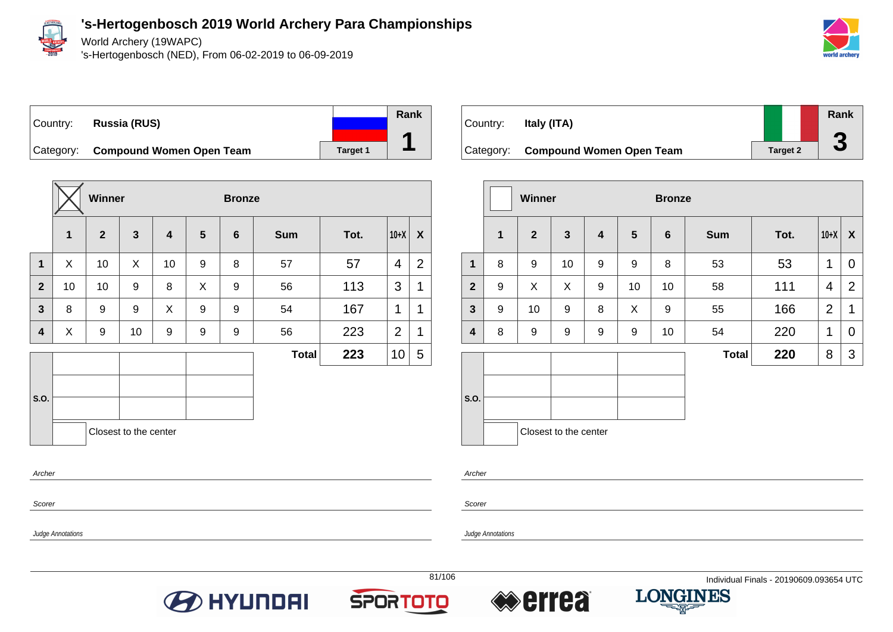

Judge Annotations

### **'s-Hertogenbosch 2019 World Archery Para Championships**

World Archery (19WAPC)

's-Hertogenbosch (NED), From 06-02-2019 to 06-09-2019



#### Country: **Russia (RUS)** Category: **Compound Women Open Team Target 1 Rank 1**

|                         |    | Winner         |                       |                         |                | <b>Bronze</b>  |              |      |                |                  |  |
|-------------------------|----|----------------|-----------------------|-------------------------|----------------|----------------|--------------|------|----------------|------------------|--|
|                         | 1  | $\overline{2}$ | $\mathbf{3}$          | $\overline{\mathbf{4}}$ | $5\phantom{1}$ | $6\phantom{1}$ | <b>Sum</b>   | Tot. | $10+X$         | $\boldsymbol{X}$ |  |
| $\mathbf{1}$            | X  | 10             | X                     | 10                      | 9              | 8              | 57           | 57   | 4              | $\overline{2}$   |  |
| $\overline{2}$          | 10 | 10             | 9                     | 8                       | X              | 9              | 56           | 113  | 3              | 1                |  |
| $\overline{\mathbf{3}}$ | 8  | 9              | 9                     | X                       | 9              | 9              | 54           | 167  | 1              | 1                |  |
| 4                       | X  | 9              | 10                    | 9                       | 9              | 9              | 56           | 223  | $\overline{2}$ | 1                |  |
| S.O.                    |    |                |                       |                         |                |                | <b>Total</b> | 223  | 10             | 5                |  |
| Archer                  |    |                | Closest to the center |                         |                |                |              |      |                |                  |  |
| Scorer                  |    |                |                       |                         |                |                |              |      |                |                  |  |



|                |              | <b>Winner</b>  |                       |   |    | <b>Bronze</b>   |              |      |                |                |
|----------------|--------------|----------------|-----------------------|---|----|-----------------|--------------|------|----------------|----------------|
|                | $\mathbf{1}$ | $\overline{2}$ | $\mathbf{3}$          | 4 | 5  | $6\phantom{1}6$ | <b>Sum</b>   | Tot. | $10+X$         | X              |
| $\mathbf{1}$   | 8            | 9              | 10                    | 9 | 9  | 8               | 53           | 53   | 1              | 0              |
| $\overline{2}$ | 9            | X              | X                     | 9 | 10 | 10              | 58           | 111  | 4              | $\overline{2}$ |
| $\mathbf{3}$   | 9            | 10             | 9                     | 8 | X  | 9               | 55           | 166  | $\overline{2}$ | 1              |
| 4              | 8            | 9              | 9                     | 9 | 9  | 10              | 54           | 220  | $\mathbf 1$    | 0              |
|                |              |                |                       |   |    |                 | <b>Total</b> | 220  | 8              | 3              |
| S.O.           |              |                |                       |   |    |                 |              |      |                |                |
|                |              |                | Closest to the center |   |    |                 |              |      |                |                |

Archer

Scorer







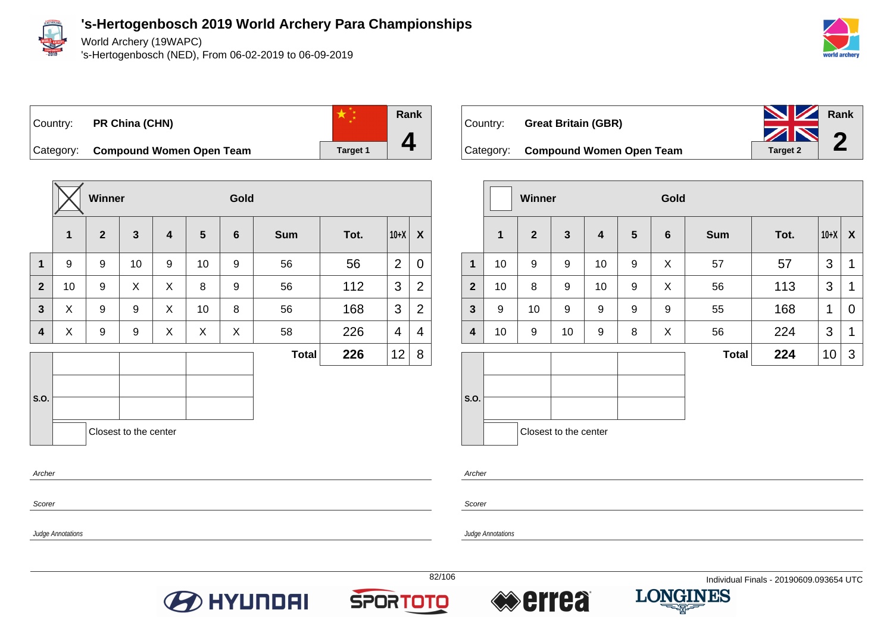

World Archery (19WAPC)

's-Hertogenbosch (NED), From 06-02-2019 to 06-09-2019



Country: **PR China (CHN)**



Category: **Compound Women Open Team Target 1** 

|                |             | Winner           |                       |   |                 | Gold    |              |      |                |                |  |
|----------------|-------------|------------------|-----------------------|---|-----------------|---------|--------------|------|----------------|----------------|--|
|                | $\mathbf 1$ | $\boldsymbol{2}$ | $\mathbf{3}$          | 4 | $5\phantom{.0}$ | $\bf 6$ | <b>Sum</b>   | Tot. | $10+X$         | X              |  |
| $\mathbf{1}$   | 9           | 9                | 10                    | 9 | 10              | 9       | 56           | 56   | $\overline{2}$ | $\mathbf 0$    |  |
| $\overline{2}$ | 10          | 9                | X                     | X | 8               | 9       | 56           | 112  | 3              | $\overline{2}$ |  |
| $\mathbf{3}$   | X           | 9                | 9                     | X | 10              | 8       | 56           | 168  | 3              | $\overline{2}$ |  |
| 4              | X           | 9                | 9                     | X | X               | X       | 58           | 226  | 4              | 4              |  |
|                |             |                  |                       |   |                 |         | <b>Total</b> | 226  | 12             | 8              |  |
|                |             |                  |                       |   |                 |         |              |      |                |                |  |
| S.O.           |             |                  |                       |   |                 |         |              |      |                |                |  |
|                |             |                  | Closest to the center |   |                 |         |              |      |                |                |  |
| Archer         |             |                  |                       |   |                 |         |              |      |                |                |  |



|                         |             | Winner         |                       |    |   | Gold            |              |      |        |                |  |  |
|-------------------------|-------------|----------------|-----------------------|----|---|-----------------|--------------|------|--------|----------------|--|--|
|                         | $\mathbf 1$ | $\overline{2}$ | $\mathbf{3}$          | 4  | 5 | $6\phantom{1}6$ | <b>Sum</b>   | Tot. | $10+X$ | X              |  |  |
| $\mathbf{1}$            | 10          | 9              | 9                     | 10 | 9 | X               | 57           | 57   | 3      | $\mathbf 1$    |  |  |
| $\overline{2}$          | 10          | 8              | 9                     | 10 | 9 | X               | 56           | 113  | 3      | 1              |  |  |
| $\mathbf{3}$            | 9           | 10             | 9                     | 9  | 9 | 9               | 55           | 168  | 1      | $\overline{0}$ |  |  |
| $\overline{\mathbf{4}}$ | 10          | 9              | 10                    | 9  | 8 | X               | 56           | 224  | 3      | 1              |  |  |
|                         |             |                |                       |    |   |                 | <b>Total</b> | 224  | 10     | 3              |  |  |
| S.O.                    |             |                | Closest to the center |    |   |                 |              |      |        |                |  |  |

Archer

Scorer

Judge Annotations

Judge Annotations

Scorer







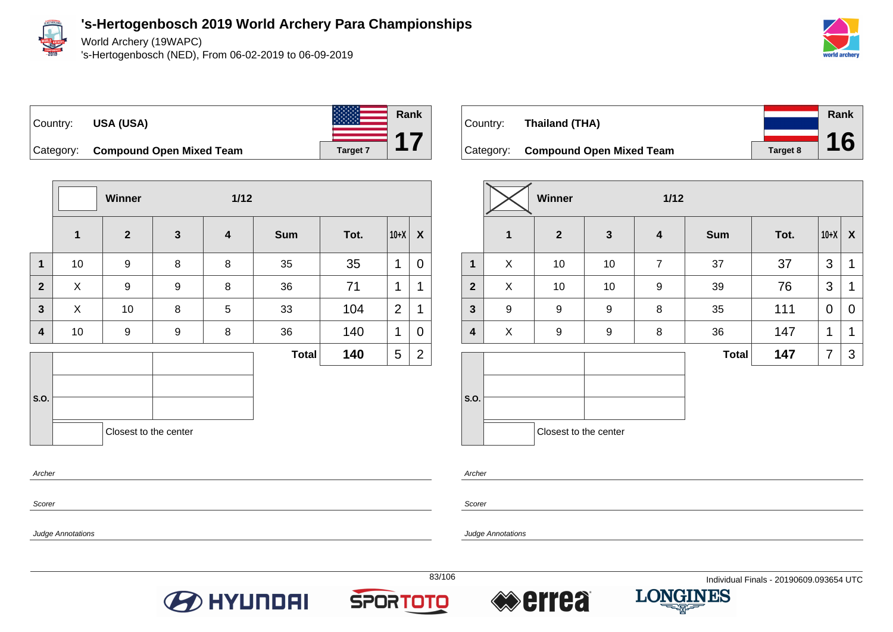

World Archery (19WAPC)

's-Hertogenbosch (NED), From 06-02-2019 to 06-09-2019



**Rank**

**16**





Category: **Compound Open Mixed Team Target 7** 

|                |              | Winner                |                  | $1/12$                  |              |      |                |                |  |  |
|----------------|--------------|-----------------------|------------------|-------------------------|--------------|------|----------------|----------------|--|--|
|                | $\mathbf{1}$ | $\overline{2}$        | $\mathbf{3}$     | $\overline{\mathbf{4}}$ | <b>Sum</b>   | Tot. | $10+X$         | X              |  |  |
| $\mathbf{1}$   | 10           | $\boldsymbol{9}$      | $\bf 8$          | 8                       | 35           | 35   | 1              | 0              |  |  |
| $\overline{2}$ | X            | $\boldsymbol{9}$      | $\boldsymbol{9}$ | 8                       | 36           | 71   | 1              | 1              |  |  |
| $\mathbf{3}$   | X            | 10                    | 8                | 5                       | 33           | 104  | $\overline{2}$ | 1              |  |  |
| 4              | 10           | 9                     | 9                | 8                       | 36           | 140  | 1              | 0              |  |  |
|                |              |                       |                  |                         | <b>Total</b> | 140  | 5              | $\overline{2}$ |  |  |
| S.O.           |              |                       |                  |                         |              |      |                |                |  |  |
|                |              | Closest to the center |                  |                         |              |      |                |                |  |  |
| Archer         |              |                       |                  |                         |              |      |                |                |  |  |

| <i><b>Scorer</b></i> |  |
|----------------------|--|

Judge Annotations

Country: **Thailand (THA)** Category: **Compound Open Mixed Team Target 8** 

|                         |              | <b>Winner</b>         |                  | $1/12$                  |              |      |        |              |
|-------------------------|--------------|-----------------------|------------------|-------------------------|--------------|------|--------|--------------|
|                         | $\mathbf{1}$ | $\overline{2}$        | $\mathbf{3}$     | $\overline{\mathbf{4}}$ | <b>Sum</b>   | Tot. | $10+X$ | $\mathsf{X}$ |
| 1                       | X            | 10                    | 10               | $\overline{7}$          | 37           | 37   | 3      | 1            |
| $\overline{2}$          | X            | 10                    | 10               | 9                       | 39           | 76   | 3      | 1            |
| $\mathbf{3}$            | 9            | 9                     | 9                | 8                       | 35           | 111  | 0      | 0            |
| $\overline{\mathbf{4}}$ | X            | 9                     | $\boldsymbol{9}$ | 8                       | 36           | 147  | 1      | 1            |
|                         |              |                       |                  |                         | <b>Total</b> | 147  | 7      | 3            |
|                         |              |                       |                  |                         |              |      |        |              |
| S.O.                    |              |                       |                  |                         |              |      |        |              |
|                         |              | Closest to the center |                  |                         |              |      |        |              |

Archer

Scorer







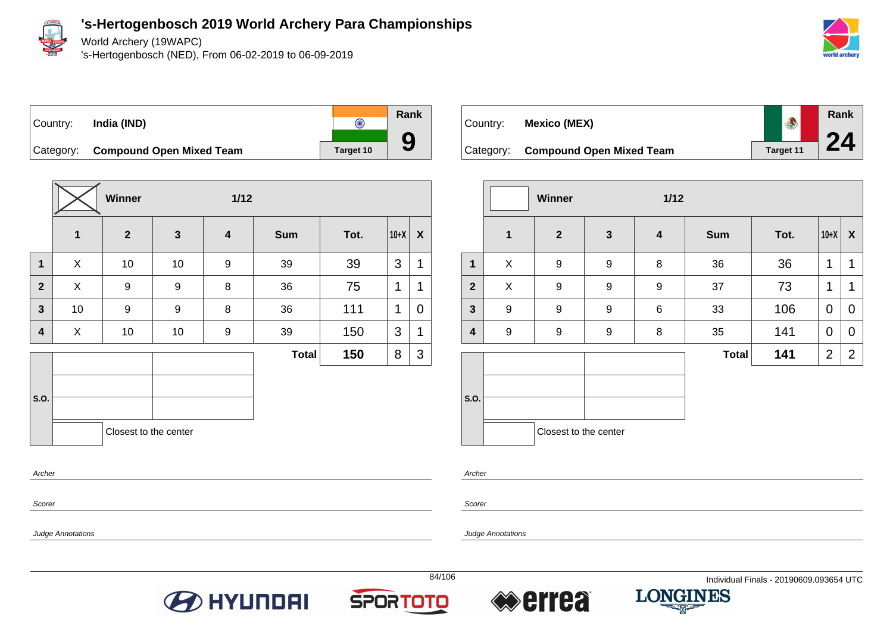

World Archery (19WAPC)

's-Hertogenbosch (NED), From 06-02-2019 to 06-09-2019



Country: **India (IND)**  $\overline{\odot}$ Category: **Compound Open Mixed Team** Target 10



| Country:  | Mexico (MEX)                    |                  | Rank |
|-----------|---------------------------------|------------------|------|
|           |                                 |                  | 24   |
| Category: | <b>Compound Open Mixed Team</b> | <b>Target 11</b> |      |

|              |                  | Winner                |              | $1/12$                  |              |      |                |                  |
|--------------|------------------|-----------------------|--------------|-------------------------|--------------|------|----------------|------------------|
|              | $\mathbf 1$      | $\overline{2}$        | $\mathbf{3}$ | $\overline{\mathbf{4}}$ | <b>Sum</b>   | Tot. | $10+X$         | $\boldsymbol{X}$ |
| $\mathbf{1}$ | X                | $\boldsymbol{9}$      | 9            | 8                       | 36           | 36   | 1              | 1                |
| $\mathbf{2}$ | X                | $\boldsymbol{9}$      | 9            | $\boldsymbol{9}$        | 37           | 73   | 1              | 1                |
| $\mathbf{3}$ | $\boldsymbol{9}$ | 9                     | 9            | $6\phantom{1}6$         | 33           | 106  | 0              | 0                |
| 4            | $\boldsymbol{9}$ | $\boldsymbol{9}$      | 9            | 8                       | 35           | 141  | 0              | 0                |
|              |                  |                       |              |                         | <b>Total</b> | 141  | $\overline{2}$ | $\overline{2}$   |
| S.O.         |                  |                       |              |                         |              |      |                |                  |
|              |                  | Closest to the center |              |                         |              |      |                |                  |

Archer

Scorer

Judge Annotations

Archer

Scorer

Judge Annotations





**Rank**

**9**



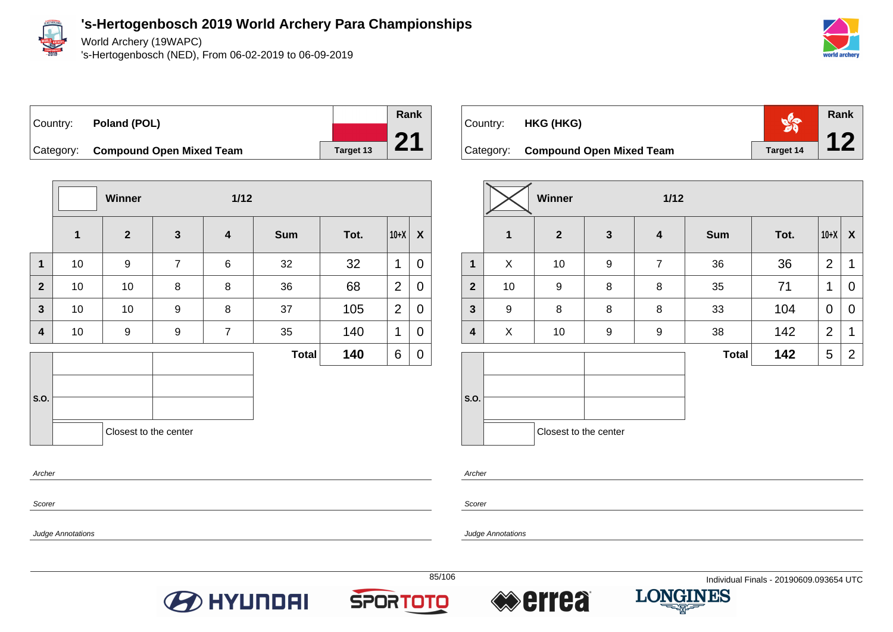

Archer

Scorer

Judge Annotations

**'s-Hertogenbosch 2019 World Archery Para Championships**

World Archery (19WAPC)

's-Hertogenbosch (NED), From 06-02-2019 to 06-09-2019



# Country: **Poland (POL)**



Category: **Compound Open Mixed Team Target 13** 

|                         |    | Winner                |                  | $1/12$                  |              |      |                |                  |
|-------------------------|----|-----------------------|------------------|-------------------------|--------------|------|----------------|------------------|
|                         | 1  | $\overline{2}$        | $\mathbf{3}$     | $\overline{\mathbf{4}}$ | <b>Sum</b>   | Tot. | $10+X$         | $\boldsymbol{X}$ |
| $\mathbf{1}$            | 10 | $\boldsymbol{9}$      | $\overline{7}$   | $\,6$                   | 32           | 32   | 1              | 0                |
| $\overline{2}$          | 10 | 10                    | 8                | 8                       | 36           | 68   | $\overline{2}$ | $\mathbf 0$      |
| $\overline{\mathbf{3}}$ | 10 | 10                    | $\boldsymbol{9}$ | 8                       | 37           | 105  | 2              | $\overline{0}$   |
| 4                       | 10 | $\boldsymbol{9}$      | $\boldsymbol{9}$ | $\overline{7}$          | 35           | 140  | 1              | 0                |
|                         |    |                       |                  |                         | <b>Total</b> | 140  | 6              | 0                |
| S.O.                    |    | Closest to the center |                  |                         |              |      |                |                  |

|           | Country: <b>HKG (HKG)</b>       |                  | Rank |
|-----------|---------------------------------|------------------|------|
| Category: | <b>Compound Open Mixed Team</b> | <b>Target 14</b> |      |

|                         |                  | Winner                |                  | $1/12$                  |              |      |                |                |
|-------------------------|------------------|-----------------------|------------------|-------------------------|--------------|------|----------------|----------------|
|                         | $\mathbf{1}$     | $\overline{2}$        | $\mathbf{3}$     | $\overline{\mathbf{4}}$ | <b>Sum</b>   | Tot. | $10+X$         | X              |
| $\mathbf{1}$            | X                | 10                    | $\boldsymbol{9}$ | $\overline{7}$          | 36           | 36   | $\overline{2}$ | $\mathbf 1$    |
| $\overline{2}$          | 10               | $\boldsymbol{9}$      | 8                | 8                       | 35           | 71   | 1              | 0              |
| $\mathbf{3}$            | $\boldsymbol{9}$ | 8                     | 8                | 8                       | 33           | 104  | 0              | 0              |
| $\overline{\mathbf{4}}$ | X                | 10                    | 9                | 9                       | 38           | 142  | $\overline{2}$ | 1              |
|                         |                  |                       |                  |                         | <b>Total</b> | 142  | 5              | $\overline{2}$ |
| S.O.                    |                  |                       |                  |                         |              |      |                |                |
|                         |                  | Closest to the center |                  |                         |              |      |                |                |

Archer

Scorer







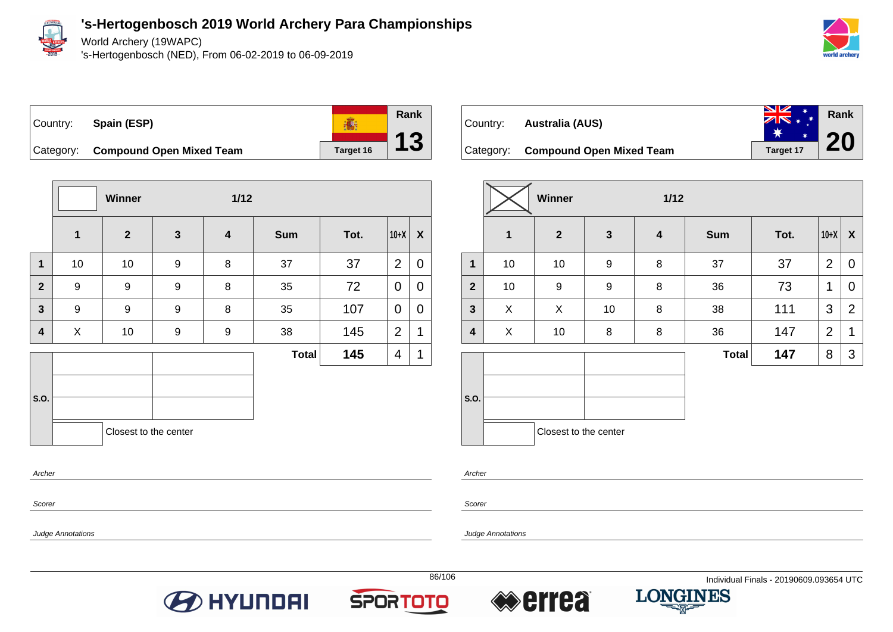

World Archery (19WAPC)

's-Hertogenbosch (NED), From 06-02-2019 to 06-09-2019





**Winner 1/12 1 2 3 4 Sum Tot. 10+X X 1** | 10 | 10 | 9 | 8 | 37 | 37 |2 | 0 **2** | 9 | 9 | 8 | 35 | 72 | 0 | 0 **3** | 9 | 9 | 8 | 35 | 107 |0 |0 **4** | X | 10 | 9 | 9 | 38 | 145 |2 |1 **S.O. Total 145**  $|4|1$ Closest to the center

| Country: | Australia (AUS)                    | $\frac{N}{N}$ | Rank |
|----------|------------------------------------|---------------|------|
|          | Category: Compound Open Mixed Team | Target 17     |      |

|                         |              | Winner                |              | $1/12$           |              |      |                |                           |
|-------------------------|--------------|-----------------------|--------------|------------------|--------------|------|----------------|---------------------------|
|                         | $\mathbf{1}$ | $\mathbf{2}$          | $\mathbf{3}$ | $\boldsymbol{4}$ | <b>Sum</b>   | Tot. | $10+X$         | $\boldsymbol{\mathsf{X}}$ |
| $\mathbf{1}$            | 10           | 10                    | 9            | 8                | 37           | 37   | $\overline{2}$ | $\mathbf 0$               |
| $\overline{2}$          | 10           | 9                     | 9            | 8                | 36           | 73   | 1              | $\overline{0}$            |
| $\mathbf{3}$            | X            | X                     | 10           | 8                | 38           | 111  | 3              | $\overline{2}$            |
| $\overline{\mathbf{4}}$ | X            | 10                    | 8            | 8                | 36           | 147  | $\overline{2}$ | 1                         |
|                         |              |                       |              |                  | <b>Total</b> | 147  | 8              | 3                         |
|                         |              |                       |              |                  |              |      |                |                           |
| S.O.                    |              |                       |              |                  |              |      |                |                           |
|                         |              | Closest to the center |              |                  |              |      |                |                           |

Archer

Scorer

Scorer

Archer

Judge Annotations







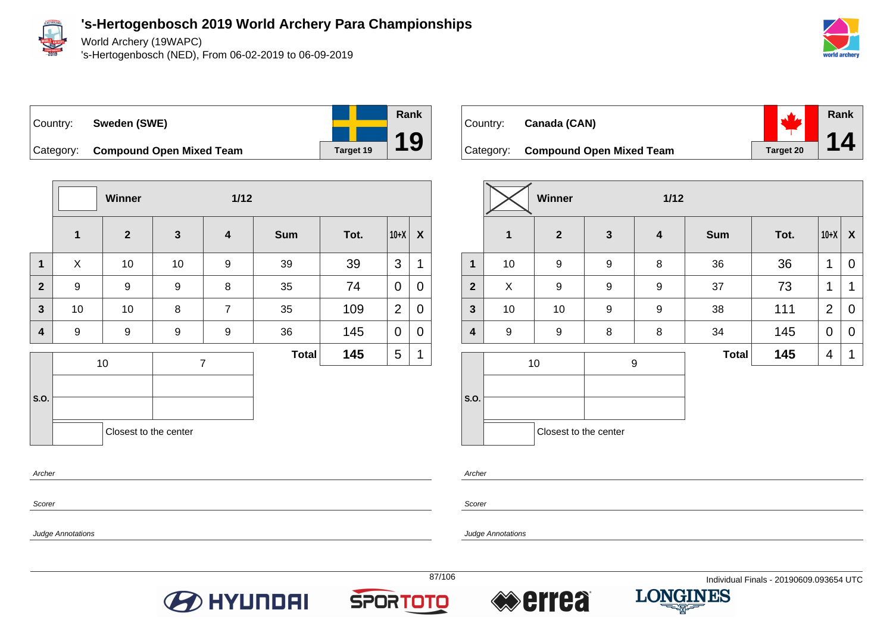

World Archery (19WAPC)

's-Hertogenbosch (NED), From 06-02-2019 to 06-09-2019



**Rank**

**14**

| Country: | Sweden (SWE)                       |           |
|----------|------------------------------------|-----------|
|          | Category: Compound Open Mixed Team | Target 19 |

**Winner 1/12 1 2 3 4 Sum Tot. 10+X X 1** | X | 10 | 10 | 9 | 39 | 39 |3 |1 **2** | 9 | 9 | 8 | 35 | 74 |<code>O|O</code> **3** | 10 | 10 | 8 | 7 | 35 | 109 |2|0 **4** | 9 | 9 | 9 | 9 | 36 | 145 |<code>O|O</code> **S.O.** 10 7 **Total 145**  $5 \mid 1$ Closest to the center Archer

|  | Country: Canada (CAN)              |           |
|--|------------------------------------|-----------|
|  | Category: Compound Open Mixed Team | Target 20 |

|                         |                  | Winner                |              | $1/12$           |              |      |                |                  |
|-------------------------|------------------|-----------------------|--------------|------------------|--------------|------|----------------|------------------|
|                         | $\mathbf{1}$     | $\mathbf{2}$          | $\mathbf{3}$ | $\boldsymbol{4}$ | <b>Sum</b>   | Tot. | $10+X$         | $\boldsymbol{X}$ |
| $\mathbf{1}$            | 10               | 9                     | 9            | 8                | 36           | 36   | 1              | 0                |
| $\overline{2}$          | X                | 9                     | 9            | 9                | 37           | 73   | 1              | 1                |
| $\overline{\mathbf{3}}$ | 10               | 10                    | 9            | $\boldsymbol{9}$ | 38           | 111  | $\overline{2}$ | 0                |
| $\overline{\mathbf{4}}$ | $\boldsymbol{9}$ | $\boldsymbol{9}$      | 8            | 8                | 34           | 145  | $\mathbf 0$    | 0                |
|                         |                  | 10                    | 9            |                  | <b>Total</b> | 145  | 4              | 1                |
|                         |                  |                       |              |                  |              |      |                |                  |
| S.O.                    |                  |                       |              |                  |              |      |                |                  |
|                         |                  | Closest to the center |              |                  |              |      |                |                  |

Archer

Scorer

Judge Annotations

Scorer

Judge Annotations





**Rank**

**19**



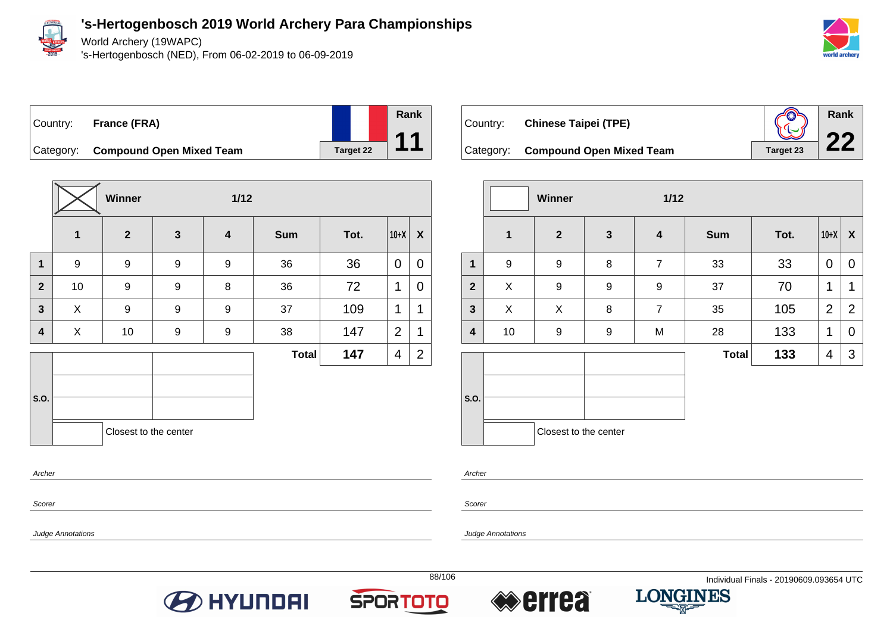

Archer

Scorer

Judge Annotations

**'s-Hertogenbosch 2019 World Archery Para Championships**

World Archery (19WAPC)

's-Hertogenbosch (NED), From 06-02-2019 to 06-09-2019



# Country: **France (FRA)**



Category: **Compound Open Mixed Team** Target 22

|                         |                  | Winner                |                  | $1/12$                  |              |      |                |                |
|-------------------------|------------------|-----------------------|------------------|-------------------------|--------------|------|----------------|----------------|
|                         | $\mathbf{1}$     | $\overline{2}$        | $\mathbf{3}$     | $\overline{\mathbf{4}}$ | <b>Sum</b>   | Tot. | $10+X$         | X              |
| 1                       | $\boldsymbol{9}$ | 9                     | 9                | $\boldsymbol{9}$        | 36           | 36   | $\mathbf 0$    | $\overline{0}$ |
| $\overline{2}$          | 10               | $\boldsymbol{9}$      | $\boldsymbol{9}$ | 8                       | 36           | 72   | 1              | 0              |
| 3                       | X                | 9                     | 9                | $\boldsymbol{9}$        | 37           | 109  | 1              | 1              |
| $\overline{\mathbf{4}}$ | X                | 10                    | 9                | $\boldsymbol{9}$        | 38           | 147  | $\overline{2}$ | 1              |
|                         |                  |                       |                  |                         | <b>Total</b> | 147  | 4              | $\overline{2}$ |
| S.O.                    |                  | Closest to the center |                  |                         |              |      |                |                |

| Country: | <b>Chinese Taipei (TPE)</b>        |           | Rank |
|----------|------------------------------------|-----------|------|
|          | Category: Compound Open Mixed Team | Target 23 |      |

|                         |                  | Winner                |              | $1/12$                  |              |      |                |                |
|-------------------------|------------------|-----------------------|--------------|-------------------------|--------------|------|----------------|----------------|
|                         | $\mathbf{1}$     | $\overline{2}$        | $\mathbf{3}$ | $\overline{\mathbf{4}}$ | <b>Sum</b>   | Tot. | $10+X$         | X              |
| $\mathbf{1}$            | $\boldsymbol{9}$ | 9                     | 8            | $\overline{7}$          | 33           | 33   | $\mathbf 0$    | 0              |
| $\overline{2}$          | X                | 9                     | 9            | 9                       | 37           | 70   | 1              | 1              |
| $\overline{\mathbf{3}}$ | X                | X                     | 8            | $\overline{7}$          | 35           | 105  | $\overline{2}$ | $\overline{2}$ |
| 4                       | 10               | $\boldsymbol{9}$      | 9            | M                       | 28           | 133  | 1              | 0              |
|                         |                  |                       |              |                         | <b>Total</b> | 133  | 4              | 3              |
| S.O.                    |                  | Closest to the center |              |                         |              |      |                |                |

Archer

Scorer







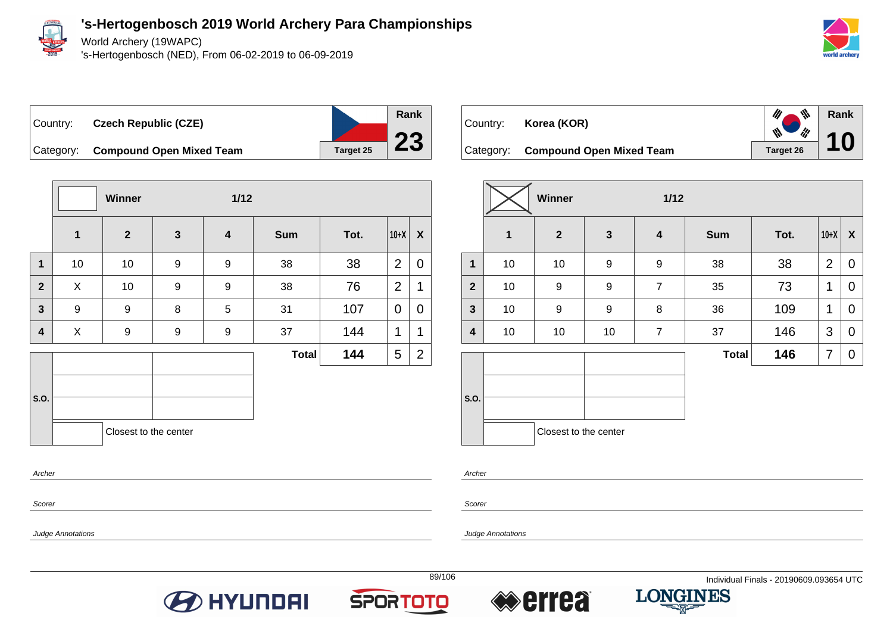

World Archery (19WAPC)

's-Hertogenbosch (NED), From 06-02-2019 to 06-09-2019



Country: **Czech Republic (CZE)**



Category: **Compound Open Mixed Team Target 25** 

|                |                  | Winner                |                  |                         | $1/12$       |      |                |                  |  |  |
|----------------|------------------|-----------------------|------------------|-------------------------|--------------|------|----------------|------------------|--|--|
|                | $\mathbf{1}$     | $\overline{2}$        | $\mathbf{3}$     | $\overline{\mathbf{4}}$ | <b>Sum</b>   | Tot. | $10+X$         | $\boldsymbol{X}$ |  |  |
| $\mathbf 1$    | 10               | 10                    | 9                | 9                       | 38           | 38   | $\overline{2}$ | 0                |  |  |
| $\overline{2}$ | X                | 10                    | $\boldsymbol{9}$ | 9                       | 38           | 76   | $\overline{2}$ | $\mathbf{1}$     |  |  |
| $\mathbf{3}$   | $\boldsymbol{9}$ | $\boldsymbol{9}$      | 8                | 5                       | 31           | 107  | 0              | 0                |  |  |
| 4              | X                | $\boldsymbol{9}$      | 9                | 9                       | 37           | 144  | 1              | 1                |  |  |
|                |                  |                       |                  |                         | <b>Total</b> | 144  | 5              | $\overline{2}$   |  |  |
|                |                  |                       |                  |                         |              |      |                |                  |  |  |
| S.O.           |                  |                       |                  |                         |              |      |                |                  |  |  |
|                |                  | Closest to the center |                  |                         |              |      |                |                  |  |  |
| Archer         |                  |                       |                  |                         |              |      |                |                  |  |  |

|  | Country: <b>Korea (KOR)</b>        | $\mathscr{U}$ $\mathscr{W}$ | Rank |
|--|------------------------------------|-----------------------------|------|
|  | Category: Compound Open Mixed Team | Target 26                   |      |

|                         |              | <b>Winner</b><br>$1/12$ |                         |                  |              |      |                |             |
|-------------------------|--------------|-------------------------|-------------------------|------------------|--------------|------|----------------|-------------|
|                         | $\mathbf{1}$ | $\overline{2}$          | $\overline{\mathbf{3}}$ | $\boldsymbol{4}$ | <b>Sum</b>   | Tot. | $10+X$         | X           |
| $\mathbf{1}$            | 10           | 10                      | 9                       | $\boldsymbol{9}$ | 38           | 38   | $\overline{2}$ | 0           |
| $\overline{2}$          | 10           | 9                       | 9                       | $\overline{7}$   | 35           | 73   | 1              | 0           |
| $\mathbf{3}$            | 10           | 9                       | 9                       | 8                | 36           | 109  | 1              | 0           |
| $\overline{\mathbf{4}}$ | 10           | 10                      | 10                      | $\overline{7}$   | 37           | 146  | 3              | $\mathbf 0$ |
|                         |              |                         |                         |                  | <b>Total</b> | 146  | 7              | 0           |
| S.O.                    |              |                         |                         |                  |              |      |                |             |
|                         |              | Closest to the center   |                         |                  |              |      |                |             |

Archer

Scorer

Judge Annotations

Scorer

Judge Annotations







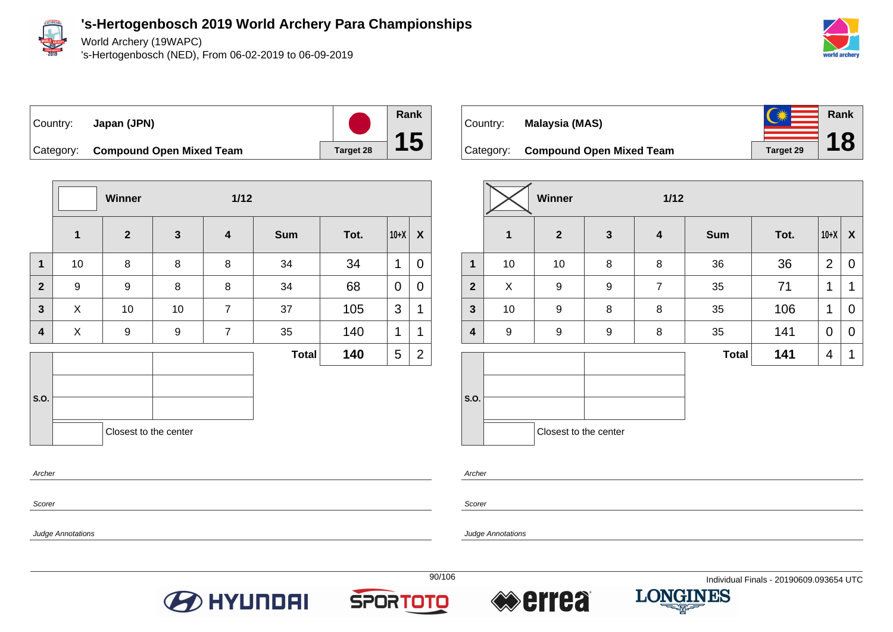

World Archery (19WAPC)

's-Hertogenbosch (NED), From 06-02-2019 to 06-09-2019



Country: **Japan (JPN)**



Category: **Compound Open Mixed Team** Target 28

|                |              | Winner<br>$1/12$      |              |                         |              |      |        |                  |
|----------------|--------------|-----------------------|--------------|-------------------------|--------------|------|--------|------------------|
|                | $\mathbf{1}$ | $\overline{2}$        | $\mathbf{3}$ | $\overline{\mathbf{4}}$ | <b>Sum</b>   | Tot. | $10+X$ | $\boldsymbol{X}$ |
| $\mathbf{1}$   | 10           | 8                     | 8            | 8                       | 34           | 34   | 1      | $\mathbf 0$      |
| $\overline{2}$ | 9            | 9                     | 8            | 8                       | 34           | 68   | 0      | $\mathbf 0$      |
| $\mathbf{3}$   | X            | 10                    | 10           | $\overline{7}$          | 37           | 105  | 3      | 1                |
| 4              | X            | 9                     | 9            | $\overline{7}$          | 35           | 140  | 1      | 1                |
|                |              |                       |              |                         | <b>Total</b> | 140  | 5      | $\overline{2}$   |
| S.O.           |              |                       |              |                         |              |      |        |                  |
|                |              | Closest to the center |              |                         |              |      |        |                  |
|                |              |                       |              |                         |              |      |        |                  |

| Country:  | Malaysia (MAS)                  | 美                | Rank      |
|-----------|---------------------------------|------------------|-----------|
| Category: | <b>Compound Open Mixed Team</b> | <b>Target 29</b> | <b>18</b> |

|                         |                  | <b>Winner</b><br>$1/12$ |              |                         |              |      |                |                  |
|-------------------------|------------------|-------------------------|--------------|-------------------------|--------------|------|----------------|------------------|
|                         | $\mathbf{1}$     | $\boldsymbol{2}$        | $\mathbf{3}$ | $\overline{\mathbf{4}}$ | <b>Sum</b>   | Tot. | $10+X$         | $\boldsymbol{X}$ |
| $\mathbf{1}$            | 10               | 10                      | 8            | 8                       | 36           | 36   | $\overline{2}$ | 0                |
| $\mathbf{2}$            | X                | 9                       | 9            | $\overline{7}$          | 35           | 71   | 1              | 1                |
| $\mathbf{3}$            | 10               | 9                       | 8            | 8                       | 35           | 106  | 1              | 0                |
| $\overline{\mathbf{4}}$ | $\boldsymbol{9}$ | 9                       | 9            | 8                       | 35           | 141  | 0              | 0                |
|                         |                  |                         |              |                         | <b>Total</b> | 141  | 4              | $\mathbf 1$      |
| S.O.                    |                  |                         |              |                         |              |      |                |                  |
|                         |                  | Closest to the center   |              |                         |              |      |                |                  |

Archer

Scorer

Judge Annotations

Archer

Scorer







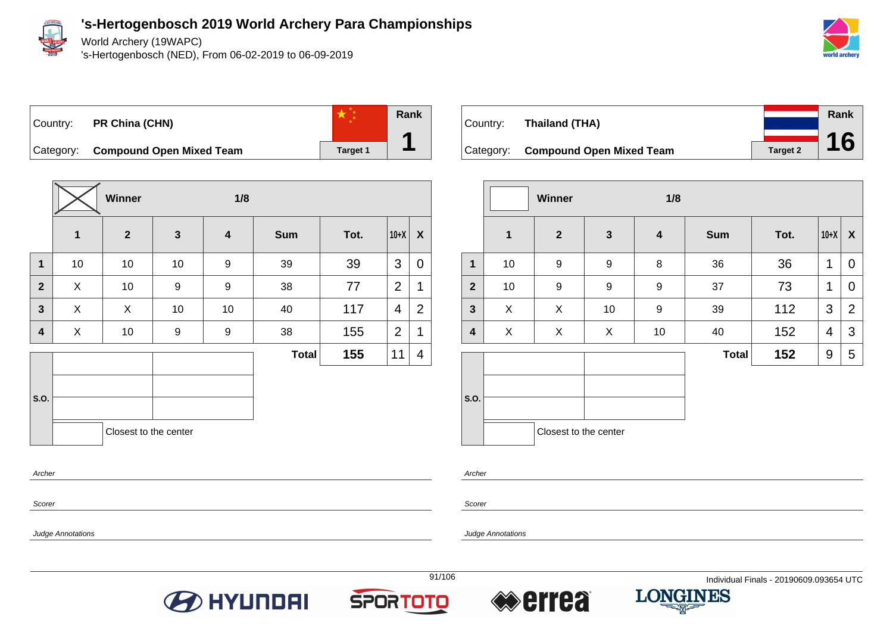

World Archery (19WAPC)

's-Hertogenbosch (NED), From 06-02-2019 to 06-09-2019



## Country: **PR China (CHN)**



Category: **Compound Open Mixed Team Target 1** 

|                         |    | Winner                | 1/8              |                         |              |      |                |                |
|-------------------------|----|-----------------------|------------------|-------------------------|--------------|------|----------------|----------------|
|                         | 1  | $\overline{2}$        | $\mathbf{3}$     | $\overline{\mathbf{4}}$ | <b>Sum</b>   | Tot. | $10+X$         | X              |
| $\mathbf{1}$            | 10 | 10                    | 10               | 9                       | 39           | 39   | 3              | 0              |
| $\overline{2}$          | X  | 10                    | 9                | 9                       | 38           | 77   | 2              | 1              |
| $\overline{\mathbf{3}}$ | X  | X                     | 10               | 10                      | 40           | 117  | $\overline{4}$ | $\overline{2}$ |
| 4                       | X  | 10                    | $\boldsymbol{9}$ | 9                       | 38           | 155  | $\overline{2}$ | $\mathbf 1$    |
|                         |    |                       |                  |                         | <b>Total</b> | 155  | 11             | 4              |
| S.O.                    |    |                       |                  |                         |              |      |                |                |
|                         |    | Closest to the center |                  |                         |              |      |                |                |

Country: **Thailand (THA)** Category: **Compound Open Mixed Team Target 2 Rank 16**

|                |              | <b>Winner</b><br>1/8  |              |                         |              |      |        |                  |
|----------------|--------------|-----------------------|--------------|-------------------------|--------------|------|--------|------------------|
|                | $\mathbf{1}$ | $\mathbf{2}$          | $\mathbf{3}$ | $\overline{\mathbf{4}}$ | <b>Sum</b>   | Tot. | $10+X$ | $\boldsymbol{X}$ |
| $\mathbf{1}$   | 10           | 9                     | 9            | 8                       | 36           | 36   | 1      | 0                |
| $\overline{2}$ | 10           | 9                     | 9            | 9                       | 37           | 73   | 1      | 0                |
| $\mathbf{3}$   | X            | X                     | 10           | 9                       | 39           | 112  | 3      | $\overline{2}$   |
| 4              | X            | X                     | X            | 10                      | 40           | 152  | 4      | 3                |
|                |              |                       |              |                         | <b>Total</b> | 152  | 9      | 5                |
| S.O.           |              |                       |              |                         |              |      |        |                  |
|                |              | Closest to the center |              |                         |              |      |        |                  |

Scorer

Archer

Scorer

Archer

Judge Annotations







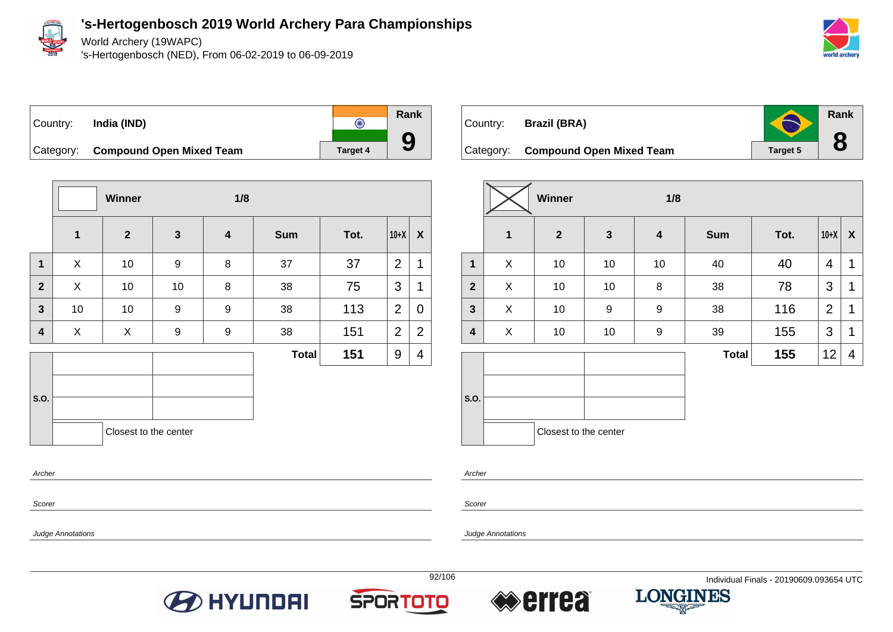

World Archery (19WAPC)

's-Hertogenbosch (NED), From 06-02-2019 to 06-09-2019





**Winner 1/8 1 2 3 4 Sum Tot. 10+X X 1** | X | 10 | 9 | 8 | 37 | 37 |2 |1 **2** X 10 10 8 38 75 3 1 **3** | 10 | 10 | 9 | 9 | 38 | 113 |2 | 0 **4** | X | X | 9 | 9 | 38 | 151 |2 | 2 **S.O. Total 151** 9 4 Closest to the center Archer

| Country: Brazil (BRA)              | S               | Rank |
|------------------------------------|-----------------|------|
| Category: Compound Open Mixed Team | <b>Target 5</b> |      |

|                |              | Winner                |              |                  |              |      |                |                  |
|----------------|--------------|-----------------------|--------------|------------------|--------------|------|----------------|------------------|
|                | $\mathbf{1}$ | $\boldsymbol{2}$      | $\mathbf{3}$ | $\boldsymbol{4}$ | <b>Sum</b>   | Tot. | $10+X$         | $\boldsymbol{X}$ |
| $\mathbf{1}$   | X            | 10                    | 10           | 10               | 40           | 40   | 4              | 1                |
| $\overline{2}$ | X            | 10                    | 10           | 8                | 38           | 78   | 3              | 1                |
| $\mathbf{3}$   | X            | 10                    | 9            | 9                | 38           | 116  | $\overline{2}$ | 1                |
| 4              | X            | 10                    | 10           | 9                | 39           | 155  | 3              | 1                |
|                |              |                       |              |                  | <b>Total</b> | 155  | 12             | 4                |
| S.O.           |              |                       |              |                  |              |      |                |                  |
|                |              | Closest to the center |              |                  |              |      |                |                  |

Archer

Scorer

Judge Annotations

Scorer







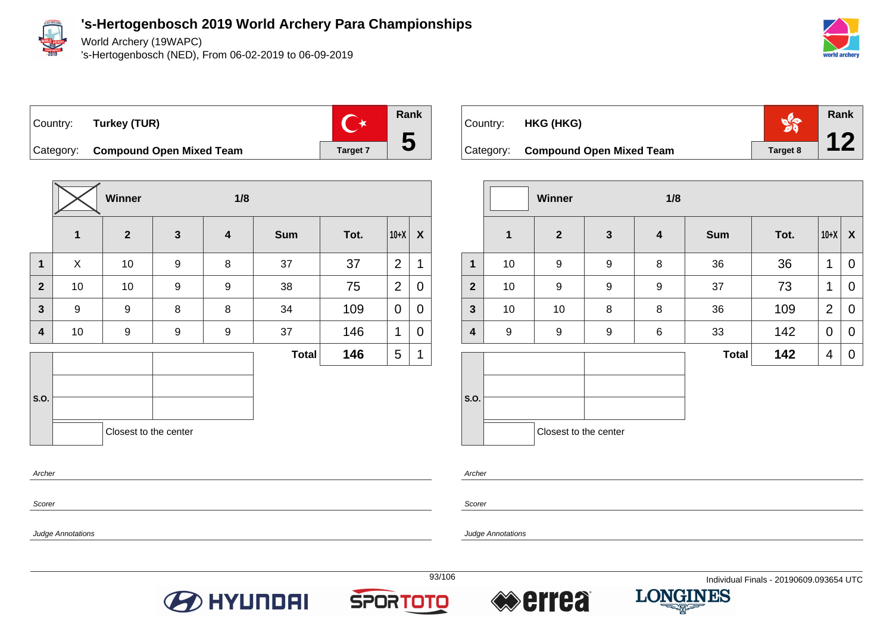

World Archery (19WAPC)

's-Hertogenbosch (NED), From 06-02-2019 to 06-09-2019



 $\mathbb{C}^*$ Country: **Turkey (TUR)**



Category: **Compound Open Mixed Team Target 7** 

|                         |              | Winner<br>1/8         |                  |                         |              |      |                |                |
|-------------------------|--------------|-----------------------|------------------|-------------------------|--------------|------|----------------|----------------|
|                         | $\mathbf{1}$ | $\overline{2}$        | $\mathbf{3}$     | $\overline{\mathbf{4}}$ | <b>Sum</b>   | Tot. | $10+X$         | X              |
| $\mathbf 1$             | X            | 10                    | $\boldsymbol{9}$ | 8                       | 37           | 37   | $\overline{2}$ | 1              |
| $\overline{2}$          | 10           | 10                    | $\boldsymbol{9}$ | $\boldsymbol{9}$        | 38           | 75   | $\overline{2}$ | $\overline{0}$ |
| $\overline{\mathbf{3}}$ | 9            | $\boldsymbol{9}$      | 8                | 8                       | 34           | 109  | 0              | 0              |
| $\overline{\mathbf{4}}$ | 10           | $\boldsymbol{9}$      | $\boldsymbol{9}$ | $\boldsymbol{9}$        | 37           | 146  | 1              | 0              |
|                         |              |                       |                  |                         | <b>Total</b> | 146  | 5              | 1              |
| S.O.                    |              |                       |                  |                         |              |      |                |                |
|                         |              | Closest to the center |                  |                         |              |      |                |                |

| Country: <b>HKG (HKG)</b>          |          | Rank |
|------------------------------------|----------|------|
| Category: Compound Open Mixed Team | Target 8 | 12   |

|              |                  | Winner                | 1/8              |                         |              |      |                |             |
|--------------|------------------|-----------------------|------------------|-------------------------|--------------|------|----------------|-------------|
|              | $\mathbf{1}$     | $\mathbf{2}$          | $\mathbf{3}$     | $\overline{\mathbf{4}}$ | <b>Sum</b>   | Tot. | $10+X$         | X           |
| $\mathbf{1}$ | 10               | 9                     | $\boldsymbol{9}$ | 8                       | 36           | 36   | 1              | 0           |
| $\mathbf{2}$ | 10               | 9                     | $\boldsymbol{9}$ | 9                       | 37           | 73   | 1              | 0           |
| $\mathbf{3}$ | 10               | 10                    | 8                | 8                       | 36           | 109  | $\overline{2}$ | $\mathbf 0$ |
| 4            | $\boldsymbol{9}$ | 9                     | $\boldsymbol{9}$ | 6                       | 33           | 142  | 0              | 0           |
|              |                  |                       |                  |                         | <b>Total</b> | 142  | 4              | 0           |
|              |                  |                       |                  |                         |              |      |                |             |
| S.O.         |                  |                       |                  |                         |              |      |                |             |
|              |                  | Closest to the center |                  |                         |              |      |                |             |

Archer

Scorer

Judge Annotations

Archer

Scorer







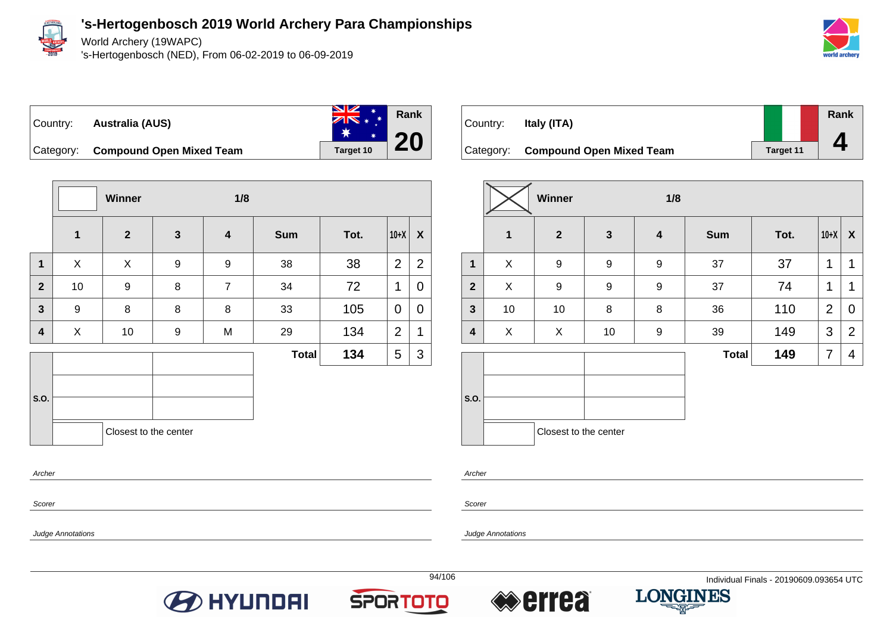

Judge Annotations

**'s-Hertogenbosch 2019 World Archery Para Championships**

World Archery (19WAPC)

's-Hertogenbosch (NED), From 06-02-2019 to 06-09-2019







Category: **Compound Open Mixed Team Target 10** 

|                         |                         | Winner                |              | 1/8                     |              |      |                |                |
|-------------------------|-------------------------|-----------------------|--------------|-------------------------|--------------|------|----------------|----------------|
|                         | $\overline{\mathbf{1}}$ | $\overline{2}$        | $\mathbf{3}$ | $\overline{\mathbf{4}}$ | <b>Sum</b>   | Tot. | $10+X$         | $\pmb{\chi}$   |
| $\mathbf{1}$            | X                       | X                     | 9            | $\boldsymbol{9}$        | 38           | 38   | $\overline{2}$ | $\overline{2}$ |
| $\mathbf{2}$            | 10                      | $\boldsymbol{9}$      | 8            | $\overline{7}$          | 34           | 72   | 1              | $\mathbf 0$    |
| $\overline{\mathbf{3}}$ | 9                       | 8                     | 8            | 8                       | 33           | 105  | 0              | 0              |
| 4                       | X                       | 10                    | 9            | M                       | 29           | 134  | $\overline{2}$ | 1              |
|                         |                         |                       |              |                         | <b>Total</b> | 134  | 5              | $\mathfrak{S}$ |
| S.O.                    |                         | Closest to the center |              |                         |              |      |                |                |
| Archer<br>Scorer        |                         |                       |              |                         |              |      |                |                |

| Country: | Italy (ITA)                        |                  | <b>Rank</b> |
|----------|------------------------------------|------------------|-------------|
|          |                                    |                  |             |
|          | Category: Compound Open Mixed Team | <b>Target 11</b> |             |

|                         |              | Winner                |              | 1/8              |              |      |                |                |
|-------------------------|--------------|-----------------------|--------------|------------------|--------------|------|----------------|----------------|
|                         | $\mathbf{1}$ | $\overline{2}$        | $\mathbf{3}$ | $\boldsymbol{4}$ | <b>Sum</b>   | Tot. | $10+X$         | X              |
| $\mathbf{1}$            | X            | 9                     | 9            | $\boldsymbol{9}$ | 37           | 37   | 1              | 1              |
| $\mathbf{2}$            | X            | 9                     | 9            | $\boldsymbol{9}$ | 37           | 74   | 1              | 1              |
| $\mathbf{3}$            | 10           | 10                    | 8            | $\, 8$           | 36           | 110  | $\overline{2}$ | $\mathbf 0$    |
| $\overline{\mathbf{4}}$ | X            | X                     | 10           | 9                | 39           | 149  | 3              | $\overline{2}$ |
|                         |              |                       |              |                  | <b>Total</b> | 149  | 7              | 4              |
| S.O.                    |              |                       |              |                  |              |      |                |                |
|                         |              | Closest to the center |              |                  |              |      |                |                |

Archer

Scorer

Judge Annotations







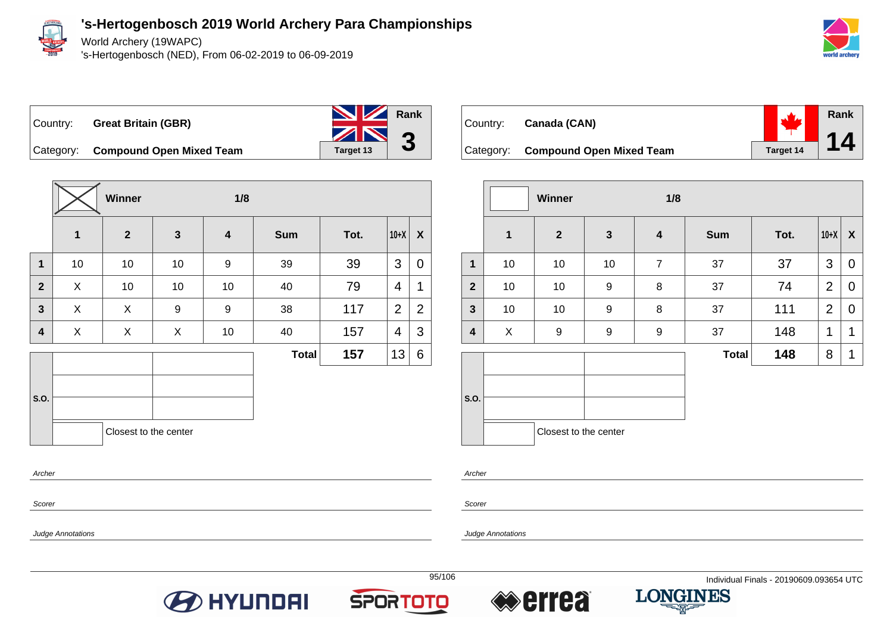

Scorer

Judge Annotations

World Archery (19WAPC)

's-Hertogenbosch (NED), From 06-02-2019 to 06-09-2019



#### **Rank** Country: **Great Britain (GBR)**

**3**

Category: **Compound Open Mixed Team** Target 13

|                |             | <b>Winner</b>         |              | 1/8                     |              |      |                |                  |
|----------------|-------------|-----------------------|--------------|-------------------------|--------------|------|----------------|------------------|
|                | $\mathbf 1$ | $\overline{2}$        | $\mathbf{3}$ | $\overline{\mathbf{4}}$ | <b>Sum</b>   | Tot. | $10+X$         | $\boldsymbol{X}$ |
| $\mathbf{1}$   | 10          | 10                    | 10           | 9                       | 39           | 39   | 3              | $\overline{0}$   |
| $\overline{2}$ | X           | 10                    | 10           | 10                      | 40           | 79   | $\overline{4}$ | $\mathbf 1$      |
| 3              | X           | X                     | 9            | 9                       | 38           | 117  | $\overline{2}$ | $\overline{2}$   |
| 4              | X           | X                     | X            | 10                      | 40           | 157  | 4              | 3                |
|                |             |                       |              |                         | <b>Total</b> | 157  | 13             | 6                |
| S.O.           |             |                       |              |                         |              |      |                |                  |
| Archer         |             | Closest to the center |              |                         |              |      |                |                  |

| Country: Canada (CAN) |  |
|-----------------------|--|
|                       |  |

**Rank** 7. **14** Category: **Compound Open Mixed Team Target 14** 

|                         |              | <b>Winner</b>         |                  | 1/8                     |              |      |                |                  |
|-------------------------|--------------|-----------------------|------------------|-------------------------|--------------|------|----------------|------------------|
|                         | $\mathbf{1}$ | $\overline{2}$        | $\mathbf{3}$     | $\overline{\mathbf{4}}$ | <b>Sum</b>   | Tot. | $10+X$         | $\boldsymbol{X}$ |
| $\mathbf 1$             | 10           | 10                    | 10               | $\overline{7}$          | 37           | 37   | 3              | $\mathbf 0$      |
| $\overline{2}$          | 10           | $10$                  | $\boldsymbol{9}$ | 8                       | 37           | 74   | 2              | $\mathbf 0$      |
| $\mathbf{3}$            | 10           | 10                    | $\boldsymbol{9}$ | 8                       | 37           | 111  | $\overline{2}$ | $\mathbf 0$      |
| $\overline{\mathbf{4}}$ | X            | 9                     | $\boldsymbol{9}$ | $\boldsymbol{9}$        | 37           | 148  | 1              | 1                |
|                         |              |                       |                  |                         | <b>Total</b> | 148  | 8              | 1                |
| S.O.                    |              | Closest to the center |                  |                         |              |      |                |                  |

Archer

Scorer







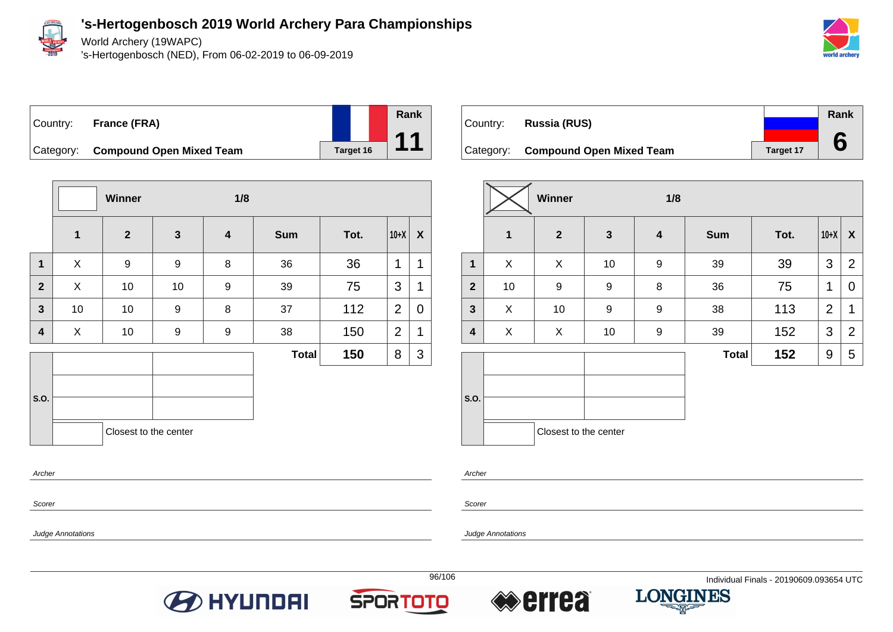

World Archery (19WAPC)

's-Hertogenbosch (NED), From 06-02-2019 to 06-09-2019







Category: **Compound Open Mixed Team Target 16** 

|                         |              | Winner                |              | 1/8                     |              |      |                |             |
|-------------------------|--------------|-----------------------|--------------|-------------------------|--------------|------|----------------|-------------|
|                         | $\mathbf 1$  | $\mathbf{2}$          | $\mathbf{3}$ | $\overline{\mathbf{4}}$ | <b>Sum</b>   | Tot. | $10+X$         | X           |
| $\mathbf 1$             | X            | $\boldsymbol{9}$      | 9            | 8                       | 36           | 36   | 1              | 1           |
| $\mathbf{2}$            | $\mathsf{X}$ | 10                    | 10           | 9                       | 39           | 75   | 3              | 1           |
| $\overline{\mathbf{3}}$ | 10           | 10                    | 9            | 8                       | 37           | 112  | $\overline{2}$ | $\mathbf 0$ |
| 4                       | X            | 10                    | 9            | 9                       | 38           | 150  | $\overline{2}$ | 1           |
|                         |              |                       |              |                         | <b>Total</b> | 150  | 8              | 3           |
|                         |              |                       |              |                         |              |      |                |             |
| S.O.                    |              |                       |              |                         |              |      |                |             |
|                         |              | Closest to the center |              |                         |              |      |                |             |
| Archer                  |              |                       |              |                         |              |      |                |             |

|          |                                    |                  | Rank |
|----------|------------------------------------|------------------|------|
| Country: | <b>Russia (RUS)</b>                |                  |      |
|          |                                    |                  |      |
|          | Category: Compound Open Mixed Team | <b>Target 17</b> |      |

|                |    | Winner                |              | 1/8                     |              |      |                |                |
|----------------|----|-----------------------|--------------|-------------------------|--------------|------|----------------|----------------|
|                | 1  | $\mathbf{2}$          | $\mathbf{3}$ | $\overline{\mathbf{4}}$ | <b>Sum</b>   | Tot. | $10+X$         | X              |
| $\mathbf{1}$   | X  | X                     | 10           | $\boldsymbol{9}$        | 39           | 39   | 3              | $\overline{2}$ |
| $\overline{2}$ | 10 | 9                     | 9            | 8                       | 36           | 75   | 1              | 0              |
| $\mathbf{3}$   | X  | 10                    | 9            | 9                       | 38           | 113  | $\overline{2}$ | 1              |
| 4              | X  | X                     | 10           | $\boldsymbol{9}$        | 39           | 152  | 3              | $\overline{2}$ |
|                |    |                       |              |                         | <b>Total</b> | 152  | 9              | 5              |
| S.O.           |    | Closest to the center |              |                         |              |      |                |                |

Archer

Scorer

Judge Annotations

Scorer







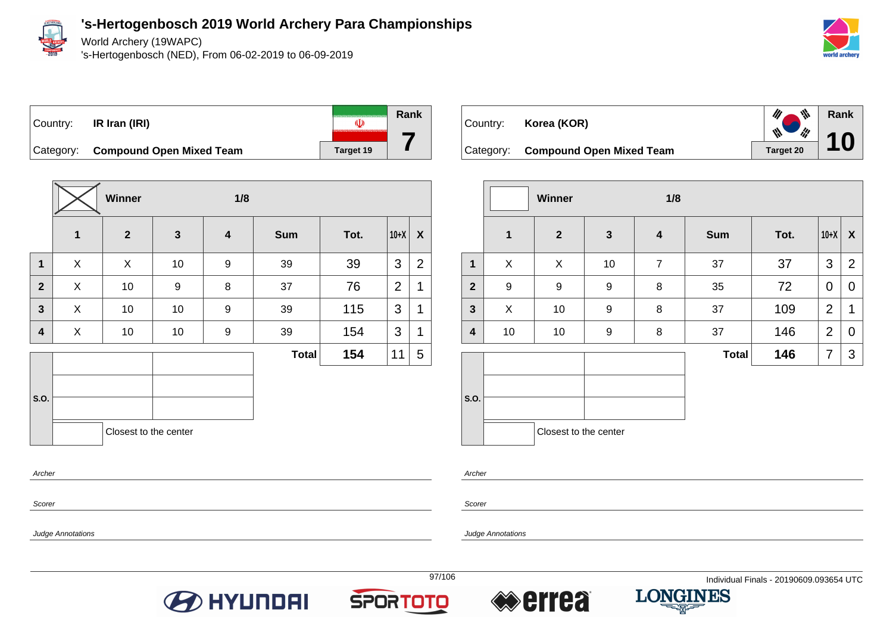

World Archery (19WAPC)

's-Hertogenbosch (NED), From 06-02-2019 to 06-09-2019



**Rank**

 $\mathscr{U}$ 

 $\mathscr{U}$ 

 $\frac{d\mathbf{r}}{dt}$ 

ly.

**10**

**Rank** Country: **IR Iran (IRI)**  $\overline{\mathbb{U}}$ Category: **Compound Open Mixed Team** Target 19

**Winner 1/8 1 2 3 4 Sum Tot. 10+X X 1** | X | X | 10 | 9 | 39 | 39 |3 |2 **2** X 10 9 8 37 76 2 1 **3** X 10 10 9 39 115 3 1 **4** | X | 10 | 10 | 9 | 39 | 154 |3 |1 **S.O. Total 154** 11 5 Closest to the center

Country: **Korea (KOR)** Category: **Compound Open Mixed Team** Target 20





Archer

**S.O.**

**Scorer** 

Judge Annotations

**Archer** 

Scorer

Judge Annotations





**7**





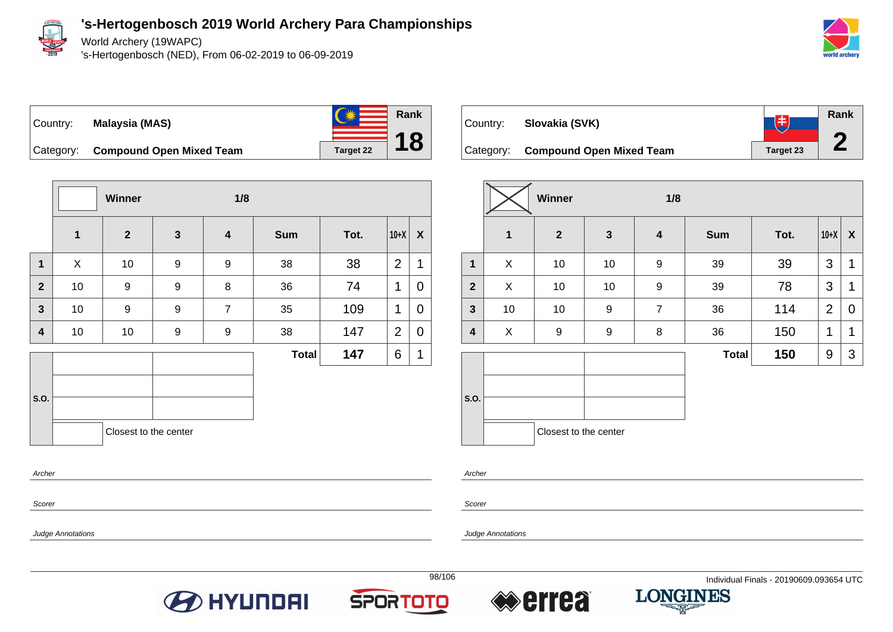

Scorer

Judge Annotations

**'s-Hertogenbosch 2019 World Archery Para Championships**

World Archery (19WAPC)

's-Hertogenbosch (NED), From 06-02-2019 to 06-09-2019



### Country: **Malaysia (MAS)**



Category: **Compound Open Mixed Team** Target 22

|                | Winner       |                       |                  | 1/8              |              |      |                |                  |  |  |
|----------------|--------------|-----------------------|------------------|------------------|--------------|------|----------------|------------------|--|--|
|                | $\mathbf{1}$ | $\overline{2}$        | $\mathbf{3}$     | $\boldsymbol{4}$ | <b>Sum</b>   | Tot. | $10+X$         | $\boldsymbol{X}$ |  |  |
| $\mathbf 1$    | X            | 10                    | $\boldsymbol{9}$ | $\boldsymbol{9}$ | 38           | 38   | $\overline{2}$ | $\mathbf 1$      |  |  |
| $\overline{2}$ | 10           | 9                     | 9                | 8                | 36           | 74   | 1              | 0                |  |  |
| $\overline{3}$ | 10           | 9                     | $\boldsymbol{9}$ | $\overline{7}$   | 35           | 109  | 1              | 0                |  |  |
| 4              | 10           | 10                    | 9                | 9                | 38           | 147  | $\overline{2}$ | $\mathbf 0$      |  |  |
|                |              |                       |                  |                  | <b>Total</b> | 147  | 6              | 1                |  |  |
|                |              |                       |                  |                  |              |      |                |                  |  |  |
| S.O.           |              |                       |                  |                  |              |      |                |                  |  |  |
|                |              | Closest to the center |                  |                  |              |      |                |                  |  |  |
| Archer         |              |                       |                  |                  |              |      |                |                  |  |  |



|                         |             | Winner                |                  | 1/8                     |              |      |                |   |
|-------------------------|-------------|-----------------------|------------------|-------------------------|--------------|------|----------------|---|
|                         | $\mathbf 1$ | $\overline{2}$        | $\mathbf{3}$     | $\overline{\mathbf{4}}$ | <b>Sum</b>   | Tot. | $10+X$         | X |
| $\mathbf{1}$            | X           | 10                    | 10               | 9                       | 39           | 39   | 3              | 1 |
| $\overline{2}$          | X           | 10                    | 10               | $\boldsymbol{9}$        | 39           | 78   | 3              | 1 |
| $\mathbf{3}$            | 10          | 10                    | $\boldsymbol{9}$ | $\overline{7}$          | 36           | 114  | $\overline{2}$ | 0 |
| $\overline{\mathbf{4}}$ | X           | 9                     | 9                | 8                       | 36           | 150  | 1              | 1 |
|                         |             |                       |                  |                         | <b>Total</b> | 150  | 9              | 3 |
| S.O.                    |             |                       |                  |                         |              |      |                |   |
|                         |             |                       |                  |                         |              |      |                |   |
|                         |             | Closest to the center |                  |                         |              |      |                |   |

Archer

Scorer

Judge Annotations







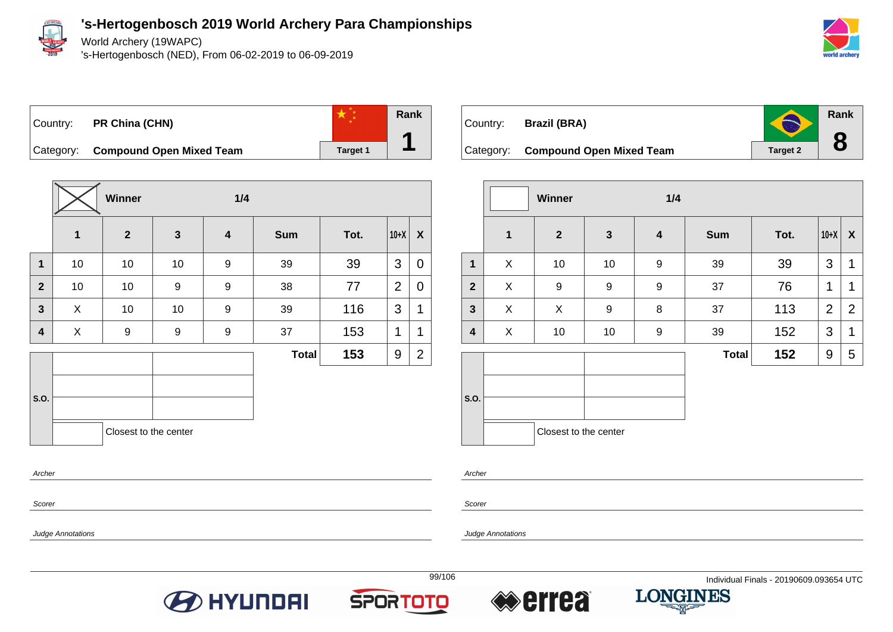

World Archery (19WAPC)

's-Hertogenbosch (NED), From 06-02-2019 to 06-09-2019



**Rank**

 $\blacktriangleleft$ 

**8**

Country: **PR China (CHN)**



Category: **Compound Open Mixed Team Target 1** 

|                |              | <b>Winner</b>         |              | 1/4                     |              |      |                |                |
|----------------|--------------|-----------------------|--------------|-------------------------|--------------|------|----------------|----------------|
|                | $\mathbf{1}$ | $\overline{2}$        | $\mathbf{3}$ | $\overline{\mathbf{4}}$ | <b>Sum</b>   | Tot. | $10+X$         | X              |
| $\mathbf 1$    | 10           | 10                    | 10           | 9                       | 39           | 39   | 3              | 0              |
| $\overline{2}$ | 10           | 10                    | 9            | 9                       | 38           | 77   | $\overline{2}$ | 0              |
| $\mathbf{3}$   | X            | 10                    | 10           | 9                       | 39           | 116  | 3              | 1              |
| 4              | X            | $\boldsymbol{9}$      | 9            | 9                       | 37           | 153  | 1              | 1              |
|                |              |                       |              |                         | <b>Total</b> | 153  | 9              | $\overline{2}$ |
|                |              |                       |              |                         |              |      |                |                |
| S.O.           |              |                       |              |                         |              |      |                |                |
|                |              | Closest to the center |              |                         |              |      |                |                |

| Country: Brazil (BRA)              | O               |
|------------------------------------|-----------------|
| Category: Compound Open Mixed Team | <b>Target 2</b> |

|              |              | Winner                |              | 1/4                     |              |      |                |                  |
|--------------|--------------|-----------------------|--------------|-------------------------|--------------|------|----------------|------------------|
|              | $\mathbf{1}$ | $\overline{2}$        | $\mathbf{3}$ | $\overline{\mathbf{4}}$ | <b>Sum</b>   | Tot. | $10+X$         | $\boldsymbol{X}$ |
| $\mathbf{1}$ | X            | 10                    | 10           | $\boldsymbol{9}$        | 39           | 39   | 3              | 1                |
| $\mathbf{2}$ | X            | 9                     | 9            | $\boldsymbol{9}$        | 37           | 76   | 1              | 1                |
| $\mathbf{3}$ | X            | X                     | 9            | 8                       | 37           | 113  | $\overline{2}$ | $\overline{2}$   |
| 4            | X            | 10                    | 10           | 9                       | 39           | 152  | 3              | 1                |
|              |              |                       |              |                         | <b>Total</b> | 152  | 9              | 5                |
| S.O.         |              | Closest to the center |              |                         |              |      |                |                  |

Archer

Scorer

Judge Annotations

Archer

Scorer

Judge Annotations







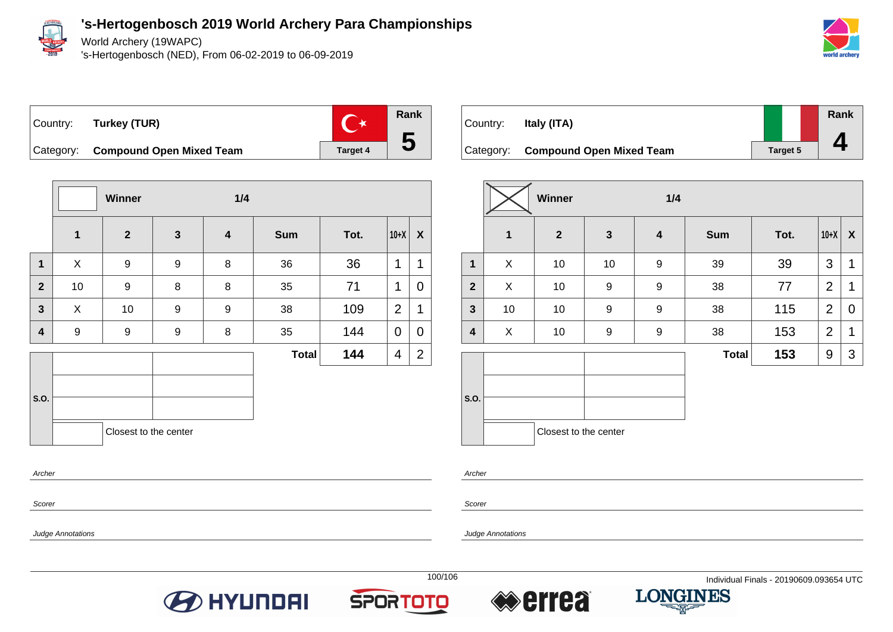

World Archery (19WAPC)

's-Hertogenbosch (NED), From 06-02-2019 to 06-09-2019



 $\mathbb{C}^{\star}$ Country: **Turkey (TUR)**



Category: **Compound Open Mixed Team Target 4** 

|                |              | Winner                |              | 1/4                     |              |      |        |                  |  |
|----------------|--------------|-----------------------|--------------|-------------------------|--------------|------|--------|------------------|--|
|                | $\mathbf{1}$ | $\overline{2}$        | $\mathbf{3}$ | $\overline{\mathbf{4}}$ | <b>Sum</b>   | Tot. | $10+X$ | $\boldsymbol{X}$ |  |
| $\mathbf 1$    | X            | $\boldsymbol{9}$      | 9            | 8                       | 36           | 36   | 1      | 1                |  |
| $\overline{2}$ | $10$         | $\boldsymbol{9}$      | 8            | 8                       | 35           | 71   | 1      | 0                |  |
| $\overline{3}$ | X            | 10                    | 9            | $\boldsymbol{9}$        | 38           | 109  | 2      | 1                |  |
| 4              | 9            | $\boldsymbol{9}$      | 9            | 8                       | 35           | 144  | 0      | 0                |  |
|                |              |                       |              |                         | <b>Total</b> | 144  | 4      | $\overline{2}$   |  |
| S.O.           |              | Closest to the center |              |                         |              |      |        |                  |  |

| Country: | Italy (ITA)                        |                 | Rank |
|----------|------------------------------------|-----------------|------|
|          |                                    |                 |      |
|          | Category: Compound Open Mixed Team | <b>Target 5</b> |      |

|                |              | Winner                | 1/4          |                  |              |      |                |                  |  |  |
|----------------|--------------|-----------------------|--------------|------------------|--------------|------|----------------|------------------|--|--|
|                | $\mathbf{1}$ | $\mathbf{2}$          | $\mathbf{3}$ | $\boldsymbol{4}$ | <b>Sum</b>   | Tot. | $10+X$         | $\boldsymbol{X}$ |  |  |
| $\mathbf{1}$   | X            | 10                    | 10           | $\boldsymbol{9}$ | 39           | 39   | 3              | $\mathbf 1$      |  |  |
| $\overline{2}$ | X            | 10                    | 9            | $\boldsymbol{9}$ | 38           | 77   | $\overline{2}$ | 1                |  |  |
| $\mathbf{3}$   | 10           | 10                    | 9            | 9                | 38           | 115  | $\overline{2}$ | 0                |  |  |
| 4              | X            | 10                    | 9            | $\boldsymbol{9}$ | 38           | 153  | $\overline{2}$ | 1                |  |  |
|                |              |                       |              |                  | <b>Total</b> | 153  | 9              | 3                |  |  |
| S.O.           |              | Closest to the center |              |                  |              |      |                |                  |  |  |

Archer

Scorer

Scorer

Archer

Judge Annotations







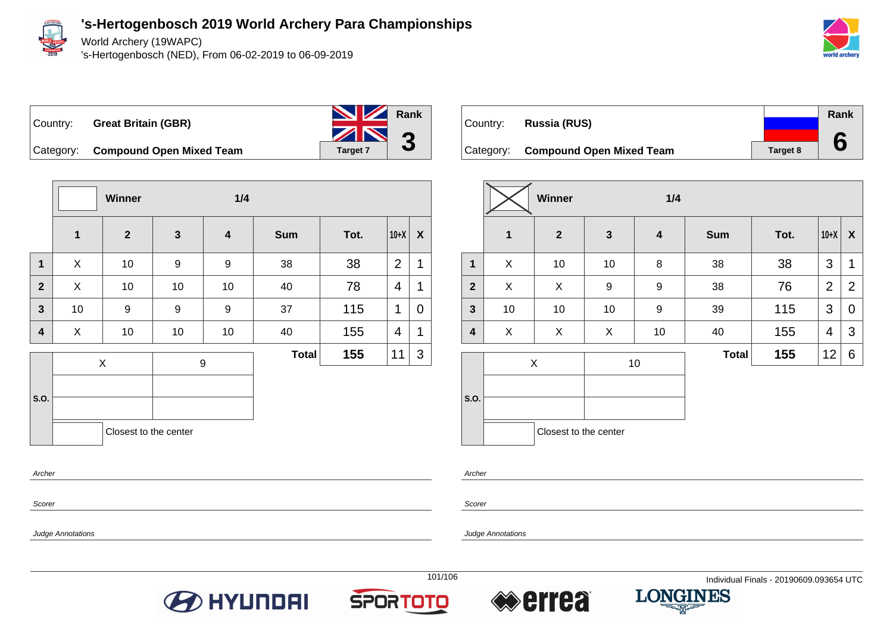

Scorer

Judge Annotations

**'s-Hertogenbosch 2019 World Archery Para Championships**

World Archery (19WAPC)

's-Hertogenbosch (NED), From 06-02-2019 to 06-09-2019





|                         |                         | Winner                |              | 1/4                     |              |      |                |   |
|-------------------------|-------------------------|-----------------------|--------------|-------------------------|--------------|------|----------------|---|
|                         | $\overline{\mathbf{1}}$ | $\overline{2}$        | $\mathbf{3}$ | $\overline{\mathbf{4}}$ | <b>Sum</b>   | Tot. | $10+X$         | X |
| $\mathbf 1$             | X                       | 10                    | 9            | 9                       | 38           | 38   | $\overline{2}$ | 1 |
| $\overline{2}$          | X                       | 10                    | 10           | 10                      | 40           | 78   | 4              | 1 |
| $\mathbf{3}$            | 10                      | 9                     | 9            | 9                       | 37           | 115  | 1              | 0 |
| $\overline{\mathbf{4}}$ | X                       | 10                    | 10           | 10                      | 40           | 155  | $\overline{4}$ | 1 |
|                         |                         | $\mathsf X$           |              | 9                       | <b>Total</b> | 155  | 11             | 3 |
|                         |                         |                       |              |                         |              |      |                |   |
| S.O.                    |                         |                       |              |                         |              |      |                |   |
|                         |                         | Closest to the center |              |                         |              |      |                |   |
| Archer                  |                         |                       |              |                         |              |      |                |   |

| Country: Russia (RUS)              |                 | Rank |
|------------------------------------|-----------------|------|
|                                    |                 |      |
| Category: Compound Open Mixed Team | <b>Target 8</b> |      |

|                |                         | Winner                | 1/4          |                         |              |      |                |                  |  |
|----------------|-------------------------|-----------------------|--------------|-------------------------|--------------|------|----------------|------------------|--|
|                | $\overline{\mathbf{1}}$ | $\boldsymbol{2}$      | $\mathbf{3}$ | $\overline{\mathbf{4}}$ | <b>Sum</b>   | Tot. | $10+X$         | $\boldsymbol{X}$ |  |
| $\mathbf{1}$   | X                       | 10                    | 10           | 8                       | 38           | 38   | 3              | 1                |  |
| $\overline{2}$ | X                       | X                     | 9            | 9                       | 38           | 76   | $\overline{2}$ | $\overline{2}$   |  |
| $\mathbf{3}$   | 10                      | 10                    | 10           | $\boldsymbol{9}$        | 39           | 115  | 3              | 0                |  |
| 4              | X                       | X                     | X            | 10                      | 40           | 155  | 4              | 3                |  |
|                |                         | X                     |              | 10                      | <b>Total</b> | 155  | 12             | 6                |  |
|                |                         |                       |              |                         |              |      |                |                  |  |
| S.O.           |                         |                       |              |                         |              |      |                |                  |  |
|                |                         | Closest to the center |              |                         |              |      |                |                  |  |

Archer

Scorer







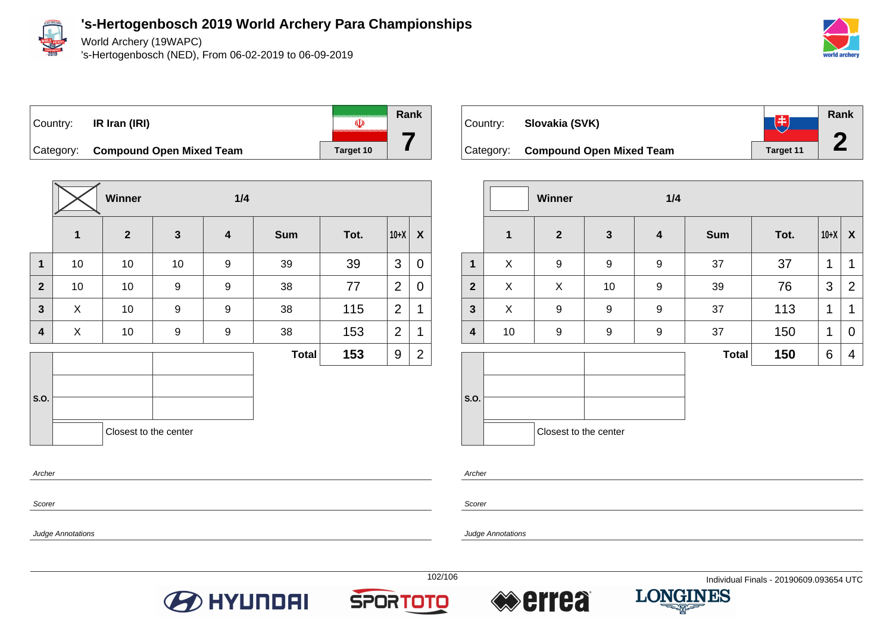

World Archery (19WAPC)

's-Hertogenbosch (NED), From 06-02-2019 to 06-09-2019





**Winner 1/4 1 2 3 4 Sum Tot. 10+X X 1** | 10 | 10 | 9 | 39 | 39 |3 |0 **2** | 10 | 10 | 9 | 9 | 38 | 77 |2 | 0 **3**  $\begin{array}{|c|c|c|c|c|c|}\n\hline\n\textbf{3} & \textbf{3} & \textbf{4} & \textbf{5} & \textbf{10} & \textbf{30} & \textbf{10} & \textbf{38} & \textbf{10} & \textbf{115} & \textbf{12} & \textbf{110} & \textbf{120} & \textbf{130} & \textbf{145} & \textbf{150} & \textbf{150} & \textbf{160} & \textbf{170} & \textbf{170} & \textbf{180} & \textbf{180} & \textbf{190} &$ **4** | X | 10 | 9 | 9 | 38 | 153 |2|1 **S.O. Total 153** 9 2 Closest to the center Archer



|                         |              | Winner<br>1/4         |              |                         |              |      |        |                  |
|-------------------------|--------------|-----------------------|--------------|-------------------------|--------------|------|--------|------------------|
|                         | $\mathbf{1}$ | $\overline{2}$        | $\mathbf{3}$ | $\overline{\mathbf{4}}$ | <b>Sum</b>   | Tot. | $10+X$ | $\boldsymbol{X}$ |
| $\mathbf{1}$            | X            | 9                     | 9            | 9                       | 37           | 37   | 1      | $\mathbf{1}$     |
| $\overline{2}$          | X            | X                     | 10           | $\mathsf g$             | 39           | 76   | 3      | $\overline{2}$   |
| $\mathbf{3}$            | X            | 9                     | 9            | 9                       | 37           | 113  | 1      | 1                |
| $\overline{\mathbf{4}}$ | 10           | 9                     | 9            | 9                       | 37           | 150  | 1      | 0                |
|                         |              |                       |              |                         | <b>Total</b> | 150  | 6      | 4                |
| S.O.                    |              |                       |              |                         |              |      |        |                  |
|                         |              | Closest to the center |              |                         |              |      |        |                  |

Archer

Scorer

Judge Annotations

Scorer

Judge Annotations







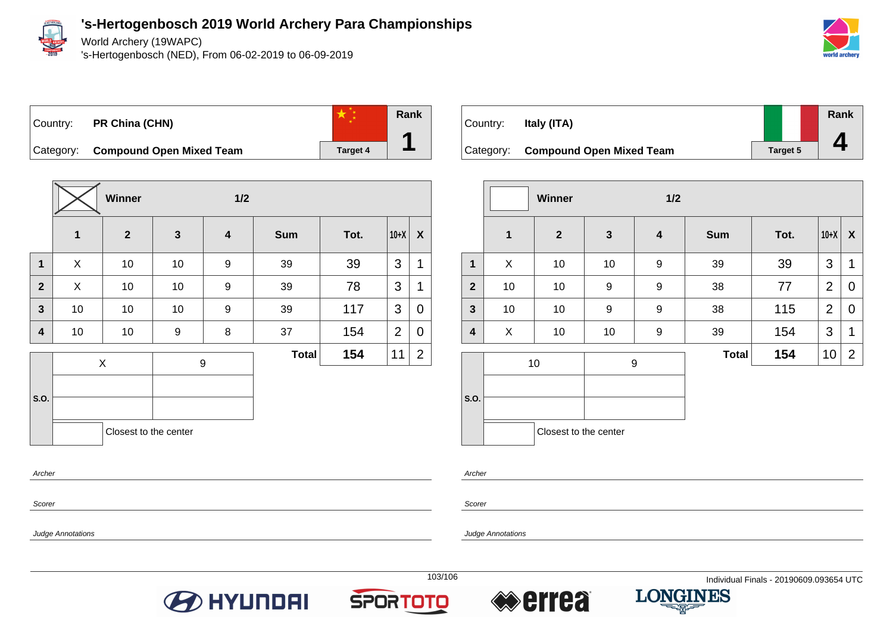

World Archery (19WAPC)

's-Hertogenbosch (NED), From 06-02-2019 to 06-09-2019



## Country: **PR China (CHN)**



Category: **Compound Open Mixed Team Target 4** 

|                         |             | Winner                |              | 1/2                     |              |      |                |                |
|-------------------------|-------------|-----------------------|--------------|-------------------------|--------------|------|----------------|----------------|
|                         | $\mathbf 1$ | $\overline{2}$        | $\mathbf{3}$ | $\overline{\mathbf{4}}$ | <b>Sum</b>   | Tot. | $10+X$         | X              |
| $\mathbf{1}$            | X           | 10                    | $10$         | 9                       | 39           | 39   | 3              | 1              |
| $\overline{2}$          | X           | 10                    | 10           | 9                       | 39           | 78   | 3              | 1              |
| $\overline{\mathbf{3}}$ | 10          | 10                    | 10           | 9                       | 39           | 117  | 3              | 0              |
| 4                       | 10          | $10$                  | 9            | 8                       | 37           | 154  | $\overline{2}$ | 0              |
|                         | X           |                       | 9            |                         | <b>Total</b> | 154  | 11             | $\overline{2}$ |
| S.O.                    |             |                       |              |                         |              |      |                |                |
|                         |             |                       |              |                         |              |      |                |                |
|                         |             | Closest to the center |              |                         |              |      |                |                |
|                         |             |                       |              |                         |              |      |                |                |

| Country:  | Italy (ITA)                     |          | Rank |
|-----------|---------------------------------|----------|------|
| Category: | <b>Compound Open Mixed Team</b> | Target 5 |      |

|                |              | Winner                |              | 1/2              |              |      |                |                |
|----------------|--------------|-----------------------|--------------|------------------|--------------|------|----------------|----------------|
|                | $\mathbf{1}$ | $\boldsymbol{2}$      | $\mathbf{3}$ | $\boldsymbol{4}$ | <b>Sum</b>   | Tot. | $10+X$         | X              |
| 1              | X            | 10                    | 10           | $\boldsymbol{9}$ | 39           | 39   | 3              | 1              |
| $\overline{2}$ | 10           | 10                    | 9            | 9                | 38           | 77   | $\overline{2}$ | $\mathbf 0$    |
| $\mathbf{3}$   | 10           | 10                    | 9            | $\boldsymbol{9}$ | 38           | 115  | $\overline{2}$ | $\mathbf 0$    |
| 4              | X            | 10                    | 10           | $\boldsymbol{9}$ | 39           | 154  | 3              | 1              |
|                |              | 10                    |              | 9                | <b>Total</b> | 154  | 10             | $\overline{2}$ |
|                |              |                       |              |                  |              |      |                |                |
| S.O.           |              |                       |              |                  |              |      |                |                |
|                |              | Closest to the center |              |                  |              |      |                |                |

Archer

Scorer

Scorer

Archer

Judge Annotations







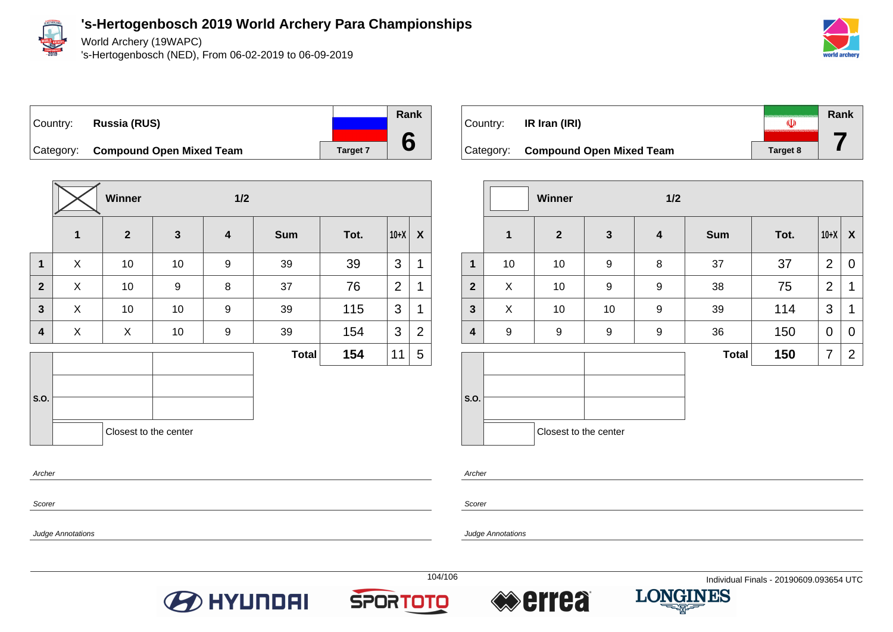

World Archery (19WAPC)

's-Hertogenbosch (NED), From 06-02-2019 to 06-09-2019



Country: **Russia (RUS)** Category: **Compound Open Mixed Team** Target 7

|                         |              | Winner                |                  | $1/2$                   |              |      |                |                |
|-------------------------|--------------|-----------------------|------------------|-------------------------|--------------|------|----------------|----------------|
|                         | $\mathbf{1}$ | $\mathbf{2}$          | $\mathbf{3}$     | $\overline{\mathbf{4}}$ | <b>Sum</b>   | Tot. | $10+X$         | X              |
| 1                       | X            | 10                    | 10               | 9                       | 39           | 39   | 3              | 1              |
| $\overline{2}$          | X            | 10                    | $\boldsymbol{9}$ | 8                       | 37           | 76   | $\overline{2}$ | 1              |
| $\overline{\mathbf{3}}$ | X            | 10                    | 10               | 9                       | 39           | 115  | 3              | 1              |
| 4                       | X            | X                     | 10               | 9                       | 39           | 154  | 3              | $\overline{2}$ |
|                         |              |                       |                  |                         | <b>Total</b> | 154  | 11             | 5              |
|                         |              |                       |                  |                         |              |      |                |                |
| S.O.                    |              |                       |                  |                         |              |      |                |                |
|                         |              | Closest to the center |                  |                         |              |      |                |                |
| Archer                  |              |                       |                  |                         |              |      |                |                |

| Country:  | IR Iran (IRI)                   |          | Rank |
|-----------|---------------------------------|----------|------|
| Category: | <b>Compound Open Mixed Team</b> | Target 8 |      |

|                |    | Winner                |                  | 1/2                     |              |      |                |                  |
|----------------|----|-----------------------|------------------|-------------------------|--------------|------|----------------|------------------|
|                | 1  | $\mathbf{2}$          | $\mathbf{3}$     | $\overline{\mathbf{4}}$ | <b>Sum</b>   | Tot. | $10+X$         | $\boldsymbol{X}$ |
| $\mathbf 1$    | 10 | 10                    | $\boldsymbol{9}$ | 8                       | 37           | 37   | $\overline{2}$ | 0                |
| $\overline{2}$ | X  | 10                    | 9                | 9                       | 38           | 75   | $\overline{2}$ | 1                |
| $\mathbf{3}$   | X  | 10                    | 10               | 9                       | 39           | 114  | 3              | 1                |
| 4              | 9  | $\boldsymbol{9}$      | 9                | 9                       | 36           | 150  | 0              | 0                |
|                |    |                       |                  |                         | <b>Total</b> | 150  | 7              | $\overline{2}$   |
| S.O.           |    | Closest to the center |                  |                         |              |      |                |                  |

Scorer

Scorer

Archer

Judge Annotations

Judge Annotations





**Rank**

**6**



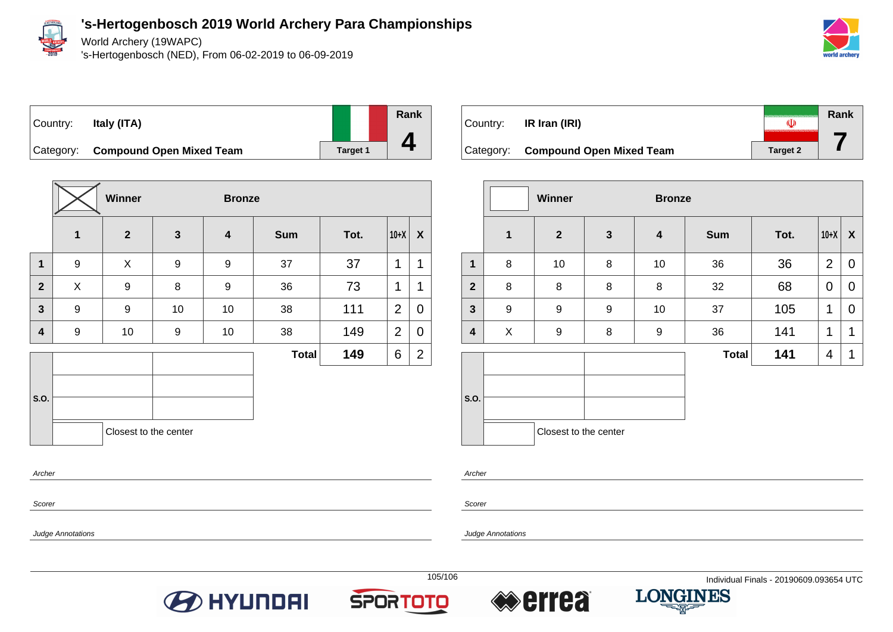

World Archery (19WAPC)

's-Hertogenbosch (NED), From 06-02-2019 to 06-09-2019



### Country: **Italy (ITA)**



Category: **Compound Open Mixed Team Target 1** 

|                |                  | Winner                |              | <b>Bronze</b> |              |      |                |                |  |
|----------------|------------------|-----------------------|--------------|---------------|--------------|------|----------------|----------------|--|
|                | $\mathbf{1}$     | $\mathbf{2}$          | $\mathbf{3}$ | 4             | <b>Sum</b>   | Tot. | $10+X$         | X              |  |
| $\mathbf{1}$   | $\boldsymbol{9}$ | X                     | 9            | 9             | 37           | 37   | 1              | 1              |  |
| $\overline{2}$ | X                | 9                     | 8            | 9             | 36           | 73   | 1              | 1              |  |
| $\overline{3}$ | 9                | 9                     | 10           | 10            | 38           | 111  | $\overline{2}$ | $\mathbf 0$    |  |
| 4              | 9                | 10                    | 9            | 10            | 38           | 149  | 2              | $\mathbf 0$    |  |
|                |                  |                       |              |               | <b>Total</b> | 149  | 6              | $\overline{2}$ |  |
| S.O.           |                  |                       |              |               |              |      |                |                |  |
|                |                  | Closest to the center |              |               |              |      |                |                |  |
| Archer         |                  |                       |              |               |              |      |                |                |  |

| Country:  | IR Iran (IRI)                   | O               | Rank |
|-----------|---------------------------------|-----------------|------|
| Category: | <b>Compound Open Mixed Team</b> | <b>Target 2</b> |      |

|                |              | Winner                |              | <b>Bronze</b>    |              |      |                |                  |
|----------------|--------------|-----------------------|--------------|------------------|--------------|------|----------------|------------------|
|                | $\mathbf{1}$ | $\mathbf{2}$          | $\mathbf{3}$ | 4                | <b>Sum</b>   | Tot. | $10+X$         | $\boldsymbol{X}$ |
| $\mathbf 1$    | 8            | 10                    | 8            | 10               | 36           | 36   | $\overline{2}$ | 0                |
| $\overline{2}$ | 8            | 8                     | 8            | 8                | 32           | 68   | $\mathbf 0$    | 0                |
| $\mathbf{3}$   | 9            | $\boldsymbol{9}$      | 9            | 10               | 37           | 105  | 1              | 0                |
| 4              | X            | $\boldsymbol{9}$      | 8            | $\boldsymbol{9}$ | 36           | 141  | 1              | 1                |
|                |              |                       |              |                  | <b>Total</b> | 141  | 4              | 1                |
| S.O.           |              | Closest to the center |              |                  |              |      |                |                  |

Archer

Scorer

Judge Annotations

Scorer